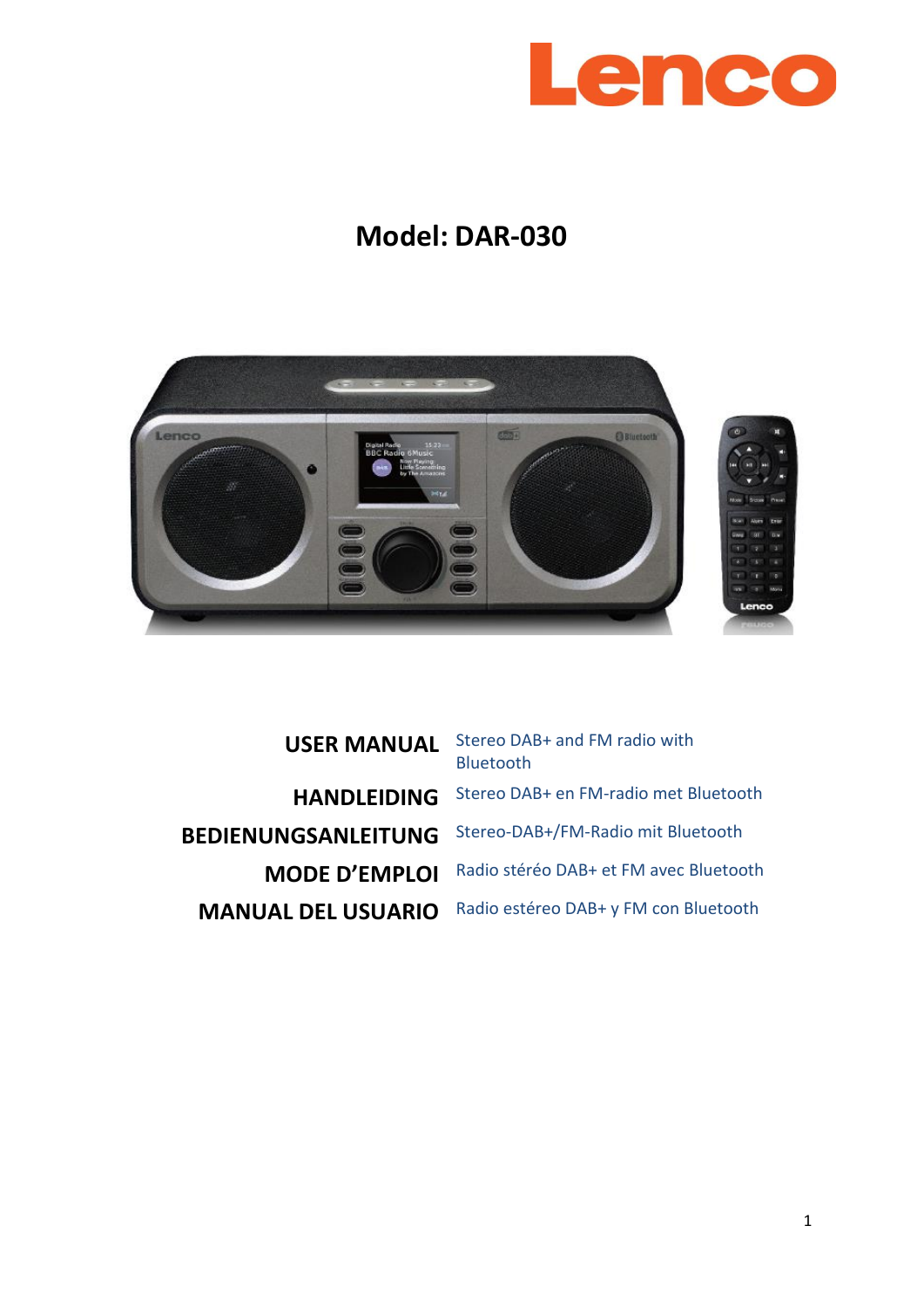

# **Model: DAR-030**



**USER MANUAL** Stereo DAB+ and FM radio with Bluetooth **HANDLEIDING** Stereo DAB+ en FM-radio met Bluetooth **BEDIENUNGSANLEITUNG** Stereo-DAB+/FM-Radio mit Bluetooth **MODE D'EMPLOI** Radio stéréo DAB+ et FM avec Bluetooth **MANUAL DEL USUARIO** Radio estéreo DAB+ y FM con Bluetooth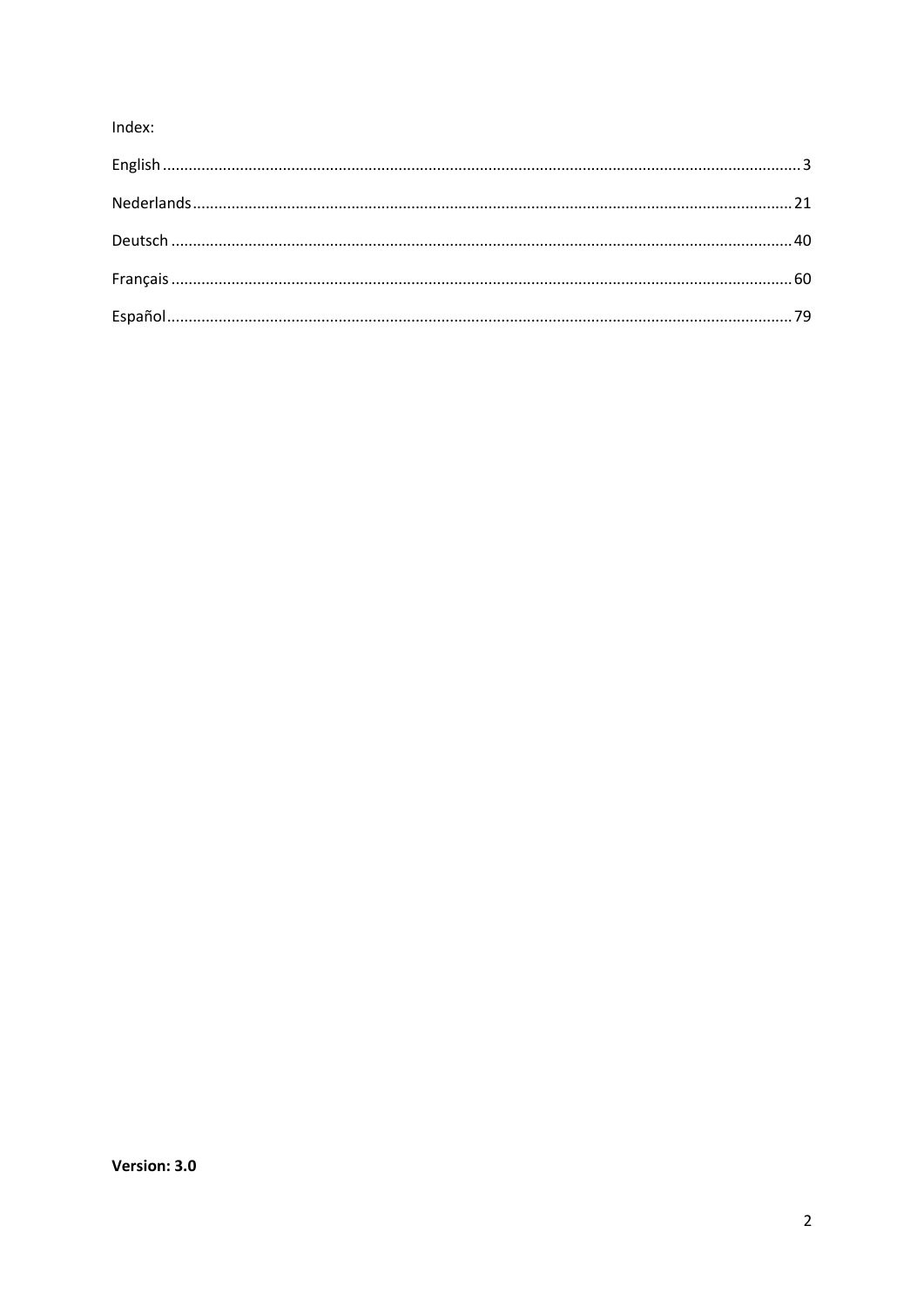# Index: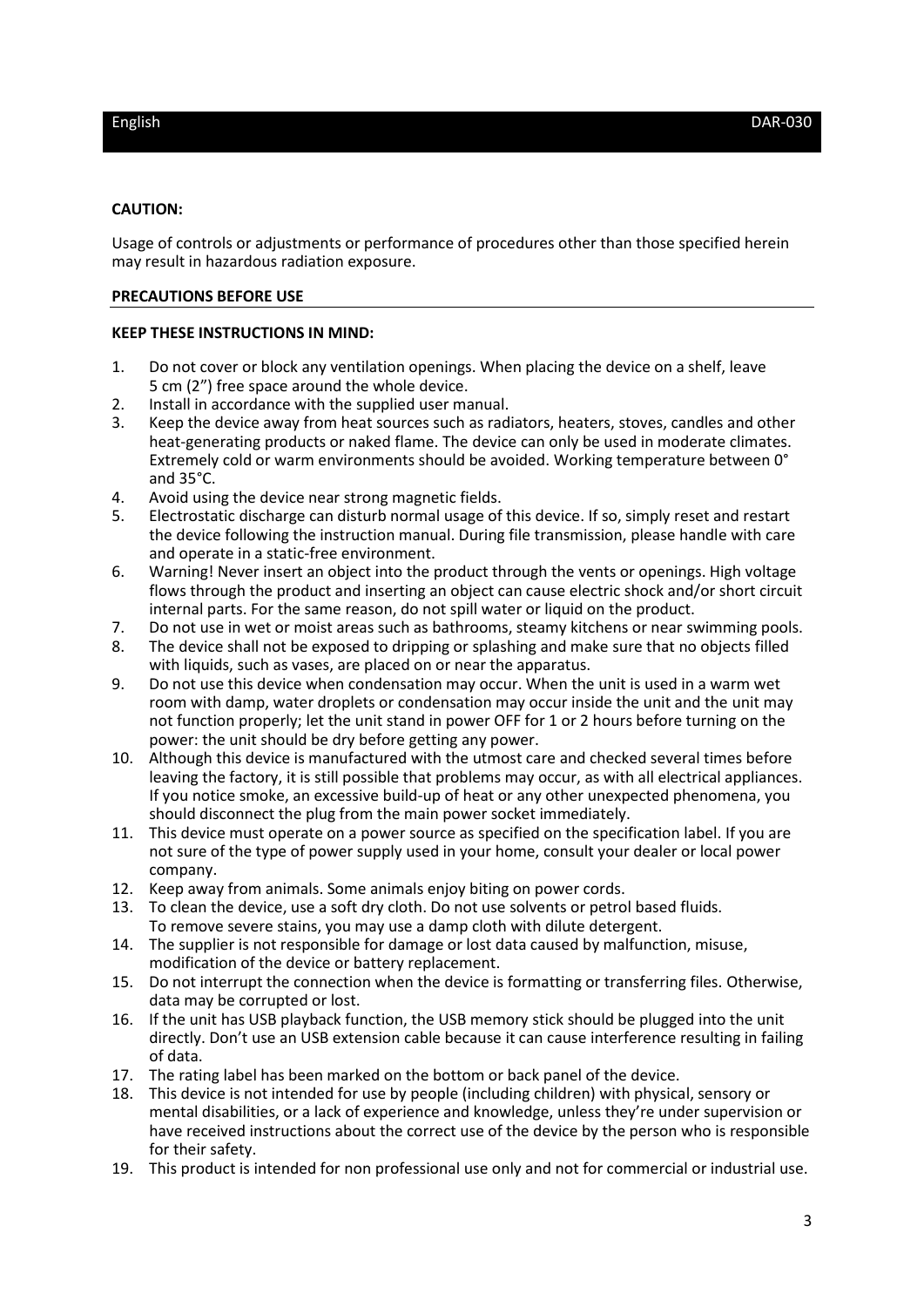### <span id="page-2-0"></span>**CAUTION:**

Usage of controls or adjustments or performance of procedures other than those specified herein may result in hazardous radiation exposure.

### **PRECAUTIONS BEFORE USE**

### **KEEP THESE INSTRUCTIONS IN MIND:**

- 1. Do not cover or block any ventilation openings. When placing the device on a shelf, leave 5 cm (2") free space around the whole device.
- 2. Install in accordance with the supplied user manual.
- 3. Keep the device away from heat sources such as radiators, heaters, stoves, candles and other heat-generating products or naked flame. The device can only be used in moderate climates. Extremely cold or warm environments should be avoided. Working temperature between 0° and 35°C.
- 4. Avoid using the device near strong magnetic fields.
- 5. Electrostatic discharge can disturb normal usage of this device. If so, simply reset and restart the device following the instruction manual. During file transmission, please handle with care and operate in a static-free environment.
- 6. Warning! Never insert an object into the product through the vents or openings. High voltage flows through the product and inserting an object can cause electric shock and/or short circuit internal parts. For the same reason, do not spill water or liquid on the product.
- 7. Do not use in wet or moist areas such as bathrooms, steamy kitchens or near swimming pools.<br>8. The device shall not be exposed to dripping or splashing and make sure that no objects filled
- The device shall not be exposed to dripping or splashing and make sure that no objects filled with liquids, such as vases, are placed on or near the apparatus.
- 9. Do not use this device when condensation may occur. When the unit is used in a warm wet room with damp, water droplets or condensation may occur inside the unit and the unit may not function properly; let the unit stand in power OFF for 1 or 2 hours before turning on the power: the unit should be dry before getting any power.
- 10. Although this device is manufactured with the utmost care and checked several times before leaving the factory, it is still possible that problems may occur, as with all electrical appliances. If you notice smoke, an excessive build-up of heat or any other unexpected phenomena, you should disconnect the plug from the main power socket immediately.
- 11. This device must operate on a power source as specified on the specification label. If you are not sure of the type of power supply used in your home, consult your dealer or local power company.
- 12. Keep away from animals. Some animals enjoy biting on power cords.
- 13. To clean the device, use a soft dry cloth. Do not use solvents or petrol based fluids. To remove severe stains, you may use a damp cloth with dilute detergent.
- 14. The supplier is not responsible for damage or lost data caused by malfunction, misuse, modification of the device or battery replacement.
- 15. Do not interrupt the connection when the device is formatting or transferring files. Otherwise, data may be corrupted or lost.
- 16. If the unit has USB playback function, the USB memory stick should be plugged into the unit directly. Don't use an USB extension cable because it can cause interference resulting in failing of data.
- 17. The rating label has been marked on the bottom or back panel of the device.
- 18. This device is not intended for use by people (including children) with physical, sensory or mental disabilities, or a lack of experience and knowledge, unless they're under supervision or have received instructions about the correct use of the device by the person who is responsible for their safety.
- 19. This product is intended for non professional use only and not for commercial or industrial use.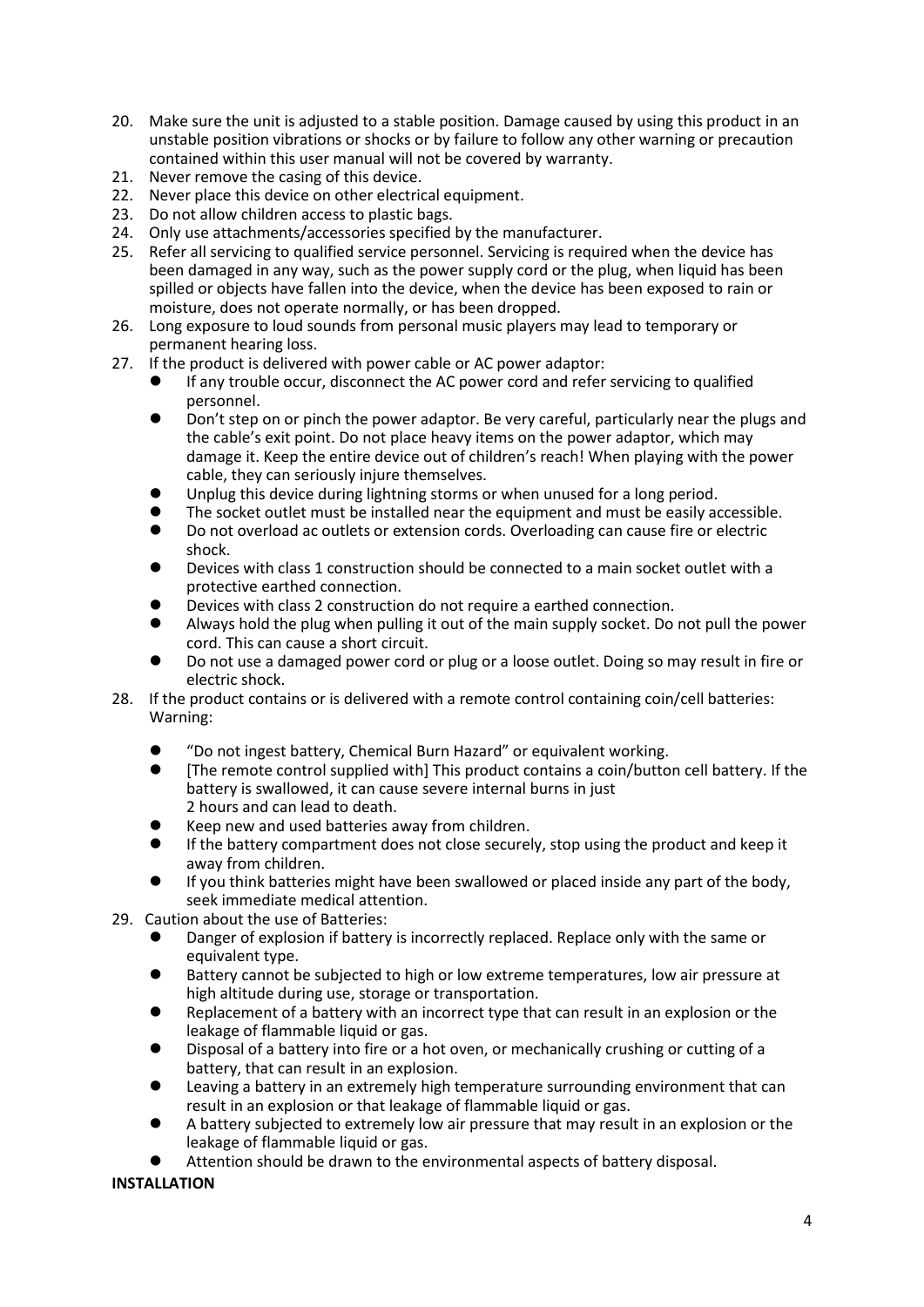- 20. Make sure the unit is adjusted to a stable position. Damage caused by using this product in an unstable position vibrations or shocks or by failure to follow any other warning or precaution contained within this user manual will not be covered by warranty.
- 21. Never remove the casing of this device.
- 22. Never place this device on other electrical equipment.
- 23. Do not allow children access to plastic bags.
- 24. Only use attachments/accessories specified by the manufacturer.
- 25. Refer all servicing to qualified service personnel. Servicing is required when the device has been damaged in any way, such as the power supply cord or the plug, when liquid has been spilled or objects have fallen into the device, when the device has been exposed to rain or moisture, does not operate normally, or has been dropped.
- 26. Long exposure to loud sounds from personal music players may lead to temporary or permanent hearing loss.
- 27. If the product is delivered with power cable or AC power adaptor:
	- If any trouble occur, disconnect the AC power cord and refer servicing to qualified personnel.
	- ⚫ Don't step on or pinch the power adaptor. Be very careful, particularly near the plugs and the cable's exit point. Do not place heavy items on the power adaptor, which may damage it. Keep the entire device out of children's reach! When playing with the power cable, they can seriously injure themselves.
	- Unplug this device during lightning storms or when unused for a long period.
	- ⚫ The socket outlet must be installed near the equipment and must be easily accessible.
	- ⚫ Do not overload ac outlets or extension cords. Overloading can cause fire or electric shock.
	- ⚫ Devices with class 1 construction should be connected to a main socket outlet with a protective earthed connection.
	- ⚫ Devices with class 2 construction do not require a earthed connection.
	- ⚫ Always hold the plug when pulling it out of the main supply socket. Do not pull the power cord. This can cause a short circuit.
	- ⚫ Do not use a damaged power cord or plug or a loose outlet. Doing so may result in fire or electric shock.
- 28. If the product contains or is delivered with a remote control containing coin/cell batteries: Warning:
	- ⚫ "Do not ingest battery, Chemical Burn Hazard" or equivalent working.
	- ⚫ [The remote control supplied with] This product contains a coin/button cell battery. If the battery is swallowed, it can cause severe internal burns in just 2 hours and can lead to death.
	- ⚫ Keep new and used batteries away from children.
	- ⚫ If the battery compartment does not close securely, stop using the product and keep it away from children.
	- If you think batteries might have been swallowed or placed inside any part of the body, seek immediate medical attention.
- 29. Caution about the use of Batteries:
	- ⚫ Danger of explosion if battery is incorrectly replaced. Replace only with the same or equivalent type.
	- ⚫ Battery cannot be subjected to high or low extreme temperatures, low air pressure at high altitude during use, storage or transportation.
	- ⚫ Replacement of a battery with an incorrect type that can result in an explosion or the leakage of flammable liquid or gas.
	- ⚫ Disposal of a battery into fire or a hot oven, or mechanically crushing or cutting of a battery, that can result in an explosion.
	- ⚫ Leaving a battery in an extremely high temperature surrounding environment that can result in an explosion or that leakage of flammable liquid or gas.
	- ⚫ A battery subjected to extremely low air pressure that may result in an explosion or the leakage of flammable liquid or gas.
	- ⚫ Attention should be drawn to the environmental aspects of battery disposal.

# **INSTALLATION**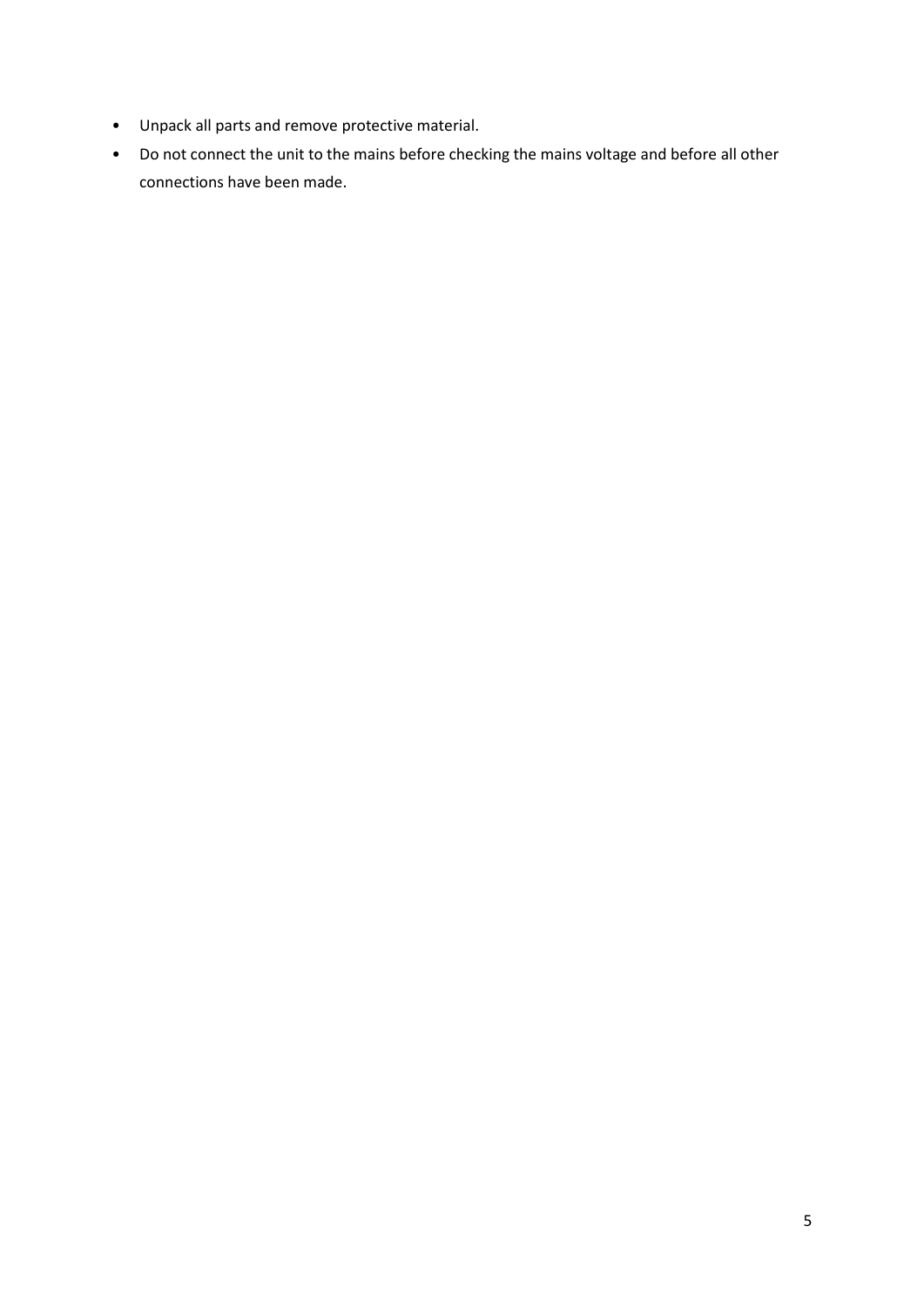- Unpack all parts and remove protective material.
- Do not connect the unit to the mains before checking the mains voltage and before all other connections have been made.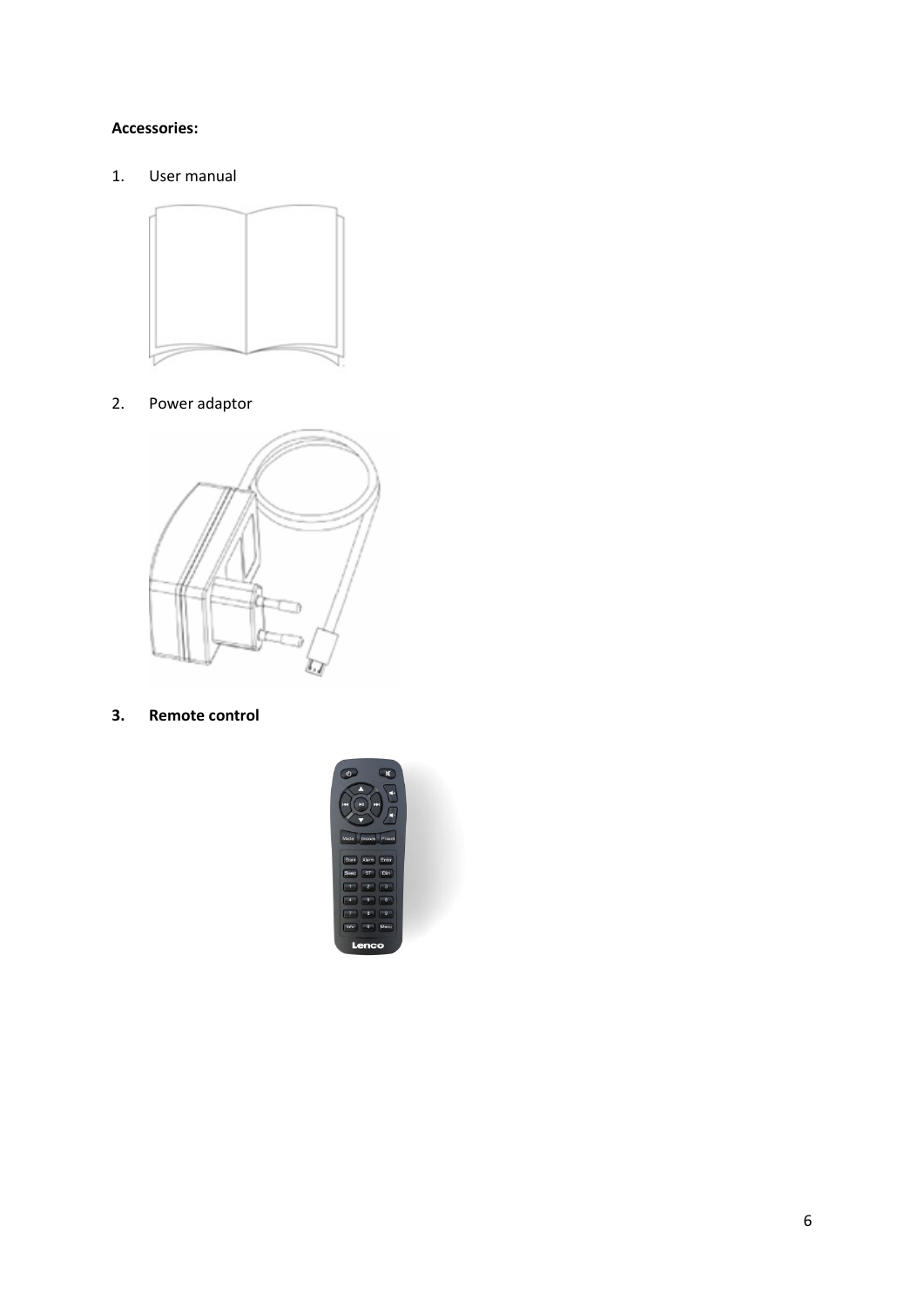# **Accessories:**

1. User manual



2. Power adaptor



**3. Remote control**

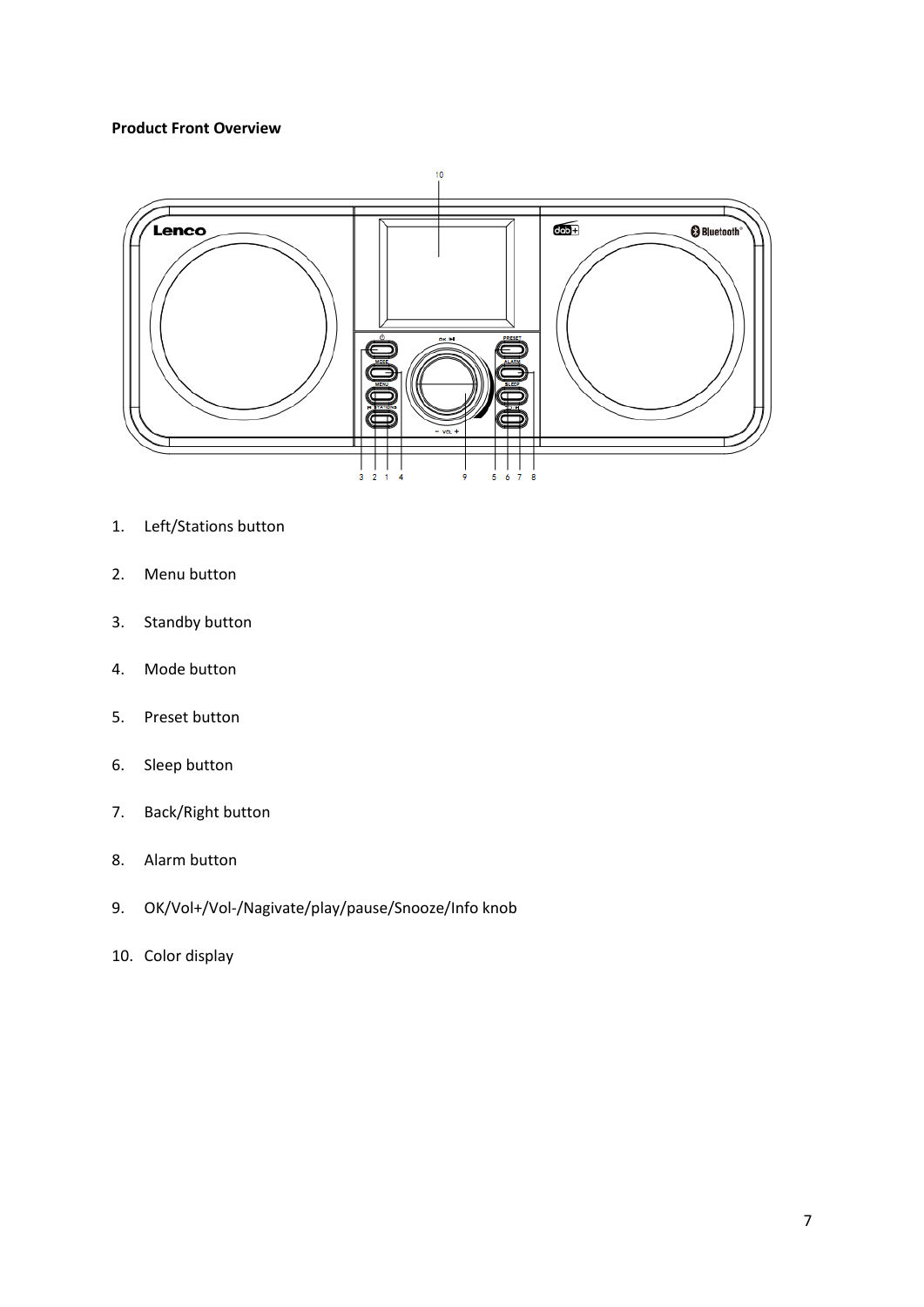# **Product Front Overview**



- 1. Left/Stations button
- 2. Menu button
- 3. Standby button
- 4. Mode button
- 5. Preset button
- 6. Sleep button
- 7. Back/Right button
- 8. Alarm button
- 9. OK/Vol+/Vol-/Nagivate/play/pause/Snooze/Info knob
- 10. Color display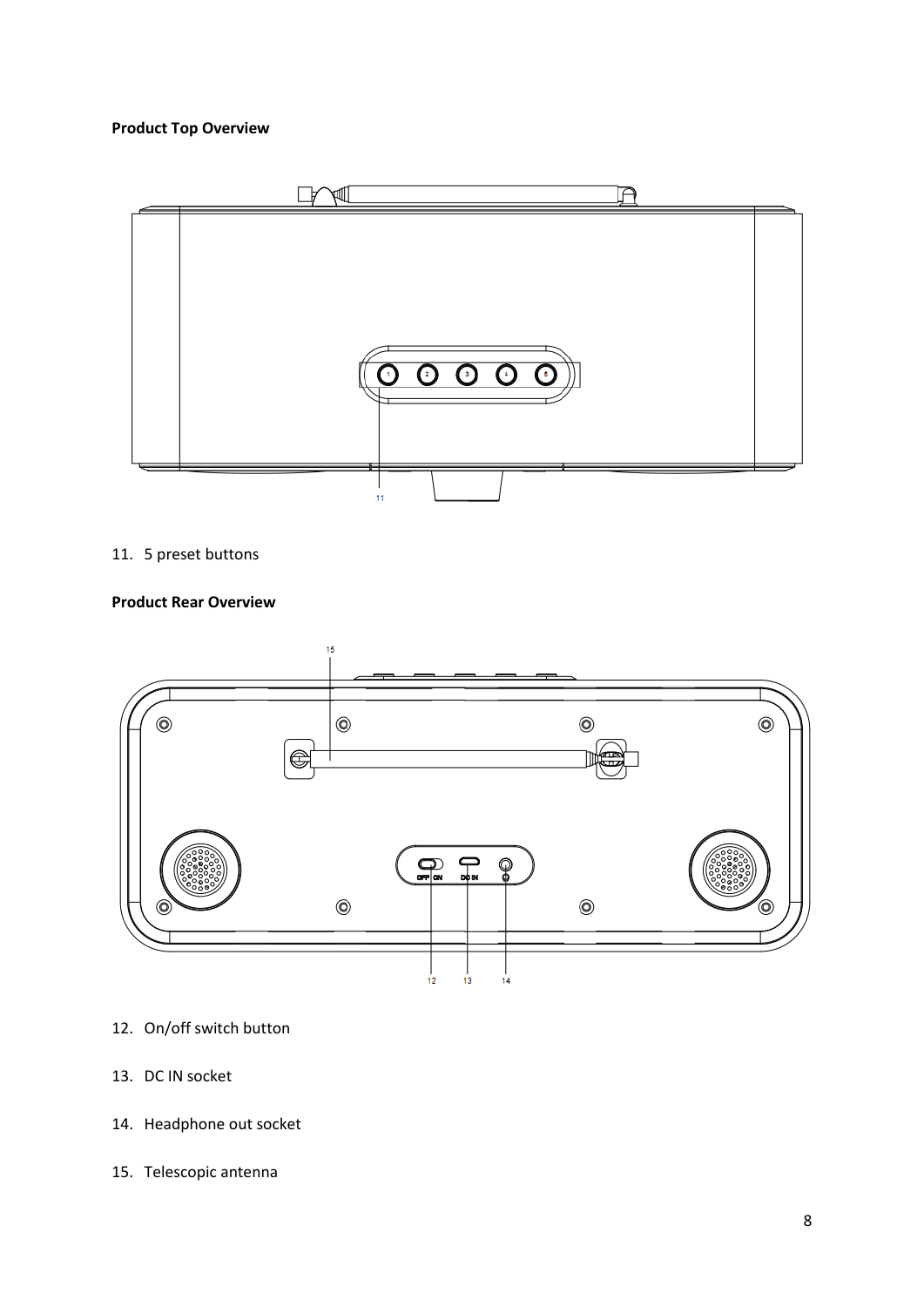# **Product Top Overview**



# 11. 5 preset buttons

# **Product Rear Overview**



# 12. On/off switch button

- 13. DC IN socket
- 14. Headphone out socket
- 15. Telescopic antenna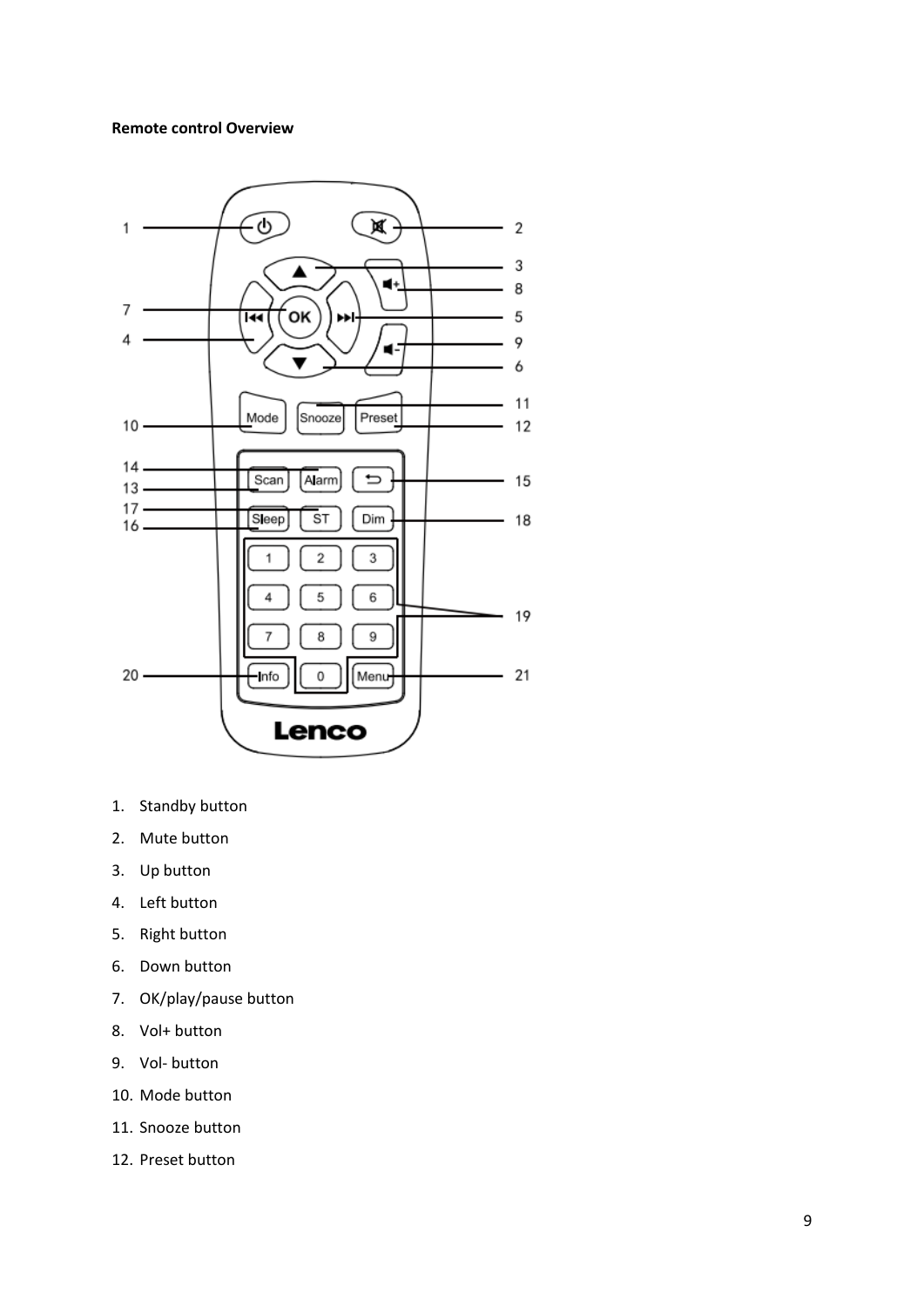# **Remote control Overview**



- 1. Standby button
- 2. Mute button
- 3. Up button
- 4. Left button
- 5. Right button
- 6. Down button
- 7. OK/play/pause button
- 8. Vol+ button
- 9. Vol- button
- 10. Mode button
- 11. Snooze button
- 12. Preset button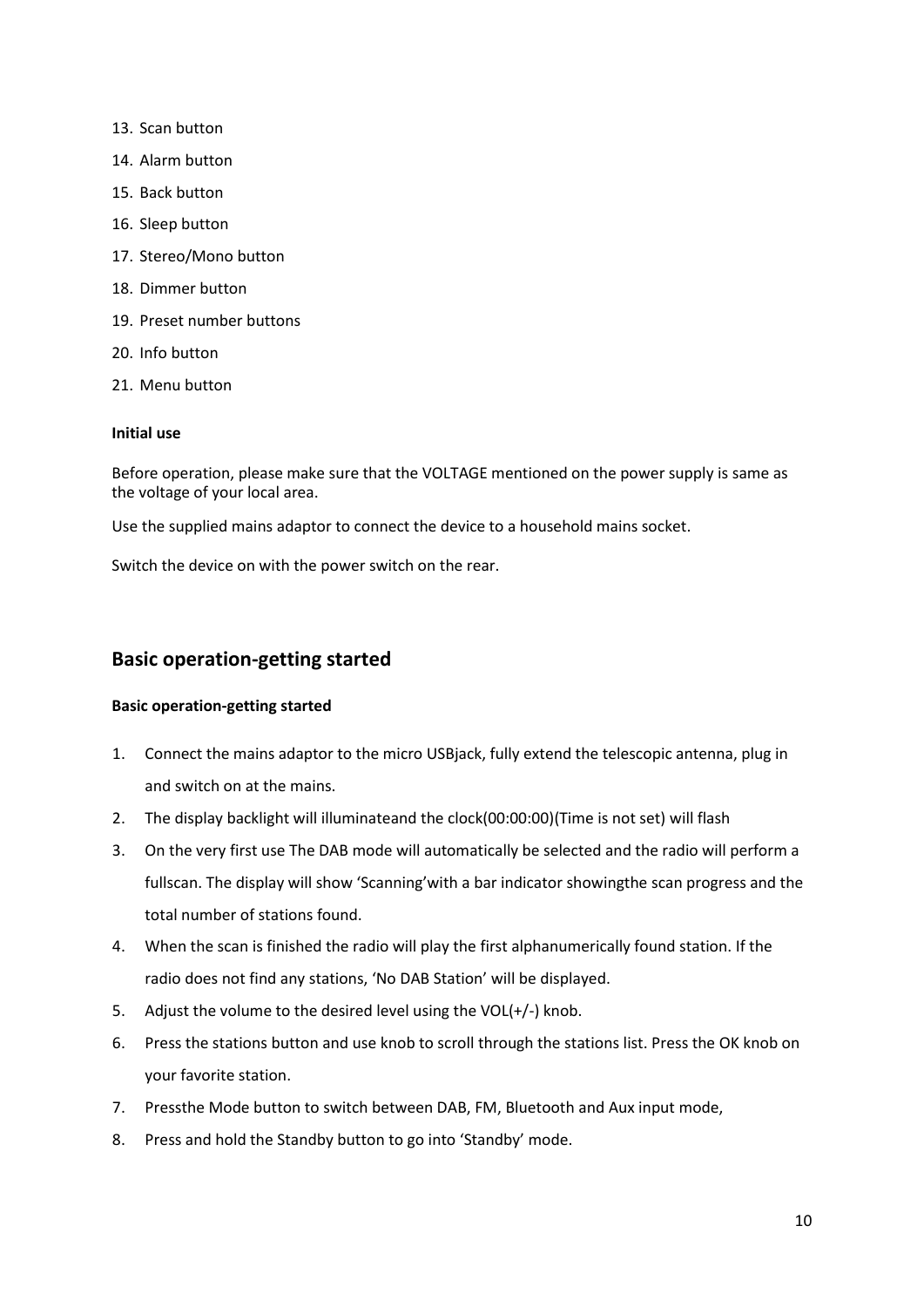- 13. Scan button
- 14. Alarm button
- 15. Back button
- 16. Sleep button
- 17. Stereo/Mono button
- 18. Dimmer button
- 19. Preset number buttons
- 20. Info button
- 21. Menu button

### **Initial use**

Before operation, please make sure that the VOLTAGE mentioned on the power supply is same as the voltage of your local area.

Use the supplied mains adaptor to connect the device to a household mains socket.

Switch the device on with the power switch on the rear.

# **Basic operation-getting started**

## **Basic operation-getting started**

- 1. Connect the mains adaptor to the micro USBjack, fully extend the telescopic antenna, plug in and switch on at the mains.
- 2. The display backlight will illuminateand the clock(00:00:00)(Time is not set) will flash
- 3. On the very first use The DAB mode will automatically be selected and the radio will perform a fullscan. The display will show 'Scanning'with a bar indicator showingthe scan progress and the total number of stations found.
- 4. When the scan is finished the radio will play the first alphanumerically found station. If the radio does not find any stations, 'No DAB Station' will be displayed.
- 5. Adjust the volume to the desired level using the VOL(+/-) knob.
- 6. Press the stations button and use knob to scroll through the stations list. Press the OK knob on your favorite station.
- 7. Pressthe Mode button to switch between DAB, FM, Bluetooth and Aux input mode,
- 8. Press and hold the Standby button to go into 'Standby' mode.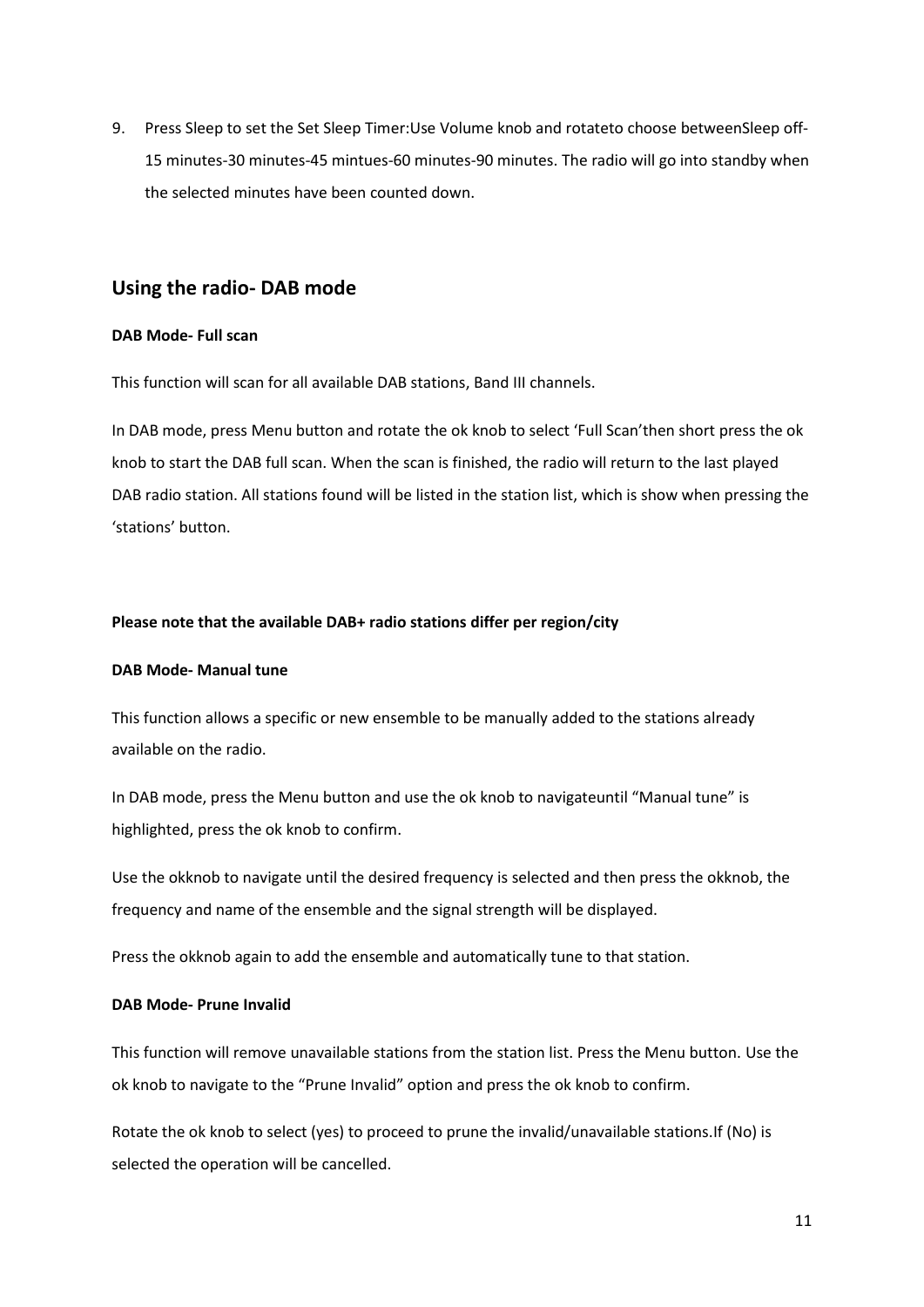9. Press Sleep to set the Set Sleep Timer:Use Volume knob and rotateto choose betweenSleep off-15 minutes-30 minutes-45 mintues-60 minutes-90 minutes. The radio will go into standby when the selected minutes have been counted down.

# **Using the radio- DAB mode**

### **DAB Mode- Full scan**

This function will scan for all available DAB stations, Band III channels.

In DAB mode, press Menu button and rotate the ok knob to select 'Full Scan'then short press the ok knob to start the DAB full scan. When the scan is finished, the radio will return to the last played DAB radio station. All stations found will be listed in the station list, which is show when pressing the 'stations' button.

### **Please note that the available DAB+ radio stations differ per region/city**

### **DAB Mode- Manual tune**

This function allows a specific or new ensemble to be manually added to the stations already available on the radio.

In DAB mode, press the Menu button and use the ok knob to navigateuntil "Manual tune" is highlighted, press the ok knob to confirm.

Use the okknob to navigate until the desired frequency is selected and then press the okknob, the frequency and name of the ensemble and the signal strength will be displayed.

Press the okknob again to add the ensemble and automatically tune to that station.

### **DAB Mode- Prune Invalid**

This function will remove unavailable stations from the station list. Press the Menu button. Use the ok knob to navigate to the "Prune Invalid" option and press the ok knob to confirm.

Rotate the ok knob to select (yes) to proceed to prune the invalid/unavailable stations.If (No) is selected the operation will be cancelled.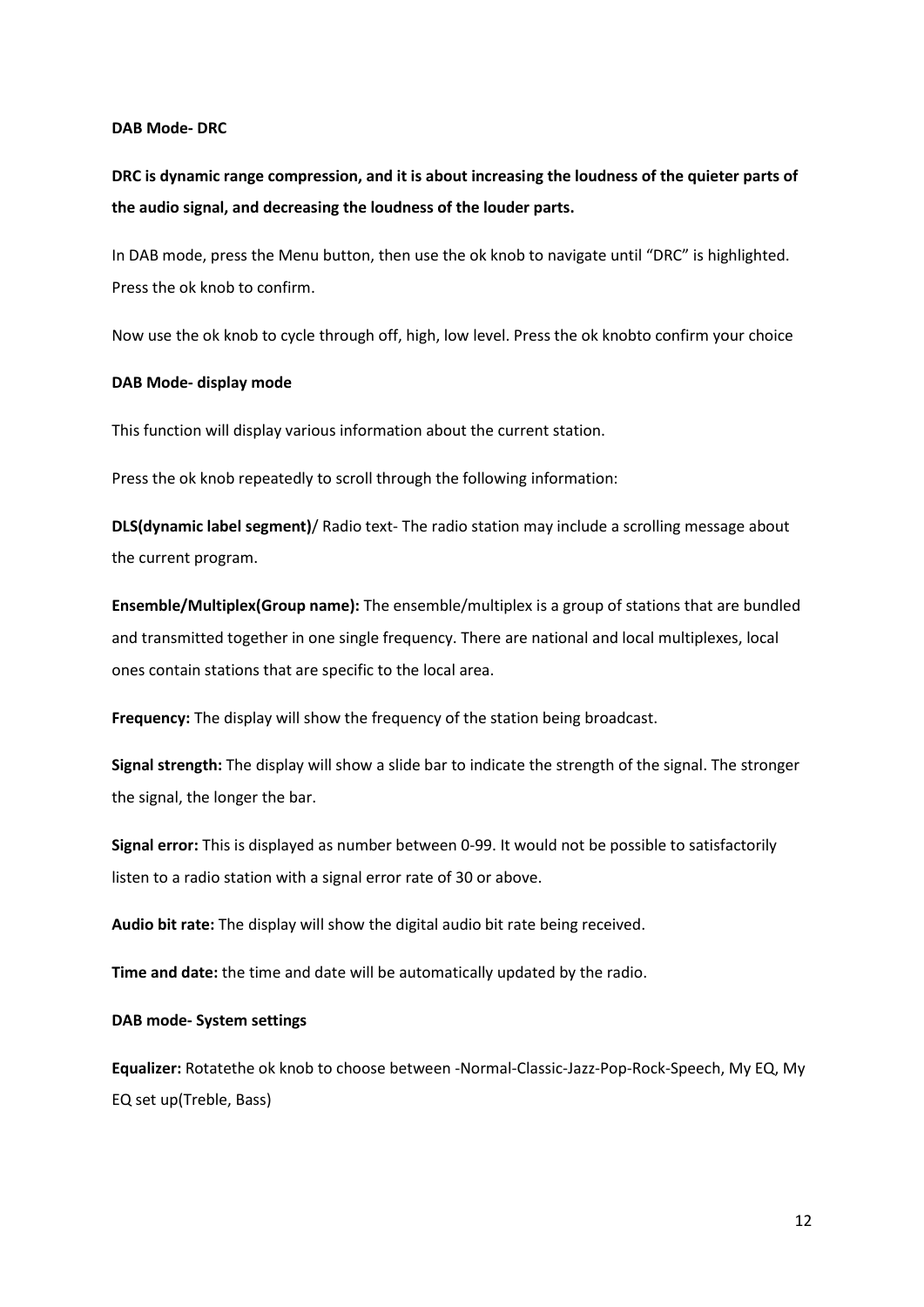### **DAB Mode- DRC**

**DRC is dynamic range compression, and it is about increasing the loudness of the quieter parts of the audio signal, and decreasing the loudness of the louder parts.**

In DAB mode, press the Menu button, then use the ok knob to navigate until "DRC" is highlighted. Press the ok knob to confirm.

Now use the ok knob to cycle through off, high, low level. Press the ok knobto confirm your choice

#### **DAB Mode- display mode**

This function will display various information about the current station.

Press the ok knob repeatedly to scroll through the following information:

**DLS(dynamic label segment)**/ Radio text- The radio station may include a scrolling message about the current program.

**Ensemble/Multiplex(Group name):** The ensemble/multiplex is a group of stations that are bundled and transmitted together in one single frequency. There are national and local multiplexes, local ones contain stations that are specific to the local area.

**Frequency:** The display will show the frequency of the station being broadcast.

**Signal strength:** The display will show a slide bar to indicate the strength of the signal. The stronger the signal, the longer the bar.

**Signal error:** This is displayed as number between 0-99. It would not be possible to satisfactorily listen to a radio station with a signal error rate of 30 or above.

**Audio bit rate:** The display will show the digital audio bit rate being received.

**Time and date:** the time and date will be automatically updated by the radio.

**DAB mode- System settings**

**Equalizer:** Rotatethe ok knob to choose between -Normal-Classic-Jazz-Pop-Rock-Speech, My EQ, My EQ set up(Treble, Bass)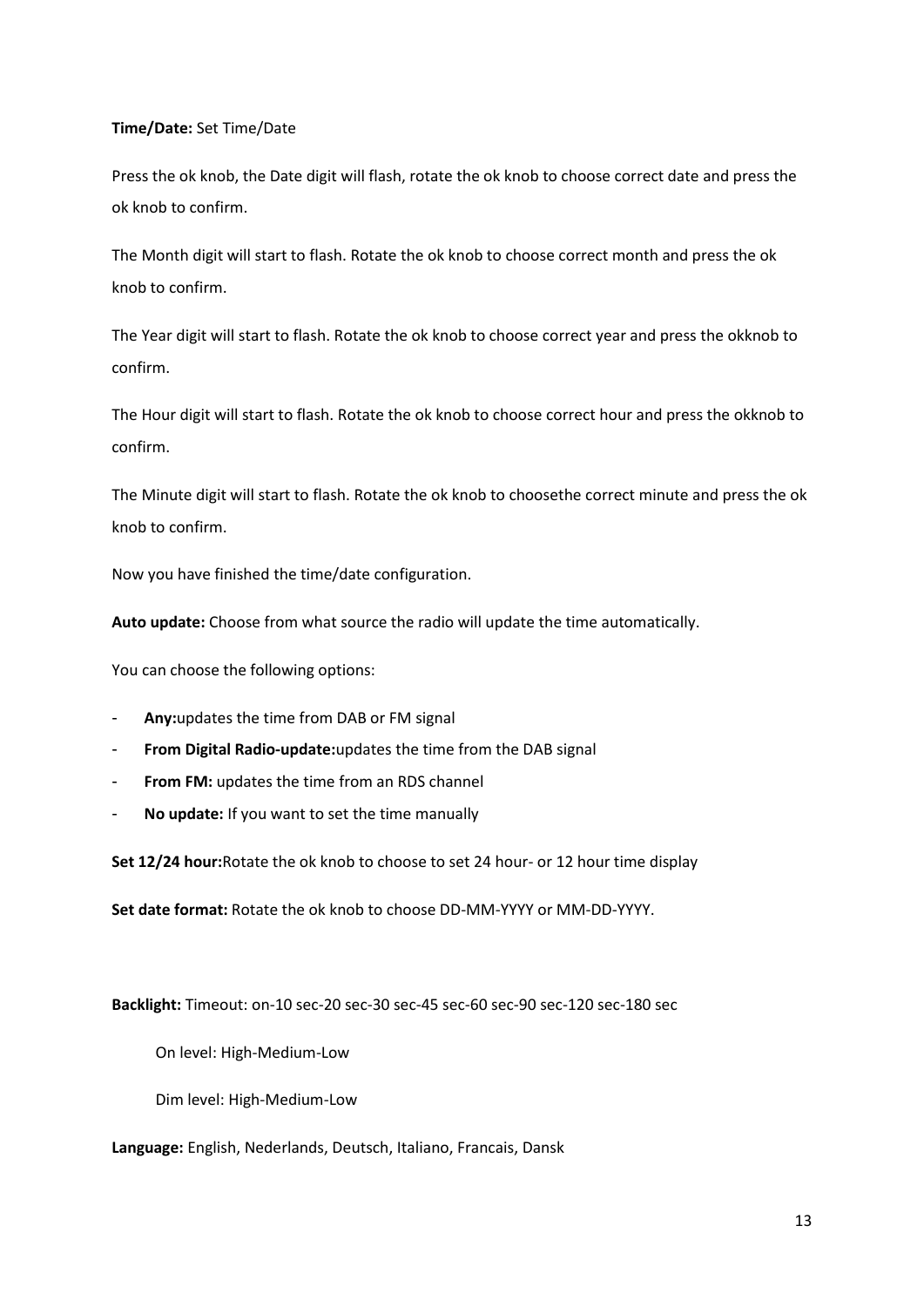## **Time/Date:** Set Time/Date

Press the ok knob, the Date digit will flash, rotate the ok knob to choose correct date and press the ok knob to confirm.

The Month digit will start to flash. Rotate the ok knob to choose correct month and press the ok knob to confirm.

The Year digit will start to flash. Rotate the ok knob to choose correct year and press the okknob to confirm.

The Hour digit will start to flash. Rotate the ok knob to choose correct hour and press the okknob to confirm.

The Minute digit will start to flash. Rotate the ok knob to choosethe correct minute and press the ok knob to confirm.

Now you have finished the time/date configuration.

**Auto update:** Choose from what source the radio will update the time automatically.

You can choose the following options:

- **Any:**updates the time from DAB or FM signal
- **From Digital Radio-update:**updates the time from the DAB signal
- **From FM:** updates the time from an RDS channel
- **No update:** If you want to set the time manually

**Set 12/24 hour:**Rotate the ok knob to choose to set 24 hour- or 12 hour time display

**Set date format:** Rotate the ok knob to choose DD-MM-YYYY or MM-DD-YYYY.

**Backlight:** Timeout: on-10 sec-20 sec-30 sec-45 sec-60 sec-90 sec-120 sec-180 sec

On level: High-Medium-Low

Dim level: High-Medium-Low

**Language:** English, Nederlands, Deutsch, Italiano, Francais, Dansk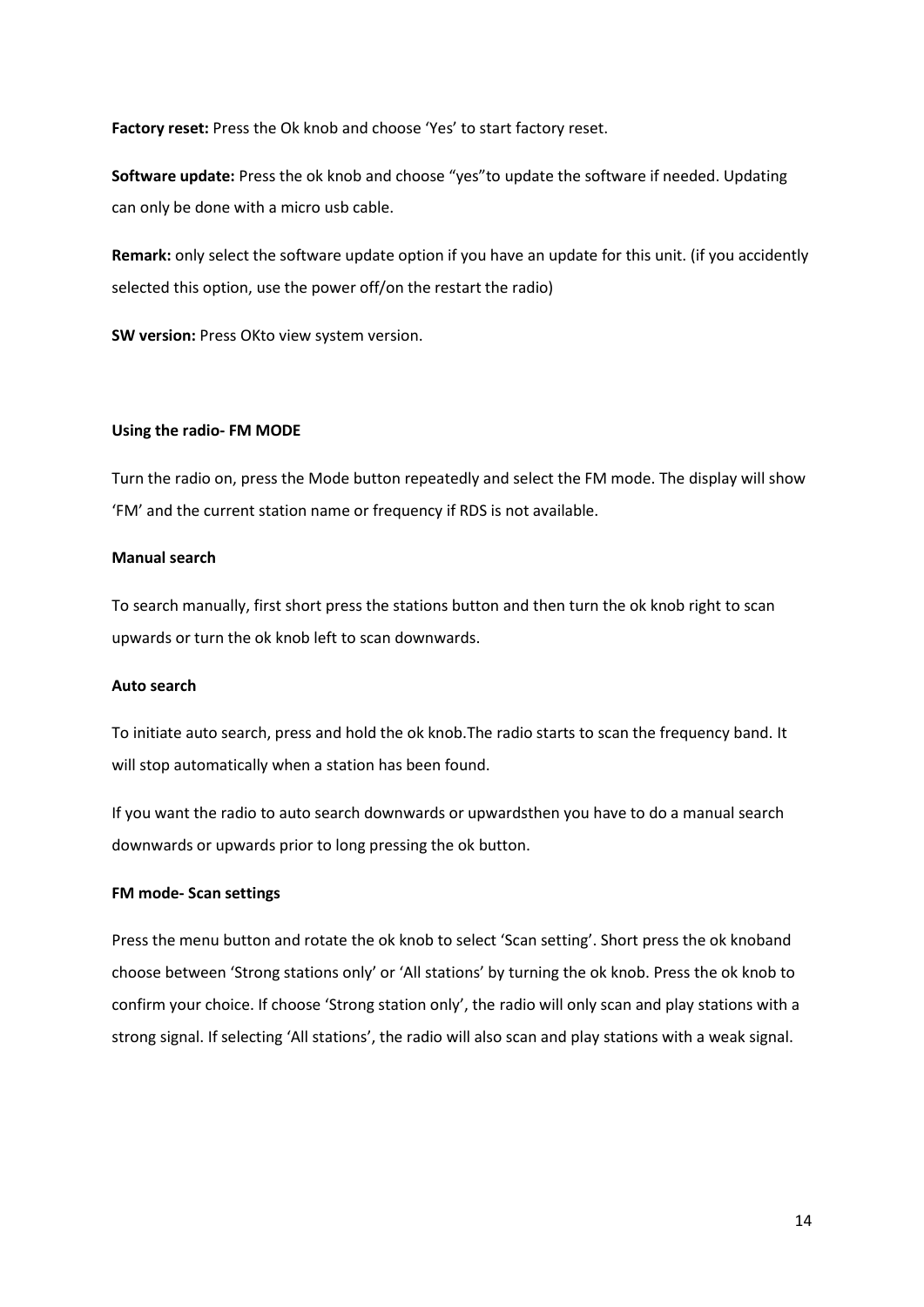**Factory reset:** Press the Ok knob and choose 'Yes' to start factory reset.

**Software update:** Press the ok knob and choose "yes"to update the software if needed. Updating can only be done with a micro usb cable.

**Remark:** only select the software update option if you have an update for this unit. (if you accidently selected this option, use the power off/on the restart the radio)

**SW version:** Press OKto view system version.

### **Using the radio- FM MODE**

Turn the radio on, press the Mode button repeatedly and select the FM mode. The display will show 'FM' and the current station name or frequency if RDS is not available.

### **Manual search**

To search manually, first short press the stations button and then turn the ok knob right to scan upwards or turn the ok knob left to scan downwards.

#### **Auto search**

To initiate auto search, press and hold the ok knob.The radio starts to scan the frequency band. It will stop automatically when a station has been found.

If you want the radio to auto search downwards or upwardsthen you have to do a manual search downwards or upwards prior to long pressing the ok button.

#### **FM mode- Scan settings**

Press the menu button and rotate the ok knob to select 'Scan setting'. Short press the ok knoband choose between 'Strong stations only' or 'All stations' by turning the ok knob. Press the ok knob to confirm your choice. If choose 'Strong station only', the radio will only scan and play stations with a strong signal. If selecting 'All stations', the radio will also scan and play stations with a weak signal.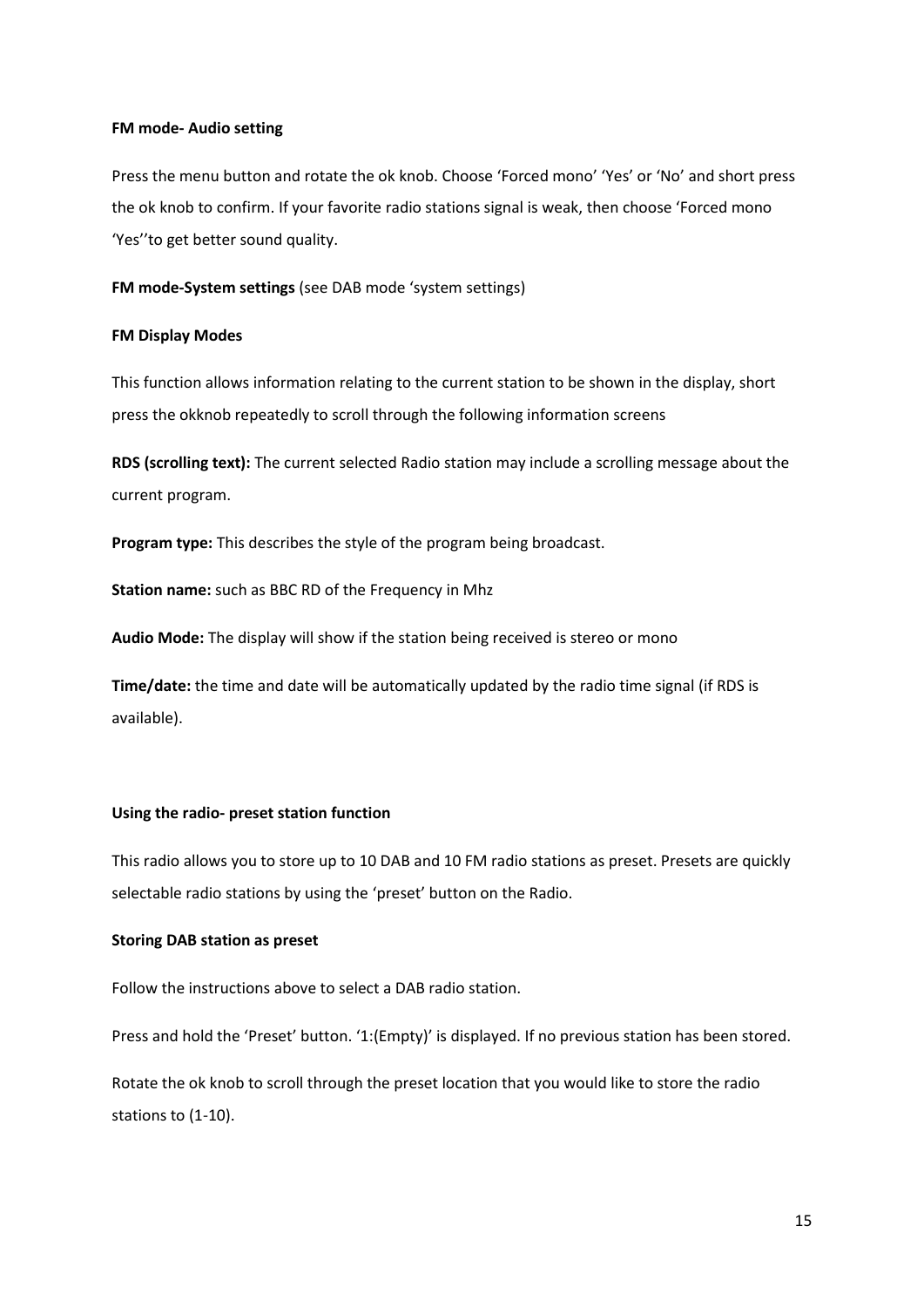#### **FM mode- Audio setting**

Press the menu button and rotate the ok knob. Choose 'Forced mono' 'Yes' or 'No' and short press the ok knob to confirm. If your favorite radio stations signal is weak, then choose 'Forced mono 'Yes''to get better sound quality.

**FM mode-System settings** (see DAB mode 'system settings)

#### **FM Display Modes**

This function allows information relating to the current station to be shown in the display, short press the okknob repeatedly to scroll through the following information screens

**RDS (scrolling text):** The current selected Radio station may include a scrolling message about the current program.

**Program type:** This describes the style of the program being broadcast.

**Station name:** such as BBC RD of the Frequency in Mhz

**Audio Mode:** The display will show if the station being received is stereo or mono

**Time/date:** the time and date will be automatically updated by the radio time signal (if RDS is available).

### **Using the radio- preset station function**

This radio allows you to store up to 10 DAB and 10 FM radio stations as preset. Presets are quickly selectable radio stations by using the 'preset' button on the Radio.

### **Storing DAB station as preset**

Follow the instructions above to select a DAB radio station.

Press and hold the 'Preset' button. '1:(Empty)' is displayed. If no previous station has been stored.

Rotate the ok knob to scroll through the preset location that you would like to store the radio stations to (1-10).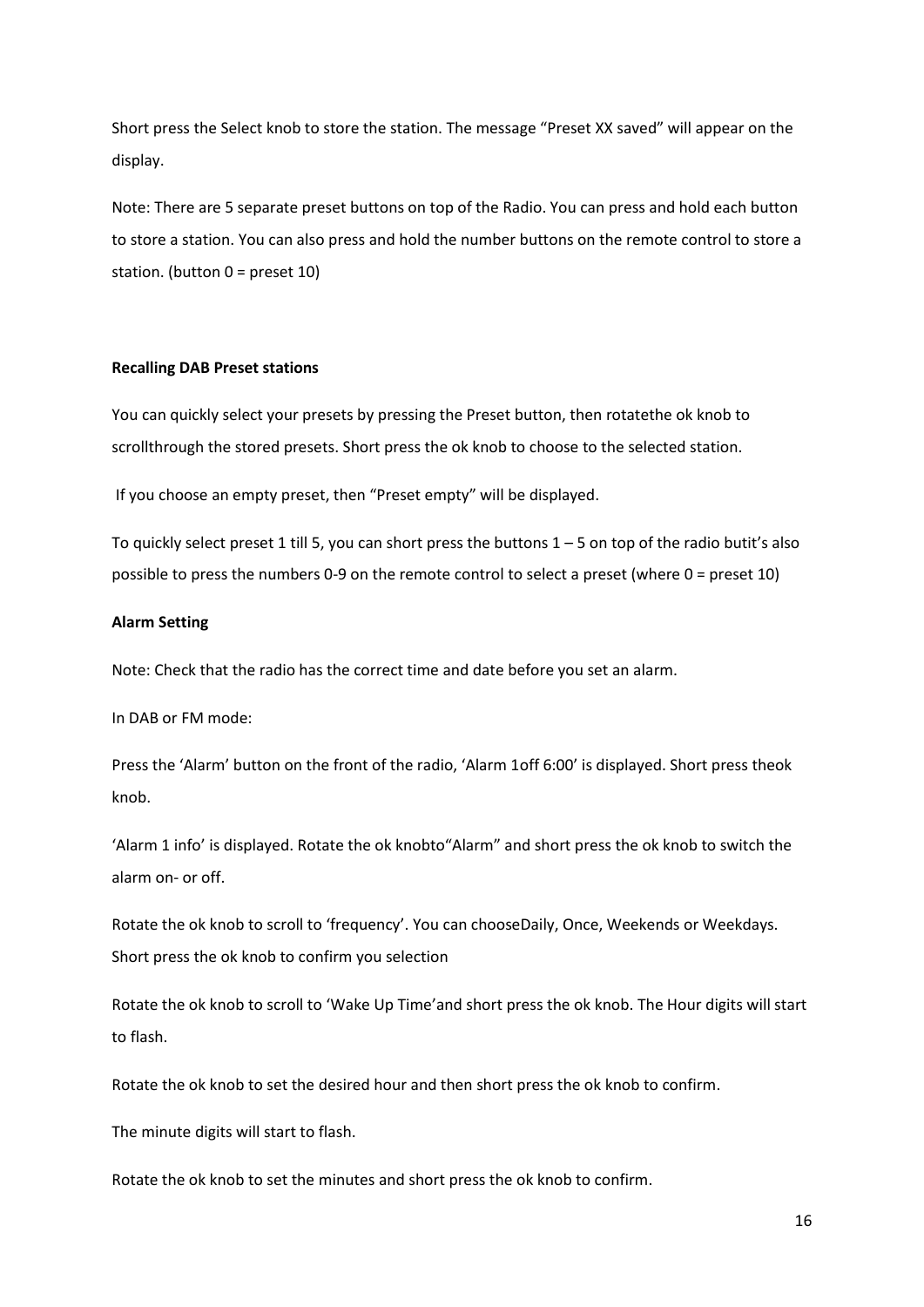Short press the Select knob to store the station. The message "Preset XX saved" will appear on the display.

Note: There are 5 separate preset buttons on top of the Radio. You can press and hold each button to store a station. You can also press and hold the number buttons on the remote control to store a station. (button 0 = preset 10)

#### **Recalling DAB Preset stations**

You can quickly select your presets by pressing the Preset button, then rotatethe ok knob to scrollthrough the stored presets. Short press the ok knob to choose to the selected station.

If you choose an empty preset, then "Preset empty" will be displayed.

To quickly select preset 1 till 5, you can short press the buttons  $1 - 5$  on top of the radio butit's also possible to press the numbers 0-9 on the remote control to select a preset (where 0 = preset 10)

#### **Alarm Setting**

Note: Check that the radio has the correct time and date before you set an alarm.

In DAB or FM mode:

Press the 'Alarm' button on the front of the radio, 'Alarm 1off 6:00' is displayed. Short press theok knob.

'Alarm 1 info' is displayed. Rotate the ok knobto"Alarm" and short press the ok knob to switch the alarm on- or off.

Rotate the ok knob to scroll to 'frequency'. You can chooseDaily, Once, Weekends or Weekdays. Short press the ok knob to confirm you selection

Rotate the ok knob to scroll to 'Wake Up Time'and short press the ok knob. The Hour digits will start to flash.

Rotate the ok knob to set the desired hour and then short press the ok knob to confirm.

The minute digits will start to flash.

Rotate the ok knob to set the minutes and short press the ok knob to confirm.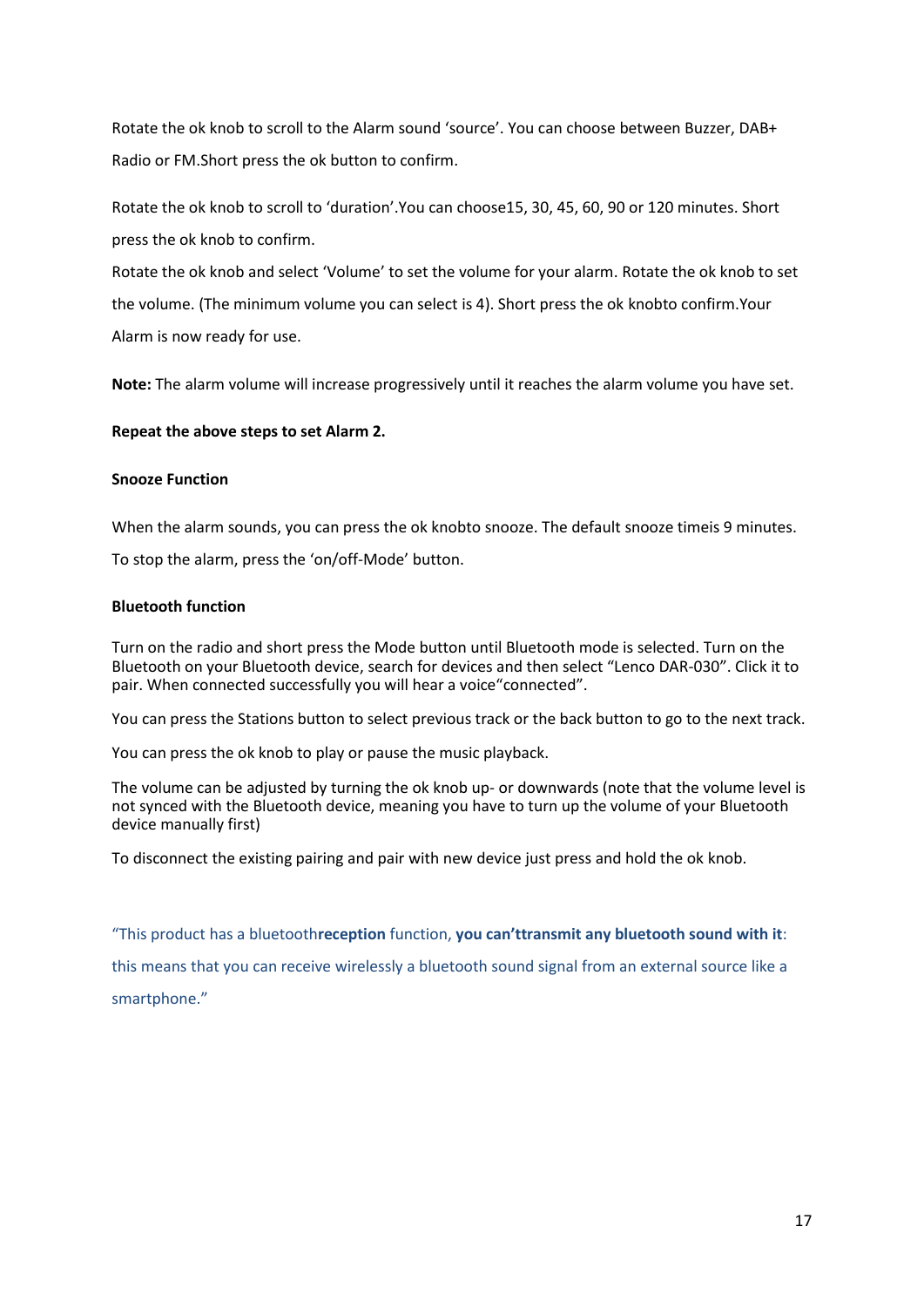Rotate the ok knob to scroll to the Alarm sound 'source'. You can choose between Buzzer, DAB+ Radio or FM.Short press the ok button to confirm.

Rotate the ok knob to scroll to 'duration'.You can choose15, 30, 45, 60, 90 or 120 minutes. Short press the ok knob to confirm.

Rotate the ok knob and select 'Volume' to set the volume for your alarm. Rotate the ok knob to set the volume. (The minimum volume you can select is 4). Short press the ok knobto confirm.Your Alarm is now ready for use.

**Note:** The alarm volume will increase progressively until it reaches the alarm volume you have set.

# **Repeat the above steps to set Alarm 2.**

### **Snooze Function**

When the alarm sounds, you can press the ok knobto snooze. The default snooze timeis 9 minutes.

To stop the alarm, press the 'on/off-Mode' button.

# **Bluetooth function**

Turn on the radio and short press the Mode button until Bluetooth mode is selected. Turn on the Bluetooth on your Bluetooth device, search for devices and then select "Lenco DAR-030". Click it to pair. When connected successfully you will hear a voice"connected".

You can press the Stations button to select previous track or the back button to go to the next track.

You can press the ok knob to play or pause the music playback.

The volume can be adjusted by turning the ok knob up- or downwards (note that the volume level is not synced with the Bluetooth device, meaning you have to turn up the volume of your Bluetooth device manually first)

To disconnect the existing pairing and pair with new device just press and hold the ok knob.

"This product has a bluetooth**reception** function, **you can'ttransmit any bluetooth sound with it**: this means that you can receive wirelessly a bluetooth sound signal from an external source like a smartphone."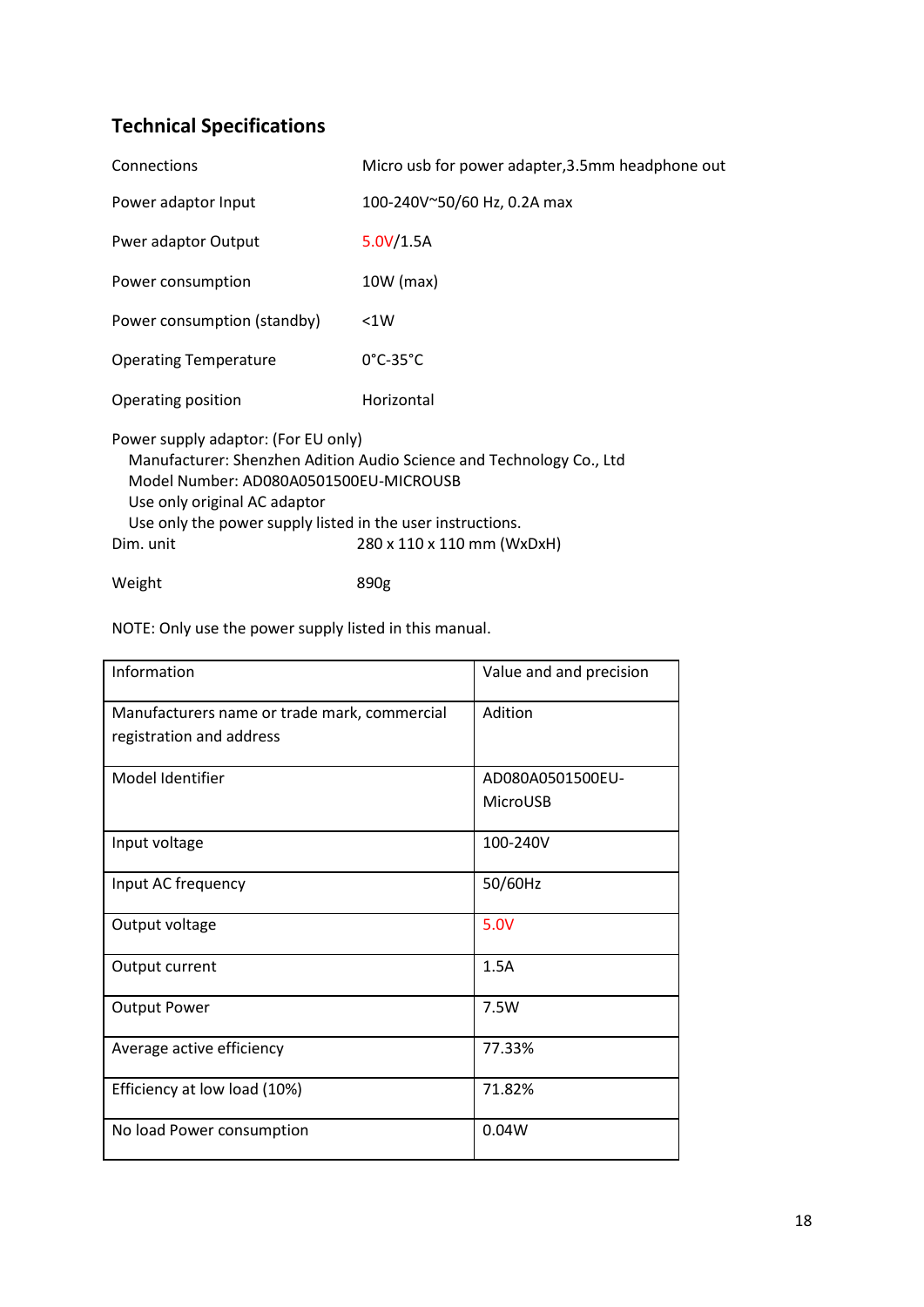# **Technical Specifications**

| Connections                                                                                                                                                                                                                                                                                    | Micro usb for power adapter, 3.5mm headphone out |  |
|------------------------------------------------------------------------------------------------------------------------------------------------------------------------------------------------------------------------------------------------------------------------------------------------|--------------------------------------------------|--|
| Power adaptor Input                                                                                                                                                                                                                                                                            | 100-240V~50/60 Hz, 0.2A max                      |  |
| Pwer adaptor Output                                                                                                                                                                                                                                                                            | 5.0V/1.5A                                        |  |
| Power consumption                                                                                                                                                                                                                                                                              | 10W (max)                                        |  |
| Power consumption (standby)                                                                                                                                                                                                                                                                    | < 1W                                             |  |
| <b>Operating Temperature</b>                                                                                                                                                                                                                                                                   | $0^{\circ}$ C-35 $^{\circ}$ C                    |  |
| Operating position                                                                                                                                                                                                                                                                             | Horizontal                                       |  |
| Power supply adaptor: (For EU only)<br>Manufacturer: Shenzhen Adition Audio Science and Technology Co., Ltd<br>Model Number: AD080A0501500EU-MICROUSB<br>Use only original AC adaptor<br>Use only the power supply listed in the user instructions.<br>Dim. unit<br>280 x 110 x 110 mm (WxDxH) |                                                  |  |

Weight 890g

NOTE: Only use the power supply listed in this manual.

| Information                                  | Value and and precision |
|----------------------------------------------|-------------------------|
| Manufacturers name or trade mark, commercial | Adition                 |
| registration and address                     |                         |
| Model Identifier                             | AD080A0501500EU-        |
|                                              | MicroUSB                |
| Input voltage                                | 100-240V                |
| Input AC frequency                           | 50/60Hz                 |
| Output voltage                               | 5.0V                    |
| Output current                               | 1.5A                    |
| <b>Output Power</b>                          | 7.5W                    |
| Average active efficiency                    | 77.33%                  |
| Efficiency at low load (10%)                 | 71.82%                  |
| No load Power consumption                    | 0.04W                   |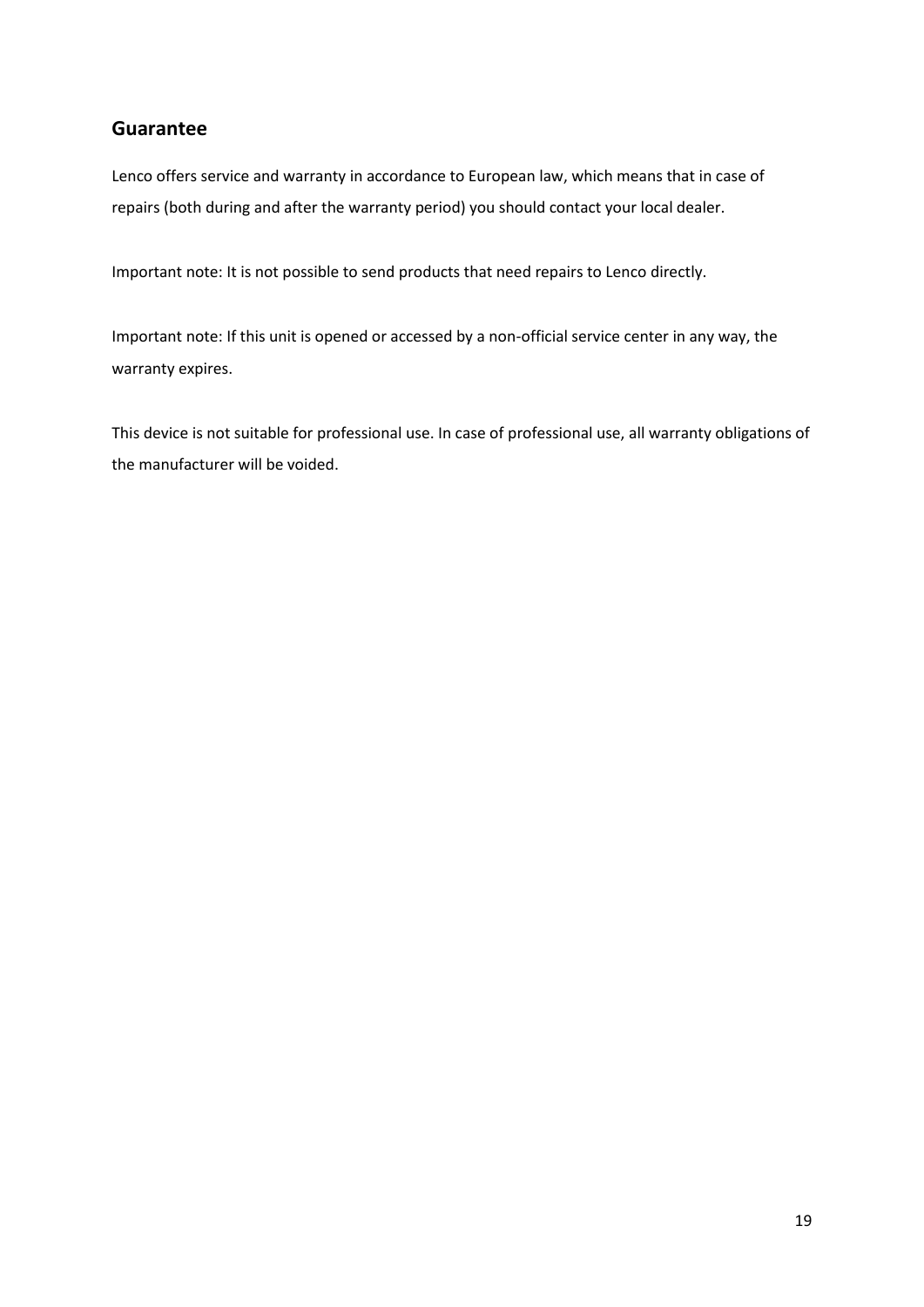# **Guarantee**

Lenco offers service and warranty in accordance to European law, which means that in case of repairs (both during and after the warranty period) you should contact your local dealer.

Important note: It is not possible to send products that need repairs to Lenco directly.

Important note: If this unit is opened or accessed by a non-official service center in any way, the warranty expires.

This device is not suitable for professional use. In case of professional use, all warranty obligations of the manufacturer will be voided.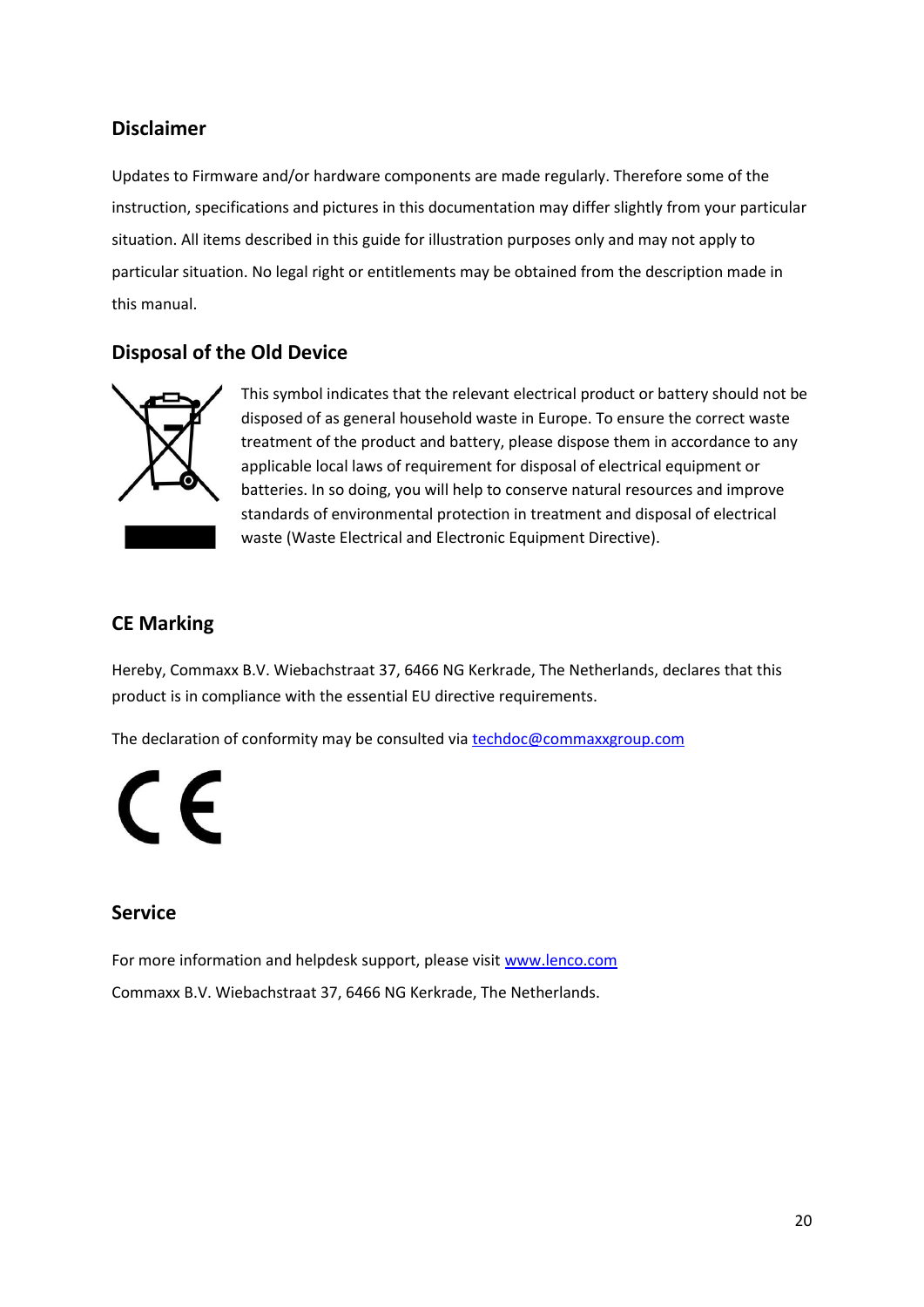# **Disclaimer**

Updates to Firmware and/or hardware components are made regularly. Therefore some of the instruction, specifications and pictures in this documentation may differ slightly from your particular situation. All items described in this guide for illustration purposes only and may not apply to particular situation. No legal right or entitlements may be obtained from the description made in this manual.

# **Disposal of the Old Device**



This symbol indicates that the relevant electrical product or battery should not be disposed of as general household waste in Europe. To ensure the correct waste treatment of the product and battery, please dispose them in accordance to any applicable local laws of requirement for disposal of electrical equipment or batteries. In so doing, you will help to conserve natural resources and improve standards of environmental protection in treatment and disposal of electrical waste (Waste Electrical and Electronic Equipment Directive).

# **CE Marking**

Hereby, Commaxx B.V. Wiebachstraat 37, 6466 NG Kerkrade, The Netherlands, declares that this product is in compliance with the essential EU directive requirements.

The declaration of conformity may be consulted via [techdoc@commaxxgroup.com](mailto:techdoc@commaxxgroup.com)



# **Service**

For more information and helpdesk support, please visit [www.lenco.com](http://www.lenco.com/) Commaxx B.V. Wiebachstraat 37, 6466 NG Kerkrade, The Netherlands.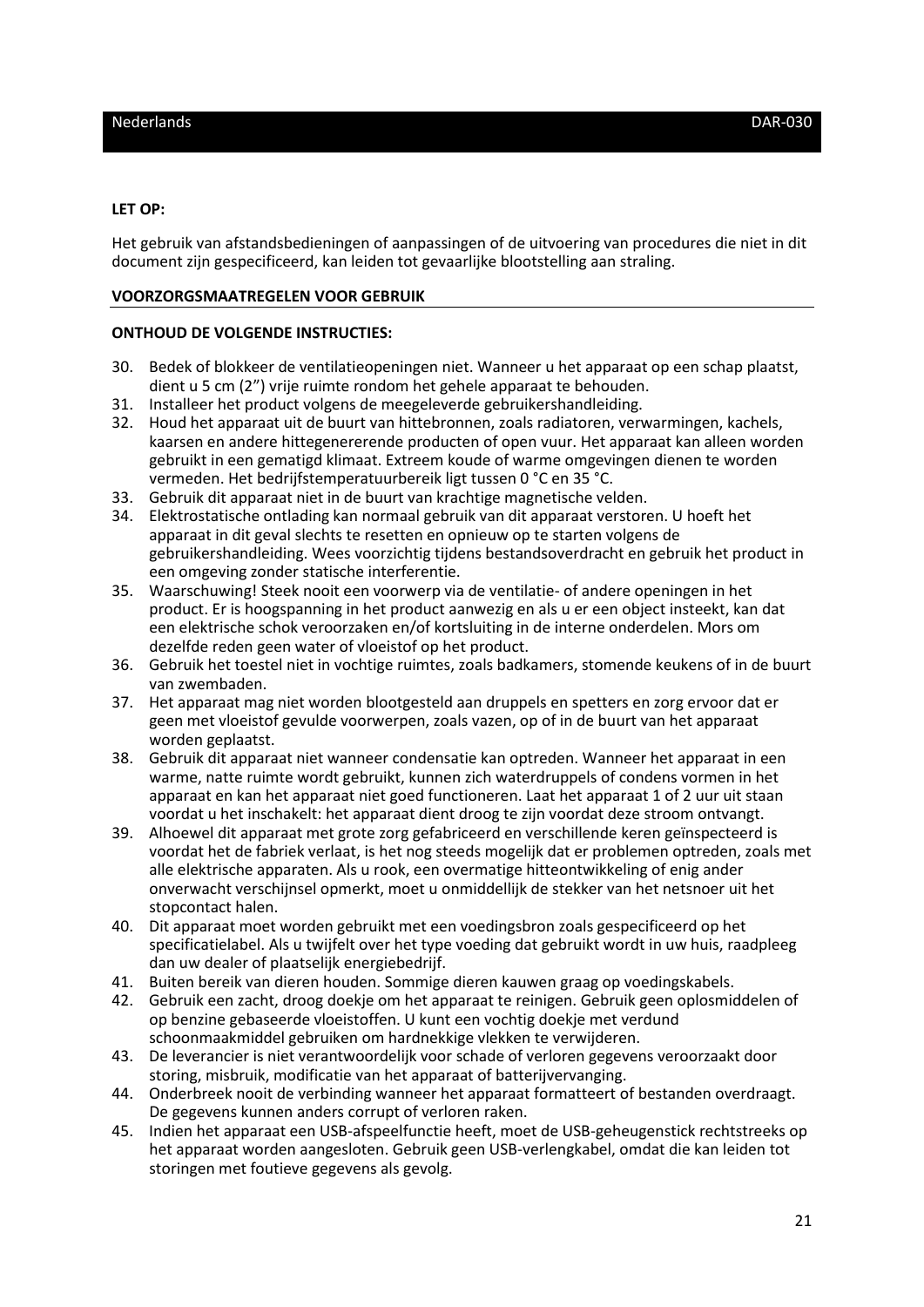### <span id="page-20-0"></span>**LET OP:**

Het gebruik van afstandsbedieningen of aanpassingen of de uitvoering van procedures die niet in dit document zijn gespecificeerd, kan leiden tot gevaarlijke blootstelling aan straling.

### **VOORZORGSMAATREGELEN VOOR GEBRUIK**

### **ONTHOUD DE VOLGENDE INSTRUCTIES:**

- 30. Bedek of blokkeer de ventilatieopeningen niet. Wanneer u het apparaat op een schap plaatst, dient u 5 cm (2") vrije ruimte rondom het gehele apparaat te behouden.
- 31. Installeer het product volgens de meegeleverde gebruikershandleiding.
- 32. Houd het apparaat uit de buurt van hittebronnen, zoals radiatoren, verwarmingen, kachels, kaarsen en andere hittegenererende producten of open vuur. Het apparaat kan alleen worden gebruikt in een gematigd klimaat. Extreem koude of warme omgevingen dienen te worden vermeden. Het bedrijfstemperatuurbereik ligt tussen 0 °C en 35 °C.
- 33. Gebruik dit apparaat niet in de buurt van krachtige magnetische velden.
- 34. Elektrostatische ontlading kan normaal gebruik van dit apparaat verstoren. U hoeft het apparaat in dit geval slechts te resetten en opnieuw op te starten volgens de gebruikershandleiding. Wees voorzichtig tijdens bestandsoverdracht en gebruik het product in een omgeving zonder statische interferentie.
- 35. Waarschuwing! Steek nooit een voorwerp via de ventilatie- of andere openingen in het product. Er is hoogspanning in het product aanwezig en als u er een object insteekt, kan dat een elektrische schok veroorzaken en/of kortsluiting in de interne onderdelen. Mors om dezelfde reden geen water of vloeistof op het product.
- 36. Gebruik het toestel niet in vochtige ruimtes, zoals badkamers, stomende keukens of in de buurt van zwembaden.
- 37. Het apparaat mag niet worden blootgesteld aan druppels en spetters en zorg ervoor dat er geen met vloeistof gevulde voorwerpen, zoals vazen, op of in de buurt van het apparaat worden geplaatst.
- 38. Gebruik dit apparaat niet wanneer condensatie kan optreden. Wanneer het apparaat in een warme, natte ruimte wordt gebruikt, kunnen zich waterdruppels of condens vormen in het apparaat en kan het apparaat niet goed functioneren. Laat het apparaat 1 of 2 uur uit staan voordat u het inschakelt: het apparaat dient droog te zijn voordat deze stroom ontvangt.
- 39. Alhoewel dit apparaat met grote zorg gefabriceerd en verschillende keren geïnspecteerd is voordat het de fabriek verlaat, is het nog steeds mogelijk dat er problemen optreden, zoals met alle elektrische apparaten. Als u rook, een overmatige hitteontwikkeling of enig ander onverwacht verschijnsel opmerkt, moet u onmiddellijk de stekker van het netsnoer uit het stopcontact halen.
- 40. Dit apparaat moet worden gebruikt met een voedingsbron zoals gespecificeerd op het specificatielabel. Als u twijfelt over het type voeding dat gebruikt wordt in uw huis, raadpleeg dan uw dealer of plaatselijk energiebedrijf.
- 41. Buiten bereik van dieren houden. Sommige dieren kauwen graag op voedingskabels.
- 42. Gebruik een zacht, droog doekje om het apparaat te reinigen. Gebruik geen oplosmiddelen of op benzine gebaseerde vloeistoffen. U kunt een vochtig doekje met verdund schoonmaakmiddel gebruiken om hardnekkige vlekken te verwijderen.
- 43. De leverancier is niet verantwoordelijk voor schade of verloren gegevens veroorzaakt door storing, misbruik, modificatie van het apparaat of batterijvervanging.
- 44. Onderbreek nooit de verbinding wanneer het apparaat formatteert of bestanden overdraagt. De gegevens kunnen anders corrupt of verloren raken.
- 45. Indien het apparaat een USB-afspeelfunctie heeft, moet de USB-geheugenstick rechtstreeks op het apparaat worden aangesloten. Gebruik geen USB-verlengkabel, omdat die kan leiden tot storingen met foutieve gegevens als gevolg.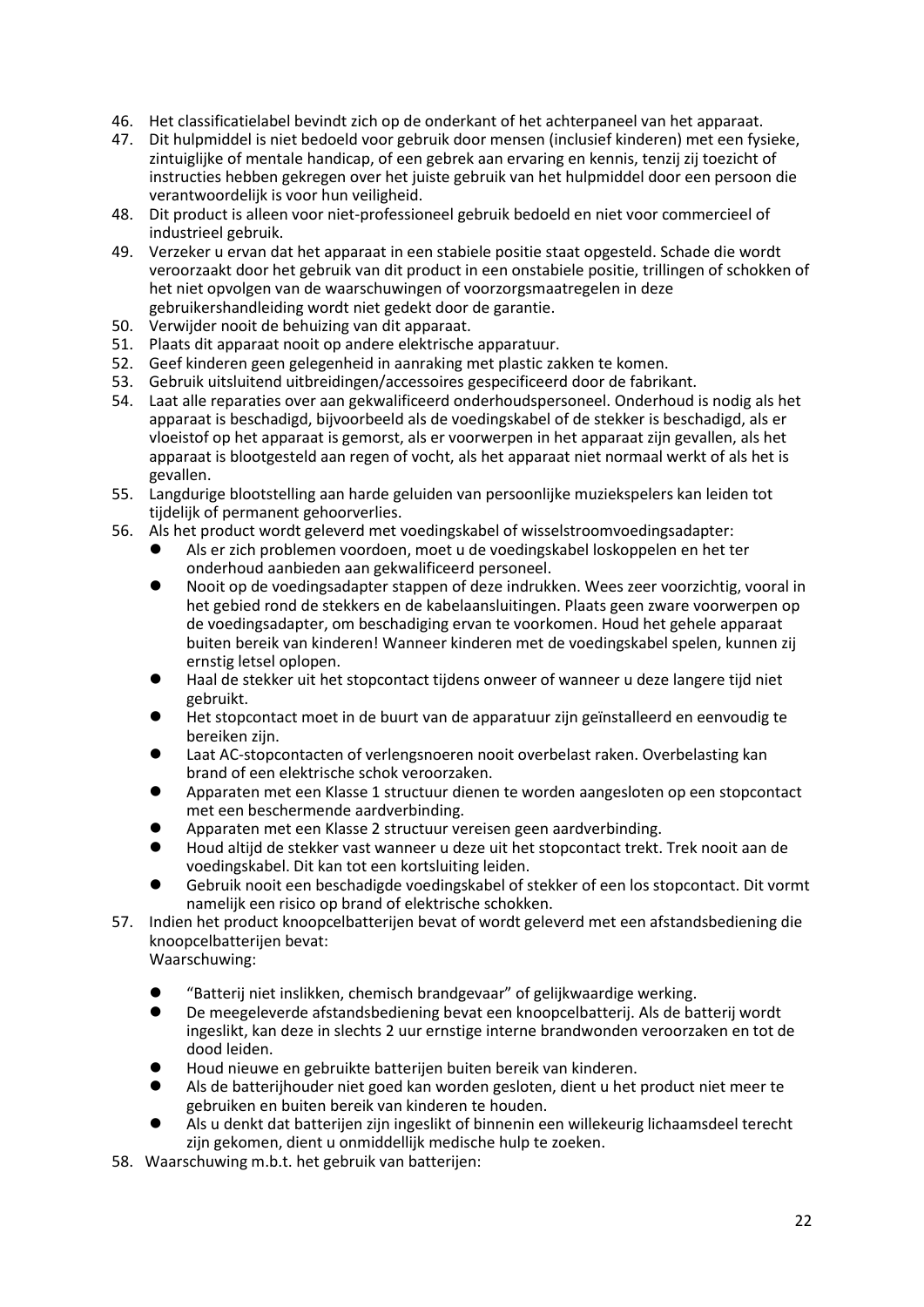- 46. Het classificatielabel bevindt zich op de onderkant of het achterpaneel van het apparaat.
- 47. Dit hulpmiddel is niet bedoeld voor gebruik door mensen (inclusief kinderen) met een fysieke, zintuiglijke of mentale handicap, of een gebrek aan ervaring en kennis, tenzij zij toezicht of instructies hebben gekregen over het juiste gebruik van het hulpmiddel door een persoon die verantwoordelijk is voor hun veiligheid.
- 48. Dit product is alleen voor niet-professioneel gebruik bedoeld en niet voor commercieel of industrieel gebruik.
- 49. Verzeker u ervan dat het apparaat in een stabiele positie staat opgesteld. Schade die wordt veroorzaakt door het gebruik van dit product in een onstabiele positie, trillingen of schokken of het niet opvolgen van de waarschuwingen of voorzorgsmaatregelen in deze gebruikershandleiding wordt niet gedekt door de garantie.
- 50. Verwijder nooit de behuizing van dit apparaat.
- 51. Plaats dit apparaat nooit op andere elektrische apparatuur.
- 52. Geef kinderen geen gelegenheid in aanraking met plastic zakken te komen.
- 53. Gebruik uitsluitend uitbreidingen/accessoires gespecificeerd door de fabrikant.
- 54. Laat alle reparaties over aan gekwalificeerd onderhoudspersoneel. Onderhoud is nodig als het apparaat is beschadigd, bijvoorbeeld als de voedingskabel of de stekker is beschadigd, als er vloeistof op het apparaat is gemorst, als er voorwerpen in het apparaat zijn gevallen, als het apparaat is blootgesteld aan regen of vocht, als het apparaat niet normaal werkt of als het is gevallen.
- 55. Langdurige blootstelling aan harde geluiden van persoonlijke muziekspelers kan leiden tot tijdelijk of permanent gehoorverlies.
- 56. Als het product wordt geleverd met voedingskabel of wisselstroomvoedingsadapter:
	- ⚫ Als er zich problemen voordoen, moet u de voedingskabel loskoppelen en het ter onderhoud aanbieden aan gekwalificeerd personeel.
	- ⚫ Nooit op de voedingsadapter stappen of deze indrukken. Wees zeer voorzichtig, vooral in het gebied rond de stekkers en de kabelaansluitingen. Plaats geen zware voorwerpen op de voedingsadapter, om beschadiging ervan te voorkomen. Houd het gehele apparaat buiten bereik van kinderen! Wanneer kinderen met de voedingskabel spelen, kunnen zij ernstig letsel oplopen.
	- ⚫ Haal de stekker uit het stopcontact tijdens onweer of wanneer u deze langere tijd niet gebruikt.
	- ⚫ Het stopcontact moet in de buurt van de apparatuur zijn geïnstalleerd en eenvoudig te bereiken zijn.
	- ⚫ Laat AC-stopcontacten of verlengsnoeren nooit overbelast raken. Overbelasting kan brand of een elektrische schok veroorzaken.
	- ⚫ Apparaten met een Klasse 1 structuur dienen te worden aangesloten op een stopcontact met een beschermende aardverbinding.
	- ⚫ Apparaten met een Klasse 2 structuur vereisen geen aardverbinding.
	- ⚫ Houd altijd de stekker vast wanneer u deze uit het stopcontact trekt. Trek nooit aan de voedingskabel. Dit kan tot een kortsluiting leiden.
	- ⚫ Gebruik nooit een beschadigde voedingskabel of stekker of een los stopcontact. Dit vormt namelijk een risico op brand of elektrische schokken.
- 57. Indien het product knoopcelbatterijen bevat of wordt geleverd met een afstandsbediening die knoopcelbatterijen bevat: Waarschuwing:
	-
	- ⚫ "Batterij niet inslikken, chemisch brandgevaar" of gelijkwaardige werking.
	- ⚫ De meegeleverde afstandsbediening bevat een knoopcelbatterij. Als de batterij wordt ingeslikt, kan deze in slechts 2 uur ernstige interne brandwonden veroorzaken en tot de dood leiden.
	- ⚫ Houd nieuwe en gebruikte batterijen buiten bereik van kinderen.
	- ⚫ Als de batterijhouder niet goed kan worden gesloten, dient u het product niet meer te gebruiken en buiten bereik van kinderen te houden.
	- ⚫ Als u denkt dat batterijen zijn ingeslikt of binnenin een willekeurig lichaamsdeel terecht zijn gekomen, dient u onmiddellijk medische hulp te zoeken.
- 58. Waarschuwing m.b.t. het gebruik van batterijen: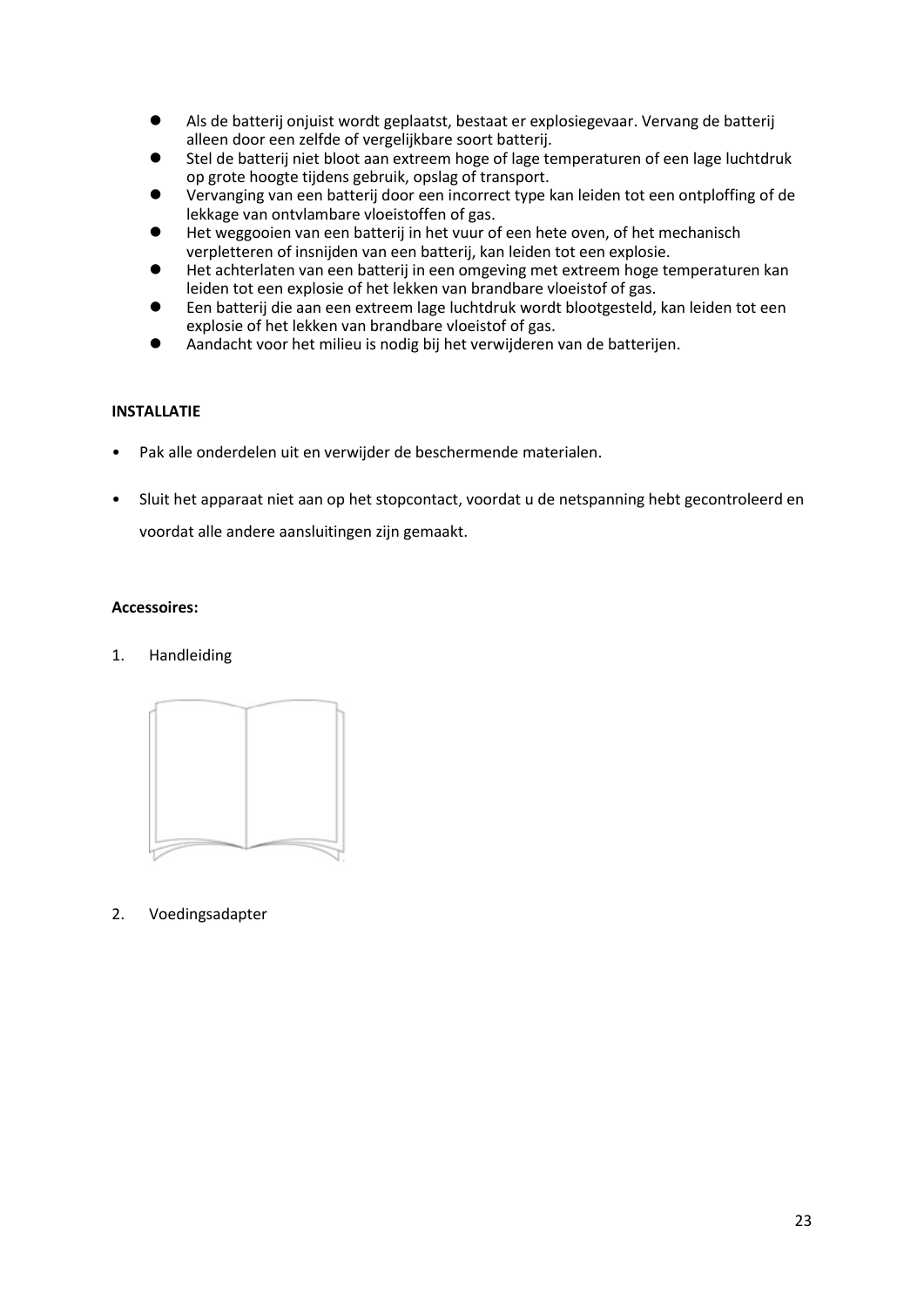- ⚫ Als de batterij onjuist wordt geplaatst, bestaat er explosiegevaar. Vervang de batterij alleen door een zelfde of vergelijkbare soort batterij.
- ⚫ Stel de batterij niet bloot aan extreem hoge of lage temperaturen of een lage luchtdruk op grote hoogte tijdens gebruik, opslag of transport.
- ⚫ Vervanging van een batterij door een incorrect type kan leiden tot een ontploffing of de lekkage van ontvlambare vloeistoffen of gas.
- ⚫ Het weggooien van een batterij in het vuur of een hete oven, of het mechanisch verpletteren of insnijden van een batterij, kan leiden tot een explosie.
- ⚫ Het achterlaten van een batterij in een omgeving met extreem hoge temperaturen kan leiden tot een explosie of het lekken van brandbare vloeistof of gas.
- ⚫ Een batterij die aan een extreem lage luchtdruk wordt blootgesteld, kan leiden tot een explosie of het lekken van brandbare vloeistof of gas.
- ⚫ Aandacht voor het milieu is nodig bij het verwijderen van de batterijen.

### **INSTALLATIE**

- Pak alle onderdelen uit en verwijder de beschermende materialen.
- Sluit het apparaat niet aan op het stopcontact, voordat u de netspanning hebt gecontroleerd en voordat alle andere aansluitingen zijn gemaakt.

### **Accessoires:**

### 1. Handleiding



2. Voedingsadapter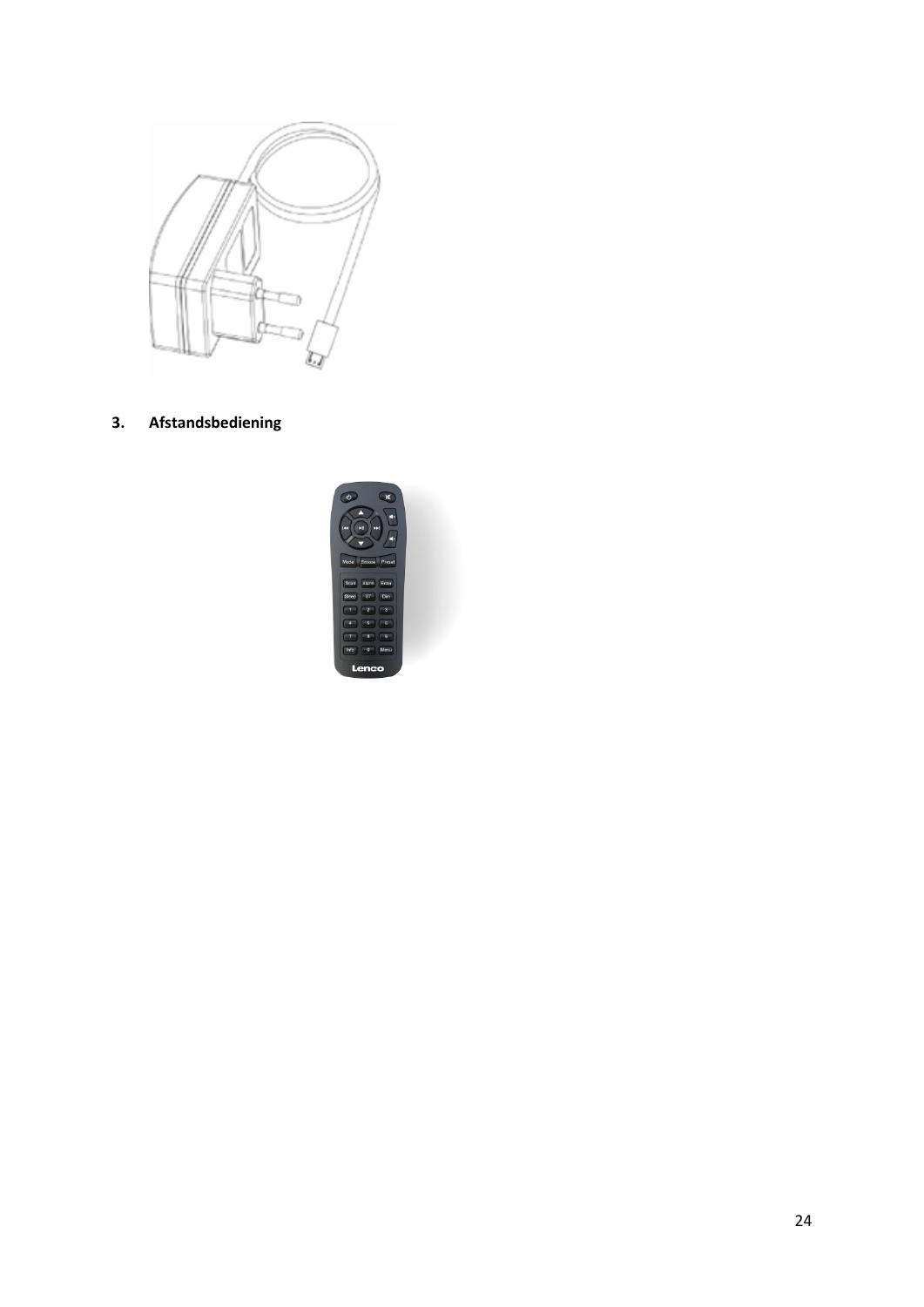

**3. Afstandsbediening**

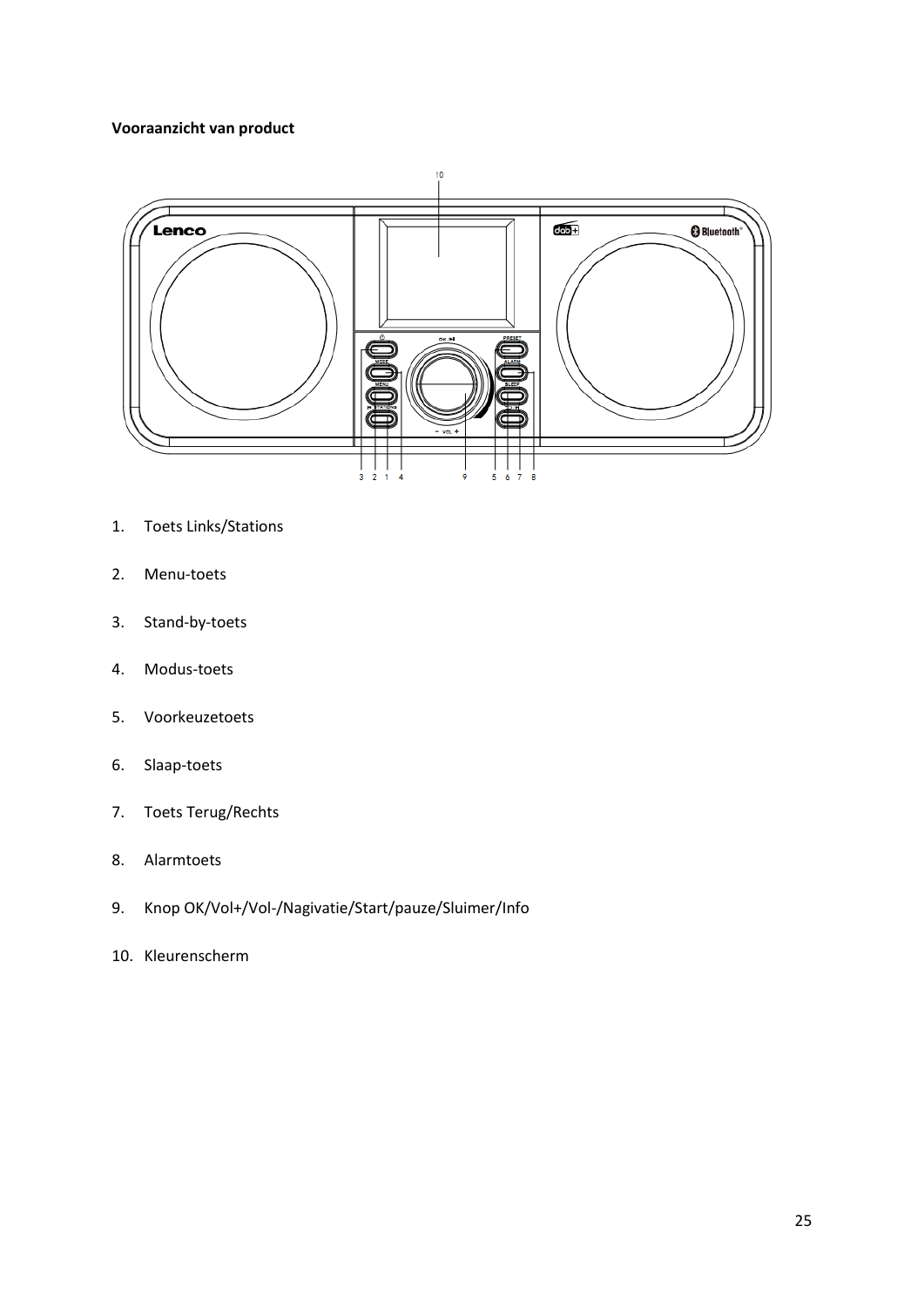# **Vooraanzicht van product**



- 1. Toets Links/Stations
- 2. Menu-toets
- 3. Stand-by-toets
- 4. Modus-toets
- 5. Voorkeuzetoets
- 6. Slaap-toets
- 7. Toets Terug/Rechts
- 8. Alarmtoets
- 9. Knop OK/Vol+/Vol-/Nagivatie/Start/pauze/Sluimer/Info
- 10. Kleurenscherm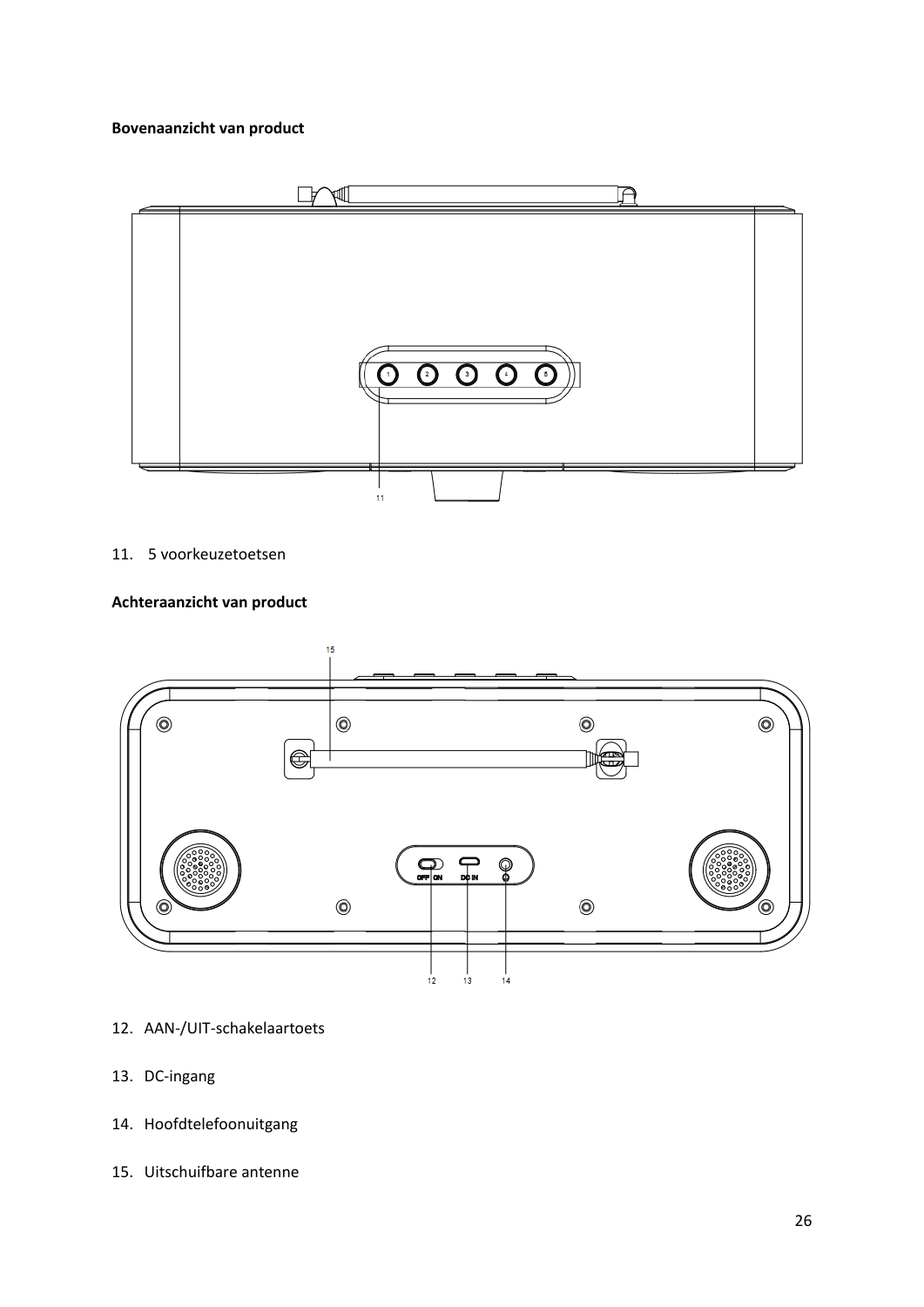# **Bovenaanzicht van product**



# 11. 5 voorkeuzetoetsen

# **Achteraanzicht van product**



- 12. AAN-/UIT-schakelaartoets
- 13. DC-ingang
- 14. Hoofdtelefoonuitgang
- 15. Uitschuifbare antenne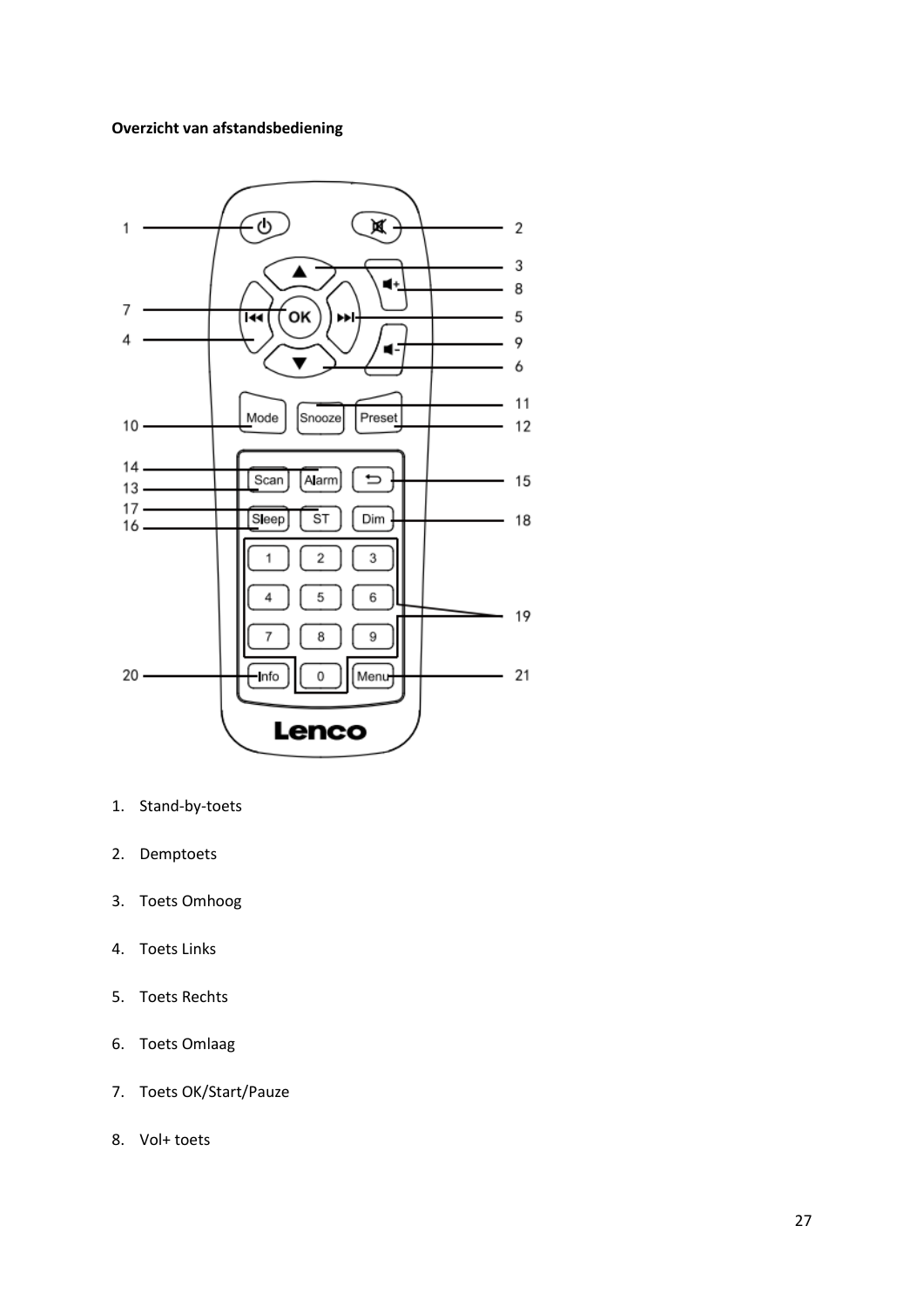# **Overzicht van afstandsbediening**



- 1. Stand-by-toets
- 2. Demptoets
- 3. Toets Omhoog
- 4. Toets Links
- 5. Toets Rechts
- 6. Toets Omlaag
- 7. Toets OK/Start/Pauze
- 8. Vol+ toets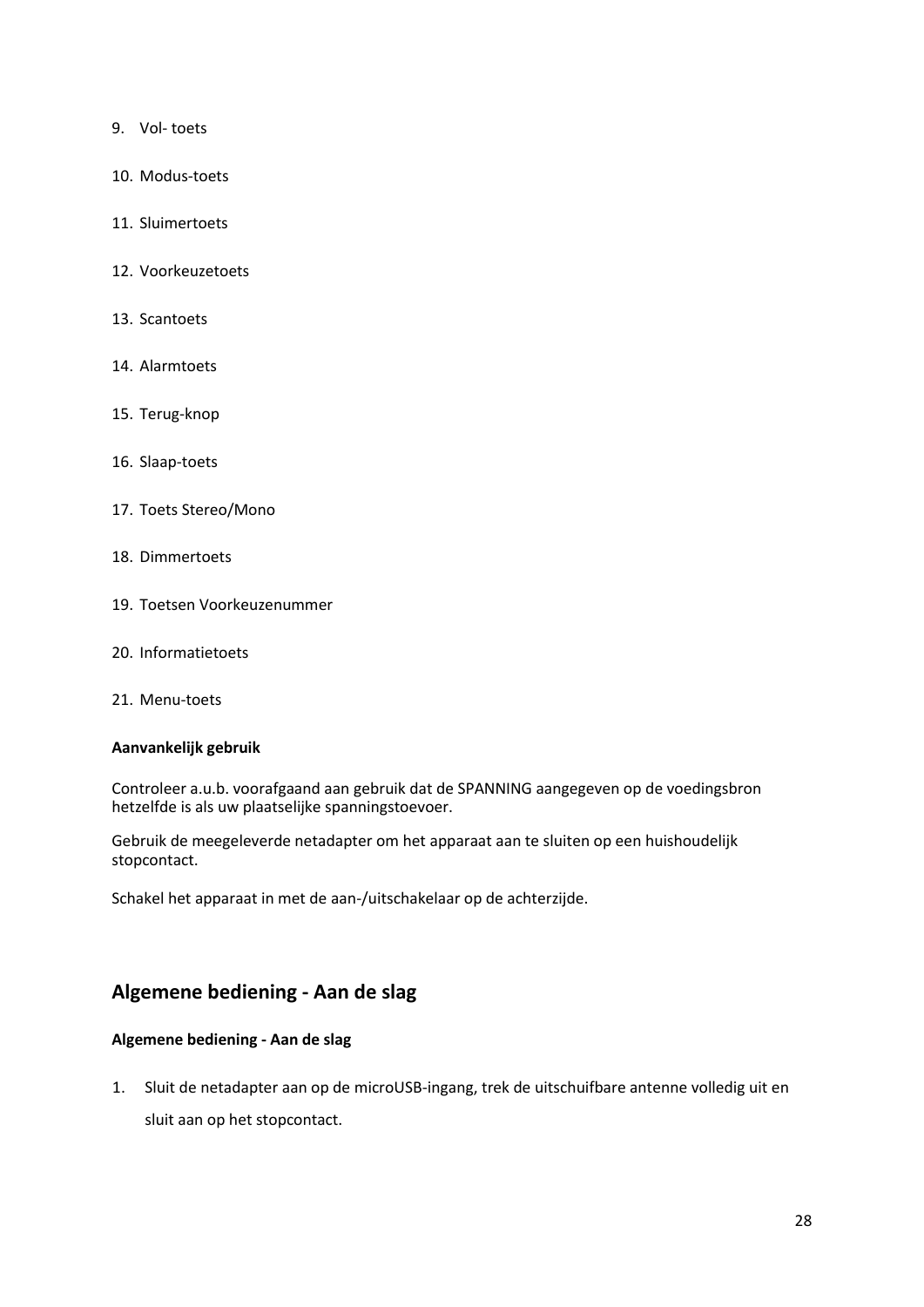- 9. Vol- toets
- 10. Modus-toets
- 11. Sluimertoets
- 12. Voorkeuzetoets
- 13. Scantoets
- 14. Alarmtoets
- 15. Terug-knop
- 16. Slaap-toets
- 17. Toets Stereo/Mono
- 18. Dimmertoets
- 19. Toetsen Voorkeuzenummer
- 20. Informatietoets
- 21. Menu-toets

### **Aanvankelijk gebruik**

Controleer a.u.b. voorafgaand aan gebruik dat de SPANNING aangegeven op de voedingsbron hetzelfde is als uw plaatselijke spanningstoevoer.

Gebruik de meegeleverde netadapter om het apparaat aan te sluiten op een huishoudelijk stopcontact.

Schakel het apparaat in met de aan-/uitschakelaar op de achterzijde.

# **Algemene bediening - Aan de slag**

# **Algemene bediening - Aan de slag**

1. Sluit de netadapter aan op de microUSB-ingang, trek de uitschuifbare antenne volledig uit en sluit aan op het stopcontact.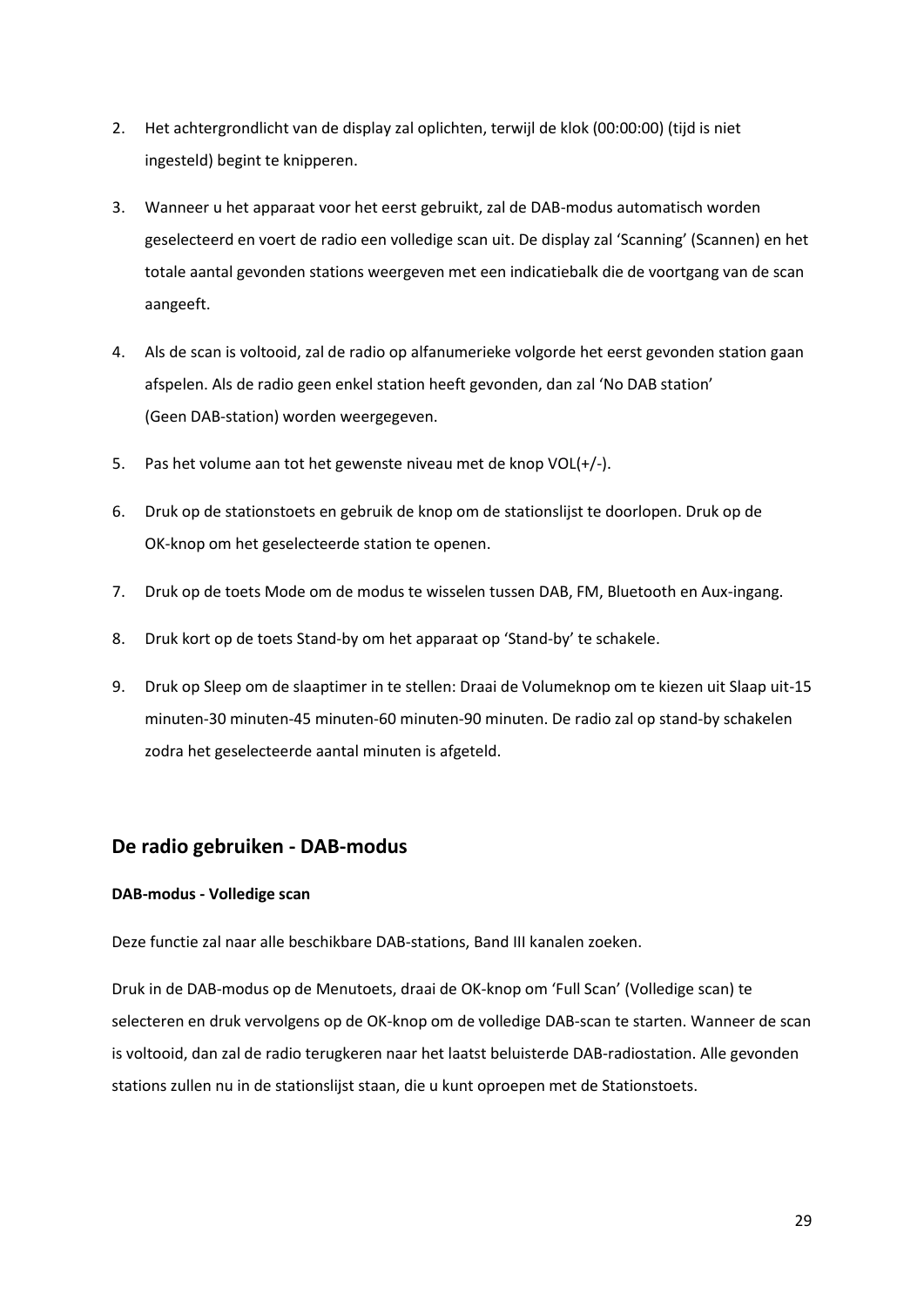- 2. Het achtergrondlicht van de display zal oplichten, terwijl de klok (00:00:00) (tijd is niet ingesteld) begint te knipperen.
- 3. Wanneer u het apparaat voor het eerst gebruikt, zal de DAB-modus automatisch worden geselecteerd en voert de radio een volledige scan uit. De display zal 'Scanning' (Scannen) en het totale aantal gevonden stations weergeven met een indicatiebalk die de voortgang van de scan aangeeft.
- 4. Als de scan is voltooid, zal de radio op alfanumerieke volgorde het eerst gevonden station gaan afspelen. Als de radio geen enkel station heeft gevonden, dan zal 'No DAB station' (Geen DAB-station) worden weergegeven.
- 5. Pas het volume aan tot het gewenste niveau met de knop VOL(+/-).
- 6. Druk op de stationstoets en gebruik de knop om de stationslijst te doorlopen. Druk op de OK-knop om het geselecteerde station te openen.
- 7. Druk op de toets Mode om de modus te wisselen tussen DAB, FM, Bluetooth en Aux-ingang.
- 8. Druk kort op de toets Stand-by om het apparaat op 'Stand-by' te schakele.
- 9. Druk op Sleep om de slaaptimer in te stellen: Draai de Volumeknop om te kiezen uit Slaap uit-15 minuten-30 minuten-45 minuten-60 minuten-90 minuten. De radio zal op stand-by schakelen zodra het geselecteerde aantal minuten is afgeteld.

# **De radio gebruiken - DAB-modus**

### **DAB-modus - Volledige scan**

Deze functie zal naar alle beschikbare DAB-stations, Band III kanalen zoeken.

Druk in de DAB-modus op de Menutoets, draai de OK-knop om 'Full Scan' (Volledige scan) te selecteren en druk vervolgens op de OK-knop om de volledige DAB-scan te starten. Wanneer de scan is voltooid, dan zal de radio terugkeren naar het laatst beluisterde DAB-radiostation. Alle gevonden stations zullen nu in de stationslijst staan, die u kunt oproepen met de Stationstoets.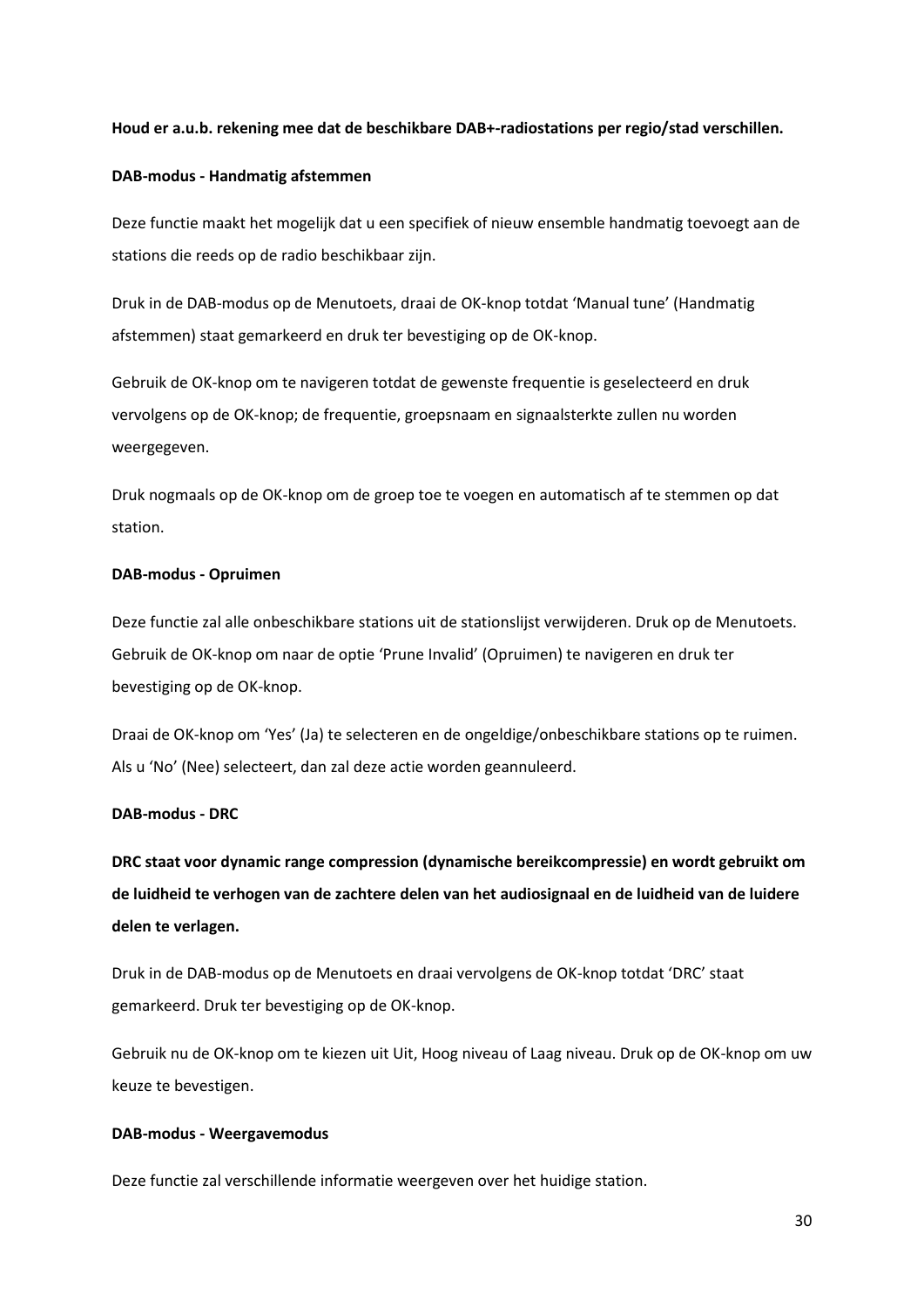### **Houd er a.u.b. rekening mee dat de beschikbare DAB+-radiostations per regio/stad verschillen.**

### **DAB-modus - Handmatig afstemmen**

Deze functie maakt het mogelijk dat u een specifiek of nieuw ensemble handmatig toevoegt aan de stations die reeds op de radio beschikbaar zijn.

Druk in de DAB-modus op de Menutoets, draai de OK-knop totdat 'Manual tune' (Handmatig afstemmen) staat gemarkeerd en druk ter bevestiging op de OK-knop.

Gebruik de OK-knop om te navigeren totdat de gewenste frequentie is geselecteerd en druk vervolgens op de OK-knop; de frequentie, groepsnaam en signaalsterkte zullen nu worden weergegeven.

Druk nogmaals op de OK-knop om de groep toe te voegen en automatisch af te stemmen op dat station.

### **DAB-modus - Opruimen**

Deze functie zal alle onbeschikbare stations uit de stationslijst verwijderen. Druk op de Menutoets. Gebruik de OK-knop om naar de optie 'Prune Invalid' (Opruimen) te navigeren en druk ter bevestiging op de OK-knop.

Draai de OK-knop om 'Yes' (Ja) te selecteren en de ongeldige/onbeschikbare stations op te ruimen. Als u 'No' (Nee) selecteert, dan zal deze actie worden geannuleerd.

### **DAB-modus - DRC**

**DRC staat voor dynamic range compression (dynamische bereikcompressie) en wordt gebruikt om de luidheid te verhogen van de zachtere delen van het audiosignaal en de luidheid van de luidere delen te verlagen.**

Druk in de DAB-modus op de Menutoets en draai vervolgens de OK-knop totdat 'DRC' staat gemarkeerd. Druk ter bevestiging op de OK-knop.

Gebruik nu de OK-knop om te kiezen uit Uit, Hoog niveau of Laag niveau. Druk op de OK-knop om uw keuze te bevestigen.

### **DAB-modus - Weergavemodus**

Deze functie zal verschillende informatie weergeven over het huidige station.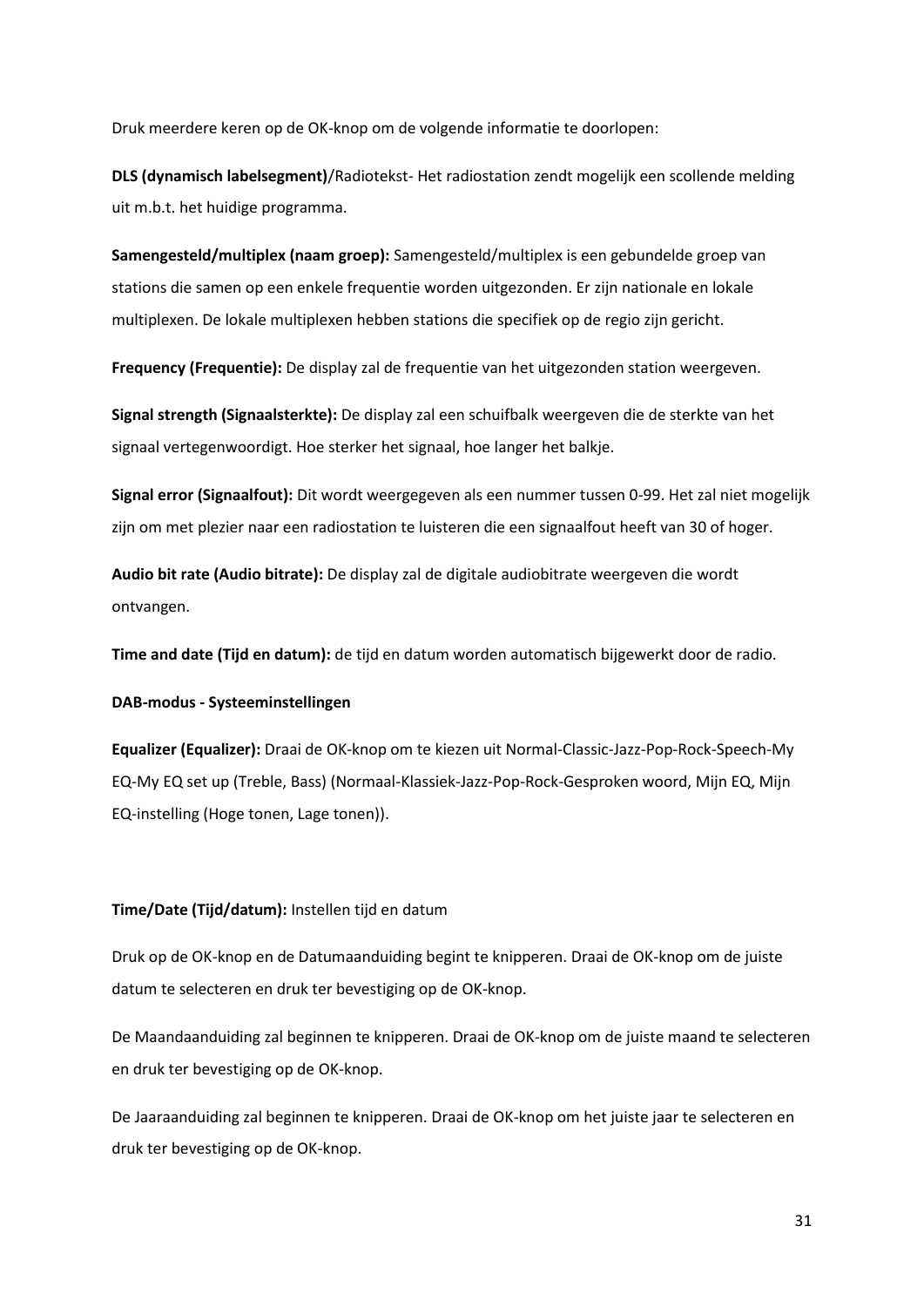Druk meerdere keren op de OK-knop om de volgende informatie te doorlopen:

**DLS (dynamisch labelsegment)**/Radiotekst- Het radiostation zendt mogelijk een scollende melding uit m.b.t. het huidige programma.

**Samengesteld/multiplex (naam groep):** Samengesteld/multiplex is een gebundelde groep van stations die samen op een enkele frequentie worden uitgezonden. Er zijn nationale en lokale multiplexen. De lokale multiplexen hebben stations die specifiek op de regio zijn gericht.

**Frequency (Frequentie):** De display zal de frequentie van het uitgezonden station weergeven.

**Signal strength (Signaalsterkte):** De display zal een schuifbalk weergeven die de sterkte van het signaal vertegenwoordigt. Hoe sterker het signaal, hoe langer het balkje.

**Signal error (Signaalfout):** Dit wordt weergegeven als een nummer tussen 0-99. Het zal niet mogelijk zijn om met plezier naar een radiostation te luisteren die een signaalfout heeft van 30 of hoger.

**Audio bit rate (Audio bitrate):** De display zal de digitale audiobitrate weergeven die wordt ontvangen.

**Time and date (Tijd en datum):** de tijd en datum worden automatisch bijgewerkt door de radio.

**DAB-modus - Systeeminstellingen**

**Equalizer (Equalizer):** Draai de OK-knop om te kiezen uit Normal-Classic-Jazz-Pop-Rock-Speech-My EQ-My EQ set up (Treble, Bass) (Normaal-Klassiek-Jazz-Pop-Rock-Gesproken woord, Mijn EQ, Mijn EQ-instelling (Hoge tonen, Lage tonen)).

# **Time/Date (Tijd/datum):** Instellen tijd en datum

Druk op de OK-knop en de Datumaanduiding begint te knipperen. Draai de OK-knop om de juiste datum te selecteren en druk ter bevestiging op de OK-knop.

De Maandaanduiding zal beginnen te knipperen. Draai de OK-knop om de juiste maand te selecteren en druk ter bevestiging op de OK-knop.

De Jaaraanduiding zal beginnen te knipperen. Draai de OK-knop om het juiste jaar te selecteren en druk ter bevestiging op de OK-knop.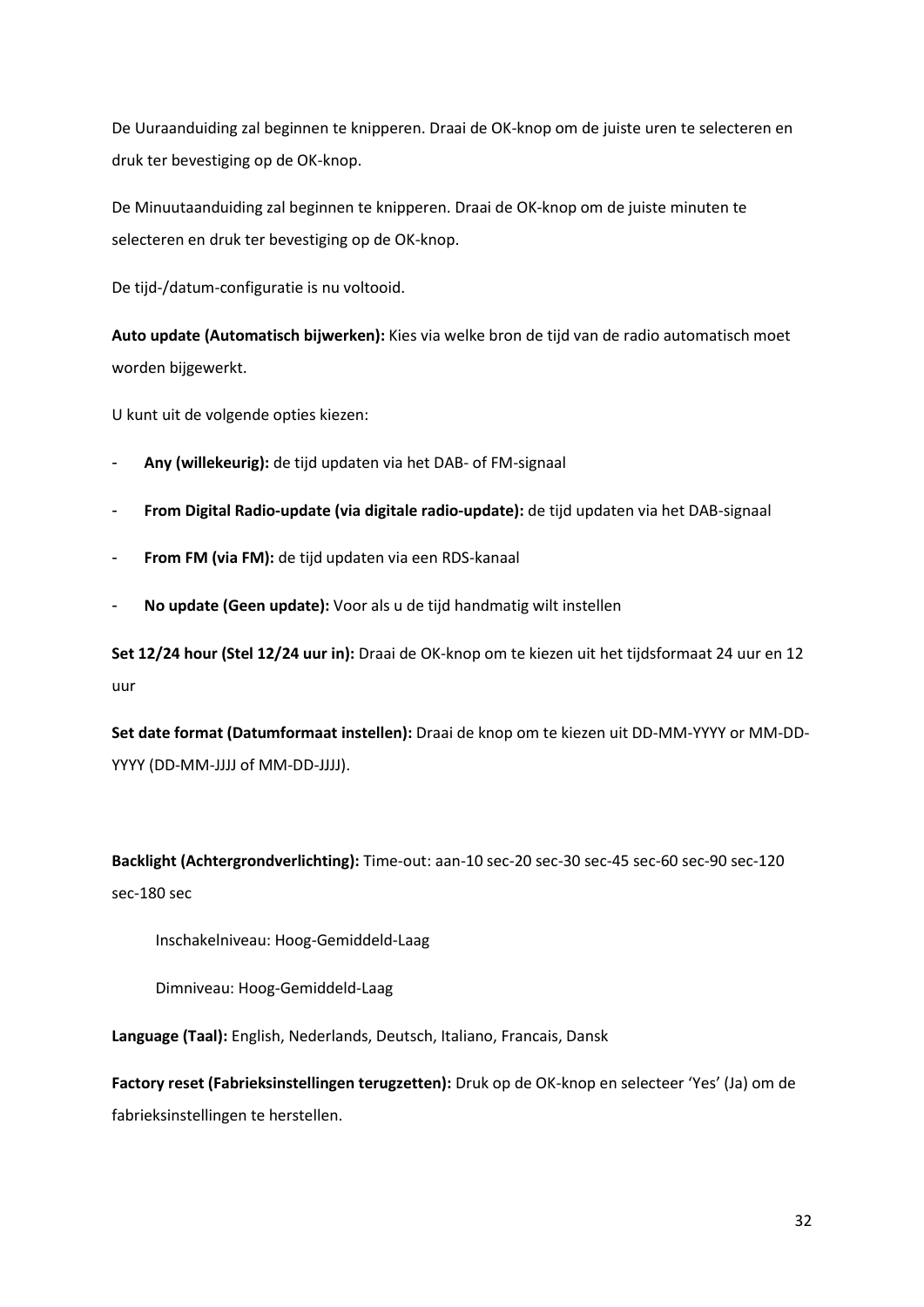De Uuraanduiding zal beginnen te knipperen. Draai de OK-knop om de juiste uren te selecteren en druk ter bevestiging op de OK-knop.

De Minuutaanduiding zal beginnen te knipperen. Draai de OK-knop om de juiste minuten te selecteren en druk ter bevestiging op de OK-knop.

De tijd-/datum-configuratie is nu voltooid.

**Auto update (Automatisch bijwerken):** Kies via welke bron de tijd van de radio automatisch moet worden bijgewerkt.

U kunt uit de volgende opties kiezen:

- **Any (willekeurig):** de tijd updaten via het DAB- of FM-signaal
- **From Digital Radio-update (via digitale radio-update):** de tijd updaten via het DAB-signaal
- **From FM (via FM):** de tijd updaten via een RDS-kanaal
- **No update (Geen update):** Voor als u de tijd handmatig wilt instellen

**Set 12/24 hour (Stel 12/24 uur in):** Draai de OK-knop om te kiezen uit het tijdsformaat 24 uur en 12 uur

**Set date format (Datumformaat instellen):** Draai de knop om te kiezen uit DD-MM-YYYY or MM-DD-YYYY (DD-MM-JJJJ of MM-DD-JJJJ).

**Backlight (Achtergrondverlichting):** Time-out: aan-10 sec-20 sec-30 sec-45 sec-60 sec-90 sec-120 sec-180 sec

Inschakelniveau: Hoog-Gemiddeld-Laag

Dimniveau: Hoog-Gemiddeld-Laag

**Language (Taal):** English, Nederlands, Deutsch, Italiano, Francais, Dansk

**Factory reset (Fabrieksinstellingen terugzetten):** Druk op de OK-knop en selecteer 'Yes' (Ja) om de fabrieksinstellingen te herstellen.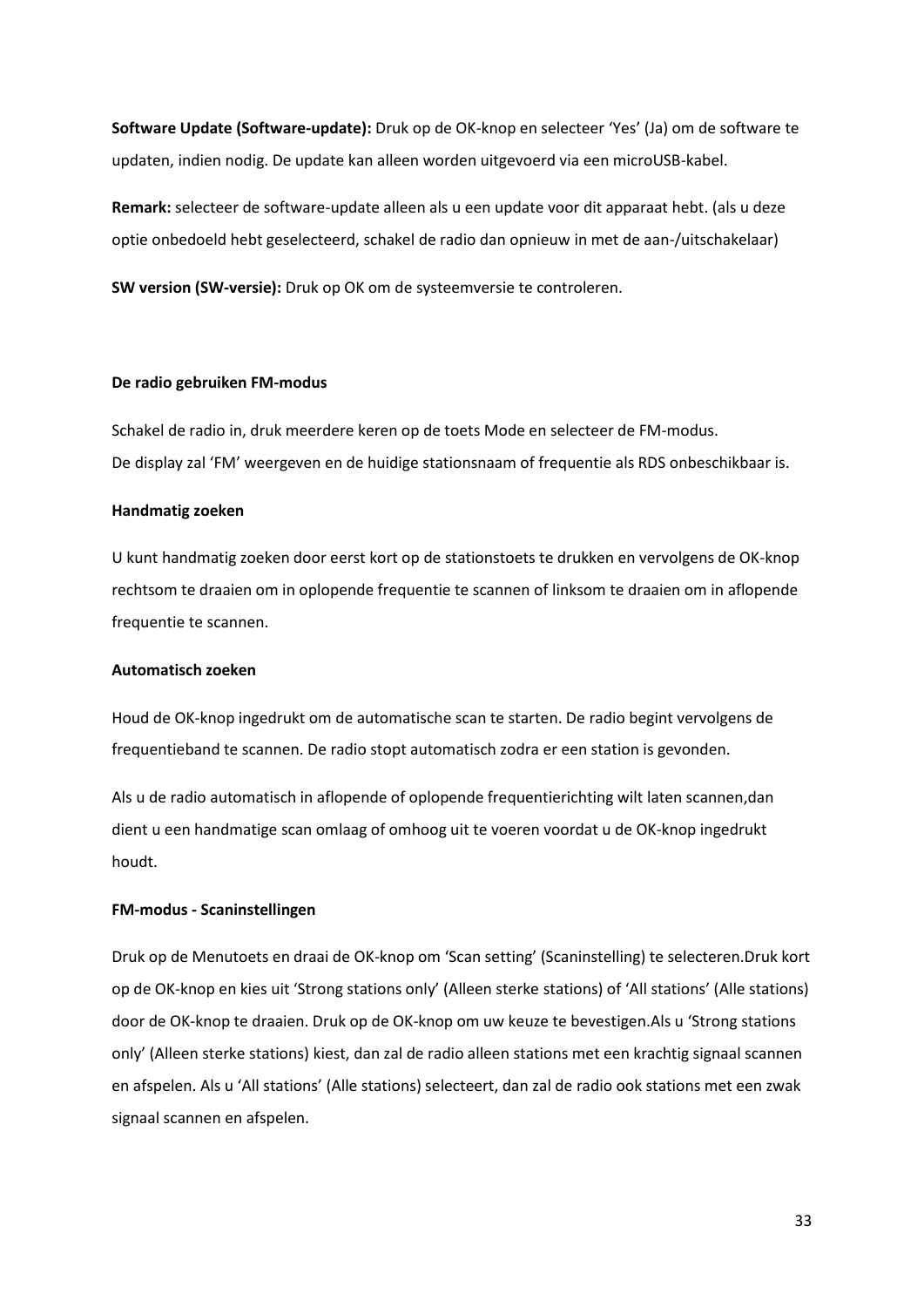**Software Update (Software-update):** Druk op de OK-knop en selecteer 'Yes' (Ja) om de software te updaten, indien nodig. De update kan alleen worden uitgevoerd via een microUSB-kabel.

**Remark:** selecteer de software-update alleen als u een update voor dit apparaat hebt. (als u deze optie onbedoeld hebt geselecteerd, schakel de radio dan opnieuw in met de aan-/uitschakelaar)

**SW version (SW-versie):** Druk op OK om de systeemversie te controleren.

#### **De radio gebruiken FM-modus**

Schakel de radio in, druk meerdere keren op de toets Mode en selecteer de FM-modus. De display zal 'FM' weergeven en de huidige stationsnaam of frequentie als RDS onbeschikbaar is.

### **Handmatig zoeken**

U kunt handmatig zoeken door eerst kort op de stationstoets te drukken en vervolgens de OK-knop rechtsom te draaien om in oplopende frequentie te scannen of linksom te draaien om in aflopende frequentie te scannen.

### **Automatisch zoeken**

Houd de OK-knop ingedrukt om de automatische scan te starten. De radio begint vervolgens de frequentieband te scannen. De radio stopt automatisch zodra er een station is gevonden.

Als u de radio automatisch in aflopende of oplopende frequentierichting wilt laten scannen,dan dient u een handmatige scan omlaag of omhoog uit te voeren voordat u de OK-knop ingedrukt houdt.

### **FM-modus - Scaninstellingen**

Druk op de Menutoets en draai de OK-knop om 'Scan setting' (Scaninstelling) te selecteren.Druk kort op de OK-knop en kies uit 'Strong stations only' (Alleen sterke stations) of 'All stations' (Alle stations) door de OK-knop te draaien. Druk op de OK-knop om uw keuze te bevestigen.Als u 'Strong stations only' (Alleen sterke stations) kiest, dan zal de radio alleen stations met een krachtig signaal scannen en afspelen. Als u 'All stations' (Alle stations) selecteert, dan zal de radio ook stations met een zwak signaal scannen en afspelen.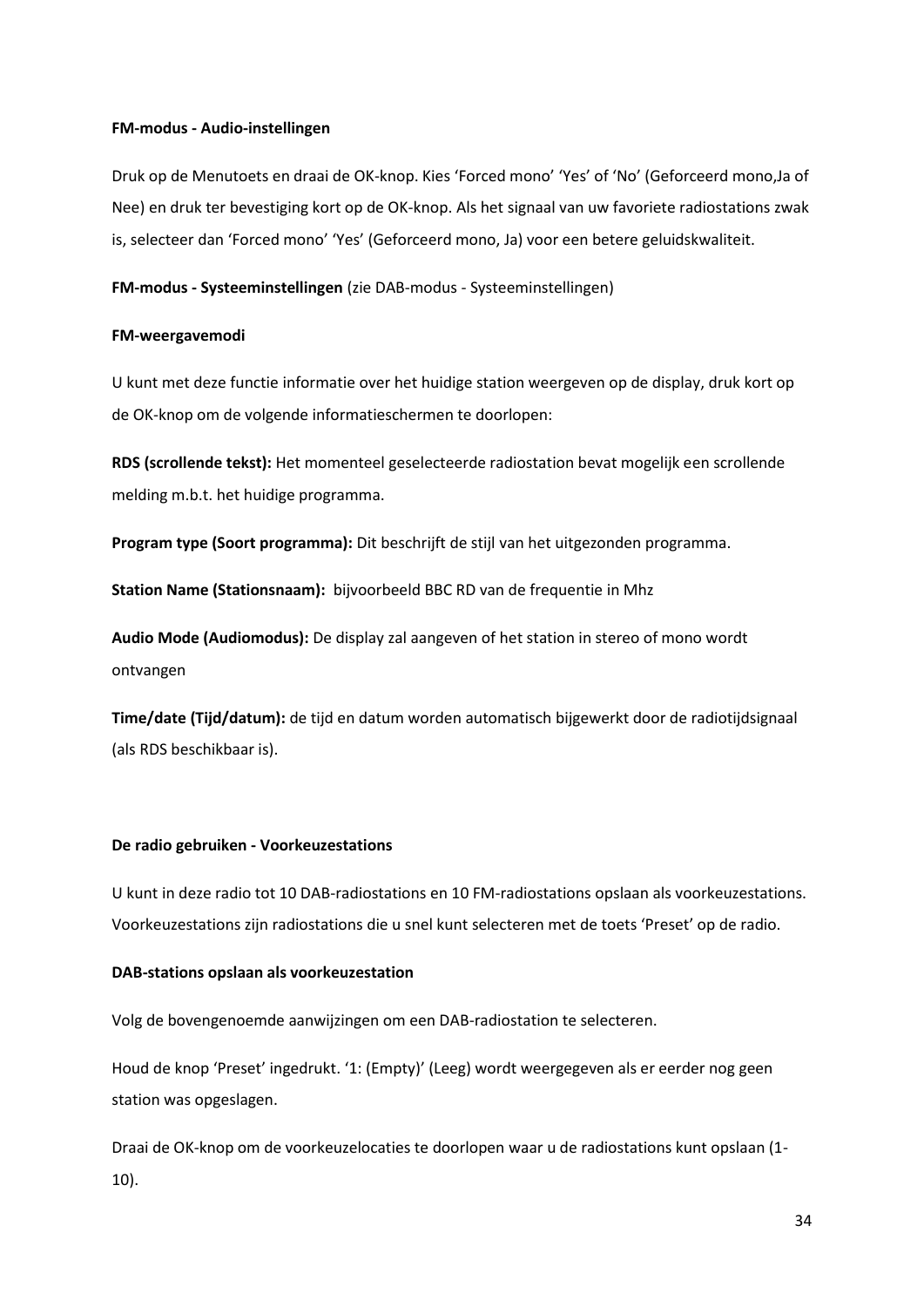### **FM-modus - Audio-instellingen**

Druk op de Menutoets en draai de OK-knop. Kies 'Forced mono' 'Yes' of 'No' (Geforceerd mono,Ja of Nee) en druk ter bevestiging kort op de OK-knop. Als het signaal van uw favoriete radiostations zwak is, selecteer dan 'Forced mono' 'Yes' (Geforceerd mono, Ja) voor een betere geluidskwaliteit.

**FM-modus - Systeeminstellingen** (zie DAB-modus - Systeeminstellingen)

### **FM-weergavemodi**

U kunt met deze functie informatie over het huidige station weergeven op de display, druk kort op de OK-knop om de volgende informatieschermen te doorlopen:

**RDS (scrollende tekst):** Het momenteel geselecteerde radiostation bevat mogelijk een scrollende melding m.b.t. het huidige programma.

**Program type (Soort programma):** Dit beschrijft de stijl van het uitgezonden programma.

**Station Name (Stationsnaam):** bijvoorbeeld BBC RD van de frequentie in Mhz

**Audio Mode (Audiomodus):** De display zal aangeven of het station in stereo of mono wordt ontvangen

**Time/date (Tijd/datum):** de tijd en datum worden automatisch bijgewerkt door de radiotijdsignaal (als RDS beschikbaar is).

### **De radio gebruiken - Voorkeuzestations**

U kunt in deze radio tot 10 DAB-radiostations en 10 FM-radiostations opslaan als voorkeuzestations. Voorkeuzestations zijn radiostations die u snel kunt selecteren met de toets 'Preset' op de radio.

#### **DAB-stations opslaan als voorkeuzestation**

Volg de bovengenoemde aanwijzingen om een DAB-radiostation te selecteren.

Houd de knop 'Preset' ingedrukt. '1: (Empty)' (Leeg) wordt weergegeven als er eerder nog geen station was opgeslagen.

Draai de OK-knop om de voorkeuzelocaties te doorlopen waar u de radiostations kunt opslaan (1- 10).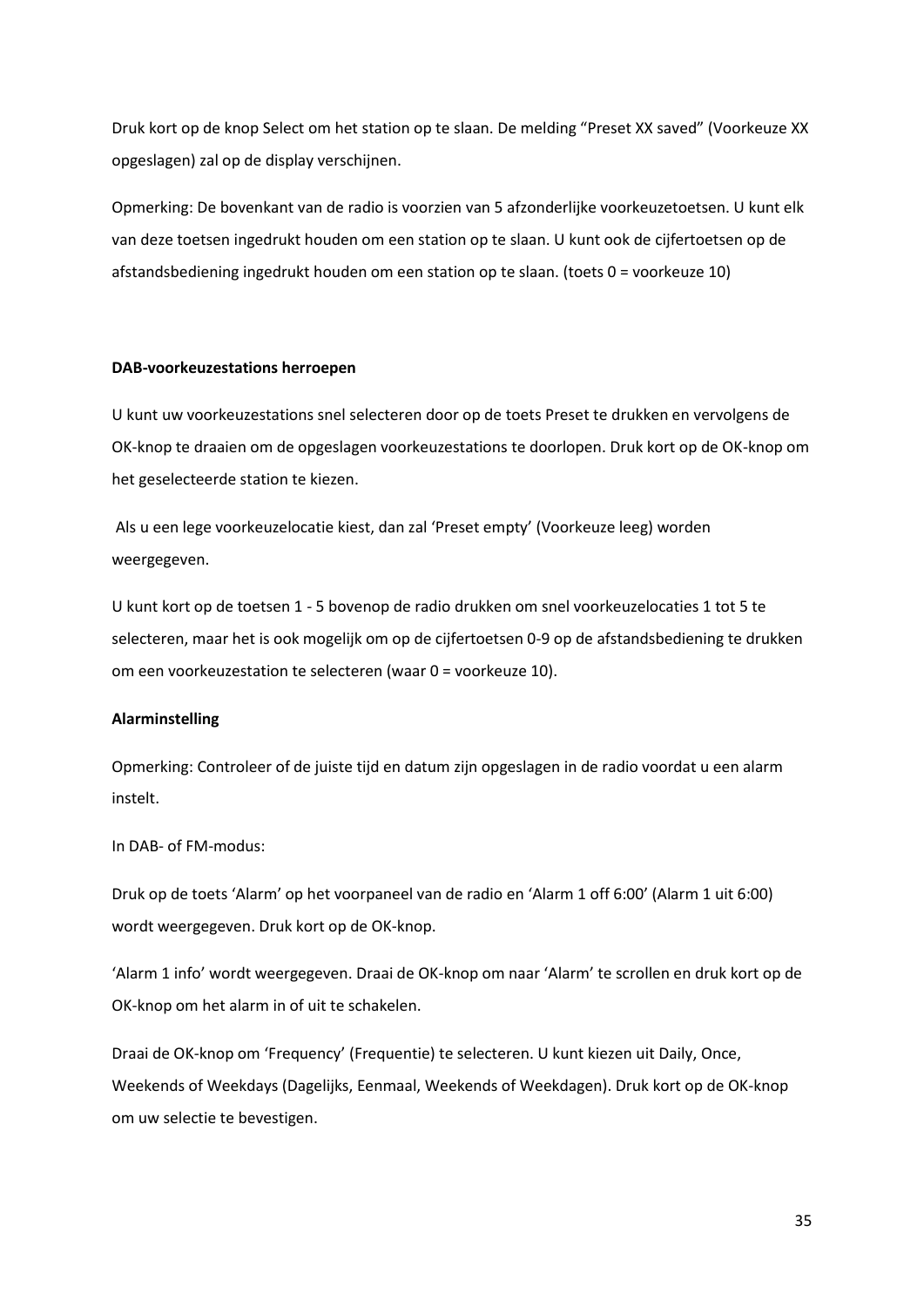Druk kort op de knop Select om het station op te slaan. De melding "Preset XX saved" (Voorkeuze XX opgeslagen) zal op de display verschijnen.

Opmerking: De bovenkant van de radio is voorzien van 5 afzonderlijke voorkeuzetoetsen. U kunt elk van deze toetsen ingedrukt houden om een station op te slaan. U kunt ook de cijfertoetsen op de afstandsbediening ingedrukt houden om een station op te slaan. (toets 0 = voorkeuze 10)

### **DAB-voorkeuzestations herroepen**

U kunt uw voorkeuzestations snel selecteren door op de toets Preset te drukken en vervolgens de OK-knop te draaien om de opgeslagen voorkeuzestations te doorlopen. Druk kort op de OK-knop om het geselecteerde station te kiezen.

Als u een lege voorkeuzelocatie kiest, dan zal 'Preset empty' (Voorkeuze leeg) worden weergegeven.

U kunt kort op de toetsen 1 - 5 bovenop de radio drukken om snel voorkeuzelocaties 1 tot 5 te selecteren, maar het is ook mogelijk om op de cijfertoetsen 0-9 op de afstandsbediening te drukken om een voorkeuzestation te selecteren (waar 0 = voorkeuze 10).

### **Alarminstelling**

Opmerking: Controleer of de juiste tijd en datum zijn opgeslagen in de radio voordat u een alarm instelt.

In DAB- of FM-modus:

Druk op de toets 'Alarm' op het voorpaneel van de radio en 'Alarm 1 off 6:00' (Alarm 1 uit 6:00) wordt weergegeven. Druk kort op de OK-knop.

'Alarm 1 info' wordt weergegeven. Draai de OK-knop om naar 'Alarm' te scrollen en druk kort op de OK-knop om het alarm in of uit te schakelen.

Draai de OK-knop om 'Frequency' (Frequentie) te selecteren. U kunt kiezen uit Daily, Once, Weekends of Weekdays (Dagelijks, Eenmaal, Weekends of Weekdagen). Druk kort op de OK-knop om uw selectie te bevestigen.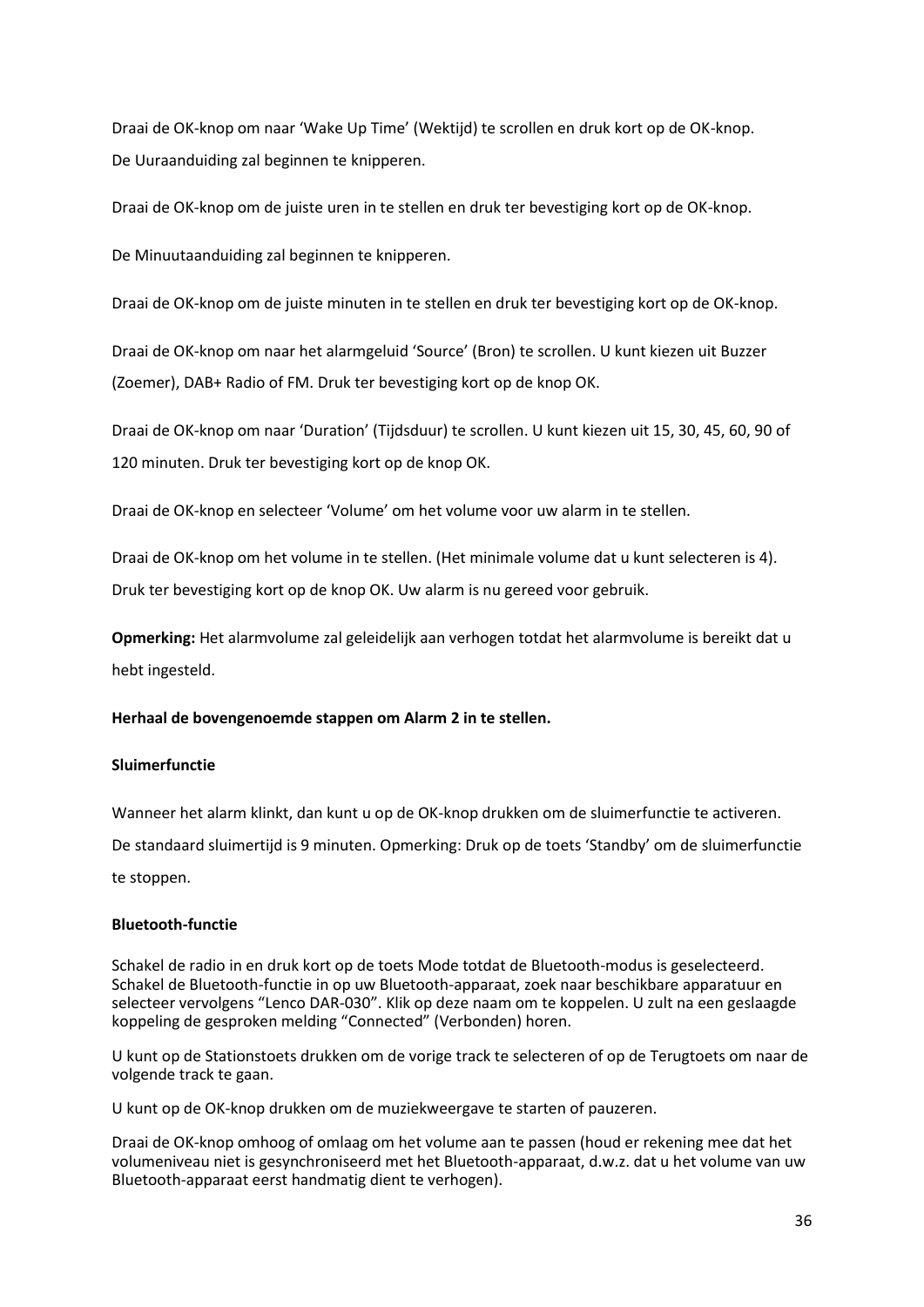Draai de OK-knop om naar 'Wake Up Time' (Wektijd) te scrollen en druk kort op de OK-knop. De Uuraanduiding zal beginnen te knipperen.

Draai de OK-knop om de juiste uren in te stellen en druk ter bevestiging kort op de OK-knop.

De Minuutaanduiding zal beginnen te knipperen.

Draai de OK-knop om de juiste minuten in te stellen en druk ter bevestiging kort op de OK-knop.

Draai de OK-knop om naar het alarmgeluid 'Source' (Bron) te scrollen. U kunt kiezen uit Buzzer (Zoemer), DAB+ Radio of FM. Druk ter bevestiging kort op de knop OK.

Draai de OK-knop om naar 'Duration' (Tijdsduur) te scrollen. U kunt kiezen uit 15, 30, 45, 60, 90 of 120 minuten. Druk ter bevestiging kort op de knop OK.

Draai de OK-knop en selecteer 'Volume' om het volume voor uw alarm in te stellen.

Draai de OK-knop om het volume in te stellen. (Het minimale volume dat u kunt selecteren is 4). Druk ter bevestiging kort op de knop OK. Uw alarm is nu gereed voor gebruik.

**Opmerking:** Het alarmvolume zal geleidelijk aan verhogen totdat het alarmvolume is bereikt dat u hebt ingesteld.

### **Herhaal de bovengenoemde stappen om Alarm 2 in te stellen.**

### **Sluimerfunctie**

Wanneer het alarm klinkt, dan kunt u op de OK-knop drukken om de sluimerfunctie te activeren.

De standaard sluimertijd is 9 minuten. Opmerking: Druk op de toets 'Standby' om de sluimerfunctie te stoppen.

### **Bluetooth-functie**

Schakel de radio in en druk kort op de toets Mode totdat de Bluetooth-modus is geselecteerd. Schakel de Bluetooth-functie in op uw Bluetooth-apparaat, zoek naar beschikbare apparatuur en selecteer vervolgens "Lenco DAR-030". Klik op deze naam om te koppelen. U zult na een geslaagde koppeling de gesproken melding "Connected" (Verbonden) horen.

U kunt op de Stationstoets drukken om de vorige track te selecteren of op de Terugtoets om naar de volgende track te gaan.

U kunt op de OK-knop drukken om de muziekweergave te starten of pauzeren.

Draai de OK-knop omhoog of omlaag om het volume aan te passen (houd er rekening mee dat het volumeniveau niet is gesynchroniseerd met het Bluetooth-apparaat, d.w.z. dat u het volume van uw Bluetooth-apparaat eerst handmatig dient te verhogen).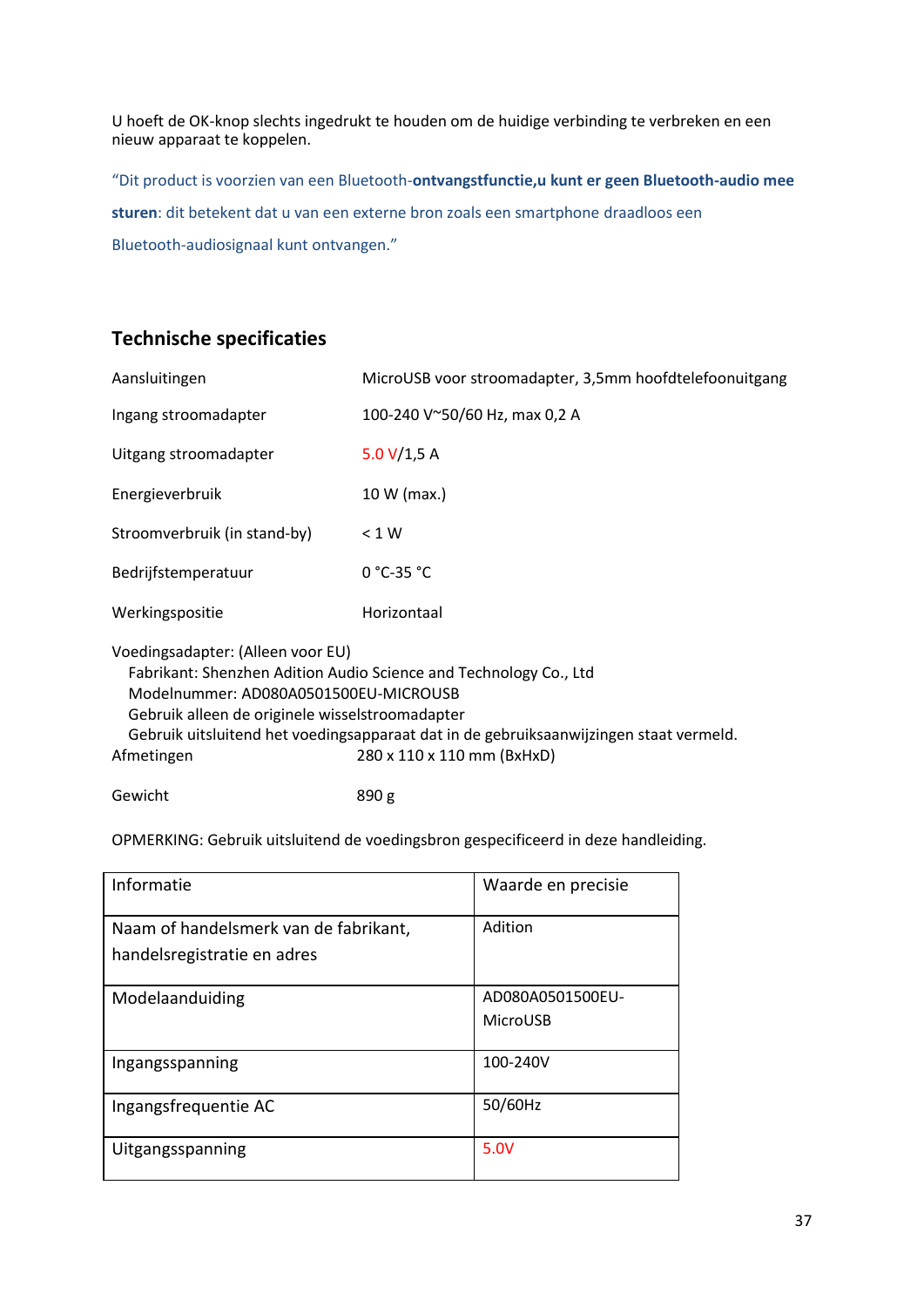U hoeft de OK-knop slechts ingedrukt te houden om de huidige verbinding te verbreken en een nieuw apparaat te koppelen.

"Dit product is voorzien van een Bluetooth-**ontvangstfunctie,u kunt er geen Bluetooth-audio mee sturen**: dit betekent dat u van een externe bron zoals een smartphone draadloos een Bluetooth-audiosignaal kunt ontvangen."

# **Technische specificaties**

| Aansluitingen                                                                                                                                                                                                                                                                                                                            | MicroUSB voor stroomadapter, 3,5mm hoofdtelefoonuitgang |  |
|------------------------------------------------------------------------------------------------------------------------------------------------------------------------------------------------------------------------------------------------------------------------------------------------------------------------------------------|---------------------------------------------------------|--|
| Ingang stroomadapter                                                                                                                                                                                                                                                                                                                     | 100-240 V~50/60 Hz, max 0,2 A                           |  |
| Uitgang stroomadapter                                                                                                                                                                                                                                                                                                                    | 5.0 $V/1,5 A$                                           |  |
| Energieverbruik                                                                                                                                                                                                                                                                                                                          | 10 W (max.)                                             |  |
| Stroomverbruik (in stand-by)                                                                                                                                                                                                                                                                                                             | < 1 W                                                   |  |
| Bedrijfstemperatuur                                                                                                                                                                                                                                                                                                                      | $0 °C-35 °C$                                            |  |
| Werkingspositie                                                                                                                                                                                                                                                                                                                          | Horizontaal                                             |  |
| Voedingsadapter: (Alleen voor EU)<br>Fabrikant: Shenzhen Adition Audio Science and Technology Co., Ltd<br>Modelnummer: AD080A0501500EU-MICROUSB<br>Gebruik alleen de originele wisselstroomadapter<br>Gebruik uitsluitend het voedingsapparaat dat in de gebruiksaanwijzingen staat vermeld.<br>280 x 110 x 110 mm (BxHxD)<br>Afmetingen |                                                         |  |

Gewicht 890 g

OPMERKING: Gebruik uitsluitend de voedingsbron gespecificeerd in deze handleiding.

| Informatie                                                           | Waarde en precisie           |
|----------------------------------------------------------------------|------------------------------|
| Naam of handelsmerk van de fabrikant,<br>handelsregistratie en adres | Adition                      |
| Modelaanduiding                                                      | AD080A0501500EU-<br>MicroUSB |
| Ingangsspanning                                                      | 100-240V                     |
| Ingangsfrequentie AC                                                 | 50/60Hz                      |
| Uitgangsspanning                                                     | 5.0V                         |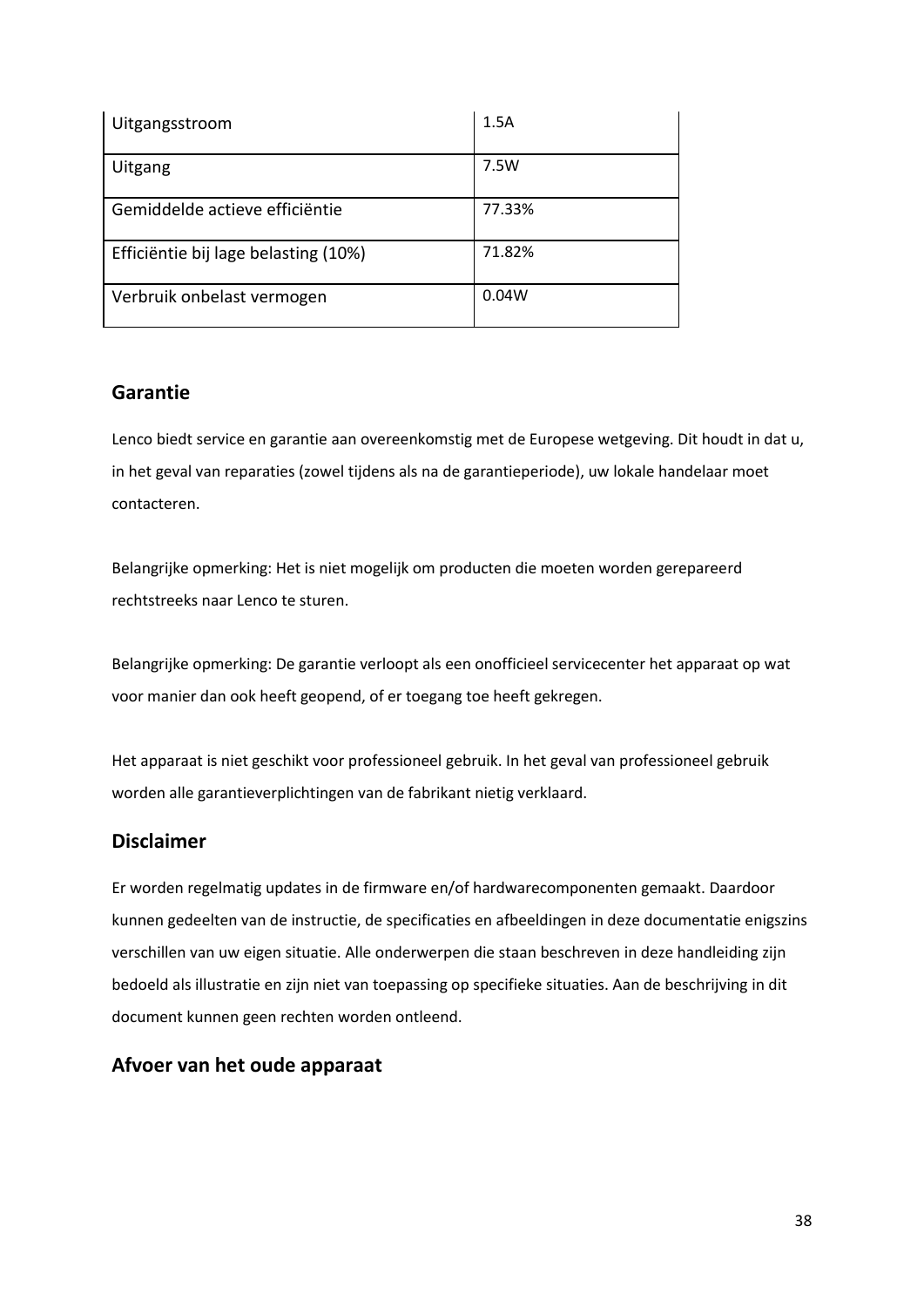| Uitgangsstroom                       | 1.5A   |
|--------------------------------------|--------|
| Uitgang                              | 7.5W   |
| Gemiddelde actieve efficiëntie       | 77.33% |
| Efficiëntie bij lage belasting (10%) | 71.82% |
| Verbruik onbelast vermogen           | 0.04W  |

# **Garantie**

Lenco biedt service en garantie aan overeenkomstig met de Europese wetgeving. Dit houdt in dat u, in het geval van reparaties (zowel tijdens als na de garantieperiode), uw lokale handelaar moet contacteren.

Belangrijke opmerking: Het is niet mogelijk om producten die moeten worden gerepareerd rechtstreeks naar Lenco te sturen.

Belangrijke opmerking: De garantie verloopt als een onofficieel servicecenter het apparaat op wat voor manier dan ook heeft geopend, of er toegang toe heeft gekregen.

Het apparaat is niet geschikt voor professioneel gebruik. In het geval van professioneel gebruik worden alle garantieverplichtingen van de fabrikant nietig verklaard.

# **Disclaimer**

Er worden regelmatig updates in de firmware en/of hardwarecomponenten gemaakt. Daardoor kunnen gedeelten van de instructie, de specificaties en afbeeldingen in deze documentatie enigszins verschillen van uw eigen situatie. Alle onderwerpen die staan beschreven in deze handleiding zijn bedoeld als illustratie en zijn niet van toepassing op specifieke situaties. Aan de beschrijving in dit document kunnen geen rechten worden ontleend.

# **Afvoer van het oude apparaat**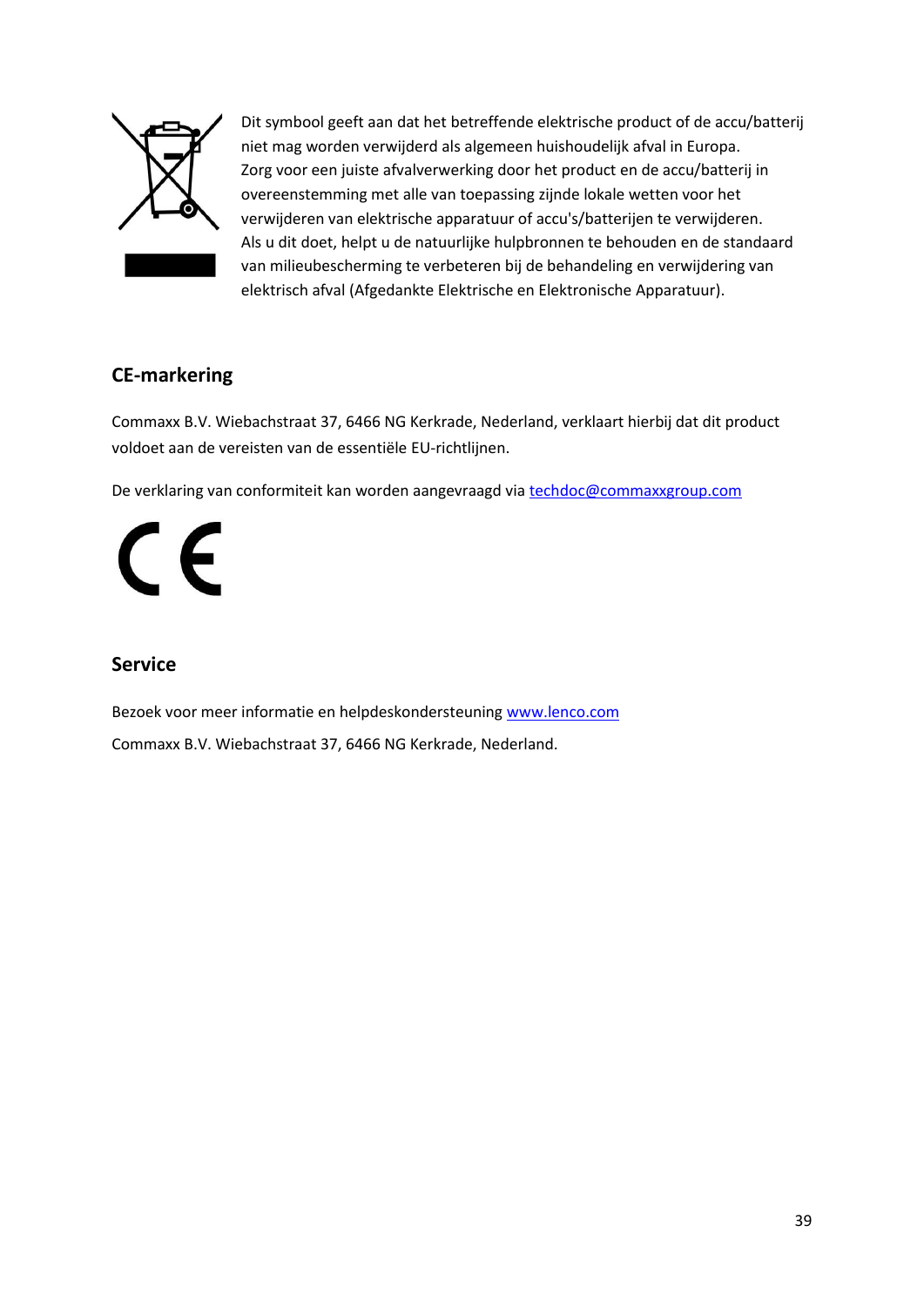

Dit symbool geeft aan dat het betreffende elektrische product of de accu/batterij niet mag worden verwijderd als algemeen huishoudelijk afval in Europa. Zorg voor een juiste afvalverwerking door het product en de accu/batterij in overeenstemming met alle van toepassing zijnde lokale wetten voor het verwijderen van elektrische apparatuur of accu's/batterijen te verwijderen. Als u dit doet, helpt u de natuurlijke hulpbronnen te behouden en de standaard van milieubescherming te verbeteren bij de behandeling en verwijdering van elektrisch afval (Afgedankte Elektrische en Elektronische Apparatuur).

# **CE-markering**

Commaxx B.V. Wiebachstraat 37, 6466 NG Kerkrade, Nederland, verklaart hierbij dat dit product voldoet aan de vereisten van de essentiële EU-richtlijnen.

De verklaring van conformiteit kan worden aangevraagd via [techdoc@commaxxgroup.com](mailto:techdoc@commaxxgroup.com)

 $\epsilon$ 

# **Service**

Bezoek voor meer informatie en helpdeskondersteuning [www.lenco.com](http://www.lenco.com/)

Commaxx B.V. Wiebachstraat 37, 6466 NG Kerkrade, Nederland.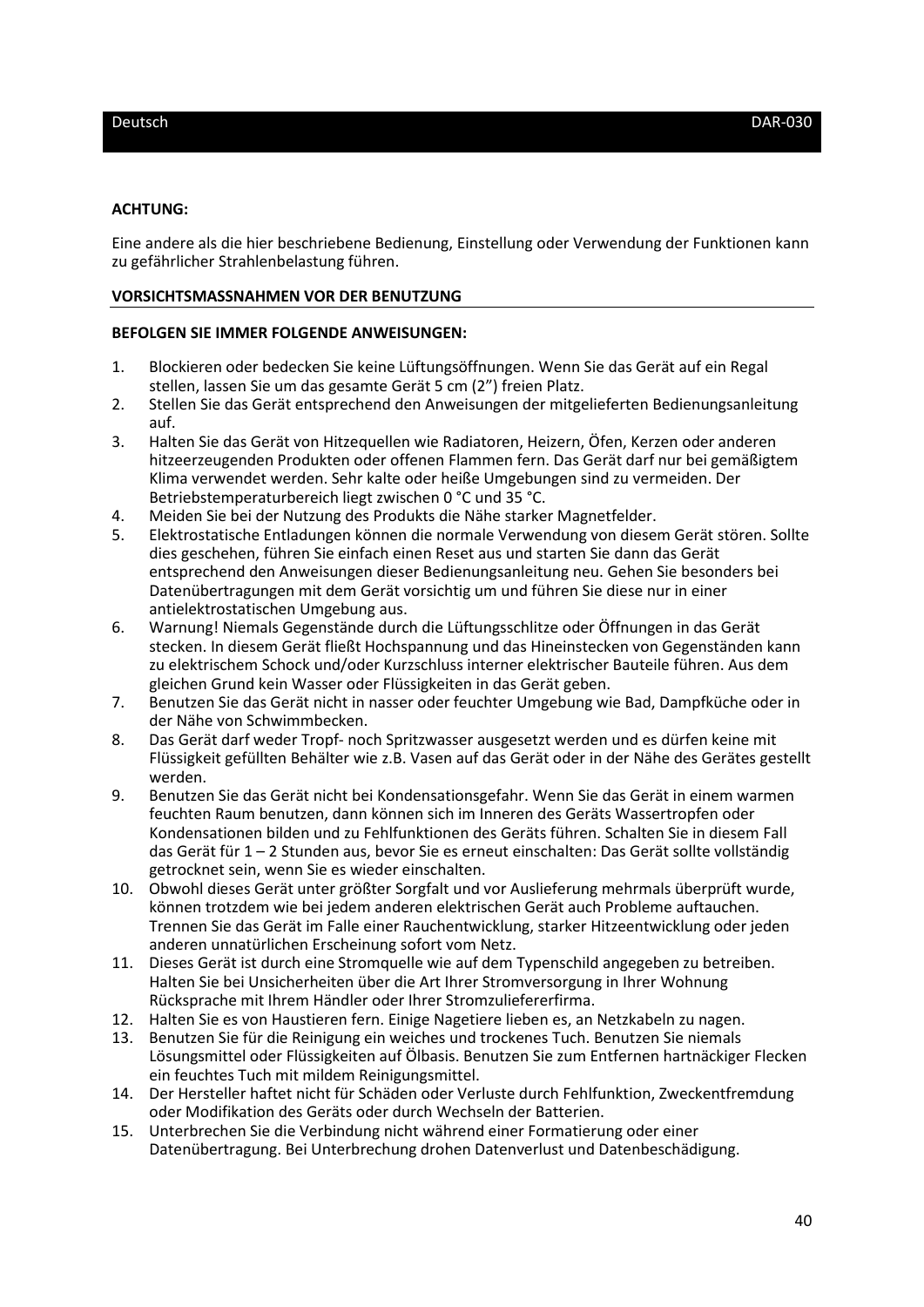### **ACHTUNG:**

Eine andere als die hier beschriebene Bedienung, Einstellung oder Verwendung der Funktionen kann zu gefährlicher Strahlenbelastung führen.

#### **VORSICHTSMASSNAHMEN VOR DER BENUTZUNG**

### **BEFOLGEN SIE IMMER FOLGENDE ANWEISUNGEN:**

- 1. Blockieren oder bedecken Sie keine Lüftungsöffnungen. Wenn Sie das Gerät auf ein Regal stellen, lassen Sie um das gesamte Gerät 5 cm (2") freien Platz.
- 2. Stellen Sie das Gerät entsprechend den Anweisungen der mitgelieferten Bedienungsanleitung auf.
- 3. Halten Sie das Gerät von Hitzequellen wie Radiatoren, Heizern, Öfen, Kerzen oder anderen hitzeerzeugenden Produkten oder offenen Flammen fern. Das Gerät darf nur bei gemäßigtem Klima verwendet werden. Sehr kalte oder heiße Umgebungen sind zu vermeiden. Der Betriebstemperaturbereich liegt zwischen 0 °C und 35 °C.
- 4. Meiden Sie bei der Nutzung des Produkts die Nähe starker Magnetfelder.
- 5. Elektrostatische Entladungen können die normale Verwendung von diesem Gerät stören. Sollte dies geschehen, führen Sie einfach einen Reset aus und starten Sie dann das Gerät entsprechend den Anweisungen dieser Bedienungsanleitung neu. Gehen Sie besonders bei Datenübertragungen mit dem Gerät vorsichtig um und führen Sie diese nur in einer antielektrostatischen Umgebung aus.
- 6. Warnung! Niemals Gegenstände durch die Lüftungsschlitze oder Öffnungen in das Gerät stecken. In diesem Gerät fließt Hochspannung und das Hineinstecken von Gegenständen kann zu elektrischem Schock und/oder Kurzschluss interner elektrischer Bauteile führen. Aus dem gleichen Grund kein Wasser oder Flüssigkeiten in das Gerät geben.
- 7. Benutzen Sie das Gerät nicht in nasser oder feuchter Umgebung wie Bad, Dampfküche oder in der Nähe von Schwimmbecken.
- 8. Das Gerät darf weder Tropf- noch Spritzwasser ausgesetzt werden und es dürfen keine mit Flüssigkeit gefüllten Behälter wie z.B. Vasen auf das Gerät oder in der Nähe des Gerätes gestellt werden.
- 9. Benutzen Sie das Gerät nicht bei Kondensationsgefahr. Wenn Sie das Gerät in einem warmen feuchten Raum benutzen, dann können sich im Inneren des Geräts Wassertropfen oder Kondensationen bilden und zu Fehlfunktionen des Geräts führen. Schalten Sie in diesem Fall das Gerät für 1 – 2 Stunden aus, bevor Sie es erneut einschalten: Das Gerät sollte vollständig getrocknet sein, wenn Sie es wieder einschalten.
- 10. Obwohl dieses Gerät unter größter Sorgfalt und vor Auslieferung mehrmals überprüft wurde, können trotzdem wie bei jedem anderen elektrischen Gerät auch Probleme auftauchen. Trennen Sie das Gerät im Falle einer Rauchentwicklung, starker Hitzeentwicklung oder jeden anderen unnatürlichen Erscheinung sofort vom Netz.
- 11. Dieses Gerät ist durch eine Stromquelle wie auf dem Typenschild angegeben zu betreiben. Halten Sie bei Unsicherheiten über die Art Ihrer Stromversorgung in Ihrer Wohnung Rücksprache mit Ihrem Händler oder Ihrer Stromzuliefererfirma.
- 12. Halten Sie es von Haustieren fern. Einige Nagetiere lieben es, an Netzkabeln zu nagen.
- 13. Benutzen Sie für die Reinigung ein weiches und trockenes Tuch. Benutzen Sie niemals Lösungsmittel oder Flüssigkeiten auf Ölbasis. Benutzen Sie zum Entfernen hartnäckiger Flecken ein feuchtes Tuch mit mildem Reinigungsmittel.
- 14. Der Hersteller haftet nicht für Schäden oder Verluste durch Fehlfunktion, Zweckentfremdung oder Modifikation des Geräts oder durch Wechseln der Batterien.
- 15. Unterbrechen Sie die Verbindung nicht während einer Formatierung oder einer Datenübertragung. Bei Unterbrechung drohen Datenverlust und Datenbeschädigung.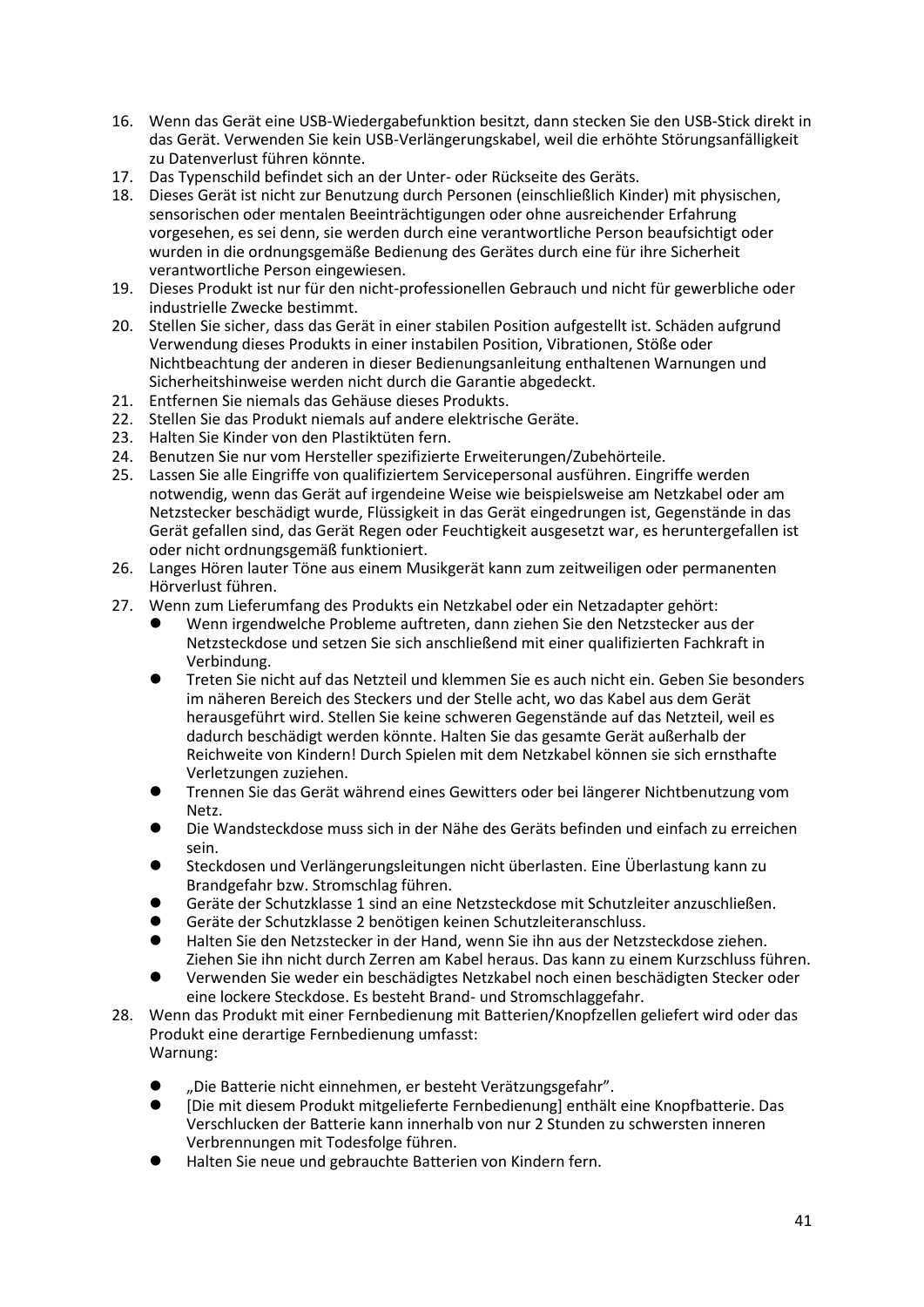- 16. Wenn das Gerät eine USB-Wiedergabefunktion besitzt, dann stecken Sie den USB-Stick direkt in das Gerät. Verwenden Sie kein USB-Verlängerungskabel, weil die erhöhte Störungsanfälligkeit zu Datenverlust führen könnte.
- 17. Das Typenschild befindet sich an der Unter- oder Rückseite des Geräts.
- 18. Dieses Gerät ist nicht zur Benutzung durch Personen (einschließlich Kinder) mit physischen, sensorischen oder mentalen Beeinträchtigungen oder ohne ausreichender Erfahrung vorgesehen, es sei denn, sie werden durch eine verantwortliche Person beaufsichtigt oder wurden in die ordnungsgemäße Bedienung des Gerätes durch eine für ihre Sicherheit verantwortliche Person eingewiesen.
- 19. Dieses Produkt ist nur für den nicht-professionellen Gebrauch und nicht für gewerbliche oder industrielle Zwecke bestimmt.
- 20. Stellen Sie sicher, dass das Gerät in einer stabilen Position aufgestellt ist. Schäden aufgrund Verwendung dieses Produkts in einer instabilen Position, Vibrationen, Stöße oder Nichtbeachtung der anderen in dieser Bedienungsanleitung enthaltenen Warnungen und Sicherheitshinweise werden nicht durch die Garantie abgedeckt.
- 21. Entfernen Sie niemals das Gehäuse dieses Produkts.
- 22. Stellen Sie das Produkt niemals auf andere elektrische Geräte.
- 23. Halten Sie Kinder von den Plastiktüten fern.
- 24. Benutzen Sie nur vom Hersteller spezifizierte Erweiterungen/Zubehörteile.
- 25. Lassen Sie alle Eingriffe von qualifiziertem Servicepersonal ausführen. Eingriffe werden notwendig, wenn das Gerät auf irgendeine Weise wie beispielsweise am Netzkabel oder am Netzstecker beschädigt wurde, Flüssigkeit in das Gerät eingedrungen ist, Gegenstände in das Gerät gefallen sind, das Gerät Regen oder Feuchtigkeit ausgesetzt war, es heruntergefallen ist oder nicht ordnungsgemäß funktioniert.
- 26. Langes Hören lauter Töne aus einem Musikgerät kann zum zeitweiligen oder permanenten Hörverlust führen.
- 27. Wenn zum Lieferumfang des Produkts ein Netzkabel oder ein Netzadapter gehört:
	- ⚫ Wenn irgendwelche Probleme auftreten, dann ziehen Sie den Netzstecker aus der Netzsteckdose und setzen Sie sich anschließend mit einer qualifizierten Fachkraft in Verbindung.
	- ⚫ Treten Sie nicht auf das Netzteil und klemmen Sie es auch nicht ein. Geben Sie besonders im näheren Bereich des Steckers und der Stelle acht, wo das Kabel aus dem Gerät herausgeführt wird. Stellen Sie keine schweren Gegenstände auf das Netzteil, weil es dadurch beschädigt werden könnte. Halten Sie das gesamte Gerät außerhalb der Reichweite von Kindern! Durch Spielen mit dem Netzkabel können sie sich ernsthafte Verletzungen zuziehen.
	- ⚫ Trennen Sie das Gerät während eines Gewitters oder bei längerer Nichtbenutzung vom Netz.
	- ⚫ Die Wandsteckdose muss sich in der Nähe des Geräts befinden und einfach zu erreichen sein.
	- ⚫ Steckdosen und Verlängerungsleitungen nicht überlasten. Eine Überlastung kann zu Brandgefahr bzw. Stromschlag führen.
	- ⚫ Geräte der Schutzklasse 1 sind an eine Netzsteckdose mit Schutzleiter anzuschließen.
	- ⚫ Geräte der Schutzklasse 2 benötigen keinen Schutzleiteranschluss.
	- ⚫ Halten Sie den Netzstecker in der Hand, wenn Sie ihn aus der Netzsteckdose ziehen. Ziehen Sie ihn nicht durch Zerren am Kabel heraus. Das kann zu einem Kurzschluss führen.
	- ⚫ Verwenden Sie weder ein beschädigtes Netzkabel noch einen beschädigten Stecker oder eine lockere Steckdose. Es besteht Brand- und Stromschlaggefahr.
- 28. Wenn das Produkt mit einer Fernbedienung mit Batterien/Knopfzellen geliefert wird oder das Produkt eine derartige Fernbedienung umfasst: Warnung:
	- ⚫ "Die Batterie nicht einnehmen, er besteht Verätzungsgefahr".
	- ⚫ [Die mit diesem Produkt mitgelieferte Fernbedienung] enthält eine Knopfbatterie. Das Verschlucken der Batterie kann innerhalb von nur 2 Stunden zu schwersten inneren Verbrennungen mit Todesfolge führen.
	- ⚫ Halten Sie neue und gebrauchte Batterien von Kindern fern.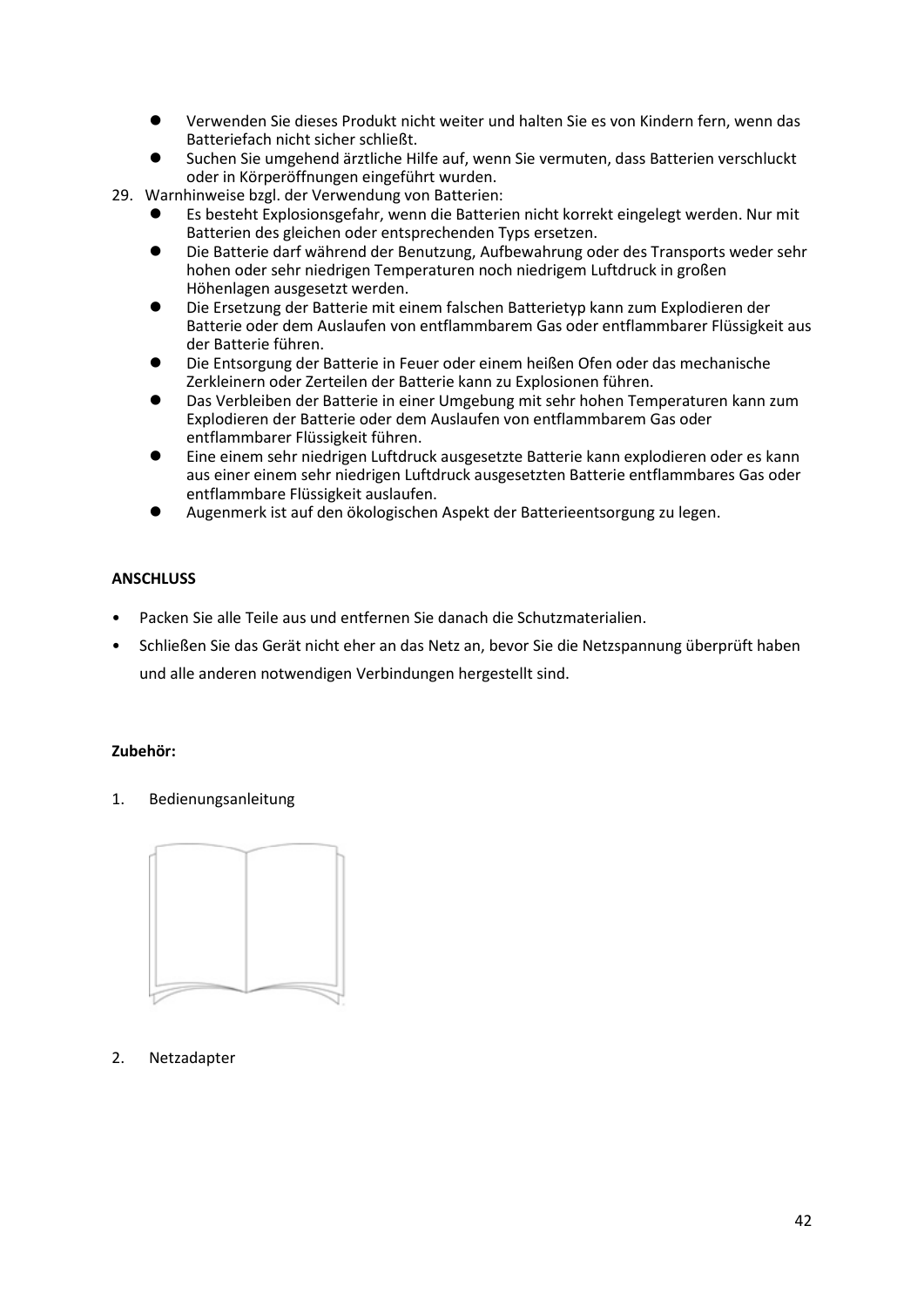- ⚫ Verwenden Sie dieses Produkt nicht weiter und halten Sie es von Kindern fern, wenn das Batteriefach nicht sicher schließt.
- ⚫ Suchen Sie umgehend ärztliche Hilfe auf, wenn Sie vermuten, dass Batterien verschluckt oder in Körperöffnungen eingeführt wurden.
- 29. Warnhinweise bzgl. der Verwendung von Batterien:
	- ⚫ Es besteht Explosionsgefahr, wenn die Batterien nicht korrekt eingelegt werden. Nur mit Batterien des gleichen oder entsprechenden Typs ersetzen.
	- ⚫ Die Batterie darf während der Benutzung, Aufbewahrung oder des Transports weder sehr hohen oder sehr niedrigen Temperaturen noch niedrigem Luftdruck in großen Höhenlagen ausgesetzt werden.
	- ⚫ Die Ersetzung der Batterie mit einem falschen Batterietyp kann zum Explodieren der Batterie oder dem Auslaufen von entflammbarem Gas oder entflammbarer Flüssigkeit aus der Batterie führen.
	- ⚫ Die Entsorgung der Batterie in Feuer oder einem heißen Ofen oder das mechanische Zerkleinern oder Zerteilen der Batterie kann zu Explosionen führen.
	- ⚫ Das Verbleiben der Batterie in einer Umgebung mit sehr hohen Temperaturen kann zum Explodieren der Batterie oder dem Auslaufen von entflammbarem Gas oder entflammbarer Flüssigkeit führen.
	- ⚫ Eine einem sehr niedrigen Luftdruck ausgesetzte Batterie kann explodieren oder es kann aus einer einem sehr niedrigen Luftdruck ausgesetzten Batterie entflammbares Gas oder entflammbare Flüssigkeit auslaufen.
	- ⚫ Augenmerk ist auf den ökologischen Aspekt der Batterieentsorgung zu legen.

### **ANSCHLUSS**

- Packen Sie alle Teile aus und entfernen Sie danach die Schutzmaterialien.
- Schließen Sie das Gerät nicht eher an das Netz an, bevor Sie die Netzspannung überprüft haben und alle anderen notwendigen Verbindungen hergestellt sind.

### **Zubehör:**

1. Bedienungsanleitung



2. Netzadapter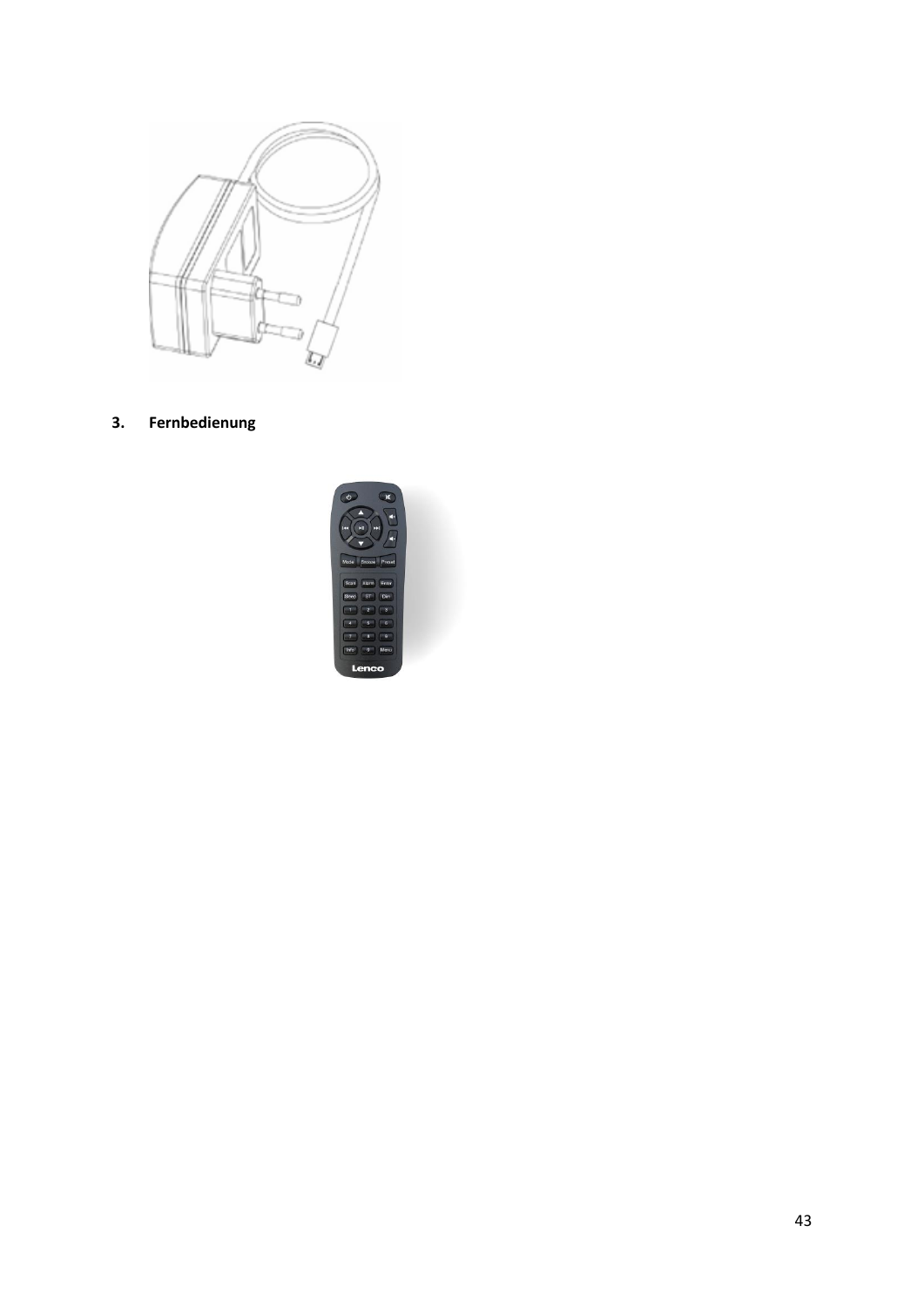

**3. Fernbedienung**

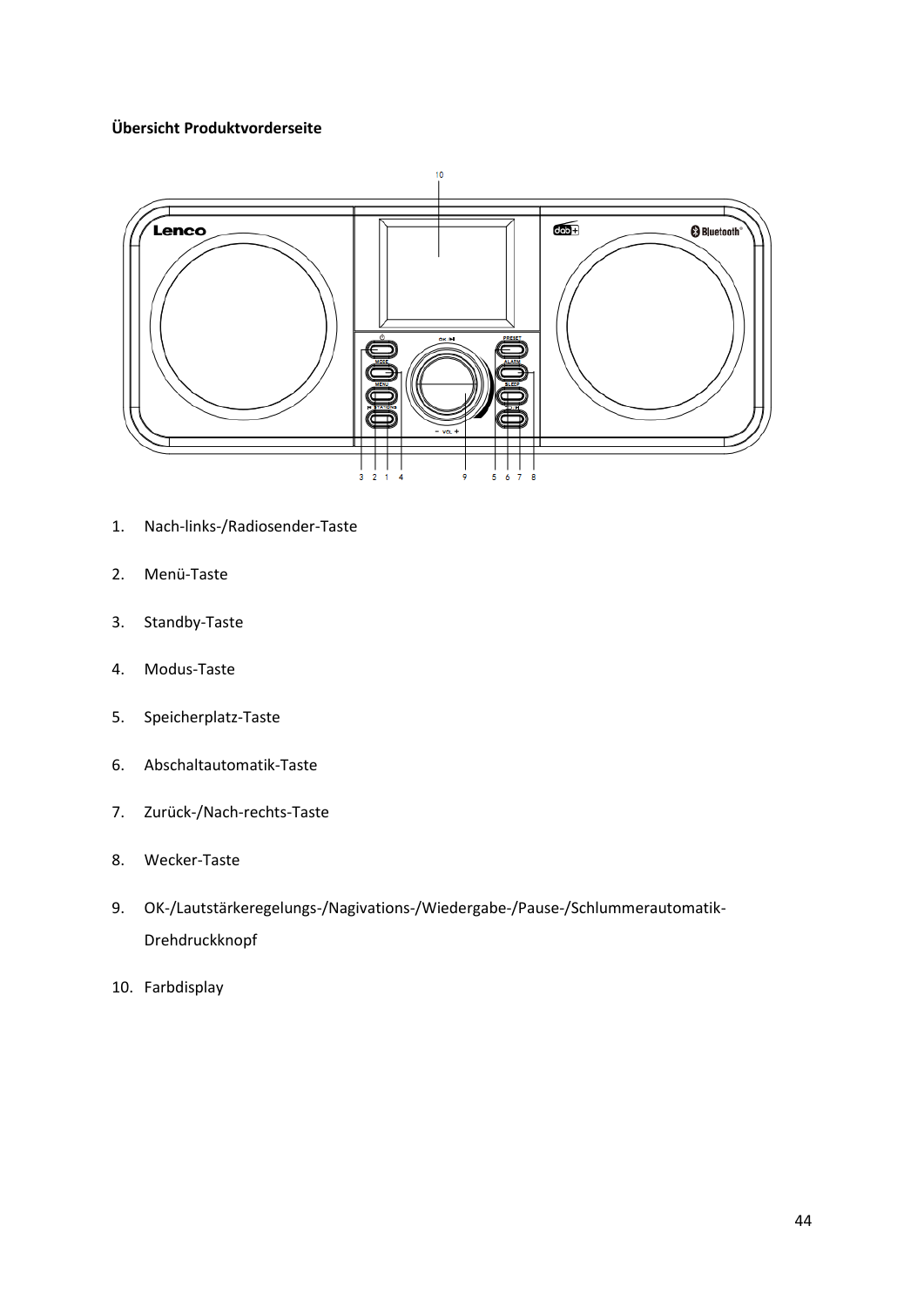## **Übersicht Produktvorderseite**



- 1. Nach-links-/Radiosender-Taste
- 2. Menü-Taste
- 3. Standby-Taste
- 4. Modus-Taste
- 5. Speicherplatz-Taste
- 6. Abschaltautomatik-Taste
- 7. Zurück-/Nach-rechts-Taste
- 8. Wecker-Taste
- 9. OK-/Lautstärkeregelungs-/Nagivations-/Wiedergabe-/Pause-/Schlummerautomatik-Drehdruckknopf
- 10. Farbdisplay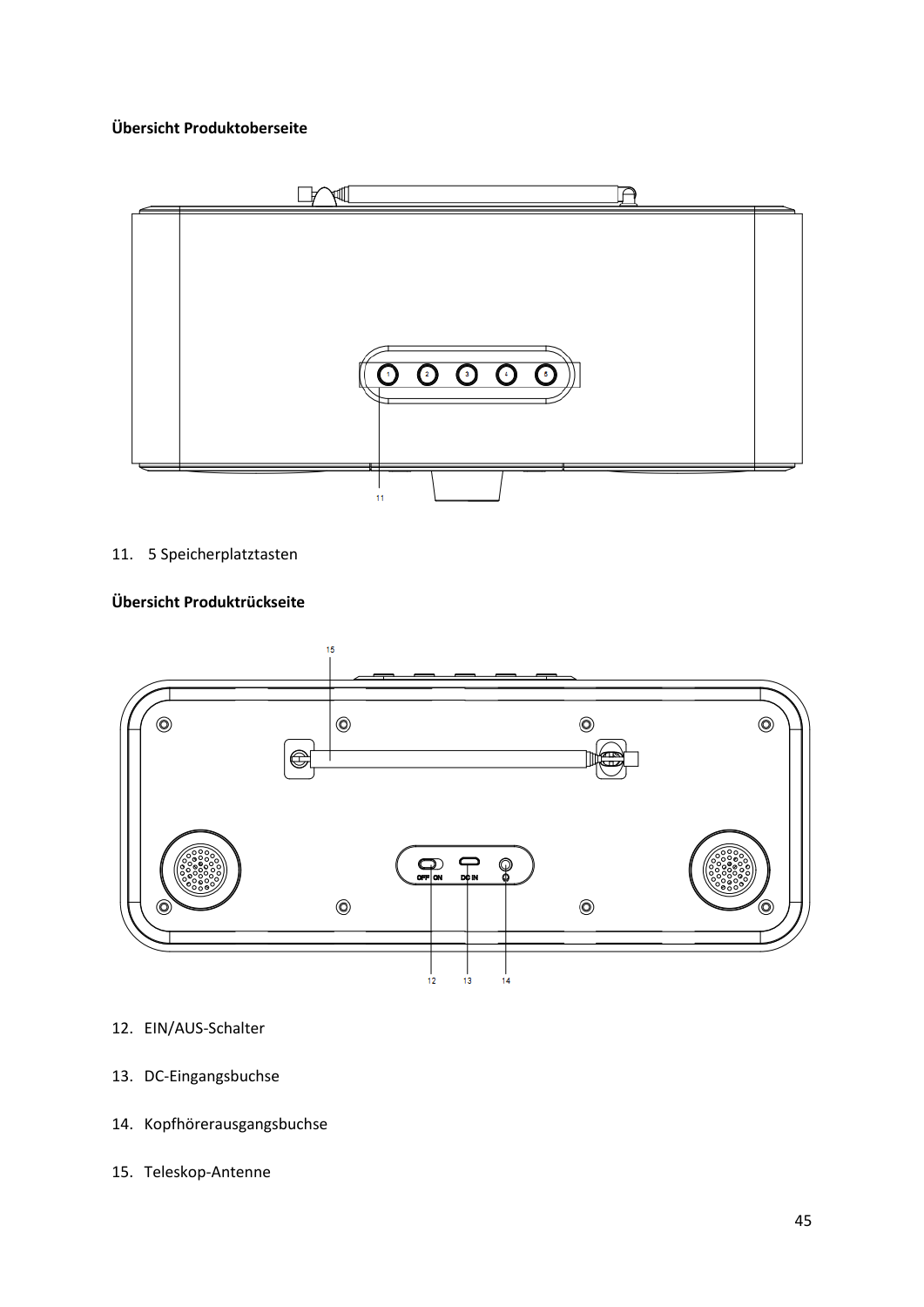## **Übersicht Produktoberseite**



## 11. 5 Speicherplatztasten

# **Übersicht Produktrückseite**



## 12. EIN/AUS-Schalter

- 13. DC-Eingangsbuchse
- 14. Kopfhörerausgangsbuchse
- 15. Teleskop-Antenne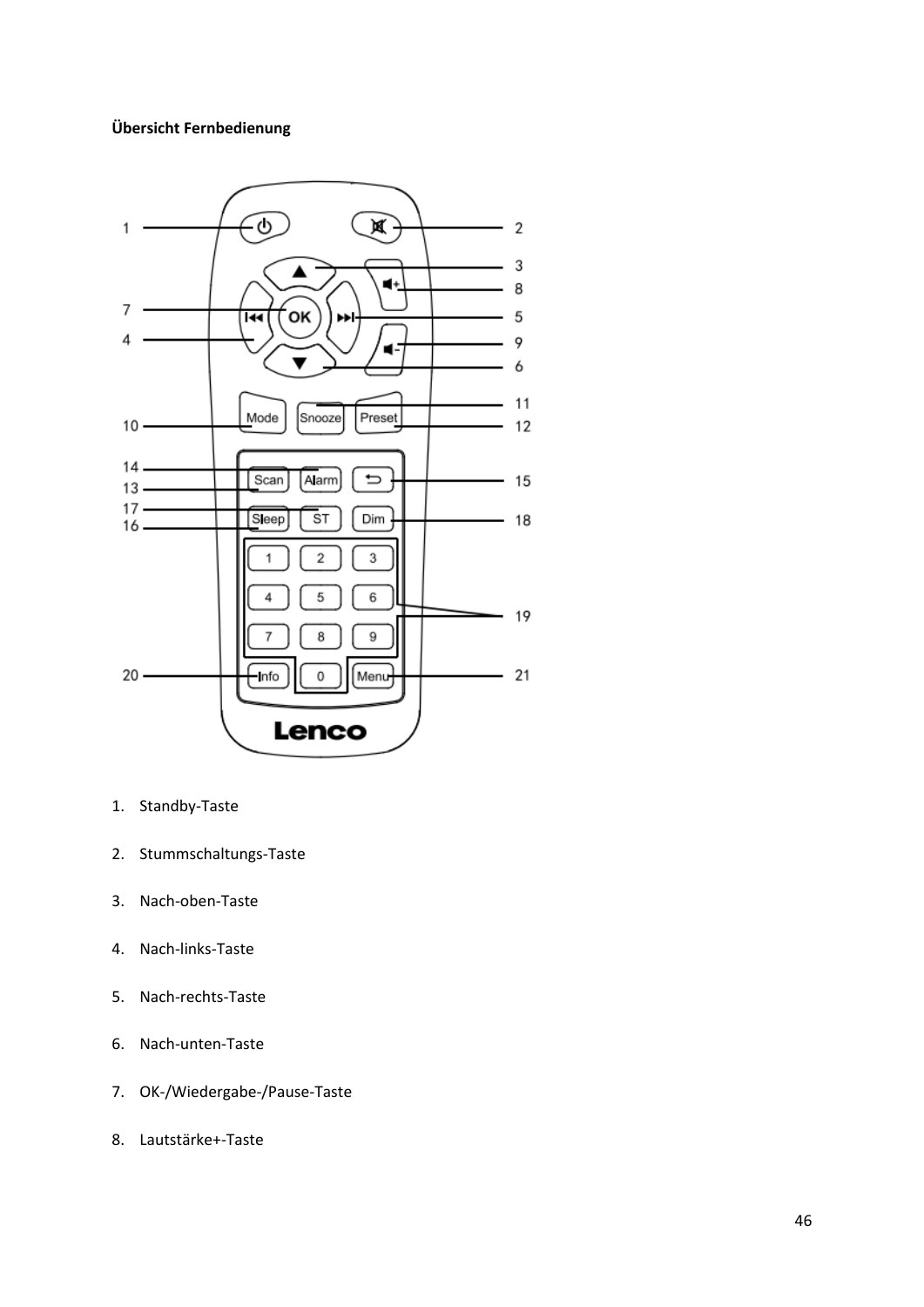## **Übersicht Fernbedienung**



- 1. Standby-Taste
- 2. Stummschaltungs-Taste
- 3. Nach-oben-Taste
- 4. Nach-links-Taste
- 5. Nach-rechts-Taste
- 6. Nach-unten-Taste
- 7. OK-/Wiedergabe-/Pause-Taste
- 8. Lautstärke+-Taste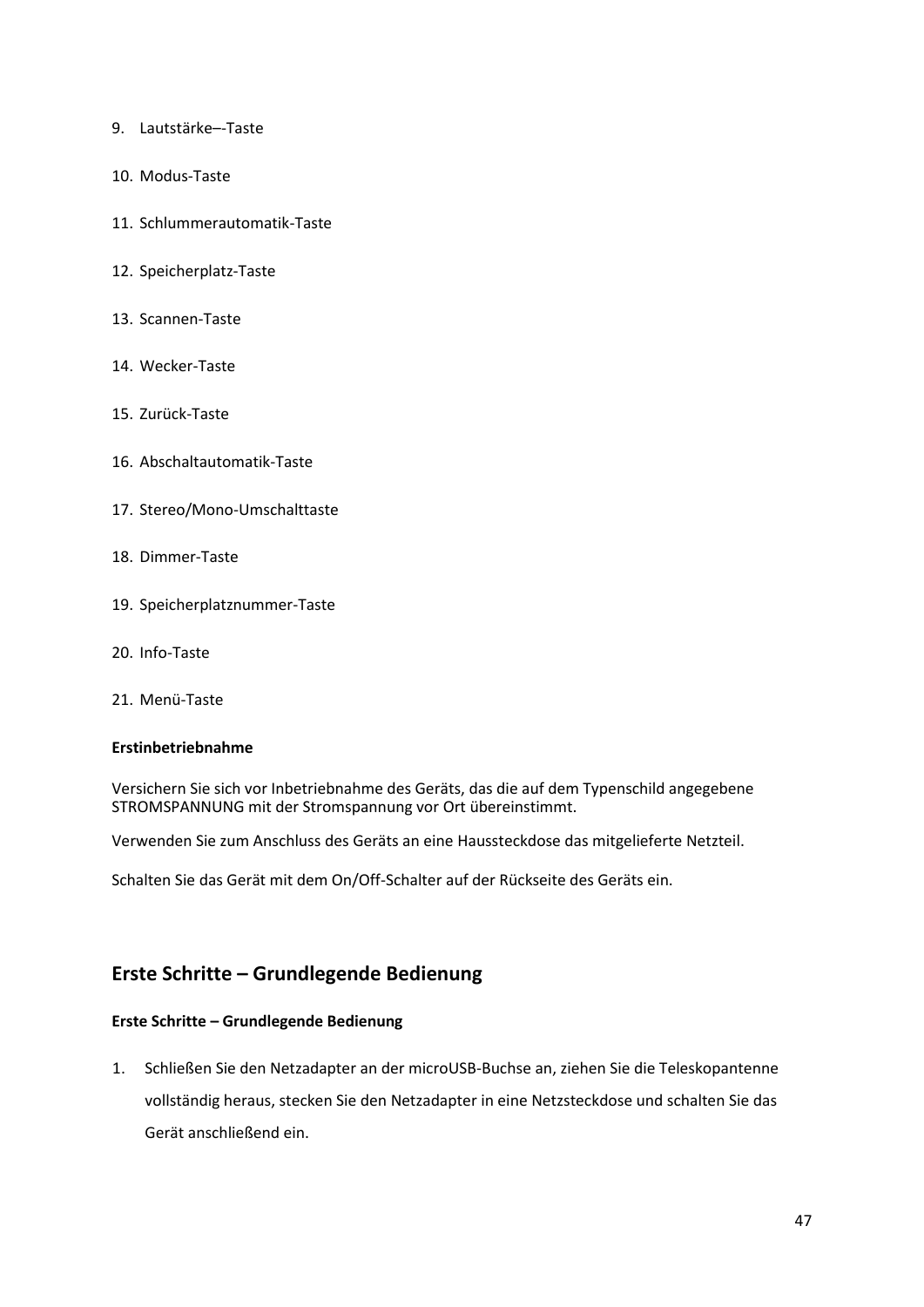- 9. Lautstärke–-Taste
- 10. Modus-Taste
- 11. Schlummerautomatik-Taste
- 12. Speicherplatz-Taste
- 13. Scannen-Taste
- 14. Wecker-Taste
- 15. Zurück-Taste
- 16. Abschaltautomatik-Taste
- 17. Stereo/Mono-Umschalttaste
- 18. Dimmer-Taste
- 19. Speicherplatznummer-Taste
- 20. Info-Taste
- 21. Menü-Taste

### **Erstinbetriebnahme**

Versichern Sie sich vor Inbetriebnahme des Geräts, das die auf dem Typenschild angegebene STROMSPANNUNG mit der Stromspannung vor Ort übereinstimmt.

Verwenden Sie zum Anschluss des Geräts an eine Haussteckdose das mitgelieferte Netzteil.

Schalten Sie das Gerät mit dem On/Off-Schalter auf der Rückseite des Geräts ein.

# **Erste Schritte – Grundlegende Bedienung**

## **Erste Schritte – Grundlegende Bedienung**

1. Schließen Sie den Netzadapter an der microUSB-Buchse an, ziehen Sie die Teleskopantenne vollständig heraus, stecken Sie den Netzadapter in eine Netzsteckdose und schalten Sie das Gerät anschließend ein.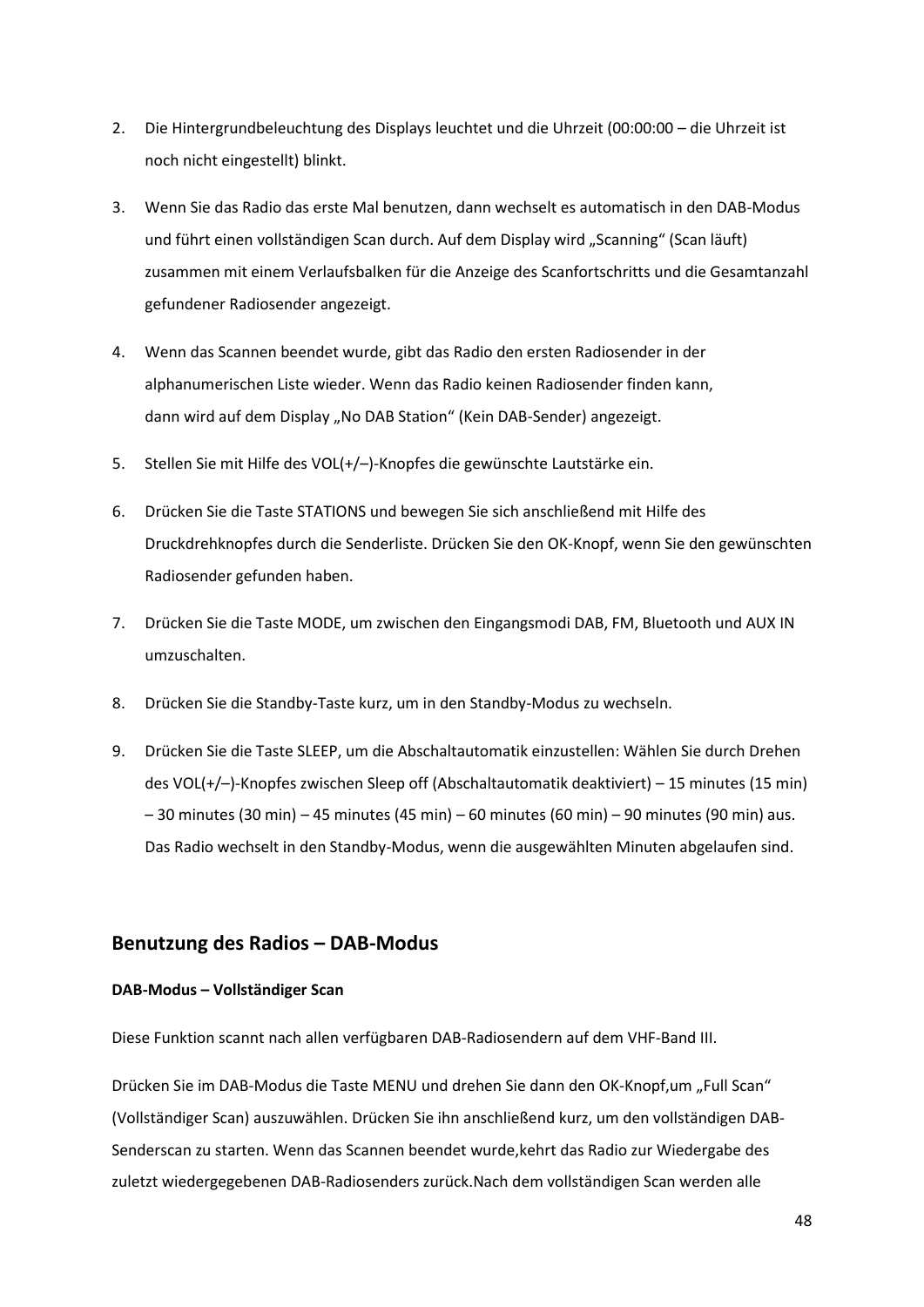- 2. Die Hintergrundbeleuchtung des Displays leuchtet und die Uhrzeit (00:00:00 die Uhrzeit ist noch nicht eingestellt) blinkt.
- 3. Wenn Sie das Radio das erste Mal benutzen, dann wechselt es automatisch in den DAB-Modus und führt einen vollständigen Scan durch. Auf dem Display wird "Scanning" (Scan läuft) zusammen mit einem Verlaufsbalken für die Anzeige des Scanfortschritts und die Gesamtanzahl gefundener Radiosender angezeigt.
- 4. Wenn das Scannen beendet wurde, gibt das Radio den ersten Radiosender in der alphanumerischen Liste wieder. Wenn das Radio keinen Radiosender finden kann, dann wird auf dem Display "No DAB Station" (Kein DAB-Sender) angezeigt.
- 5. Stellen Sie mit Hilfe des VOL(+/–)-Knopfes die gewünschte Lautstärke ein.
- 6. Drücken Sie die Taste STATIONS und bewegen Sie sich anschließend mit Hilfe des Druckdrehknopfes durch die Senderliste. Drücken Sie den OK-Knopf, wenn Sie den gewünschten Radiosender gefunden haben.
- 7. Drücken Sie die Taste MODE, um zwischen den Eingangsmodi DAB, FM, Bluetooth und AUX IN umzuschalten.
- 8. Drücken Sie die Standby-Taste kurz, um in den Standby-Modus zu wechseln.
- 9. Drücken Sie die Taste SLEEP, um die Abschaltautomatik einzustellen: Wählen Sie durch Drehen des VOL(+/–)-Knopfes zwischen Sleep off (Abschaltautomatik deaktiviert) – 15 minutes (15 min) – 30 minutes (30 min) – 45 minutes (45 min) – 60 minutes (60 min) – 90 minutes (90 min) aus. Das Radio wechselt in den Standby-Modus, wenn die ausgewählten Minuten abgelaufen sind.

# **Benutzung des Radios – DAB-Modus**

### **DAB-Modus – Vollständiger Scan**

Diese Funktion scannt nach allen verfügbaren DAB-Radiosendern auf dem VHF-Band III.

Drücken Sie im DAB-Modus die Taste MENU und drehen Sie dann den OK-Knopf,um "Full Scan" (Vollständiger Scan) auszuwählen. Drücken Sie ihn anschließend kurz, um den vollständigen DAB-Senderscan zu starten. Wenn das Scannen beendet wurde,kehrt das Radio zur Wiedergabe des zuletzt wiedergegebenen DAB-Radiosenders zurück.Nach dem vollständigen Scan werden alle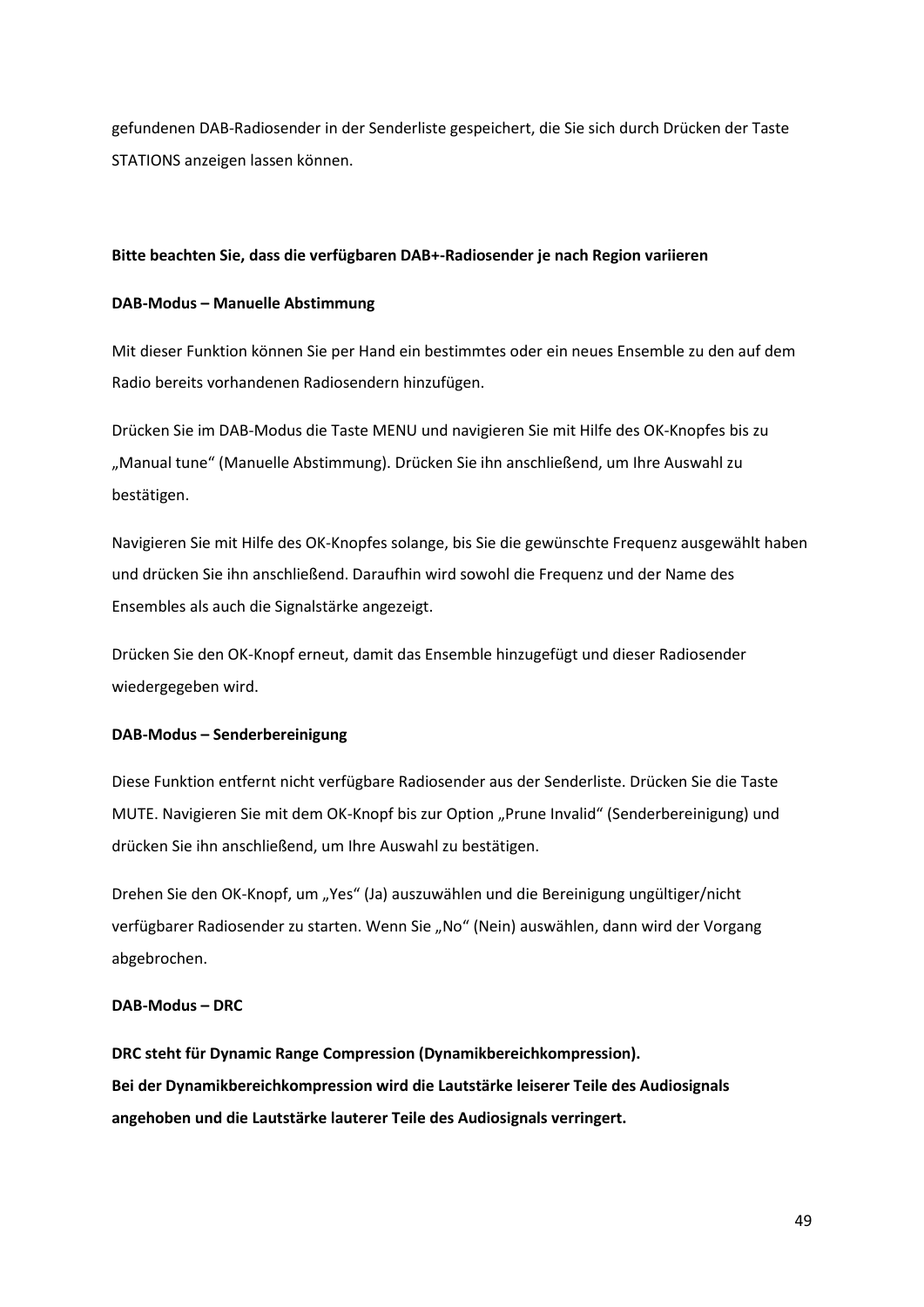gefundenen DAB-Radiosender in der Senderliste gespeichert, die Sie sich durch Drücken der Taste STATIONS anzeigen lassen können.

### **Bitte beachten Sie, dass die verfügbaren DAB+-Radiosender je nach Region variieren**

## **DAB-Modus – Manuelle Abstimmung**

Mit dieser Funktion können Sie per Hand ein bestimmtes oder ein neues Ensemble zu den auf dem Radio bereits vorhandenen Radiosendern hinzufügen.

Drücken Sie im DAB-Modus die Taste MENU und navigieren Sie mit Hilfe des OK-Knopfes bis zu "Manual tune" (Manuelle Abstimmung). Drücken Sie ihn anschließend, um Ihre Auswahl zu bestätigen.

Navigieren Sie mit Hilfe des OK-Knopfes solange, bis Sie die gewünschte Frequenz ausgewählt haben und drücken Sie ihn anschließend. Daraufhin wird sowohl die Frequenz und der Name des Ensembles als auch die Signalstärke angezeigt.

Drücken Sie den OK-Knopf erneut, damit das Ensemble hinzugefügt und dieser Radiosender wiedergegeben wird.

## **DAB-Modus – Senderbereinigung**

Diese Funktion entfernt nicht verfügbare Radiosender aus der Senderliste. Drücken Sie die Taste MUTE. Navigieren Sie mit dem OK-Knopf bis zur Option "Prune Invalid" (Senderbereinigung) und drücken Sie ihn anschließend, um Ihre Auswahl zu bestätigen.

Drehen Sie den OK-Knopf, um "Yes" (Ja) auszuwählen und die Bereinigung ungültiger/nicht verfügbarer Radiosender zu starten. Wenn Sie "No" (Nein) auswählen, dann wird der Vorgang abgebrochen.

## **DAB-Modus – DRC**

**DRC steht für Dynamic Range Compression (Dynamikbereichkompression). Bei der Dynamikbereichkompression wird die Lautstärke leiserer Teile des Audiosignals angehoben und die Lautstärke lauterer Teile des Audiosignals verringert.**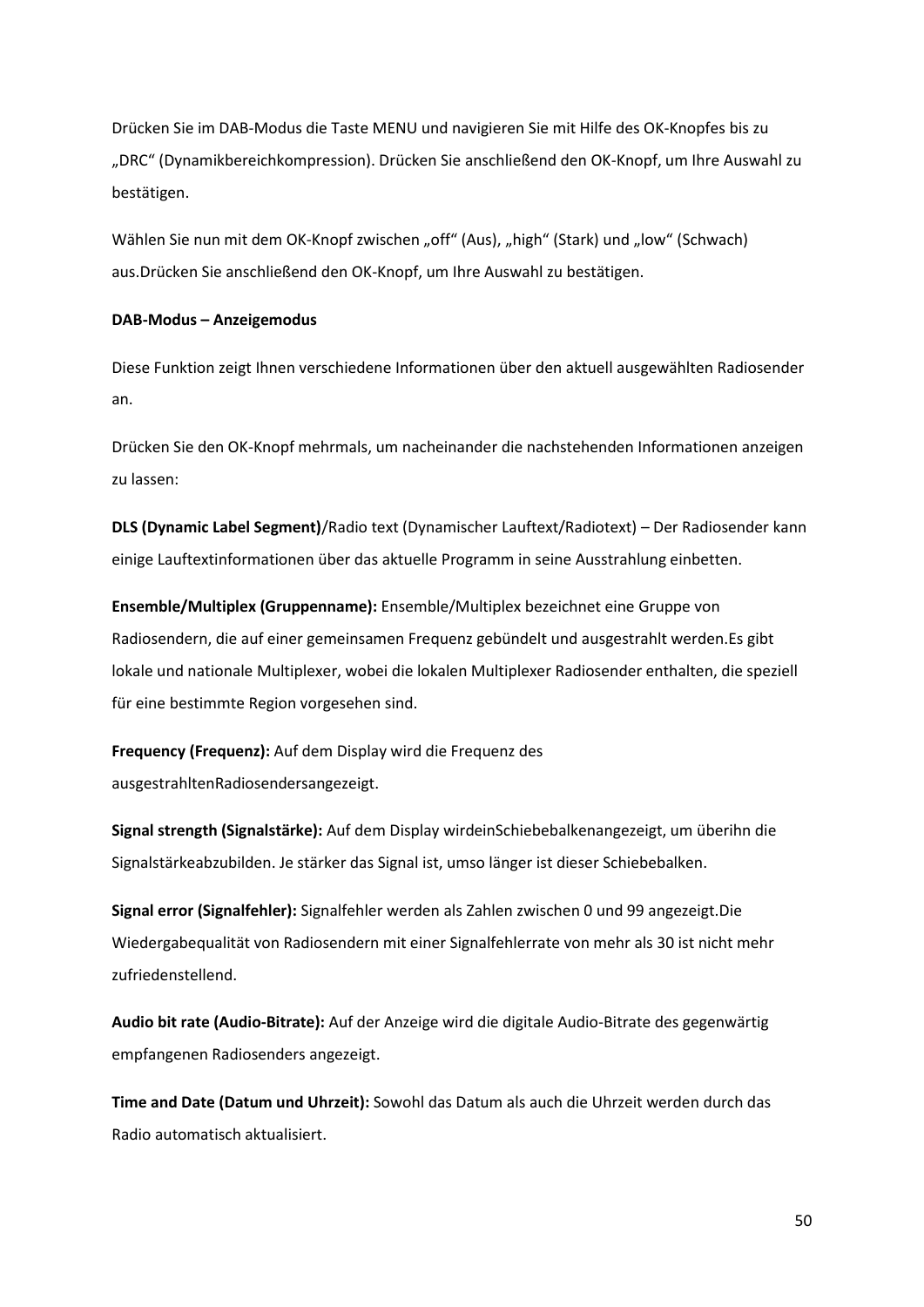Drücken Sie im DAB-Modus die Taste MENU und navigieren Sie mit Hilfe des OK-Knopfes bis zu "DRC" (Dynamikbereichkompression). Drücken Sie anschließend den OK-Knopf, um Ihre Auswahl zu bestätigen.

Wählen Sie nun mit dem OK-Knopf zwischen "off" (Aus), "high" (Stark) und "low" (Schwach) aus.Drücken Sie anschließend den OK-Knopf, um Ihre Auswahl zu bestätigen.

#### **DAB-Modus – Anzeigemodus**

Diese Funktion zeigt Ihnen verschiedene Informationen über den aktuell ausgewählten Radiosender an.

Drücken Sie den OK-Knopf mehrmals, um nacheinander die nachstehenden Informationen anzeigen zu lassen:

**DLS (Dynamic Label Segment)**/Radio text (Dynamischer Lauftext/Radiotext) – Der Radiosender kann einige Lauftextinformationen über das aktuelle Programm in seine Ausstrahlung einbetten.

**Ensemble/Multiplex (Gruppenname):** Ensemble/Multiplex bezeichnet eine Gruppe von Radiosendern, die auf einer gemeinsamen Frequenz gebündelt und ausgestrahlt werden.Es gibt lokale und nationale Multiplexer, wobei die lokalen Multiplexer Radiosender enthalten, die speziell für eine bestimmte Region vorgesehen sind.

**Frequency (Frequenz):** Auf dem Display wird die Frequenz des ausgestrahltenRadiosendersangezeigt.

**Signal strength (Signalstärke):** Auf dem Display wirdeinSchiebebalkenangezeigt, um überihn die Signalstärkeabzubilden. Je stärker das Signal ist, umso länger ist dieser Schiebebalken.

**Signal error (Signalfehler):** Signalfehler werden als Zahlen zwischen 0 und 99 angezeigt.Die Wiedergabequalität von Radiosendern mit einer Signalfehlerrate von mehr als 30 ist nicht mehr zufriedenstellend.

**Audio bit rate (Audio-Bitrate):** Auf der Anzeige wird die digitale Audio-Bitrate des gegenwärtig empfangenen Radiosenders angezeigt.

**Time and Date (Datum und Uhrzeit):** Sowohl das Datum als auch die Uhrzeit werden durch das Radio automatisch aktualisiert.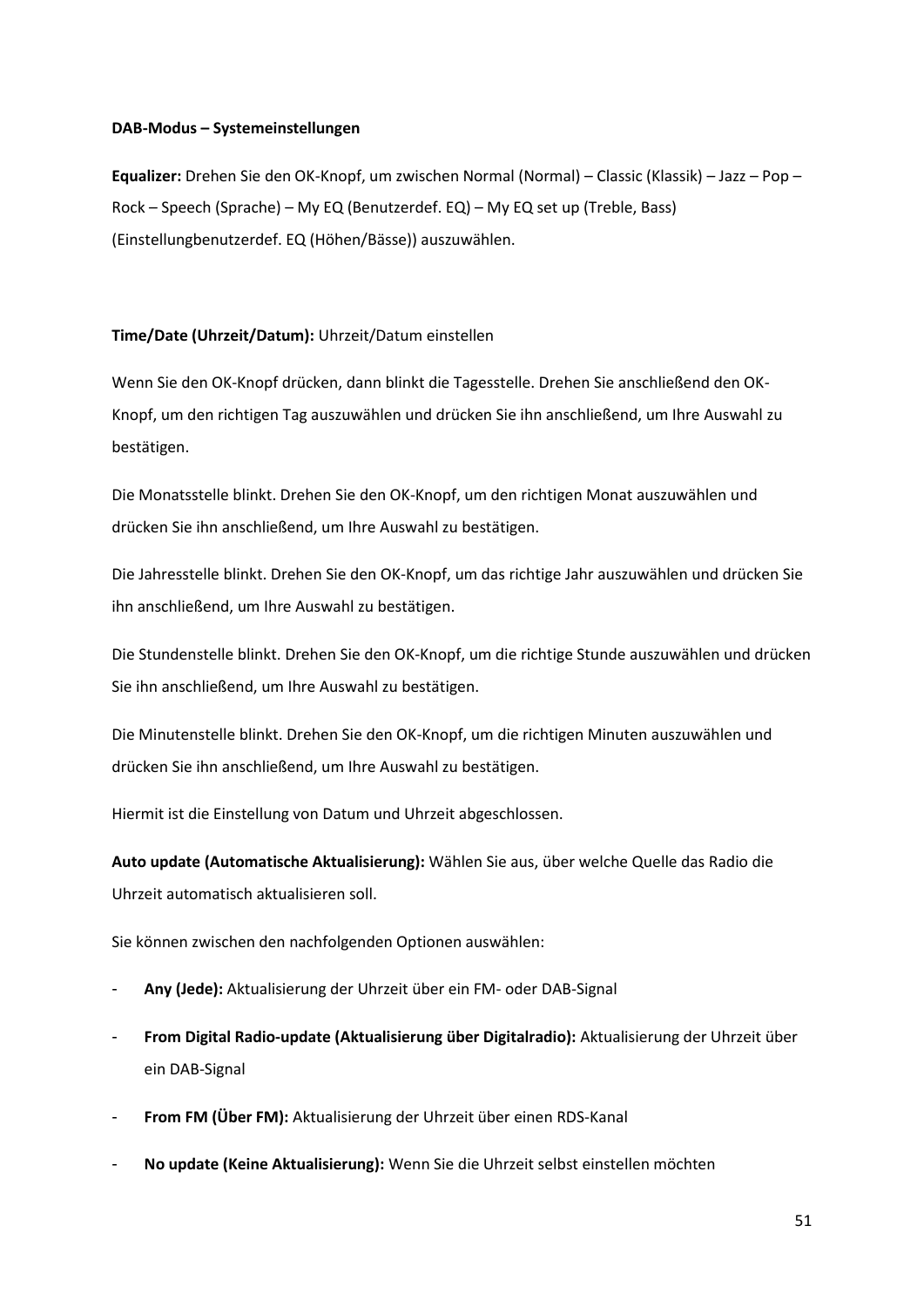### **DAB-Modus – Systemeinstellungen**

**Equalizer:** Drehen Sie den OK-Knopf, um zwischen Normal (Normal) – Classic (Klassik) – Jazz – Pop – Rock – Speech (Sprache) – My EQ (Benutzerdef. EQ) – My EQ set up (Treble, Bass) (Einstellungbenutzerdef. EQ (Höhen/Bässe)) auszuwählen.

### **Time/Date (Uhrzeit/Datum):** Uhrzeit/Datum einstellen

Wenn Sie den OK-Knopf drücken, dann blinkt die Tagesstelle. Drehen Sie anschließend den OK-Knopf, um den richtigen Tag auszuwählen und drücken Sie ihn anschließend, um Ihre Auswahl zu bestätigen.

Die Monatsstelle blinkt. Drehen Sie den OK-Knopf, um den richtigen Monat auszuwählen und drücken Sie ihn anschließend, um Ihre Auswahl zu bestätigen.

Die Jahresstelle blinkt. Drehen Sie den OK-Knopf, um das richtige Jahr auszuwählen und drücken Sie ihn anschließend, um Ihre Auswahl zu bestätigen.

Die Stundenstelle blinkt. Drehen Sie den OK-Knopf, um die richtige Stunde auszuwählen und drücken Sie ihn anschließend, um Ihre Auswahl zu bestätigen.

Die Minutenstelle blinkt. Drehen Sie den OK-Knopf, um die richtigen Minuten auszuwählen und drücken Sie ihn anschließend, um Ihre Auswahl zu bestätigen.

Hiermit ist die Einstellung von Datum und Uhrzeit abgeschlossen.

**Auto update (Automatische Aktualisierung):** Wählen Sie aus, über welche Quelle das Radio die Uhrzeit automatisch aktualisieren soll.

Sie können zwischen den nachfolgenden Optionen auswählen:

- **Any (Jede):** Aktualisierung der Uhrzeit über ein FM- oder DAB-Signal
- **From Digital Radio-update (Aktualisierung über Digitalradio):** Aktualisierung der Uhrzeit über ein DAB-Signal
- **From FM (Über FM):** Aktualisierung der Uhrzeit über einen RDS-Kanal
- **No update (Keine Aktualisierung):** Wenn Sie die Uhrzeit selbst einstellen möchten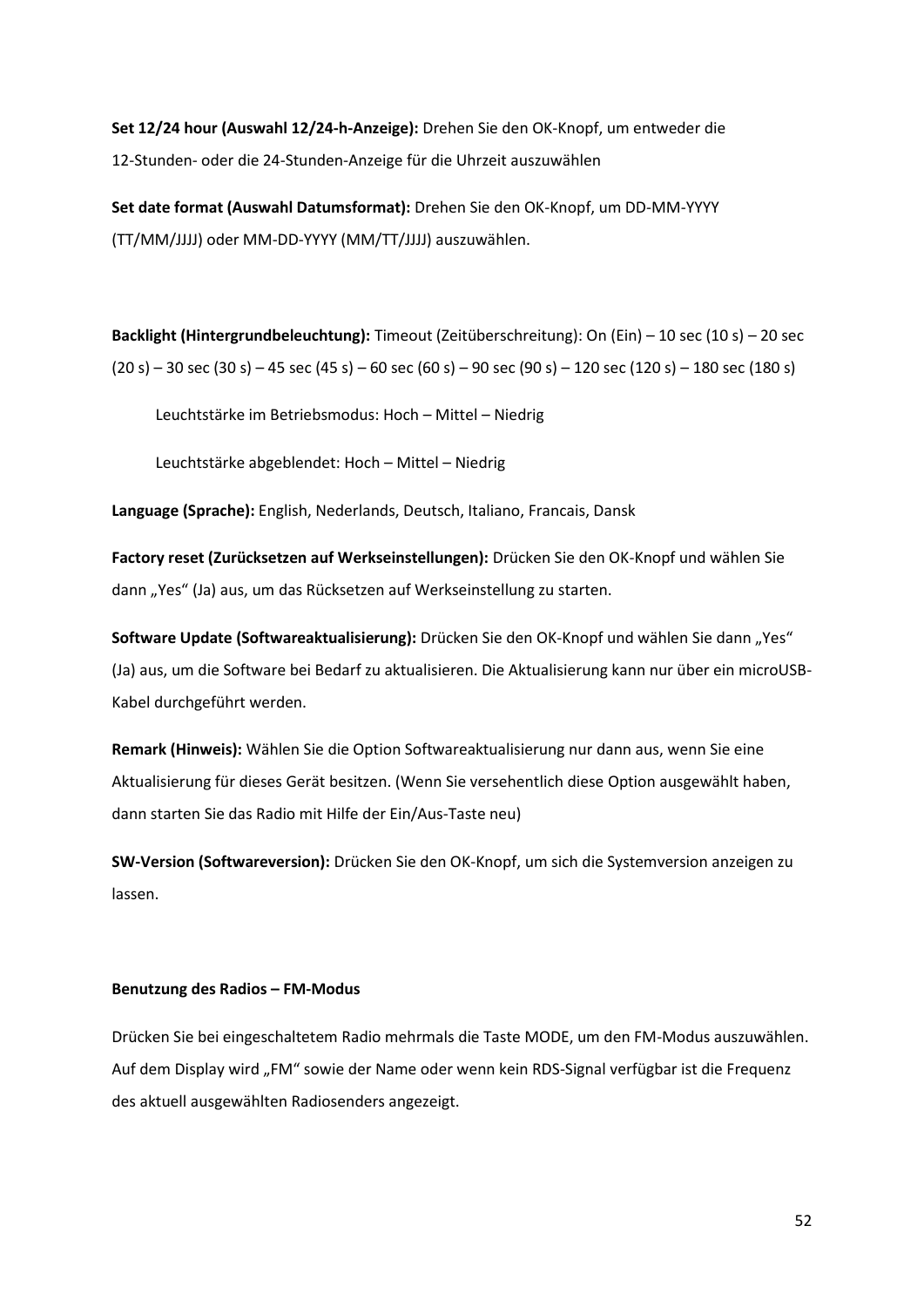**Set 12/24 hour (Auswahl 12/24-h-Anzeige):** Drehen Sie den OK-Knopf, um entweder die 12-Stunden- oder die 24-Stunden-Anzeige für die Uhrzeit auszuwählen

**Set date format (Auswahl Datumsformat):** Drehen Sie den OK-Knopf, um DD-MM-YYYY (TT/MM/JJJJ) oder MM-DD-YYYY (MM/TT/JJJJ) auszuwählen.

**Backlight (Hintergrundbeleuchtung):** Timeout (Zeitüberschreitung): On (Ein) – 10 sec (10 s) – 20 sec  $(20 s) - 30 sec (30 s) - 45 sec (45 s) - 60 sec (60 s) - 90 sec (90 s) - 120 sec (120 s) - 180 sec (180 s)$ 

Leuchtstärke im Betriebsmodus: Hoch – Mittel – Niedrig

Leuchtstärke abgeblendet: Hoch – Mittel – Niedrig

**Language (Sprache):** English, Nederlands, Deutsch, Italiano, Francais, Dansk

**Factory reset (Zurücksetzen auf Werkseinstellungen):** Drücken Sie den OK-Knopf und wählen Sie dann "Yes" (Ja) aus, um das Rücksetzen auf Werkseinstellung zu starten.

Software Update (Softwareaktualisierung): Drücken Sie den OK-Knopf und wählen Sie dann "Yes" (Ja) aus, um die Software bei Bedarf zu aktualisieren. Die Aktualisierung kann nur über ein microUSB-Kabel durchgeführt werden.

**Remark (Hinweis):** Wählen Sie die Option Softwareaktualisierung nur dann aus, wenn Sie eine Aktualisierung für dieses Gerät besitzen. (Wenn Sie versehentlich diese Option ausgewählt haben, dann starten Sie das Radio mit Hilfe der Ein/Aus-Taste neu)

**SW-Version (Softwareversion):** Drücken Sie den OK-Knopf, um sich die Systemversion anzeigen zu lassen.

#### **Benutzung des Radios – FM-Modus**

Drücken Sie bei eingeschaltetem Radio mehrmals die Taste MODE, um den FM-Modus auszuwählen. Auf dem Display wird "FM" sowie der Name oder wenn kein RDS-Signal verfügbar ist die Frequenz des aktuell ausgewählten Radiosenders angezeigt.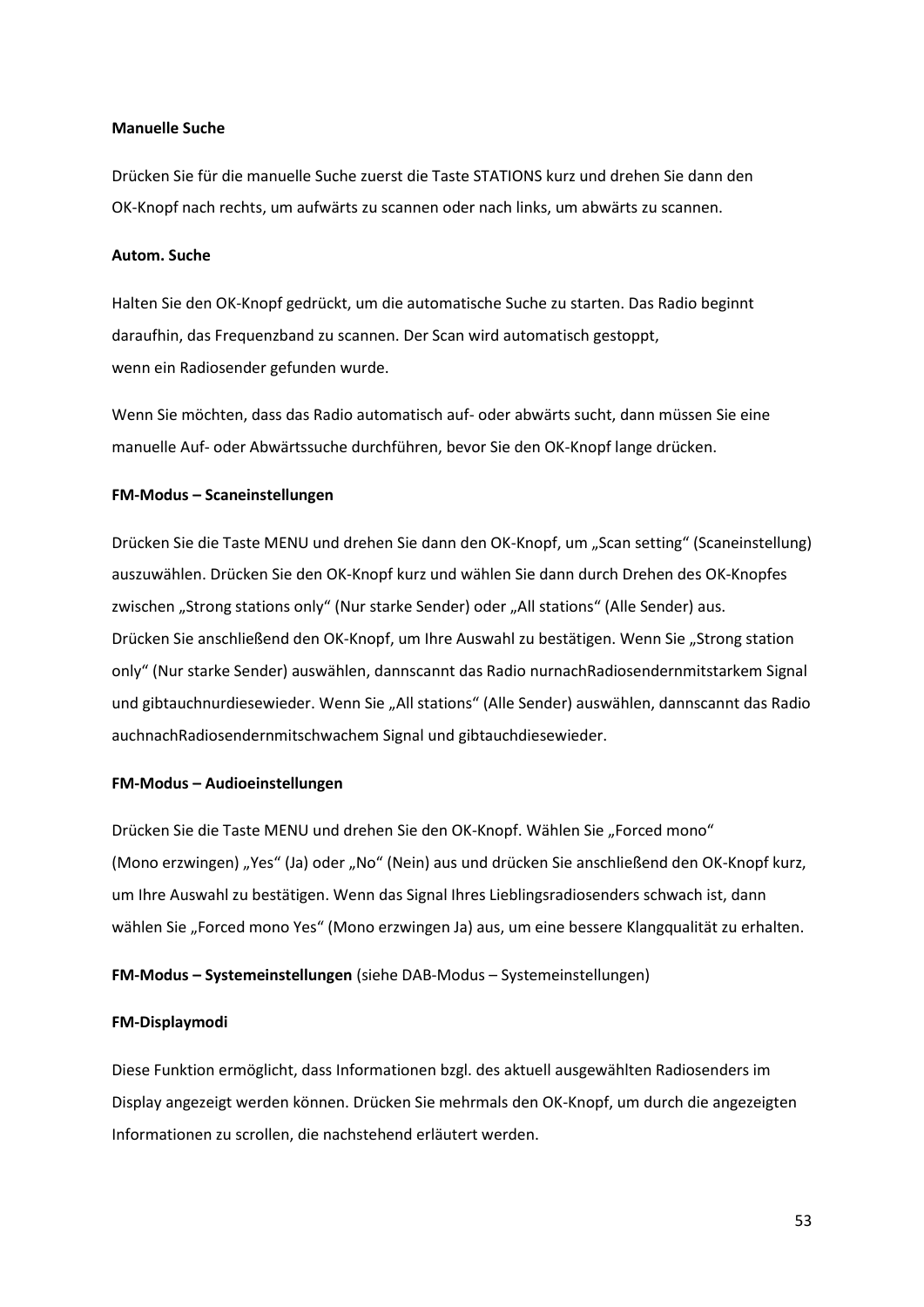#### **Manuelle Suche**

Drücken Sie für die manuelle Suche zuerst die Taste STATIONS kurz und drehen Sie dann den OK-Knopf nach rechts, um aufwärts zu scannen oder nach links, um abwärts zu scannen.

#### **Autom. Suche**

Halten Sie den OK-Knopf gedrückt, um die automatische Suche zu starten. Das Radio beginnt daraufhin, das Frequenzband zu scannen. Der Scan wird automatisch gestoppt, wenn ein Radiosender gefunden wurde.

Wenn Sie möchten, dass das Radio automatisch auf- oder abwärts sucht, dann müssen Sie eine manuelle Auf- oder Abwärtssuche durchführen, bevor Sie den OK-Knopf lange drücken.

#### **FM-Modus – Scaneinstellungen**

Drücken Sie die Taste MENU und drehen Sie dann den OK-Knopf, um "Scan setting" (Scaneinstellung) auszuwählen. Drücken Sie den OK-Knopf kurz und wählen Sie dann durch Drehen des OK-Knopfes zwischen "Strong stations only" (Nur starke Sender) oder "All stations" (Alle Sender) aus. Drücken Sie anschließend den OK-Knopf, um Ihre Auswahl zu bestätigen. Wenn Sie "Strong station only" (Nur starke Sender) auswählen, dannscannt das Radio nurnachRadiosendernmitstarkem Signal und gibtauchnurdiesewieder. Wenn Sie "All stations" (Alle Sender) auswählen, dannscannt das Radio auchnachRadiosendernmitschwachem Signal und gibtauchdiesewieder.

#### **FM-Modus – Audioeinstellungen**

Drücken Sie die Taste MENU und drehen Sie den OK-Knopf. Wählen Sie "Forced mono" (Mono erzwingen) "Yes" (Ja) oder "No" (Nein) aus und drücken Sie anschließend den OK-Knopf kurz, um Ihre Auswahl zu bestätigen. Wenn das Signal Ihres Lieblingsradiosenders schwach ist, dann wählen Sie "Forced mono Yes" (Mono erzwingen Ja) aus, um eine bessere Klangqualität zu erhalten.

**FM-Modus – Systemeinstellungen** (siehe DAB-Modus – Systemeinstellungen)

#### **FM-Displaymodi**

Diese Funktion ermöglicht, dass Informationen bzgl. des aktuell ausgewählten Radiosenders im Display angezeigt werden können. Drücken Sie mehrmals den OK-Knopf, um durch die angezeigten Informationen zu scrollen, die nachstehend erläutert werden.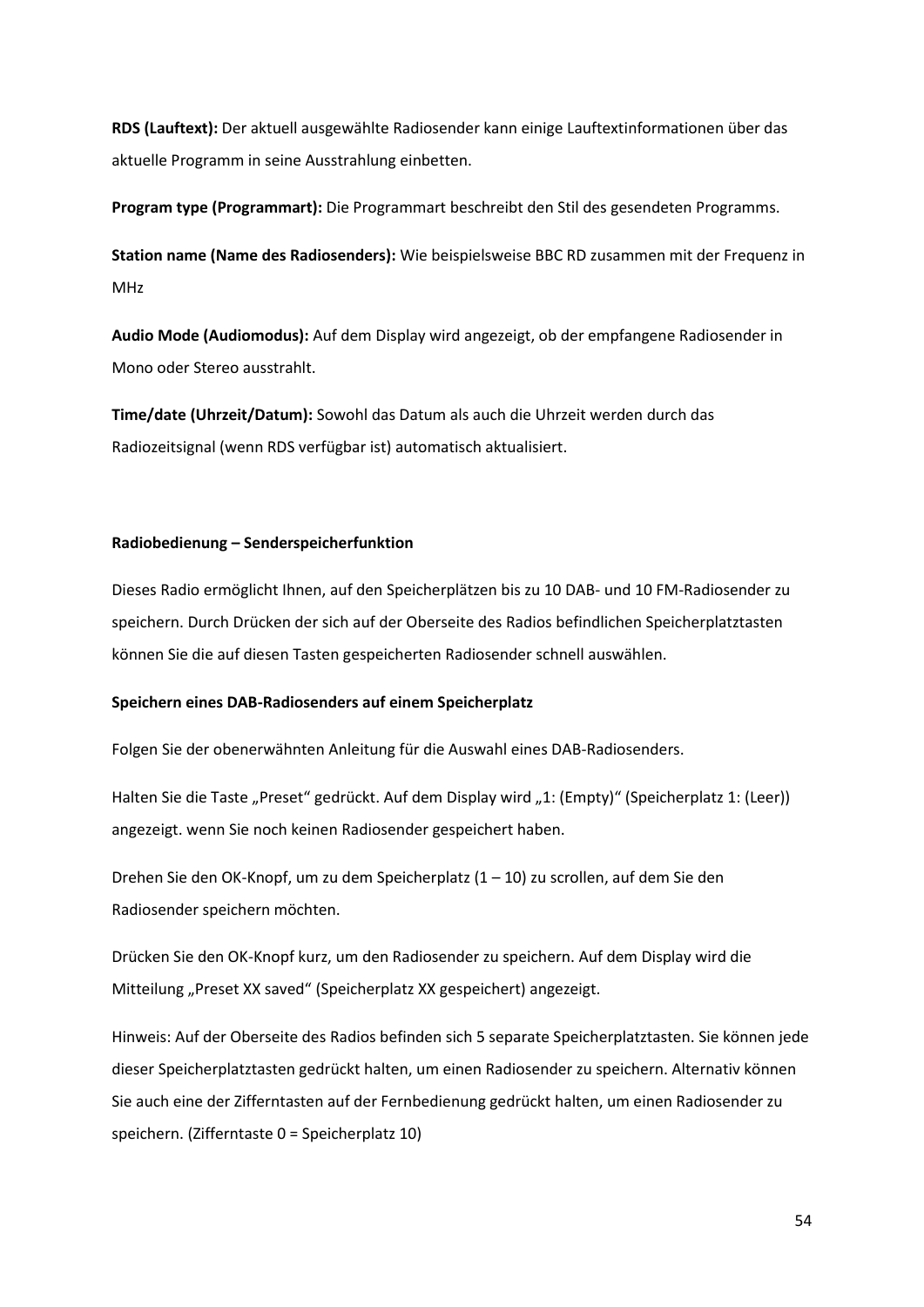**RDS (Lauftext):** Der aktuell ausgewählte Radiosender kann einige Lauftextinformationen über das aktuelle Programm in seine Ausstrahlung einbetten.

**Program type (Programmart):** Die Programmart beschreibt den Stil des gesendeten Programms.

**Station name (Name des Radiosenders):** Wie beispielsweise BBC RD zusammen mit der Frequenz in MHz

**Audio Mode (Audiomodus):** Auf dem Display wird angezeigt, ob der empfangene Radiosender in Mono oder Stereo ausstrahlt.

**Time/date (Uhrzeit/Datum):** Sowohl das Datum als auch die Uhrzeit werden durch das Radiozeitsignal (wenn RDS verfügbar ist) automatisch aktualisiert.

### **Radiobedienung – Senderspeicherfunktion**

Dieses Radio ermöglicht Ihnen, auf den Speicherplätzen bis zu 10 DAB- und 10 FM-Radiosender zu speichern. Durch Drücken der sich auf der Oberseite des Radios befindlichen Speicherplatztasten können Sie die auf diesen Tasten gespeicherten Radiosender schnell auswählen.

### **Speichern eines DAB-Radiosenders auf einem Speicherplatz**

Folgen Sie der obenerwähnten Anleitung für die Auswahl eines DAB-Radiosenders.

Halten Sie die Taste "Preset" gedrückt. Auf dem Display wird "1: (Empty)" (Speicherplatz 1: (Leer)) angezeigt. wenn Sie noch keinen Radiosender gespeichert haben.

Drehen Sie den OK-Knopf, um zu dem Speicherplatz (1 – 10) zu scrollen, auf dem Sie den Radiosender speichern möchten.

Drücken Sie den OK-Knopf kurz, um den Radiosender zu speichern. Auf dem Display wird die Mitteilung "Preset XX saved" (Speicherplatz XX gespeichert) angezeigt.

Hinweis: Auf der Oberseite des Radios befinden sich 5 separate Speicherplatztasten. Sie können jede dieser Speicherplatztasten gedrückt halten, um einen Radiosender zu speichern. Alternativ können Sie auch eine der Zifferntasten auf der Fernbedienung gedrückt halten, um einen Radiosender zu speichern. (Zifferntaste 0 = Speicherplatz 10)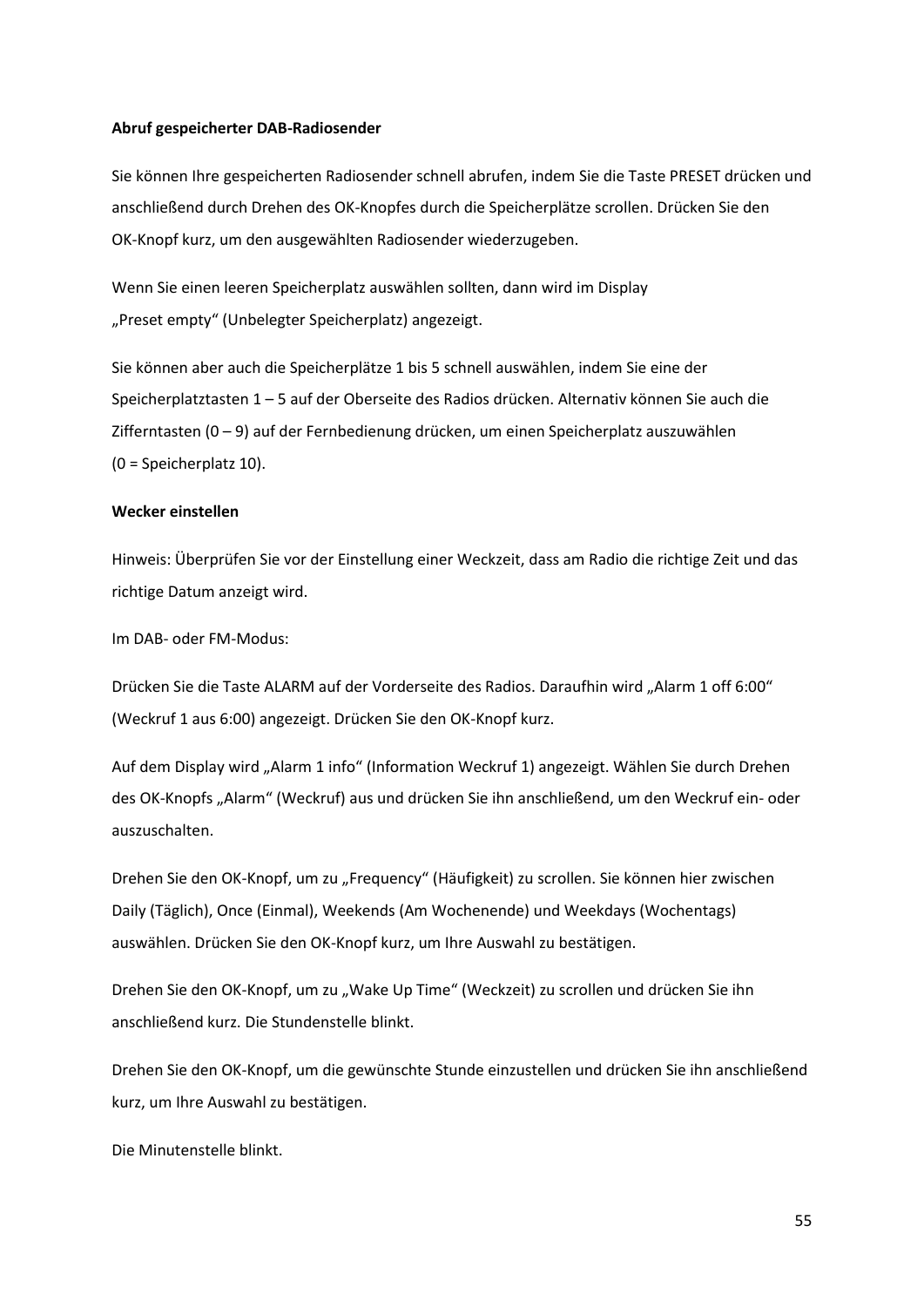#### **Abruf gespeicherter DAB-Radiosender**

Sie können Ihre gespeicherten Radiosender schnell abrufen, indem Sie die Taste PRESET drücken und anschließend durch Drehen des OK-Knopfes durch die Speicherplätze scrollen. Drücken Sie den OK-Knopf kurz, um den ausgewählten Radiosender wiederzugeben.

Wenn Sie einen leeren Speicherplatz auswählen sollten, dann wird im Display "Preset empty" (Unbelegter Speicherplatz) angezeigt.

Sie können aber auch die Speicherplätze 1 bis 5 schnell auswählen, indem Sie eine der Speicherplatztasten 1 – 5 auf der Oberseite des Radios drücken. Alternativ können Sie auch die Zifferntasten (0 – 9) auf der Fernbedienung drücken, um einen Speicherplatz auszuwählen (0 = Speicherplatz 10).

#### **Wecker einstellen**

Hinweis: Überprüfen Sie vor der Einstellung einer Weckzeit, dass am Radio die richtige Zeit und das richtige Datum anzeigt wird.

Im DAB- oder FM-Modus:

Drücken Sie die Taste ALARM auf der Vorderseite des Radios. Daraufhin wird "Alarm 1 off 6:00" (Weckruf 1 aus 6:00) angezeigt. Drücken Sie den OK-Knopf kurz.

Auf dem Display wird "Alarm 1 info" (Information Weckruf 1) angezeigt. Wählen Sie durch Drehen des OK-Knopfs "Alarm" (Weckruf) aus und drücken Sie ihn anschließend, um den Weckruf ein- oder auszuschalten.

Drehen Sie den OK-Knopf, um zu "Frequency" (Häufigkeit) zu scrollen. Sie können hier zwischen Daily (Täglich), Once (Einmal), Weekends (Am Wochenende) und Weekdays (Wochentags) auswählen. Drücken Sie den OK-Knopf kurz, um Ihre Auswahl zu bestätigen.

Drehen Sie den OK-Knopf, um zu "Wake Up Time" (Weckzeit) zu scrollen und drücken Sie ihn anschließend kurz. Die Stundenstelle blinkt.

Drehen Sie den OK-Knopf, um die gewünschte Stunde einzustellen und drücken Sie ihn anschließend kurz, um Ihre Auswahl zu bestätigen.

Die Minutenstelle blinkt.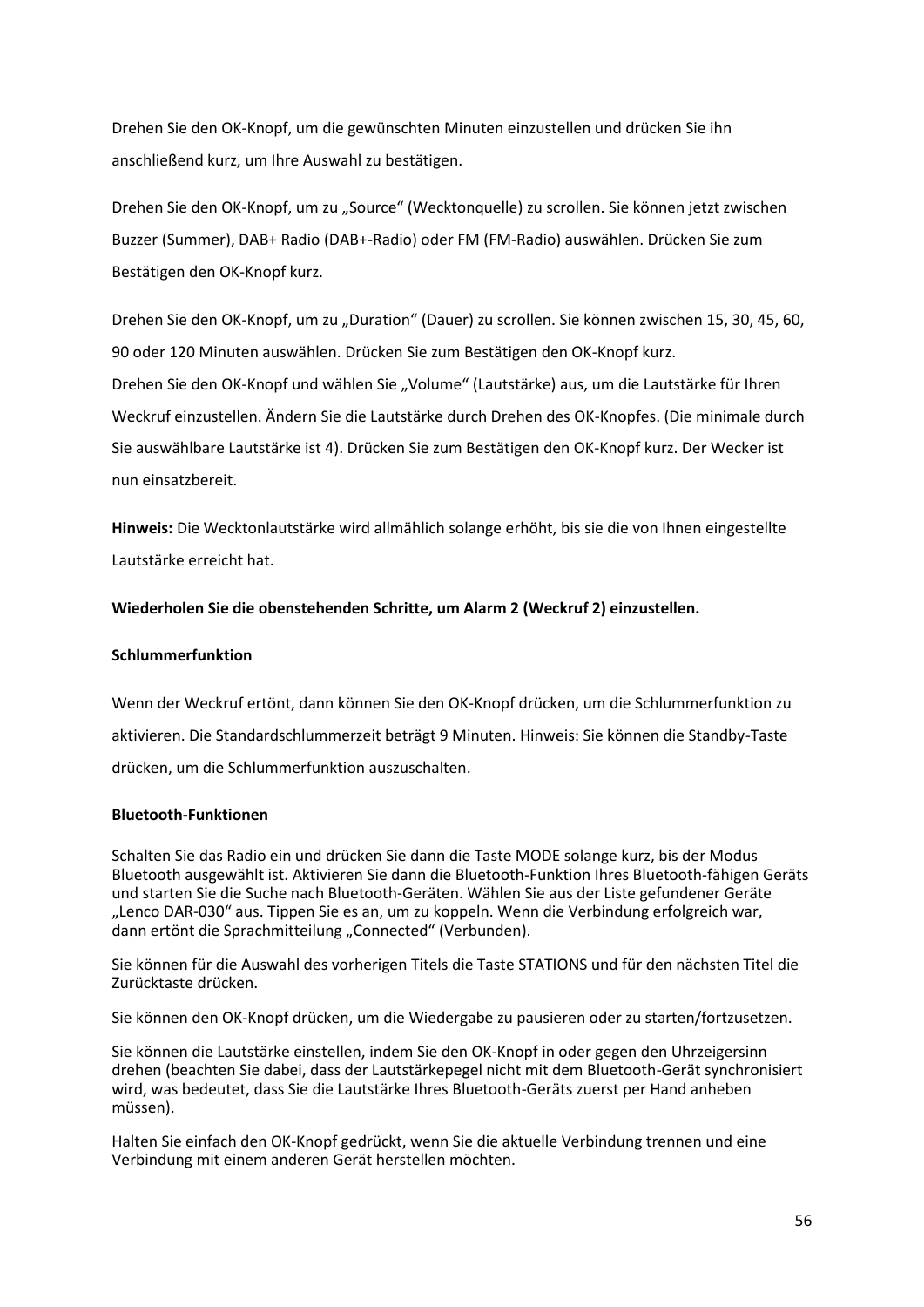Drehen Sie den OK-Knopf, um die gewünschten Minuten einzustellen und drücken Sie ihn anschließend kurz, um Ihre Auswahl zu bestätigen.

Drehen Sie den OK-Knopf, um zu "Source" (Wecktonquelle) zu scrollen. Sie können jetzt zwischen Buzzer (Summer), DAB+ Radio (DAB+-Radio) oder FM (FM-Radio) auswählen. Drücken Sie zum Bestätigen den OK-Knopf kurz.

Drehen Sie den OK-Knopf, um zu "Duration" (Dauer) zu scrollen. Sie können zwischen 15, 30, 45, 60, 90 oder 120 Minuten auswählen. Drücken Sie zum Bestätigen den OK-Knopf kurz. Drehen Sie den OK-Knopf und wählen Sie "Volume" (Lautstärke) aus, um die Lautstärke für Ihren Weckruf einzustellen. Ändern Sie die Lautstärke durch Drehen des OK-Knopfes. (Die minimale durch Sie auswählbare Lautstärke ist 4). Drücken Sie zum Bestätigen den OK-Knopf kurz. Der Wecker ist

nun einsatzbereit.

**Hinweis:** Die Wecktonlautstärke wird allmählich solange erhöht, bis sie die von Ihnen eingestellte Lautstärke erreicht hat.

### **Wiederholen Sie die obenstehenden Schritte, um Alarm 2 (Weckruf 2) einzustellen.**

### **Schlummerfunktion**

Wenn der Weckruf ertönt, dann können Sie den OK-Knopf drücken, um die Schlummerfunktion zu aktivieren. Die Standardschlummerzeit beträgt 9 Minuten. Hinweis: Sie können die Standby-Taste drücken, um die Schlummerfunktion auszuschalten.

### **Bluetooth-Funktionen**

Schalten Sie das Radio ein und drücken Sie dann die Taste MODE solange kurz, bis der Modus Bluetooth ausgewählt ist. Aktivieren Sie dann die Bluetooth-Funktion Ihres Bluetooth-fähigen Geräts und starten Sie die Suche nach Bluetooth-Geräten. Wählen Sie aus der Liste gefundener Geräte "Lenco DAR-030" aus. Tippen Sie es an, um zu koppeln. Wenn die Verbindung erfolgreich war, dann ertönt die Sprachmitteilung "Connected" (Verbunden).

Sie können für die Auswahl des vorherigen Titels die Taste STATIONS und für den nächsten Titel die Zurücktaste drücken.

Sie können den OK-Knopf drücken, um die Wiedergabe zu pausieren oder zu starten/fortzusetzen.

Sie können die Lautstärke einstellen, indem Sie den OK-Knopf in oder gegen den Uhrzeigersinn drehen (beachten Sie dabei, dass der Lautstärkepegel nicht mit dem Bluetooth-Gerät synchronisiert wird, was bedeutet, dass Sie die Lautstärke Ihres Bluetooth-Geräts zuerst per Hand anheben müssen).

Halten Sie einfach den OK-Knopf gedrückt, wenn Sie die aktuelle Verbindung trennen und eine Verbindung mit einem anderen Gerät herstellen möchten.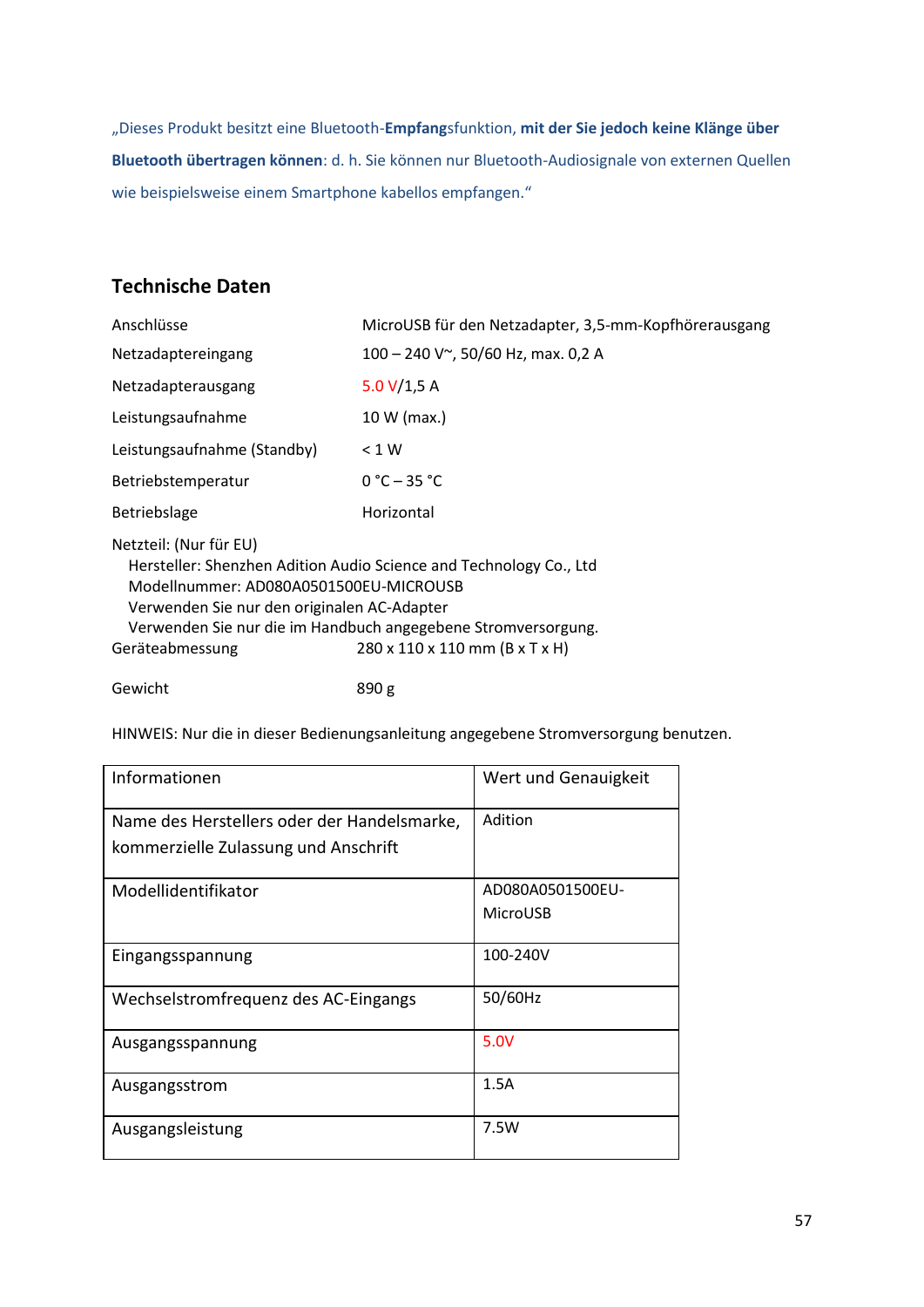"Dieses Produkt besitzt eine Bluetooth-**Empfang**sfunktion, **mit der Sie jedoch keine Klänge über Bluetooth übertragen können**: d. h. Sie können nur Bluetooth-Audiosignale von externen Quellen wie beispielsweise einem Smartphone kabellos empfangen."

# **Technische Daten**

| Anschlüsse                                                                                                                                                                                                                                                                                                  | MicroUSB für den Netzadapter, 3,5-mm-Kopfhörerausgang |  |
|-------------------------------------------------------------------------------------------------------------------------------------------------------------------------------------------------------------------------------------------------------------------------------------------------------------|-------------------------------------------------------|--|
| Netzadaptereingang                                                                                                                                                                                                                                                                                          | 100 - 240 V~, 50/60 Hz, max. 0,2 A                    |  |
| Netzadapterausgang                                                                                                                                                                                                                                                                                          | 5.0 $V/1,5 A$                                         |  |
| Leistungsaufnahme                                                                                                                                                                                                                                                                                           | 10 W (max.)                                           |  |
| Leistungsaufnahme (Standby)                                                                                                                                                                                                                                                                                 | < 1 W                                                 |  |
| Betriebstemperatur                                                                                                                                                                                                                                                                                          | $0 °C - 35 °C$                                        |  |
| <b>Betriebslage</b>                                                                                                                                                                                                                                                                                         | Horizontal                                            |  |
| Netzteil: (Nur für EU)<br>Hersteller: Shenzhen Adition Audio Science and Technology Co., Ltd<br>Modellnummer: AD080A0501500EU-MICROUSB<br>Verwenden Sie nur den originalen AC-Adapter<br>Verwenden Sie nur die im Handbuch angegebene Stromversorgung.<br>280 x 110 x 110 mm (B x T x H)<br>Geräteabmessung |                                                       |  |

Gewicht 890 g

HINWEIS: Nur die in dieser Bedienungsanleitung angegebene Stromversorgung benutzen.

| Informationen                               | Wert und Genauigkeit |
|---------------------------------------------|----------------------|
| Name des Herstellers oder der Handelsmarke, | Adition              |
| kommerzielle Zulassung und Anschrift        |                      |
| Modellidentifikator                         | AD080A0501500EU-     |
|                                             | MicroUSB             |
| Eingangsspannung                            | 100-240V             |
| Wechselstromfrequenz des AC-Eingangs        | 50/60Hz              |
| Ausgangsspannung                            | 5.0V                 |
| Ausgangsstrom                               | 1.5A                 |
| Ausgangsleistung                            | 7.5W                 |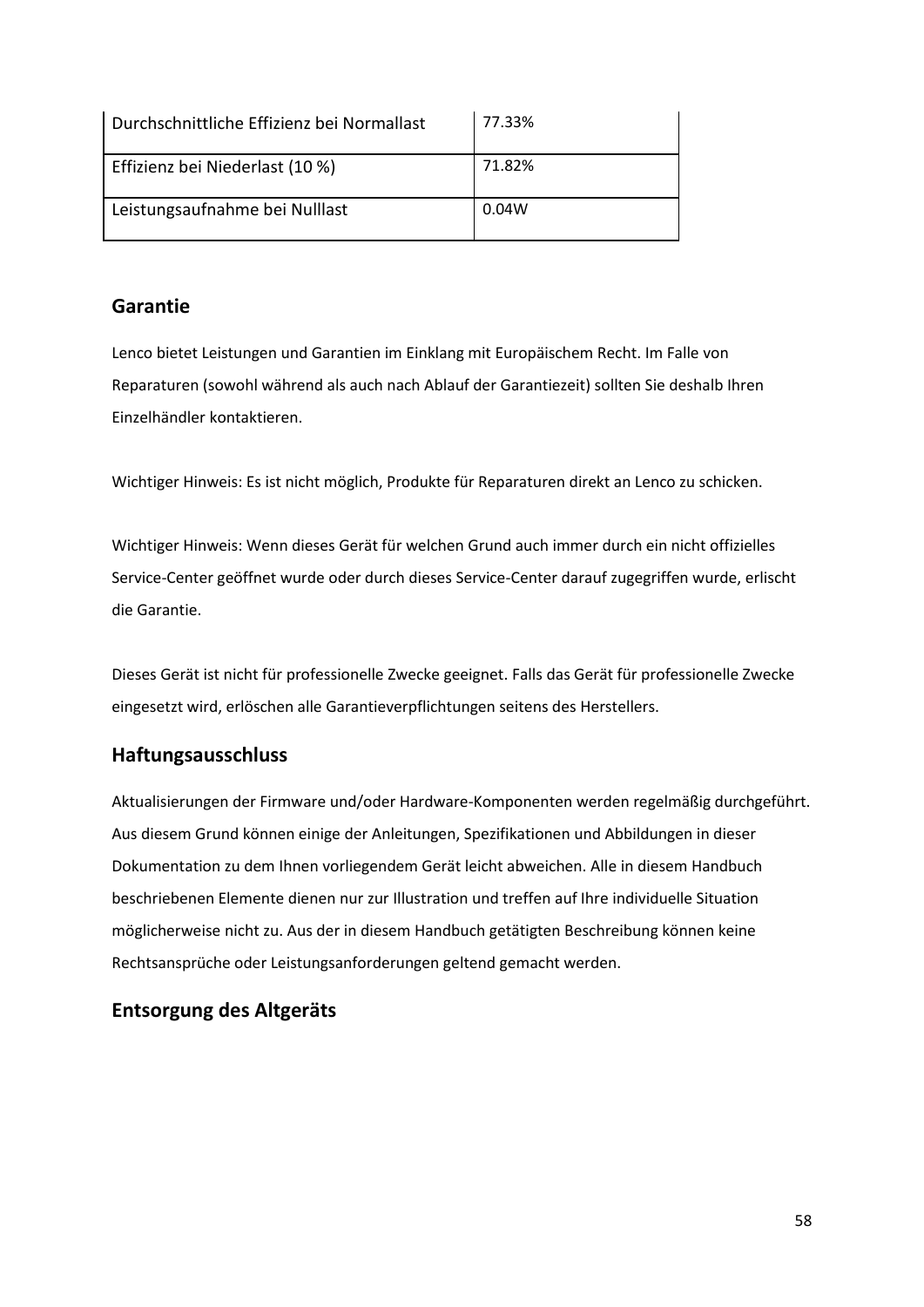| Durchschnittliche Effizienz bei Normallast | 77.33% |
|--------------------------------------------|--------|
| Effizienz bei Niederlast (10 %)            | 71.82% |
| Leistungsaufnahme bei Nulllast             | 0.04W  |

# **Garantie**

Lenco bietet Leistungen und Garantien im Einklang mit Europäischem Recht. Im Falle von Reparaturen (sowohl während als auch nach Ablauf der Garantiezeit) sollten Sie deshalb Ihren Einzelhändler kontaktieren.

Wichtiger Hinweis: Es ist nicht möglich, Produkte für Reparaturen direkt an Lenco zu schicken.

Wichtiger Hinweis: Wenn dieses Gerät für welchen Grund auch immer durch ein nicht offizielles Service-Center geöffnet wurde oder durch dieses Service-Center darauf zugegriffen wurde, erlischt die Garantie.

Dieses Gerät ist nicht für professionelle Zwecke geeignet. Falls das Gerät für professionelle Zwecke eingesetzt wird, erlöschen alle Garantieverpflichtungen seitens des Herstellers.

# **Haftungsausschluss**

Aktualisierungen der Firmware und/oder Hardware-Komponenten werden regelmäßig durchgeführt. Aus diesem Grund können einige der Anleitungen, Spezifikationen und Abbildungen in dieser Dokumentation zu dem Ihnen vorliegendem Gerät leicht abweichen. Alle in diesem Handbuch beschriebenen Elemente dienen nur zur Illustration und treffen auf Ihre individuelle Situation möglicherweise nicht zu. Aus der in diesem Handbuch getätigten Beschreibung können keine Rechtsansprüche oder Leistungsanforderungen geltend gemacht werden.

# **Entsorgung des Altgeräts**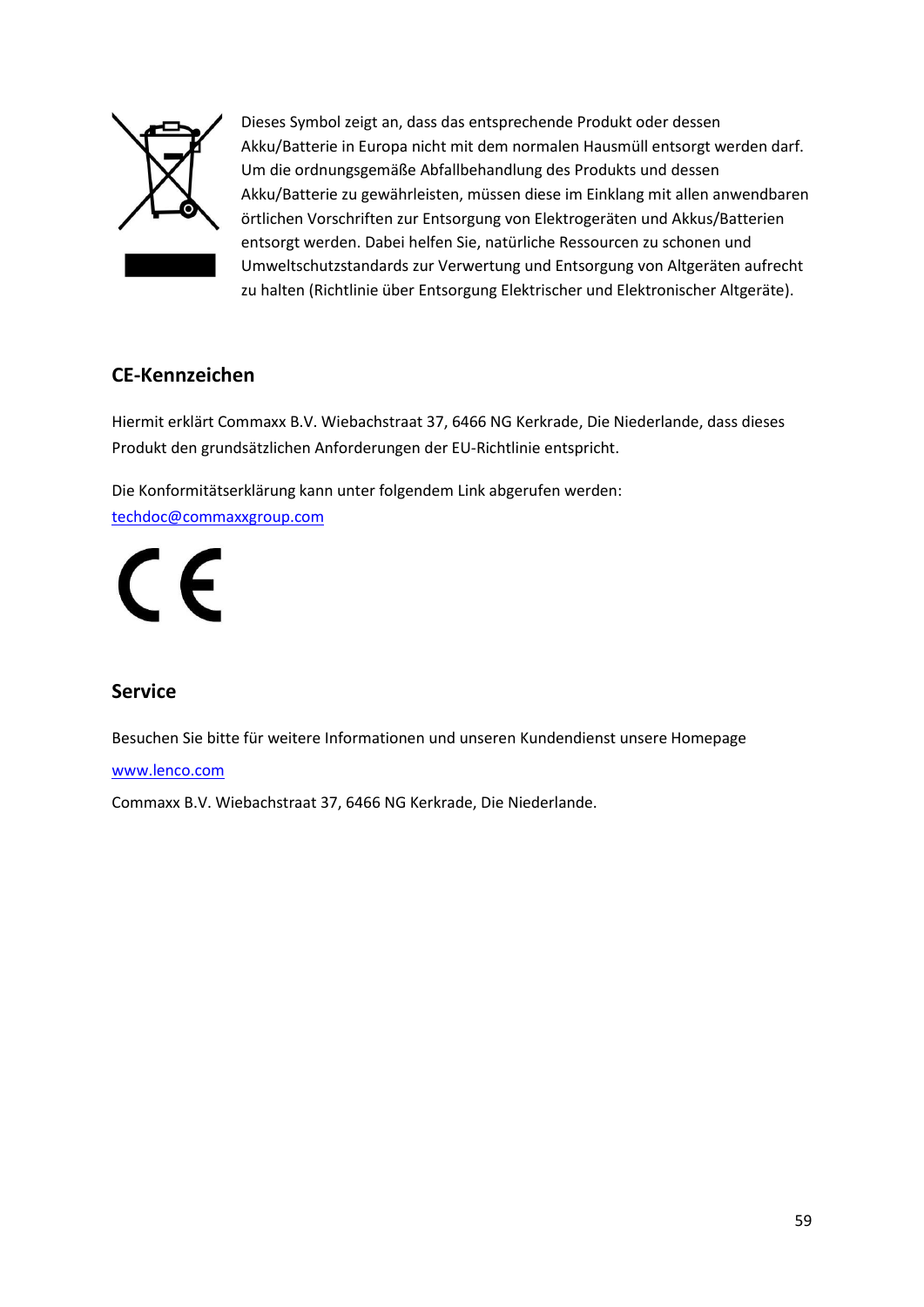

Dieses Symbol zeigt an, dass das entsprechende Produkt oder dessen Akku/Batterie in Europa nicht mit dem normalen Hausmüll entsorgt werden darf. Um die ordnungsgemäße Abfallbehandlung des Produkts und dessen Akku/Batterie zu gewährleisten, müssen diese im Einklang mit allen anwendbaren örtlichen Vorschriften zur Entsorgung von Elektrogeräten und Akkus/Batterien entsorgt werden. Dabei helfen Sie, natürliche Ressourcen zu schonen und Umweltschutzstandards zur Verwertung und Entsorgung von Altgeräten aufrecht zu halten (Richtlinie über Entsorgung Elektrischer und Elektronischer Altgeräte).

# **CE-Kennzeichen**

Hiermit erklärt Commaxx B.V. Wiebachstraat 37, 6466 NG Kerkrade, Die Niederlande, dass dieses Produkt den grundsätzlichen Anforderungen der EU-Richtlinie entspricht.

Die Konformitätserklärung kann unter folgendem Link abgerufen werden: [techdoc@commaxxgroup.com](mailto:techdoc@commaxxgroup.com)

 $\epsilon$ 

# **Service**

Besuchen Sie bitte für weitere Informationen und unseren Kundendienst unsere Homepage

### [www.lenco.com](http://www.lenco.com/)

Commaxx B.V. Wiebachstraat 37, 6466 NG Kerkrade, Die Niederlande.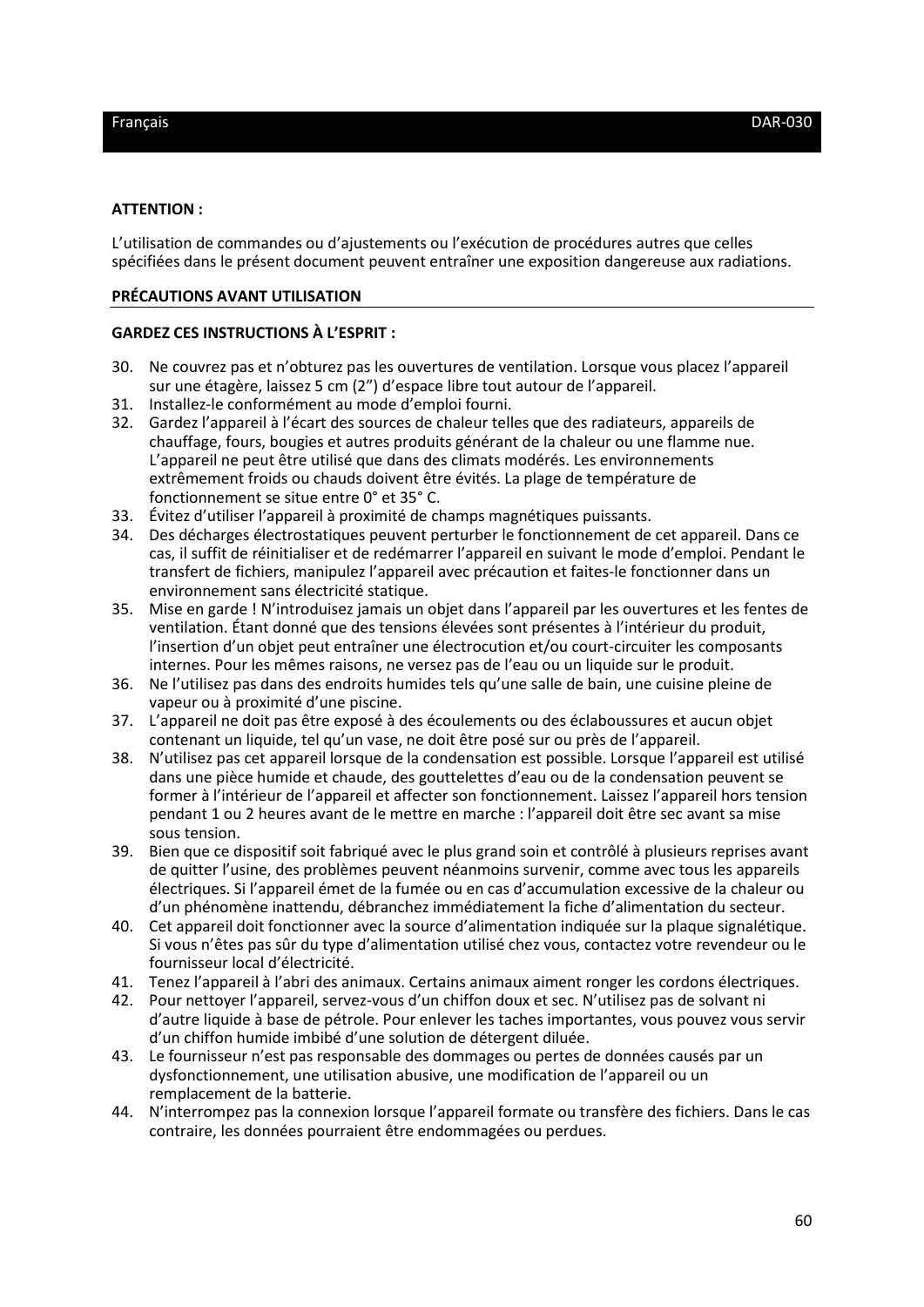#### **ATTENTION :**

L'utilisation de commandes ou d'ajustements ou l'exécution de procédures autres que celles spécifiées dans le présent document peuvent entraîner une exposition dangereuse aux radiations.

#### **PRÉCAUTIONS AVANT UTILISATION**

#### **GARDEZ CES INSTRUCTIONS À L'ESPRIT :**

- 30. Ne couvrez pas et n'obturez pas les ouvertures de ventilation. Lorsque vous placez l'appareil sur une étagère, laissez 5 cm (2") d'espace libre tout autour de l'appareil.
- 31. Installez-le conformément au mode d'emploi fourni.
- 32. Gardez l'appareil à l'écart des sources de chaleur telles que des radiateurs, appareils de chauffage, fours, bougies et autres produits générant de la chaleur ou une flamme nue. L'appareil ne peut être utilisé que dans des climats modérés. Les environnements extrêmement froids ou chauds doivent être évités. La plage de température de fonctionnement se situe entre 0° et 35° C.
- 33. Évitez d'utiliser l'appareil à proximité de champs magnétiques puissants.
- 34. Des décharges électrostatiques peuvent perturber le fonctionnement de cet appareil. Dans ce cas, il suffit de réinitialiser et de redémarrer l'appareil en suivant le mode d'emploi. Pendant le transfert de fichiers, manipulez l'appareil avec précaution et faites-le fonctionner dans un environnement sans électricité statique.
- 35. Mise en garde ! N'introduisez jamais un objet dans l'appareil par les ouvertures et les fentes de ventilation. Étant donné que des tensions élevées sont présentes à l'intérieur du produit, l'insertion d'un objet peut entraîner une électrocution et/ou court-circuiter les composants internes. Pour les mêmes raisons, ne versez pas de l'eau ou un liquide sur le produit.
- 36. Ne l'utilisez pas dans des endroits humides tels qu'une salle de bain, une cuisine pleine de vapeur ou à proximité d'une piscine.
- 37. L'appareil ne doit pas être exposé à des écoulements ou des éclaboussures et aucun objet contenant un liquide, tel qu'un vase, ne doit être posé sur ou près de l'appareil.
- 38. N'utilisez pas cet appareil lorsque de la condensation est possible. Lorsque l'appareil est utilisé dans une pièce humide et chaude, des gouttelettes d'eau ou de la condensation peuvent se former à l'intérieur de l'appareil et affecter son fonctionnement. Laissez l'appareil hors tension pendant 1 ou 2 heures avant de le mettre en marche : l'appareil doit être sec avant sa mise sous tension.
- 39. Bien que ce dispositif soit fabriqué avec le plus grand soin et contrôlé à plusieurs reprises avant de quitter l'usine, des problèmes peuvent néanmoins survenir, comme avec tous les appareils électriques. Si l'appareil émet de la fumée ou en cas d'accumulation excessive de la chaleur ou d'un phénomène inattendu, débranchez immédiatement la fiche d'alimentation du secteur.
- 40. Cet appareil doit fonctionner avec la source d'alimentation indiquée sur la plaque signalétique. Si vous n'êtes pas sûr du type d'alimentation utilisé chez vous, contactez votre revendeur ou le fournisseur local d'électricité.
- 41. Tenez l'appareil à l'abri des animaux. Certains animaux aiment ronger les cordons électriques.
- 42. Pour nettoyer l'appareil, servez-vous d'un chiffon doux et sec. N'utilisez pas de solvant ni d'autre liquide à base de pétrole. Pour enlever les taches importantes, vous pouvez vous servir d'un chiffon humide imbibé d'une solution de détergent diluée.
- 43. Le fournisseur n'est pas responsable des dommages ou pertes de données causés par un dysfonctionnement, une utilisation abusive, une modification de l'appareil ou un remplacement de la batterie.
- 44. N'interrompez pas la connexion lorsque l'appareil formate ou transfère des fichiers. Dans le cas contraire, les données pourraient être endommagées ou perdues.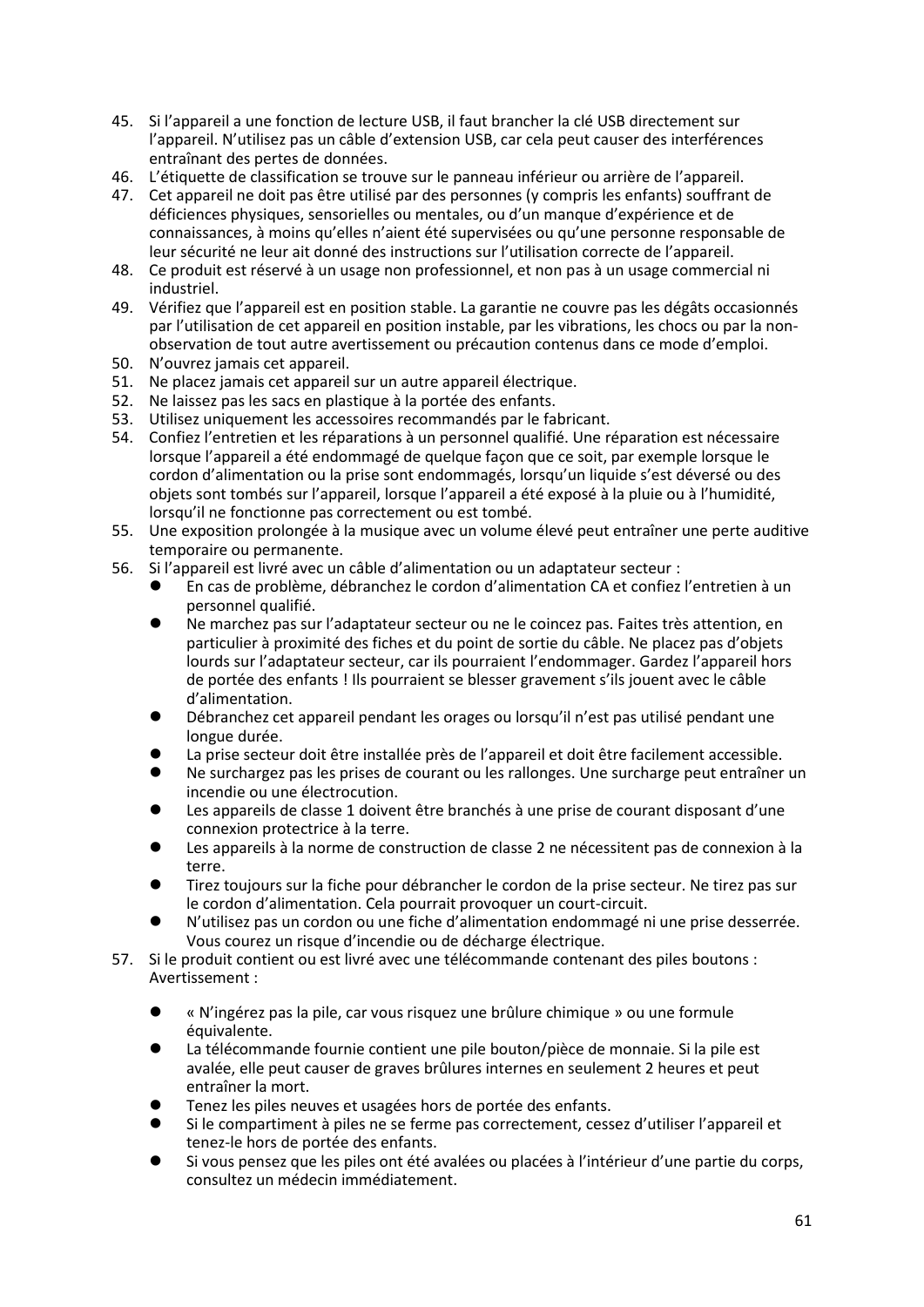- 45. Si l'appareil a une fonction de lecture USB, il faut brancher la clé USB directement sur l'appareil. N'utilisez pas un câble d'extension USB, car cela peut causer des interférences entraînant des pertes de données.
- 46. L'étiquette de classification se trouve sur le panneau inférieur ou arrière de l'appareil.
- 47. Cet appareil ne doit pas être utilisé par des personnes (y compris les enfants) souffrant de déficiences physiques, sensorielles ou mentales, ou d'un manque d'expérience et de connaissances, à moins qu'elles n'aient été supervisées ou qu'une personne responsable de leur sécurité ne leur ait donné des instructions sur l'utilisation correcte de l'appareil.
- 48. Ce produit est réservé à un usage non professionnel, et non pas à un usage commercial ni industriel.
- 49. Vérifiez que l'appareil est en position stable. La garantie ne couvre pas les dégâts occasionnés par l'utilisation de cet appareil en position instable, par les vibrations, les chocs ou par la nonobservation de tout autre avertissement ou précaution contenus dans ce mode d'emploi.
- 50. N'ouvrez jamais cet appareil.
- 51. Ne placez jamais cet appareil sur un autre appareil électrique.
- 52. Ne laissez pas les sacs en plastique à la portée des enfants.
- 53. Utilisez uniquement les accessoires recommandés par le fabricant.
- 54. Confiez l'entretien et les réparations à un personnel qualifié. Une réparation est nécessaire lorsque l'appareil a été endommagé de quelque façon que ce soit, par exemple lorsque le cordon d'alimentation ou la prise sont endommagés, lorsqu'un liquide s'est déversé ou des objets sont tombés sur l'appareil, lorsque l'appareil a été exposé à la pluie ou à l'humidité, lorsqu'il ne fonctionne pas correctement ou est tombé.
- 55. Une exposition prolongée à la musique avec un volume élevé peut entraîner une perte auditive temporaire ou permanente.
- 56. Si l'appareil est livré avec un câble d'alimentation ou un adaptateur secteur :
	- ⚫ En cas de problème, débranchez le cordon d'alimentation CA et confiez l'entretien à un personnel qualifié.
	- ⚫ Ne marchez pas sur l'adaptateur secteur ou ne le coincez pas. Faites très attention, en particulier à proximité des fiches et du point de sortie du câble. Ne placez pas d'objets lourds sur l'adaptateur secteur, car ils pourraient l'endommager. Gardez l'appareil hors de portée des enfants ! Ils pourraient se blesser gravement s'ils jouent avec le câble d'alimentation.
	- ⚫ Débranchez cet appareil pendant les orages ou lorsqu'il n'est pas utilisé pendant une longue durée.
	- La prise secteur doit être installée près de l'appareil et doit être facilement accessible.
	- ⚫ Ne surchargez pas les prises de courant ou les rallonges. Une surcharge peut entraîner un incendie ou une électrocution.
	- Les appareils de classe 1 doivent être branchés à une prise de courant disposant d'une connexion protectrice à la terre.
	- Les appareils à la norme de construction de classe 2 ne nécessitent pas de connexion à la terre.
	- ⚫ Tirez toujours sur la fiche pour débrancher le cordon de la prise secteur. Ne tirez pas sur le cordon d'alimentation. Cela pourrait provoquer un court-circuit.
	- ⚫ N'utilisez pas un cordon ou une fiche d'alimentation endommagé ni une prise desserrée. Vous courez un risque d'incendie ou de décharge électrique.
- 57. Si le produit contient ou est livré avec une télécommande contenant des piles boutons : Avertissement :
	- ⚫ « N'ingérez pas la pile, car vous risquez une brûlure chimique » ou une formule équivalente.
	- ⚫ La télécommande fournie contient une pile bouton/pièce de monnaie. Si la pile est avalée, elle peut causer de graves brûlures internes en seulement 2 heures et peut entraîner la mort.
	- ⚫ Tenez les piles neuves et usagées hors de portée des enfants.
	- ⚫ Si le compartiment à piles ne se ferme pas correctement, cessez d'utiliser l'appareil et tenez-le hors de portée des enfants.
	- ⚫ Si vous pensez que les piles ont été avalées ou placées à l'intérieur d'une partie du corps, consultez un médecin immédiatement.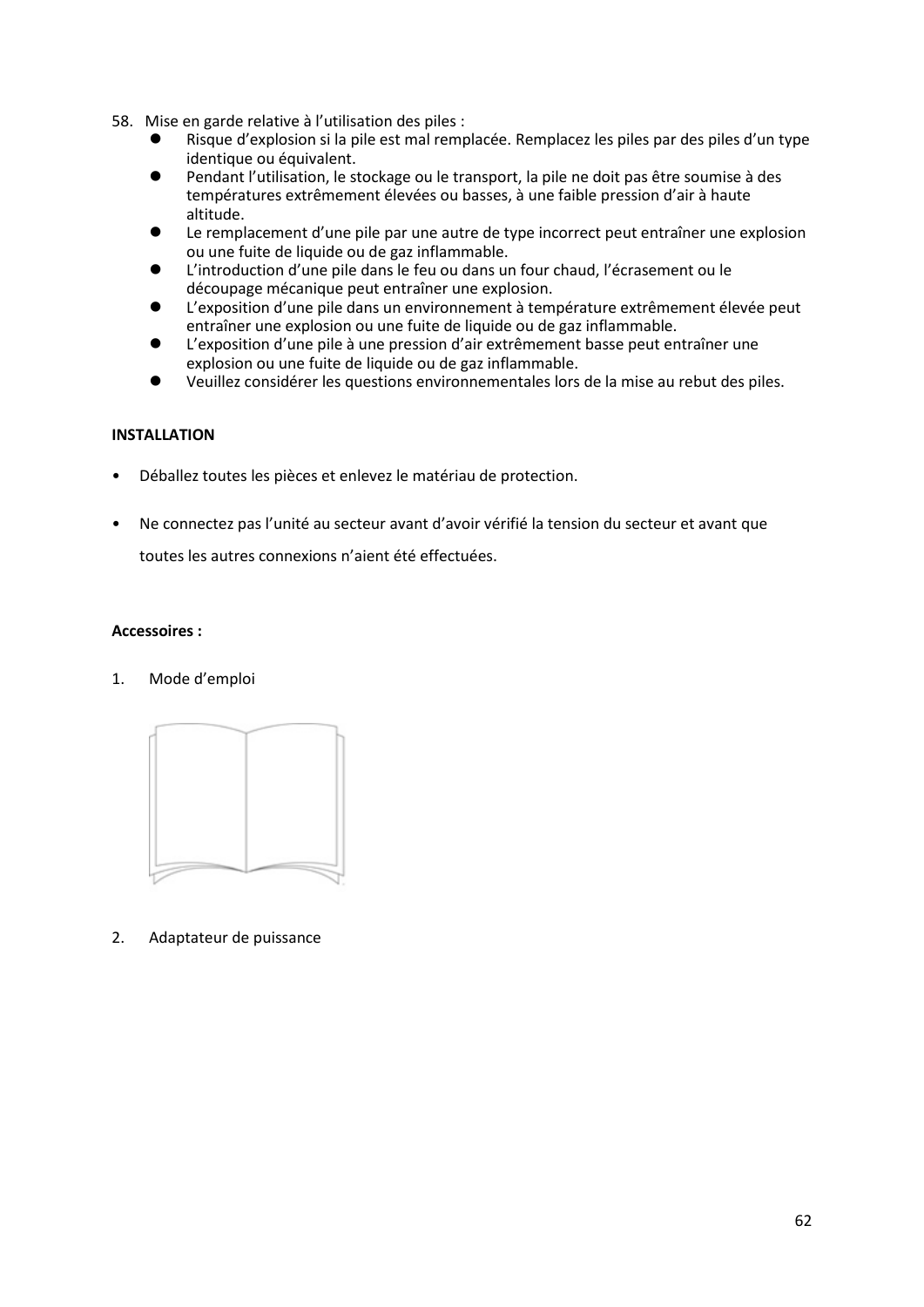- 58. Mise en garde relative à l'utilisation des piles :
	- ⚫ Risque d'explosion si la pile est mal remplacée. Remplacez les piles par des piles d'un type identique ou équivalent.
	- ⚫ Pendant l'utilisation, le stockage ou le transport, la pile ne doit pas être soumise à des températures extrêmement élevées ou basses, à une faible pression d'air à haute altitude.
	- Le remplacement d'une pile par une autre de type incorrect peut entraîner une explosion ou une fuite de liquide ou de gaz inflammable.
	- L'introduction d'une pile dans le feu ou dans un four chaud, l'écrasement ou le découpage mécanique peut entraîner une explosion.
	- ⚫ L'exposition d'une pile dans un environnement à température extrêmement élevée peut entraîner une explosion ou une fuite de liquide ou de gaz inflammable.
	- ⚫ L'exposition d'une pile à une pression d'air extrêmement basse peut entraîner une explosion ou une fuite de liquide ou de gaz inflammable.
	- ⚫ Veuillez considérer les questions environnementales lors de la mise au rebut des piles.

## **INSTALLATION**

- Déballez toutes les pièces et enlevez le matériau de protection.
- Ne connectez pas l'unité au secteur avant d'avoir vérifié la tension du secteur et avant que toutes les autres connexions n'aient été effectuées.

### **Accessoires :**

1. Mode d'emploi



2. Adaptateur de puissance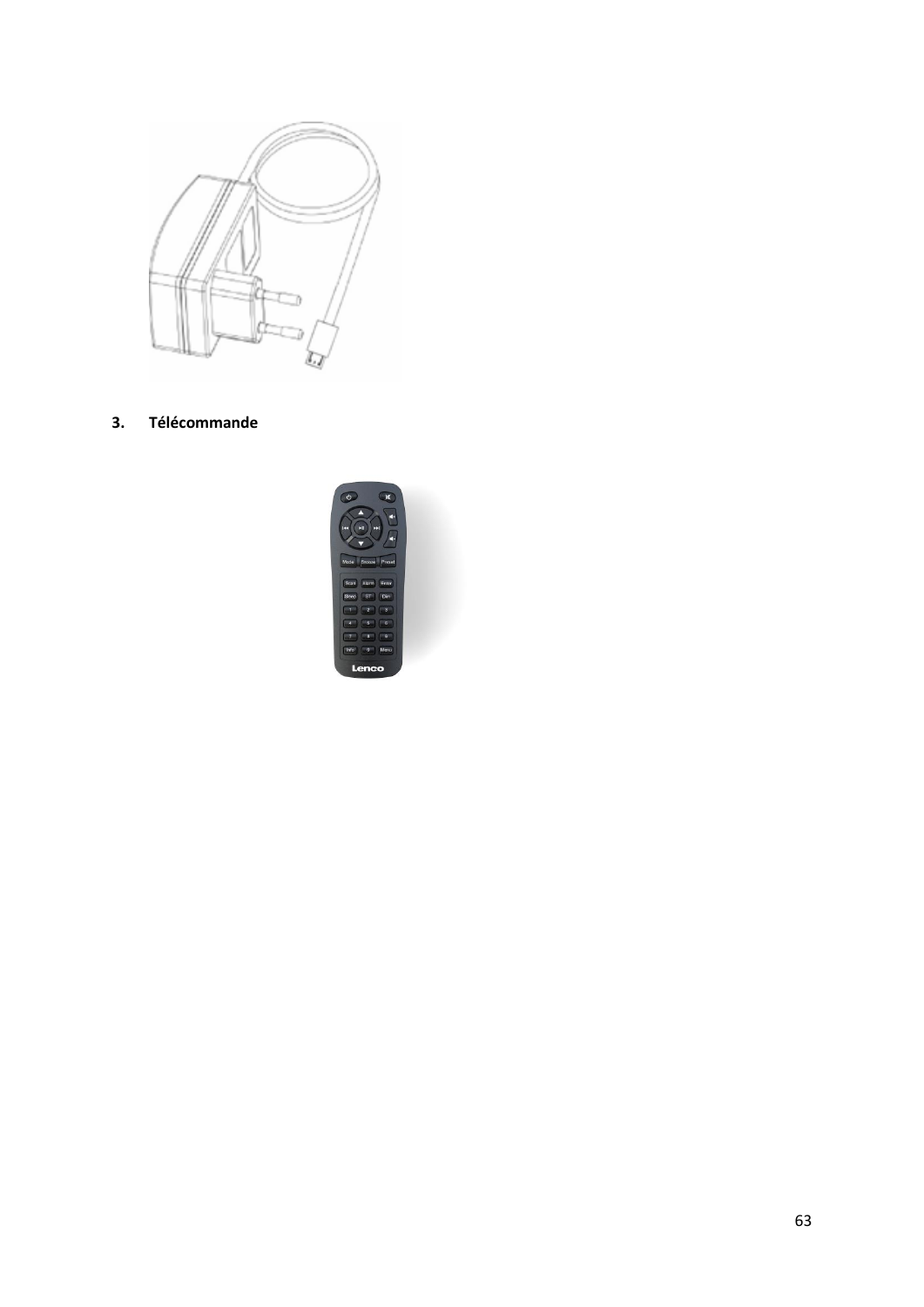

**3. Télécommande**

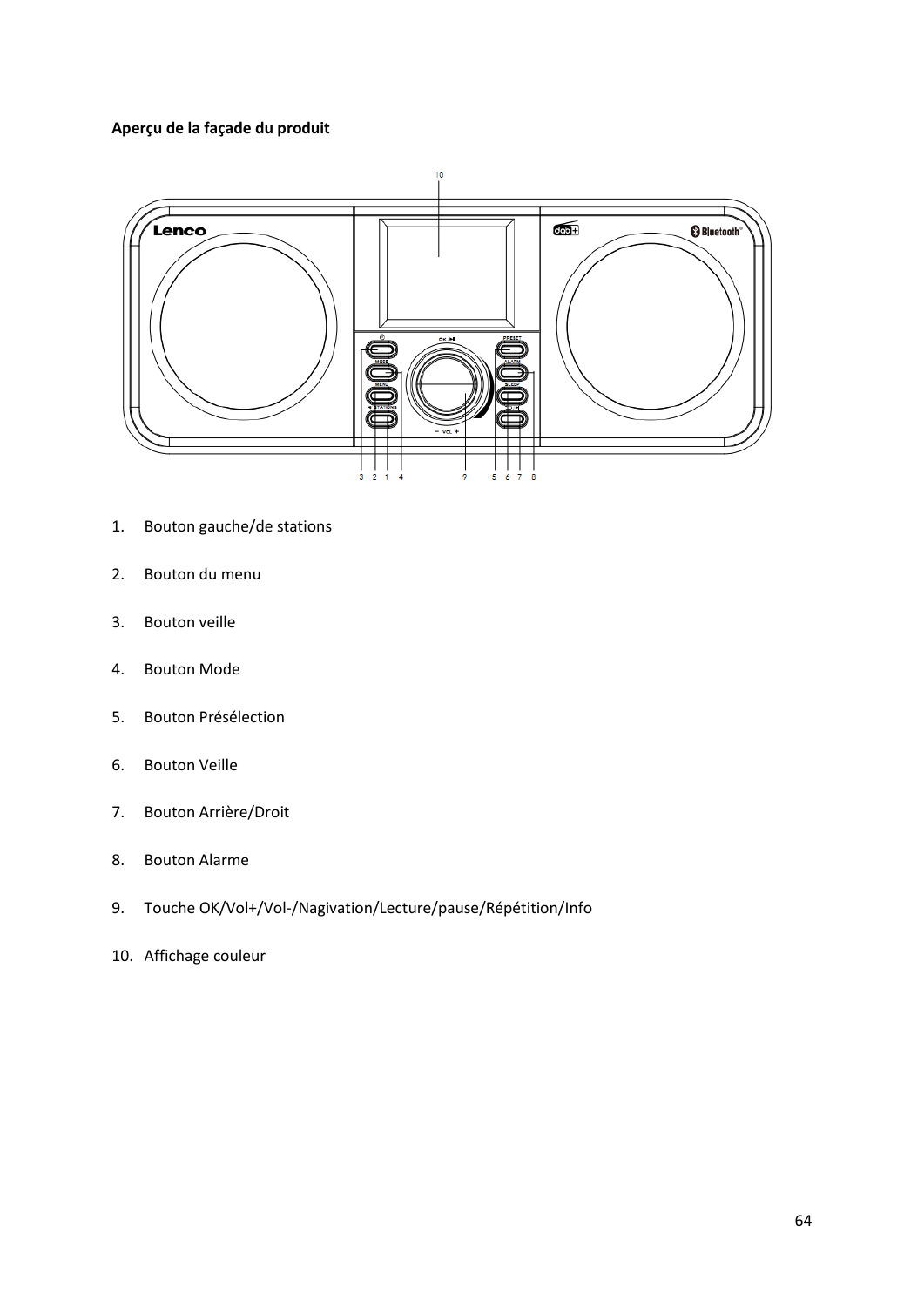# **Aperçu de la façade du produit**



- 1. Bouton gauche/de stations
- 2. Bouton du menu
- 3. Bouton veille
- 4. Bouton Mode
- 5. Bouton Présélection
- 6. Bouton Veille
- 7. Bouton Arrière/Droit
- 8. Bouton Alarme
- 9. Touche OK/Vol+/Vol-/Nagivation/Lecture/pause/Répétition/Info
- 10. Affichage couleur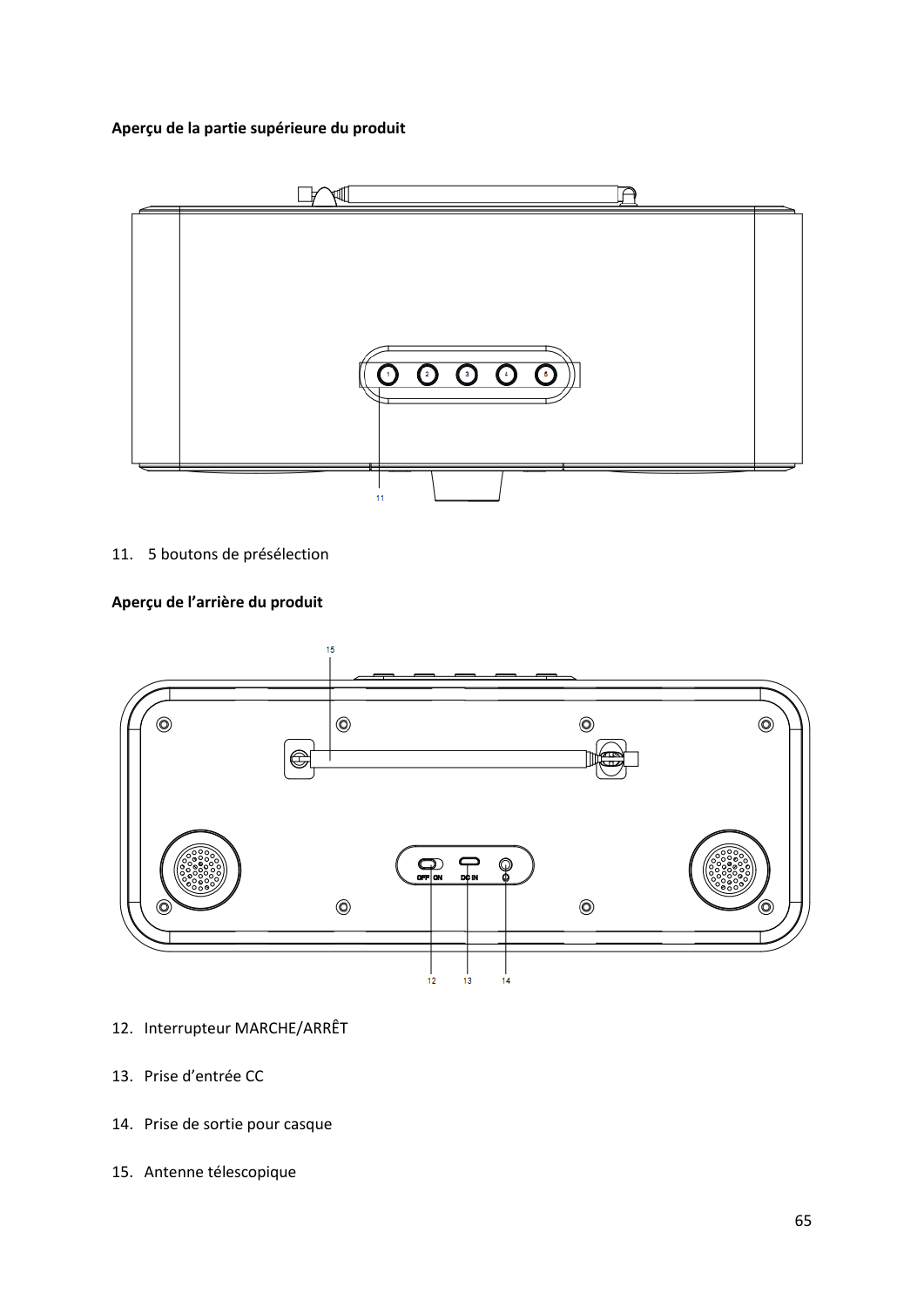## **Aperçu de la partie supérieure du produit**



11. 5 boutons de présélection

# **Aperçu de l'arrière du produit**



- 12. Interrupteur MARCHE/ARRÊT
- 13. Prise d'entrée CC
- 14. Prise de sortie pour casque
- 15. Antenne télescopique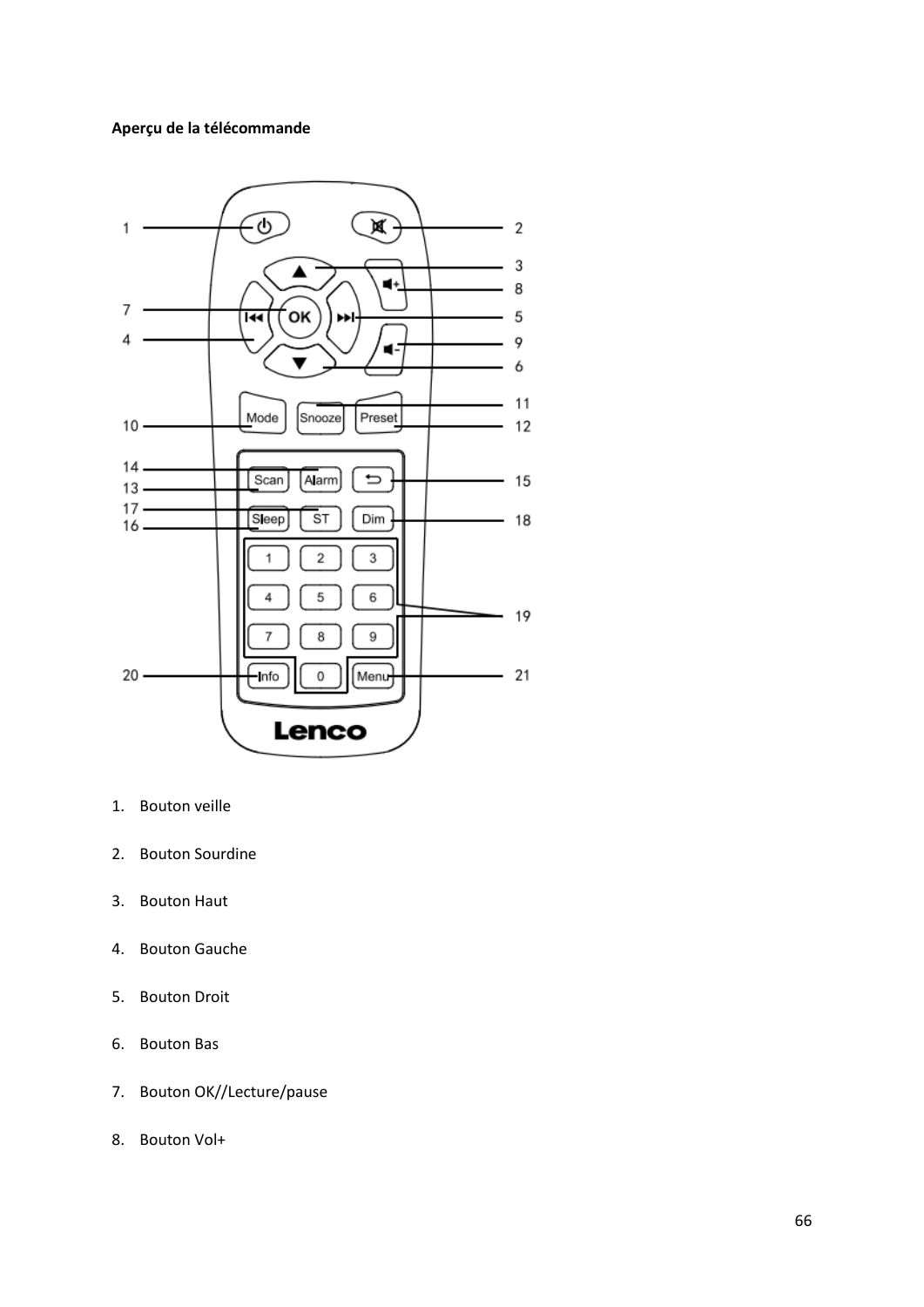## **Aperçu de la télécommande**



- 1. Bouton veille
- 2. Bouton Sourdine
- 3. Bouton Haut
- 4. Bouton Gauche
- 5. Bouton Droit
- 6. Bouton Bas
- 7. Bouton OK//Lecture/pause
- 8. Bouton Vol+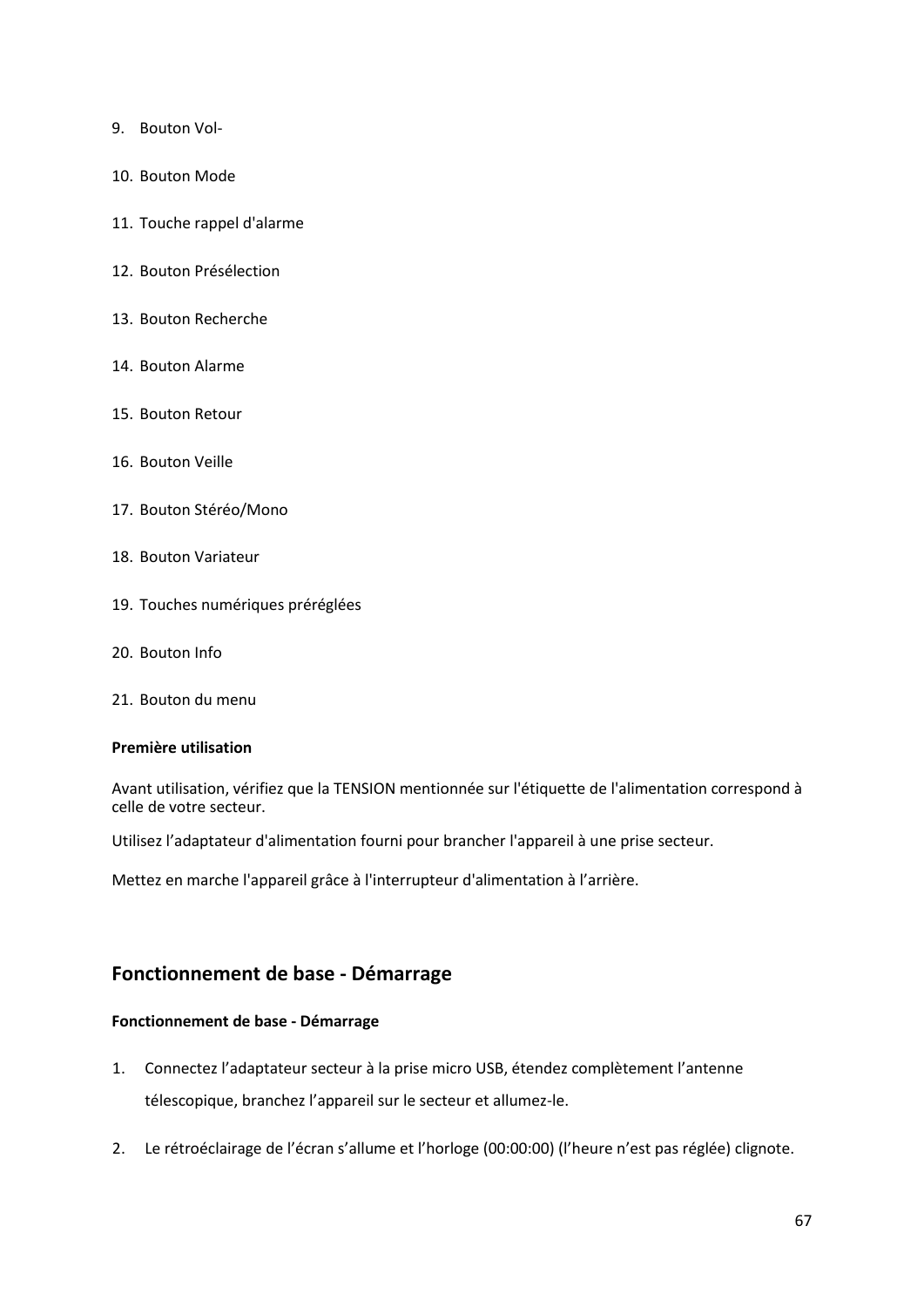- 9. Bouton Vol-
- 10. Bouton Mode
- 11. Touche rappel d'alarme
- 12. Bouton Présélection
- 13. Bouton Recherche
- 14. Bouton Alarme
- 15. Bouton Retour
- 16. Bouton Veille
- 17. Bouton Stéréo/Mono
- 18. Bouton Variateur
- 19. Touches numériques préréglées
- 20. Bouton Info
- 21. Bouton du menu

#### **Première utilisation**

Avant utilisation, vérifiez que la TENSION mentionnée sur l'étiquette de l'alimentation correspond à celle de votre secteur.

Utilisez l'adaptateur d'alimentation fourni pour brancher l'appareil à une prise secteur.

Mettez en marche l'appareil grâce à l'interrupteur d'alimentation à l'arrière.

# **Fonctionnement de base - Démarrage**

### **Fonctionnement de base - Démarrage**

- 1. Connectez l'adaptateur secteur à la prise micro USB, étendez complètement l'antenne télescopique, branchez l'appareil sur le secteur et allumez-le.
- 2. Le rétroéclairage de l'écran s'allume et l'horloge (00:00:00) (l'heure n'est pas réglée) clignote.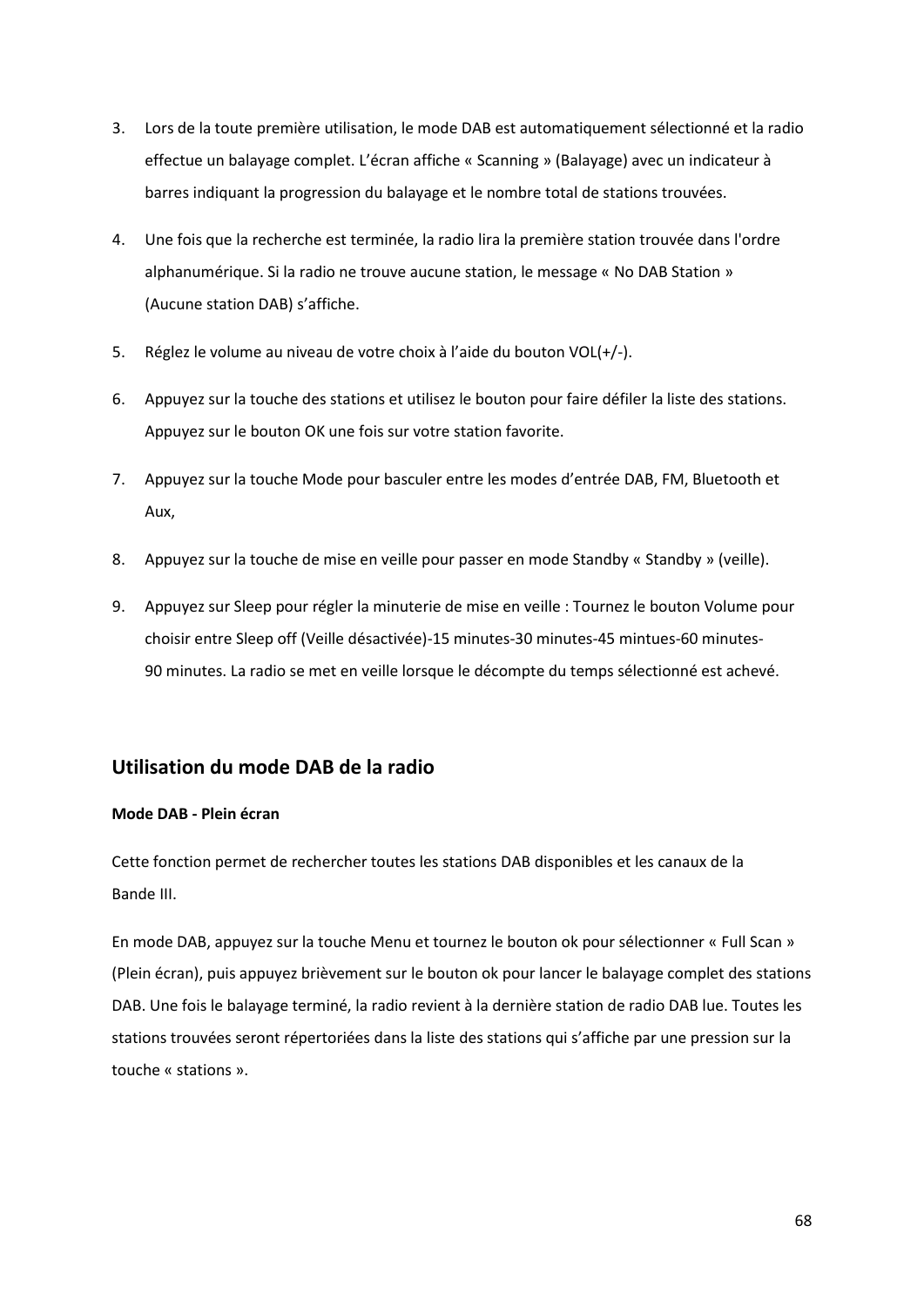- 3. Lors de la toute première utilisation, le mode DAB est automatiquement sélectionné et la radio effectue un balayage complet. L'écran affiche « Scanning » (Balayage) avec un indicateur à barres indiquant la progression du balayage et le nombre total de stations trouvées.
- 4. Une fois que la recherche est terminée, la radio lira la première station trouvée dans l'ordre alphanumérique. Si la radio ne trouve aucune station, le message « No DAB Station » (Aucune station DAB) s'affiche.
- 5. Réglez le volume au niveau de votre choix à l'aide du bouton VOL(+/-).
- 6. Appuyez sur la touche des stations et utilisez le bouton pour faire défiler la liste des stations. Appuyez sur le bouton OK une fois sur votre station favorite.
- 7. Appuyez sur la touche Mode pour basculer entre les modes d'entrée DAB, FM, Bluetooth et Aux,
- 8. Appuyez sur la touche de mise en veille pour passer en mode Standby « Standby » (veille).
- 9. Appuyez sur Sleep pour régler la minuterie de mise en veille : Tournez le bouton Volume pour choisir entre Sleep off (Veille désactivée)-15 minutes-30 minutes-45 mintues-60 minutes-90 minutes. La radio se met en veille lorsque le décompte du temps sélectionné est achevé.

# **Utilisation du mode DAB de la radio**

## **Mode DAB - Plein écran**

Cette fonction permet de rechercher toutes les stations DAB disponibles et les canaux de la Bande III.

En mode DAB, appuyez sur la touche Menu et tournez le bouton ok pour sélectionner « Full Scan » (Plein écran), puis appuyez brièvement sur le bouton ok pour lancer le balayage complet des stations DAB. Une fois le balayage terminé, la radio revient à la dernière station de radio DAB lue. Toutes les stations trouvées seront répertoriées dans la liste des stations qui s'affiche par une pression sur la touche « stations ».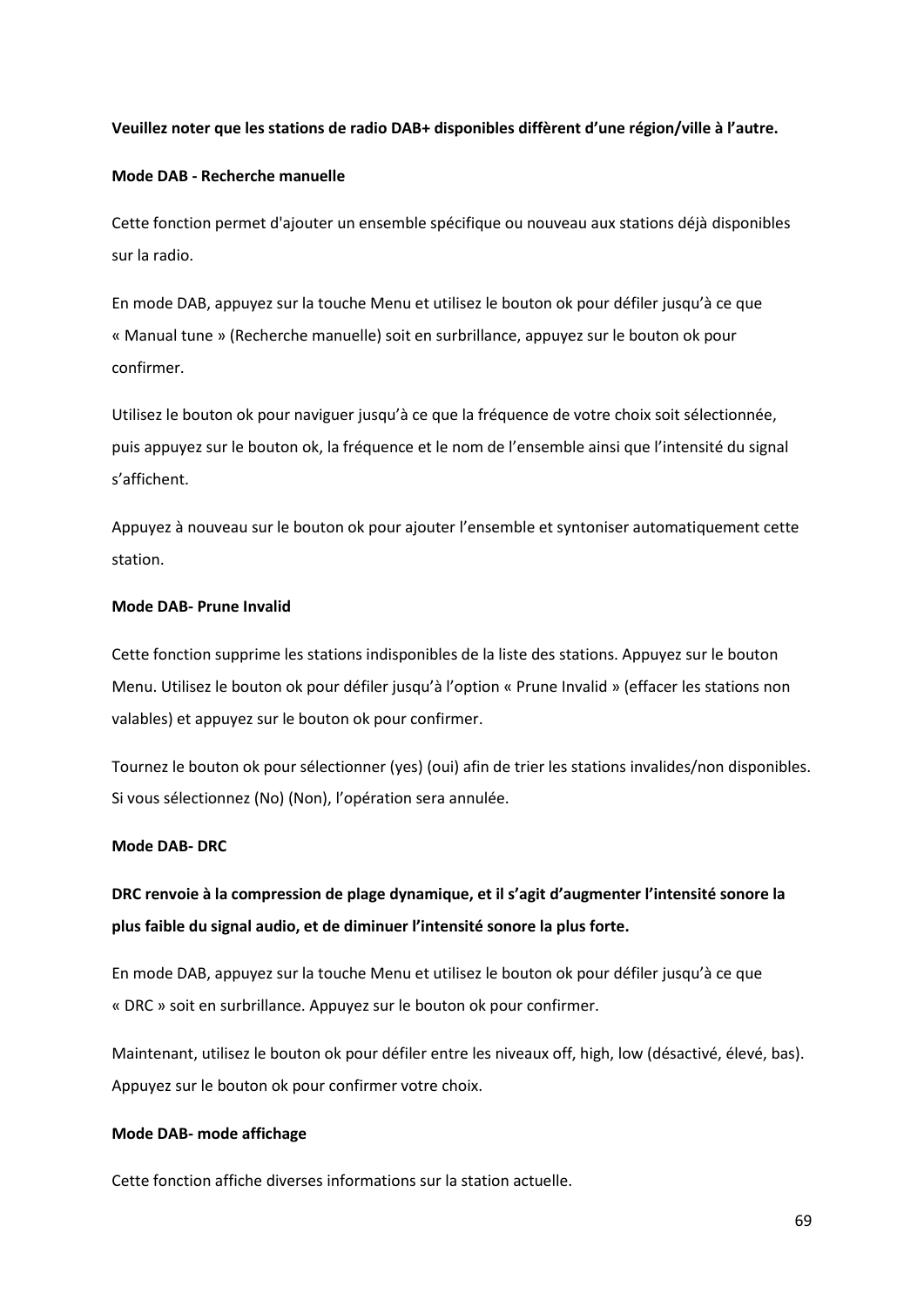### **Veuillez noter que les stations de radio DAB+ disponibles diffèrent d'une région/ville à l'autre.**

### **Mode DAB - Recherche manuelle**

Cette fonction permet d'ajouter un ensemble spécifique ou nouveau aux stations déjà disponibles sur la radio.

En mode DAB, appuyez sur la touche Menu et utilisez le bouton ok pour défiler jusqu'à ce que « Manual tune » (Recherche manuelle) soit en surbrillance, appuyez sur le bouton ok pour confirmer.

Utilisez le bouton ok pour naviguer jusqu'à ce que la fréquence de votre choix soit sélectionnée, puis appuyez sur le bouton ok, la fréquence et le nom de l'ensemble ainsi que l'intensité du signal s'affichent.

Appuyez à nouveau sur le bouton ok pour ajouter l'ensemble et syntoniser automatiquement cette station.

### **Mode DAB- Prune Invalid**

Cette fonction supprime les stations indisponibles de la liste des stations. Appuyez sur le bouton Menu. Utilisez le bouton ok pour défiler jusqu'à l'option « Prune Invalid » (effacer les stations non valables) et appuyez sur le bouton ok pour confirmer.

Tournez le bouton ok pour sélectionner (yes) (oui) afin de trier les stations invalides/non disponibles. Si vous sélectionnez (No) (Non), l'opération sera annulée.

### **Mode DAB- DRC**

**DRC renvoie à la compression de plage dynamique, et il s'agit d'augmenter l'intensité sonore la plus faible du signal audio, et de diminuer l'intensité sonore la plus forte.**

En mode DAB, appuyez sur la touche Menu et utilisez le bouton ok pour défiler jusqu'à ce que « DRC » soit en surbrillance. Appuyez sur le bouton ok pour confirmer.

Maintenant, utilisez le bouton ok pour défiler entre les niveaux off, high, low (désactivé, élevé, bas). Appuyez sur le bouton ok pour confirmer votre choix.

## **Mode DAB- mode affichage**

Cette fonction affiche diverses informations sur la station actuelle.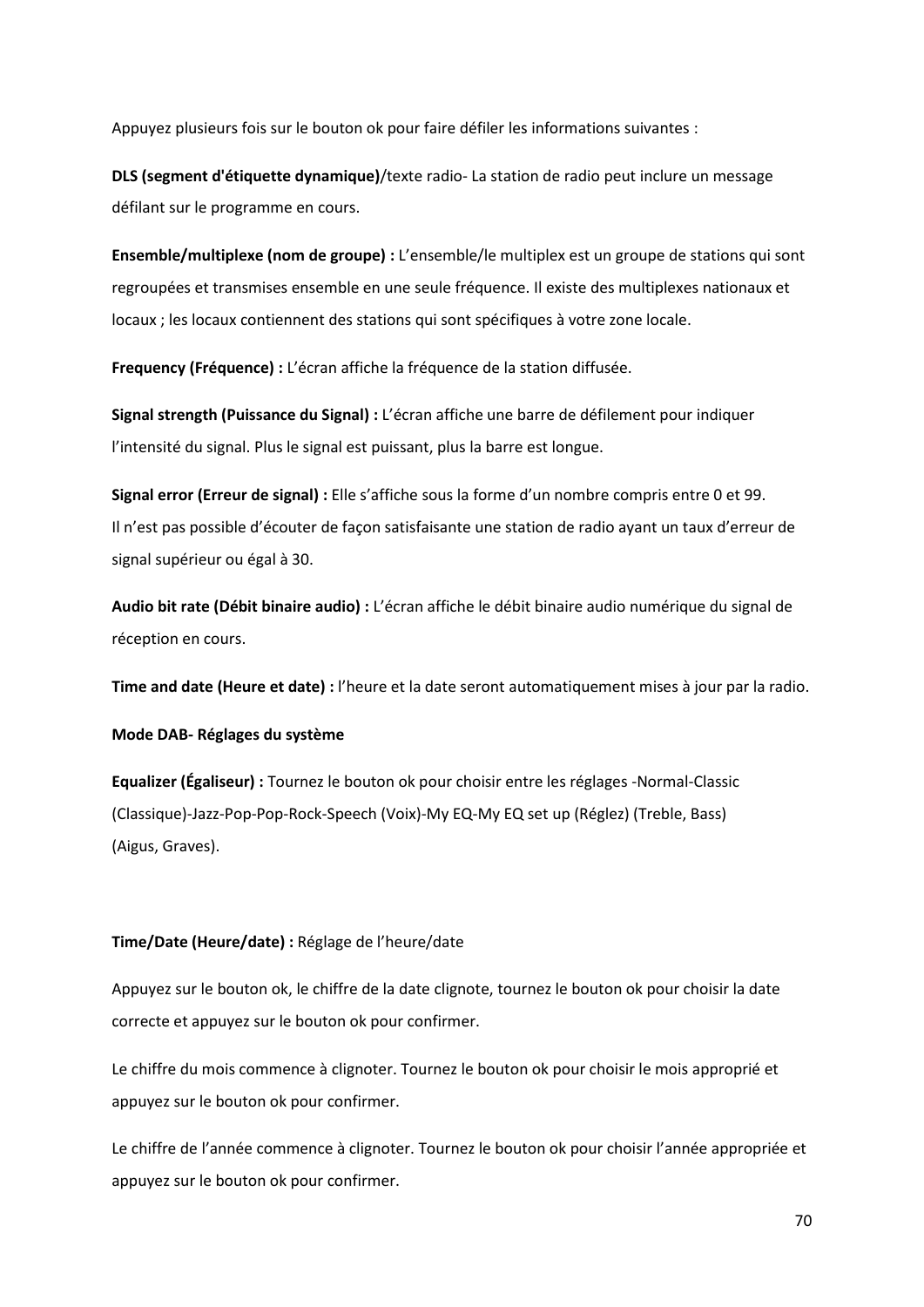Appuyez plusieurs fois sur le bouton ok pour faire défiler les informations suivantes :

**DLS (segment d'étiquette dynamique)**/texte radio- La station de radio peut inclure un message défilant sur le programme en cours.

**Ensemble/multiplexe (nom de groupe) :** L'ensemble/le multiplex est un groupe de stations qui sont regroupées et transmises ensemble en une seule fréquence. Il existe des multiplexes nationaux et locaux ; les locaux contiennent des stations qui sont spécifiques à votre zone locale.

**Frequency (Fréquence) :** L'écran affiche la fréquence de la station diffusée.

**Signal strength (Puissance du Signal) :** L'écran affiche une barre de défilement pour indiquer l'intensité du signal. Plus le signal est puissant, plus la barre est longue.

**Signal error (Erreur de signal) :** Elle s'affiche sous la forme d'un nombre compris entre 0 et 99. Il n'est pas possible d'écouter de façon satisfaisante une station de radio ayant un taux d'erreur de signal supérieur ou égal à 30.

**Audio bit rate (Débit binaire audio) :** L'écran affiche le débit binaire audio numérique du signal de réception en cours.

**Time and date (Heure et date) :** l'heure et la date seront automatiquement mises à jour par la radio.

### **Mode DAB- Réglages du système**

**Equalizer (Égaliseur) :** Tournez le bouton ok pour choisir entre les réglages -Normal-Classic (Classique)-Jazz-Pop-Pop-Rock-Speech (Voix)-My EQ-My EQ set up (Réglez) (Treble, Bass) (Aigus, Graves).

### **Time/Date (Heure/date) :** Réglage de l'heure/date

Appuyez sur le bouton ok, le chiffre de la date clignote, tournez le bouton ok pour choisir la date correcte et appuyez sur le bouton ok pour confirmer.

Le chiffre du mois commence à clignoter. Tournez le bouton ok pour choisir le mois approprié et appuyez sur le bouton ok pour confirmer.

Le chiffre de l'année commence à clignoter. Tournez le bouton ok pour choisir l'année appropriée et appuyez sur le bouton ok pour confirmer.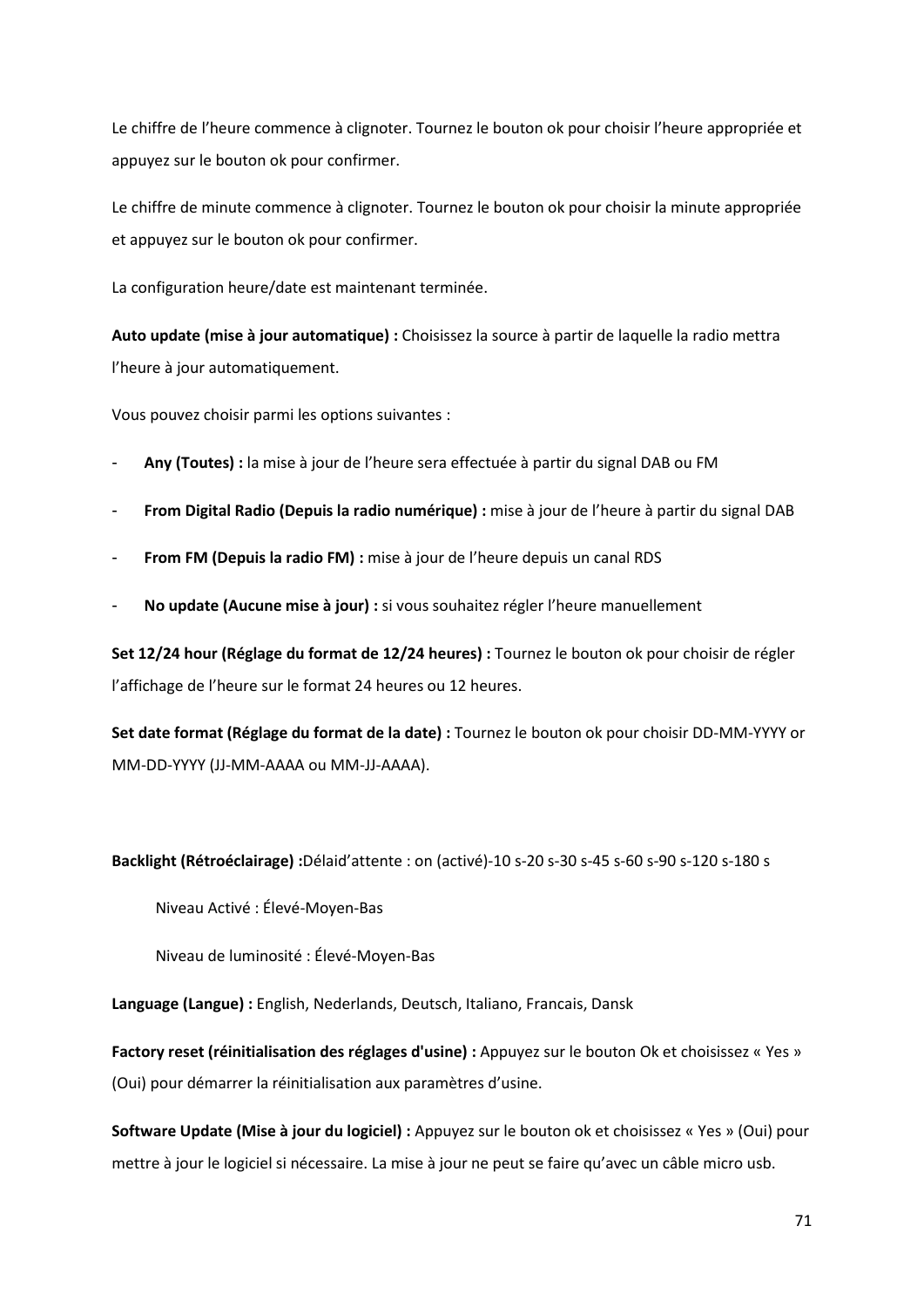Le chiffre de l'heure commence à clignoter. Tournez le bouton ok pour choisir l'heure appropriée et appuyez sur le bouton ok pour confirmer.

Le chiffre de minute commence à clignoter. Tournez le bouton ok pour choisir la minute appropriée et appuyez sur le bouton ok pour confirmer.

La configuration heure/date est maintenant terminée.

**Auto update (mise à jour automatique) :** Choisissez la source à partir de laquelle la radio mettra l'heure à jour automatiquement.

Vous pouvez choisir parmi les options suivantes :

- **Any (Toutes) :** la mise à jour de l'heure sera effectuée à partir du signal DAB ou FM
- **From Digital Radio (Depuis la radio numérique) :** mise à jour de l'heure à partir du signal DAB
- **From FM (Depuis la radio FM) :** mise à jour de l'heure depuis un canal RDS
- **No update (Aucune mise à jour) :** si vous souhaitez régler l'heure manuellement

**Set 12/24 hour (Réglage du format de 12/24 heures) :** Tournez le bouton ok pour choisir de régler l'affichage de l'heure sur le format 24 heures ou 12 heures.

**Set date format (Réglage du format de la date) :** Tournez le bouton ok pour choisir DD-MM-YYYY or MM-DD-YYYY (JJ-MM-AAAA ou MM-JJ-AAAA).

**Backlight (Rétroéclairage) :**Délaid'attente : on (activé)-10 s-20 s-30 s-45 s-60 s-90 s-120 s-180 s

Niveau Activé : Élevé-Moyen-Bas

Niveau de luminosité : Élevé-Moyen-Bas

**Language (Langue) :** English, Nederlands, Deutsch, Italiano, Francais, Dansk

**Factory reset (réinitialisation des réglages d'usine) :** Appuyez sur le bouton Ok et choisissez « Yes » (Oui) pour démarrer la réinitialisation aux paramètres d'usine.

**Software Update (Mise à jour du logiciel) :** Appuyez sur le bouton ok et choisissez « Yes » (Oui) pour mettre à jour le logiciel si nécessaire. La mise à jour ne peut se faire qu'avec un câble micro usb.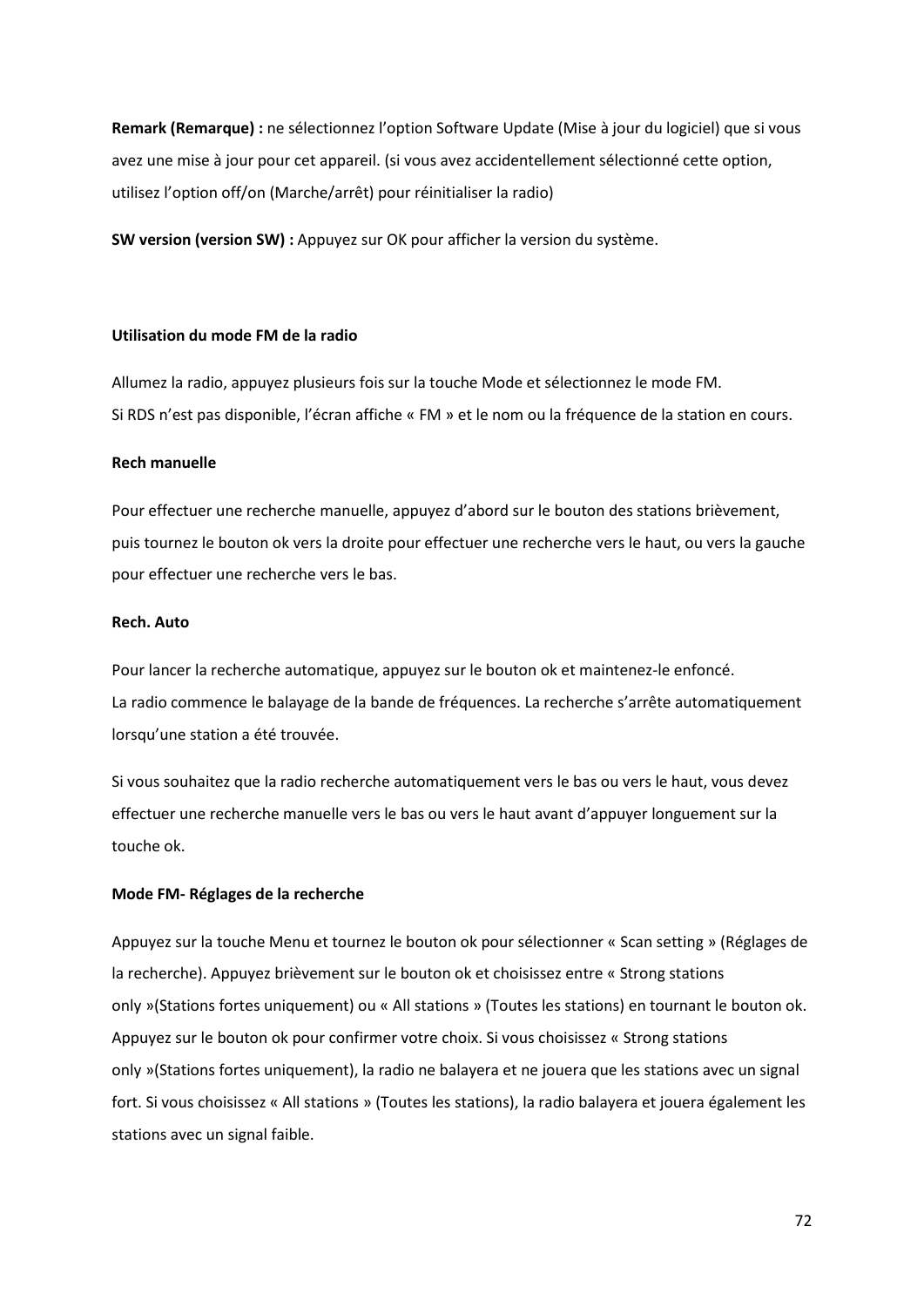**Remark (Remarque) :** ne sélectionnez l'option Software Update (Mise à jour du logiciel) que si vous avez une mise à jour pour cet appareil. (si vous avez accidentellement sélectionné cette option, utilisez l'option off/on (Marche/arrêt) pour réinitialiser la radio)

**SW version (version SW) :** Appuyez sur OK pour afficher la version du système.

#### **Utilisation du mode FM de la radio**

Allumez la radio, appuyez plusieurs fois sur la touche Mode et sélectionnez le mode FM. Si RDS n'est pas disponible, l'écran affiche « FM » et le nom ou la fréquence de la station en cours.

#### **Rech manuelle**

Pour effectuer une recherche manuelle, appuyez d'abord sur le bouton des stations brièvement, puis tournez le bouton ok vers la droite pour effectuer une recherche vers le haut, ou vers la gauche pour effectuer une recherche vers le bas.

#### **Rech. Auto**

Pour lancer la recherche automatique, appuyez sur le bouton ok et maintenez-le enfoncé. La radio commence le balayage de la bande de fréquences. La recherche s'arrête automatiquement lorsqu'une station a été trouvée.

Si vous souhaitez que la radio recherche automatiquement vers le bas ou vers le haut, vous devez effectuer une recherche manuelle vers le bas ou vers le haut avant d'appuyer longuement sur la touche ok.

#### **Mode FM- Réglages de la recherche**

Appuyez sur la touche Menu et tournez le bouton ok pour sélectionner « Scan setting » (Réglages de la recherche). Appuyez brièvement sur le bouton ok et choisissez entre « Strong stations only »(Stations fortes uniquement) ou « All stations » (Toutes les stations) en tournant le bouton ok. Appuyez sur le bouton ok pour confirmer votre choix. Si vous choisissez « Strong stations only »(Stations fortes uniquement), la radio ne balayera et ne jouera que les stations avec un signal fort. Si vous choisissez « All stations » (Toutes les stations), la radio balayera et jouera également les stations avec un signal faible.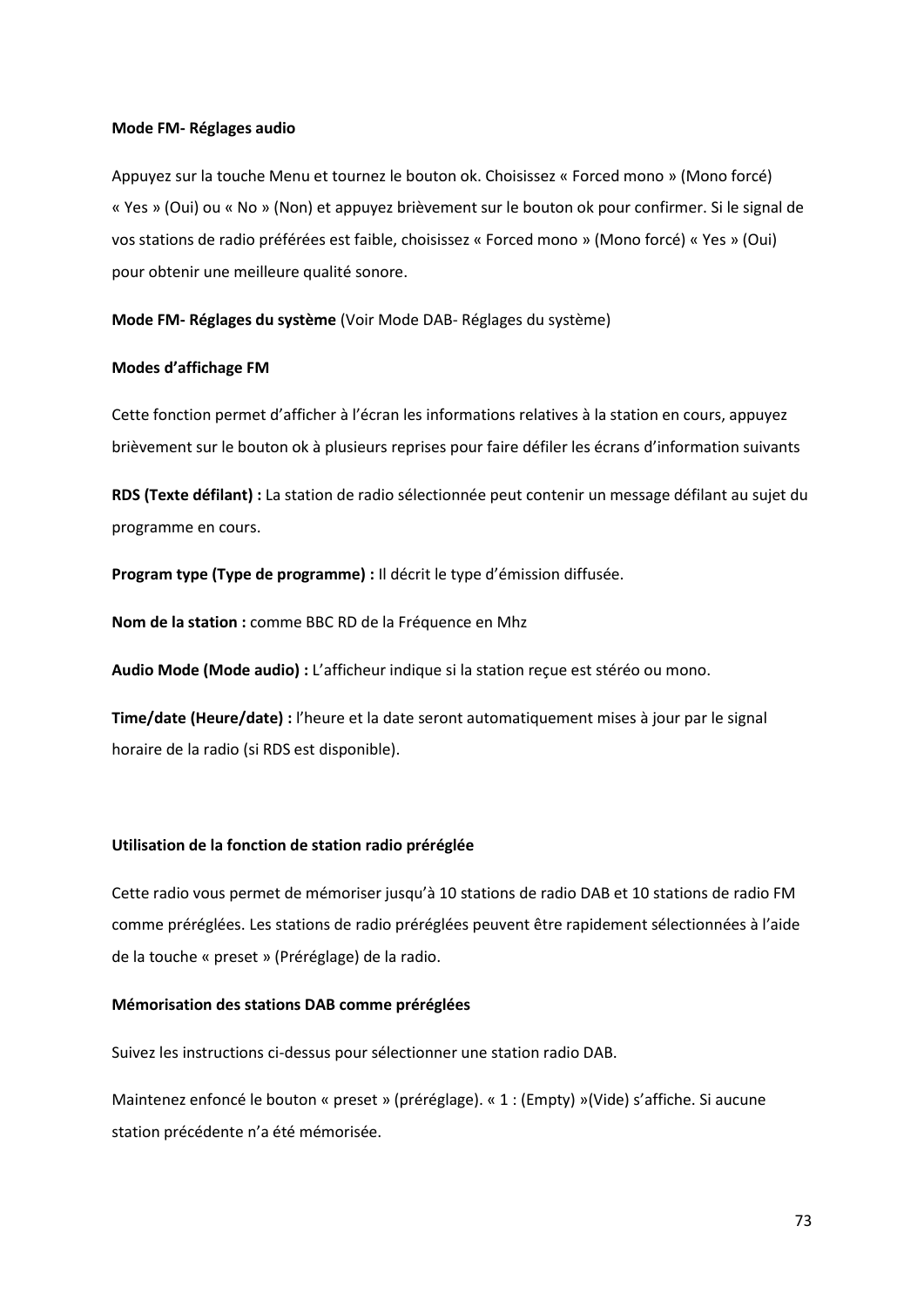#### **Mode FM- Réglages audio**

Appuyez sur la touche Menu et tournez le bouton ok. Choisissez « Forced mono » (Mono forcé) « Yes » (Oui) ou « No » (Non) et appuyez brièvement sur le bouton ok pour confirmer. Si le signal de vos stations de radio préférées est faible, choisissez « Forced mono » (Mono forcé) « Yes » (Oui) pour obtenir une meilleure qualité sonore.

**Mode FM- Réglages du système** (Voir Mode DAB- Réglages du système)

#### **Modes d'affichage FM**

Cette fonction permet d'afficher à l'écran les informations relatives à la station en cours, appuyez brièvement sur le bouton ok à plusieurs reprises pour faire défiler les écrans d'information suivants

**RDS (Texte défilant) :** La station de radio sélectionnée peut contenir un message défilant au sujet du programme en cours.

**Program type (Type de programme) :** Il décrit le type d'émission diffusée.

**Nom de la station :** comme BBC RD de la Fréquence en Mhz

**Audio Mode (Mode audio) :** L'afficheur indique si la station reçue est stéréo ou mono.

**Time/date (Heure/date) :** l'heure et la date seront automatiquement mises à jour par le signal horaire de la radio (si RDS est disponible).

## **Utilisation de la fonction de station radio préréglée**

Cette radio vous permet de mémoriser jusqu'à 10 stations de radio DAB et 10 stations de radio FM comme préréglées. Les stations de radio préréglées peuvent être rapidement sélectionnées à l'aide de la touche « preset » (Préréglage) de la radio.

## **Mémorisation des stations DAB comme préréglées**

Suivez les instructions ci-dessus pour sélectionner une station radio DAB.

Maintenez enfoncé le bouton « preset » (préréglage). « 1 : (Empty) »(Vide) s'affiche. Si aucune station précédente n'a été mémorisée.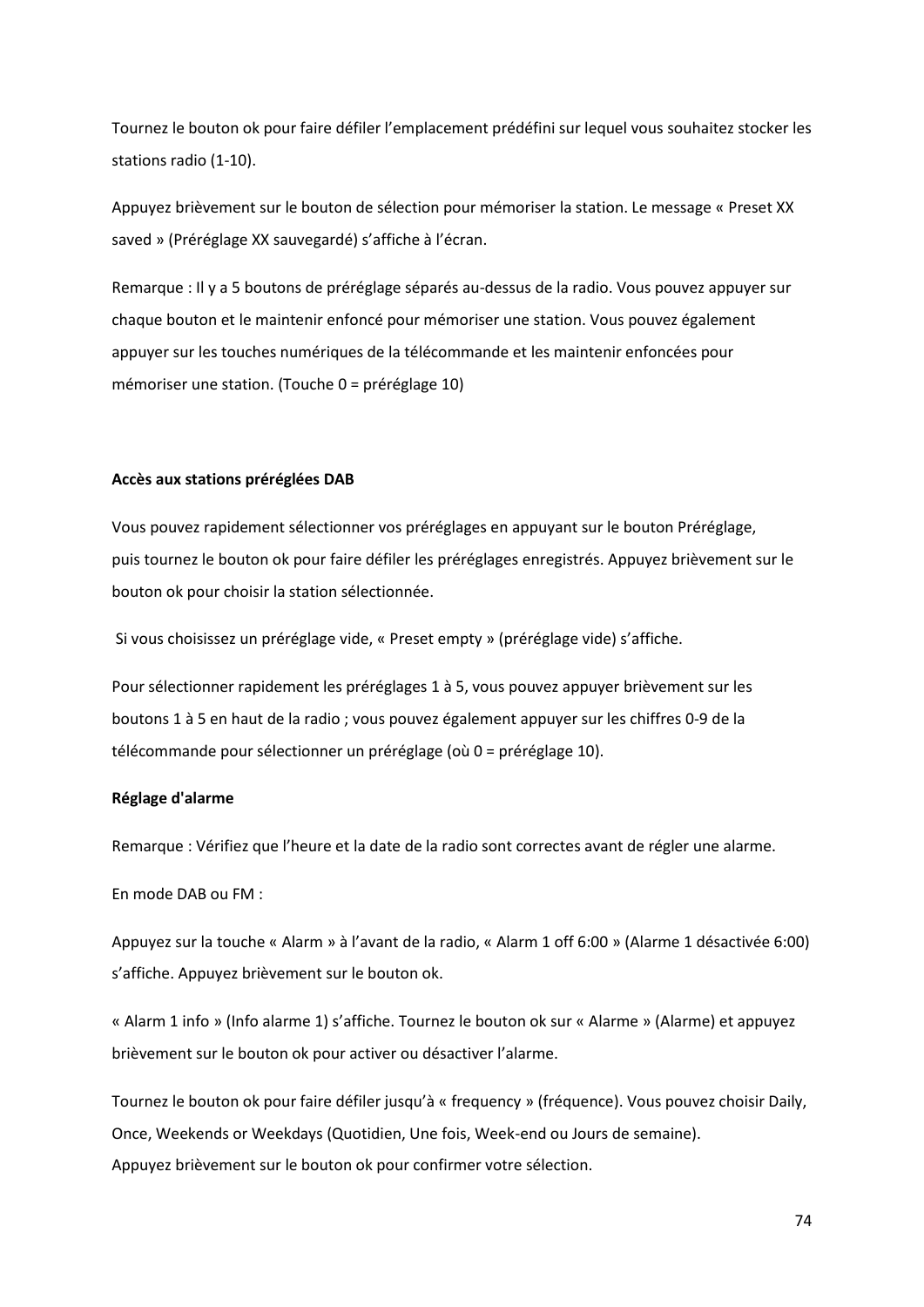Tournez le bouton ok pour faire défiler l'emplacement prédéfini sur lequel vous souhaitez stocker les stations radio (1-10).

Appuyez brièvement sur le bouton de sélection pour mémoriser la station. Le message « Preset XX saved » (Préréglage XX sauvegardé) s'affiche à l'écran.

Remarque : Il y a 5 boutons de préréglage séparés au-dessus de la radio. Vous pouvez appuyer sur chaque bouton et le maintenir enfoncé pour mémoriser une station. Vous pouvez également appuyer sur les touches numériques de la télécommande et les maintenir enfoncées pour mémoriser une station. (Touche 0 = préréglage 10)

#### **Accès aux stations préréglées DAB**

Vous pouvez rapidement sélectionner vos préréglages en appuyant sur le bouton Préréglage, puis tournez le bouton ok pour faire défiler les préréglages enregistrés. Appuyez brièvement sur le bouton ok pour choisir la station sélectionnée.

Si vous choisissez un préréglage vide, « Preset empty » (préréglage vide) s'affiche.

Pour sélectionner rapidement les préréglages 1 à 5, vous pouvez appuyer brièvement sur les boutons 1 à 5 en haut de la radio ; vous pouvez également appuyer sur les chiffres 0-9 de la télécommande pour sélectionner un préréglage (où 0 = préréglage 10).

#### **Réglage d'alarme**

Remarque : Vérifiez que l'heure et la date de la radio sont correctes avant de régler une alarme.

En mode DAB ou FM :

Appuyez sur la touche « Alarm » à l'avant de la radio, « Alarm 1 off 6:00 » (Alarme 1 désactivée 6:00) s'affiche. Appuyez brièvement sur le bouton ok.

« Alarm 1 info » (Info alarme 1) s'affiche. Tournez le bouton ok sur « Alarme » (Alarme) et appuyez brièvement sur le bouton ok pour activer ou désactiver l'alarme.

Tournez le bouton ok pour faire défiler jusqu'à « frequency » (fréquence). Vous pouvez choisir Daily, Once, Weekends or Weekdays (Quotidien, Une fois, Week-end ou Jours de semaine). Appuyez brièvement sur le bouton ok pour confirmer votre sélection.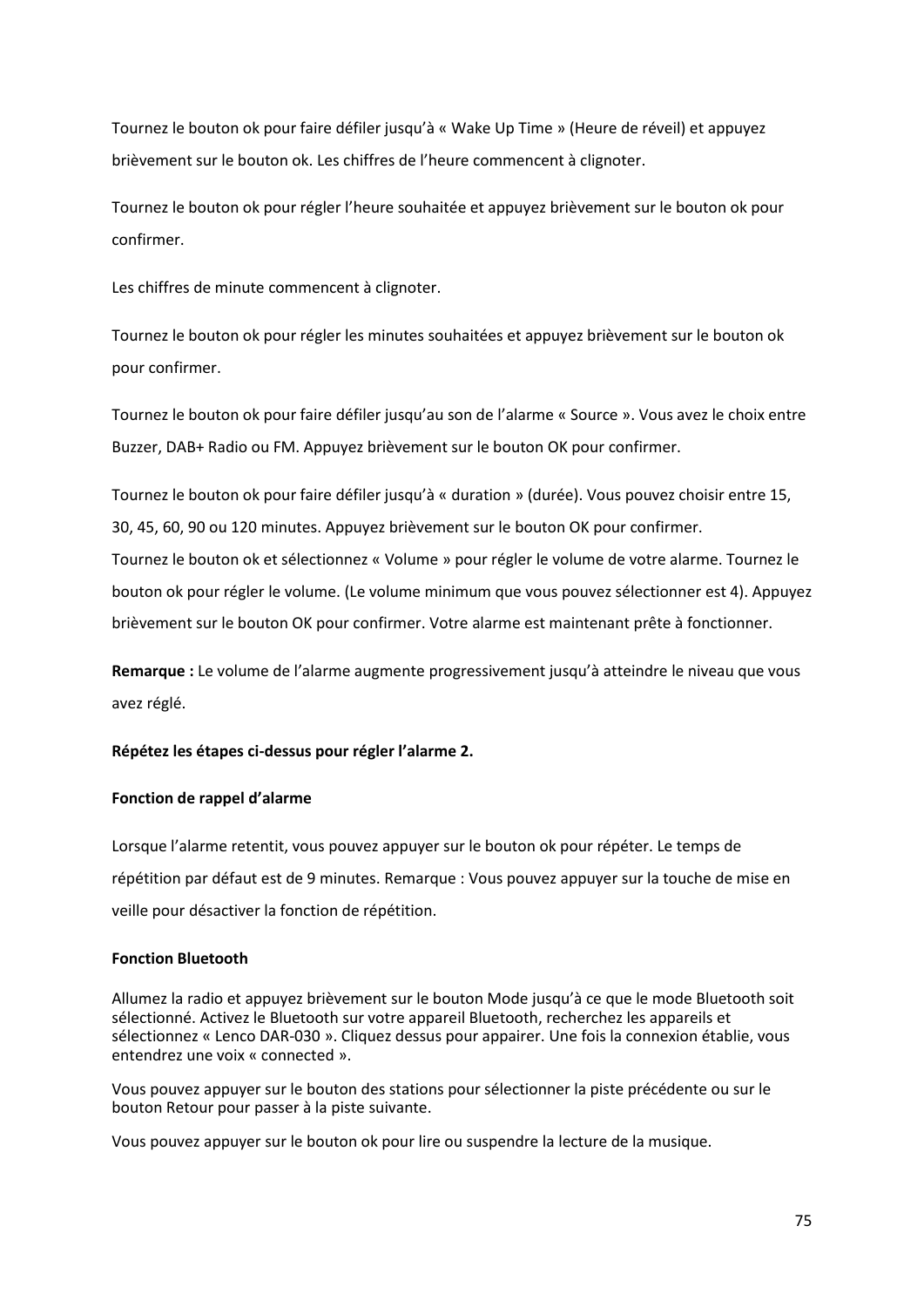Tournez le bouton ok pour faire défiler jusqu'à « Wake Up Time » (Heure de réveil) et appuyez brièvement sur le bouton ok. Les chiffres de l'heure commencent à clignoter.

Tournez le bouton ok pour régler l'heure souhaitée et appuyez brièvement sur le bouton ok pour confirmer.

Les chiffres de minute commencent à clignoter.

Tournez le bouton ok pour régler les minutes souhaitées et appuyez brièvement sur le bouton ok pour confirmer.

Tournez le bouton ok pour faire défiler jusqu'au son de l'alarme « Source ». Vous avez le choix entre Buzzer, DAB+ Radio ou FM. Appuyez brièvement sur le bouton OK pour confirmer.

Tournez le bouton ok pour faire défiler jusqu'à « duration » (durée). Vous pouvez choisir entre 15, 30, 45, 60, 90 ou 120 minutes. Appuyez brièvement sur le bouton OK pour confirmer. Tournez le bouton ok et sélectionnez « Volume » pour régler le volume de votre alarme. Tournez le bouton ok pour régler le volume. (Le volume minimum que vous pouvez sélectionner est 4). Appuyez brièvement sur le bouton OK pour confirmer. Votre alarme est maintenant prête à fonctionner.

**Remarque :** Le volume de l'alarme augmente progressivement jusqu'à atteindre le niveau que vous avez réglé.

## **Répétez les étapes ci-dessus pour régler l'alarme 2.**

## **Fonction de rappel d'alarme**

Lorsque l'alarme retentit, vous pouvez appuyer sur le bouton ok pour répéter. Le temps de répétition par défaut est de 9 minutes. Remarque : Vous pouvez appuyer sur la touche de mise en veille pour désactiver la fonction de répétition.

## **Fonction Bluetooth**

Allumez la radio et appuyez brièvement sur le bouton Mode jusqu'à ce que le mode Bluetooth soit sélectionné. Activez le Bluetooth sur votre appareil Bluetooth, recherchez les appareils et sélectionnez « Lenco DAR-030 ». Cliquez dessus pour appairer. Une fois la connexion établie, vous entendrez une voix « connected ».

Vous pouvez appuyer sur le bouton des stations pour sélectionner la piste précédente ou sur le bouton Retour pour passer à la piste suivante.

Vous pouvez appuyer sur le bouton ok pour lire ou suspendre la lecture de la musique.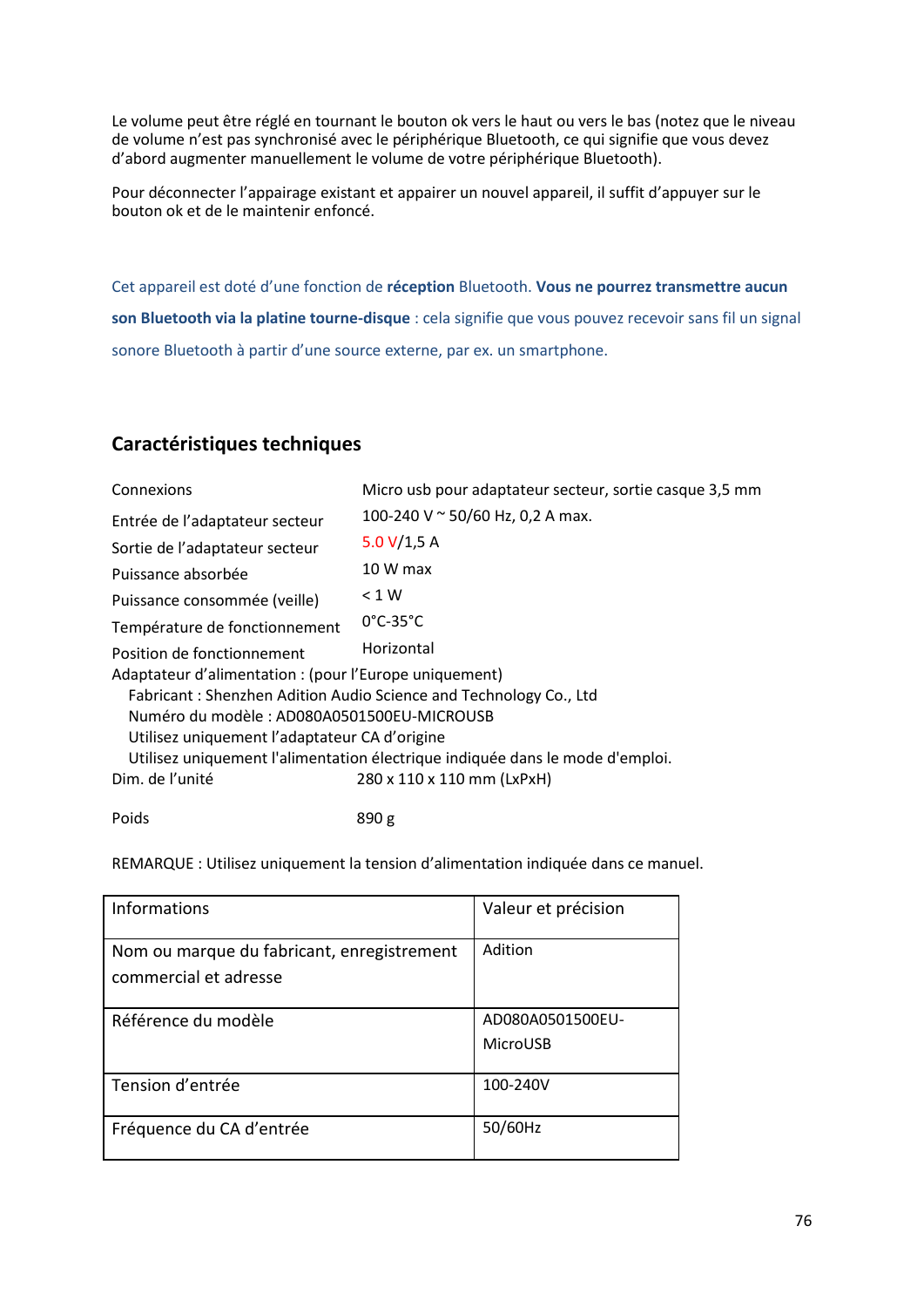Le volume peut être réglé en tournant le bouton ok vers le haut ou vers le bas (notez que le niveau de volume n'est pas synchronisé avec le périphérique Bluetooth, ce qui signifie que vous devez d'abord augmenter manuellement le volume de votre périphérique Bluetooth).

Pour déconnecter l'appairage existant et appairer un nouvel appareil, il suffit d'appuyer sur le bouton ok et de le maintenir enfoncé.

Cet appareil est doté d'une fonction de **réception** Bluetooth. **Vous ne pourrez transmettre aucun son Bluetooth via la platine tourne-disque** : cela signifie que vous pouvez recevoir sans fil un signal sonore Bluetooth à partir d'une source externe, par ex. un smartphone.

# **Caractéristiques techniques**

| Connexions                                                                    | Micro usb pour adaptateur secteur, sortie casque 3,5 mm |  |  |
|-------------------------------------------------------------------------------|---------------------------------------------------------|--|--|
| Entrée de l'adaptateur secteur                                                | 100-240 V ~ 50/60 Hz, 0,2 A max.                        |  |  |
| Sortie de l'adaptateur secteur                                                | 5.0 $V/1,5 A$                                           |  |  |
| Puissance absorbée                                                            | 10 W max                                                |  |  |
| Puissance consommée (veille)                                                  | < 1 W                                                   |  |  |
| Température de fonctionnement                                                 | $0^{\circ}$ C-35 $^{\circ}$ C                           |  |  |
| Position de fonctionnement                                                    | Horizontal                                              |  |  |
| Adaptateur d'alimentation : (pour l'Europe uniquement)                        |                                                         |  |  |
| Fabricant: Shenzhen Adition Audio Science and Technology Co., Ltd             |                                                         |  |  |
| Numéro du modèle : AD080A0501500EU-MICROUSB                                   |                                                         |  |  |
| Utilisez uniquement l'adaptateur CA d'origine                                 |                                                         |  |  |
| Utilisez uniquement l'alimentation électrique indiquée dans le mode d'emploi. |                                                         |  |  |
| Dim. de l'unité                                                               | 280 x 110 x 110 mm (LxPxH)                              |  |  |
|                                                                               |                                                         |  |  |

Poids 890 g

REMARQUE : Utilisez uniquement la tension d'alimentation indiquée dans ce manuel.

| <b>Informations</b>                                                 | Valeur et précision          |
|---------------------------------------------------------------------|------------------------------|
| Nom ou marque du fabricant, enregistrement<br>commercial et adresse | Adition                      |
| Référence du modèle                                                 | AD080A0501500EU-<br>MicroUSB |
| Tension d'entrée                                                    | 100-240V                     |
| Fréquence du CA d'entrée                                            | 50/60Hz                      |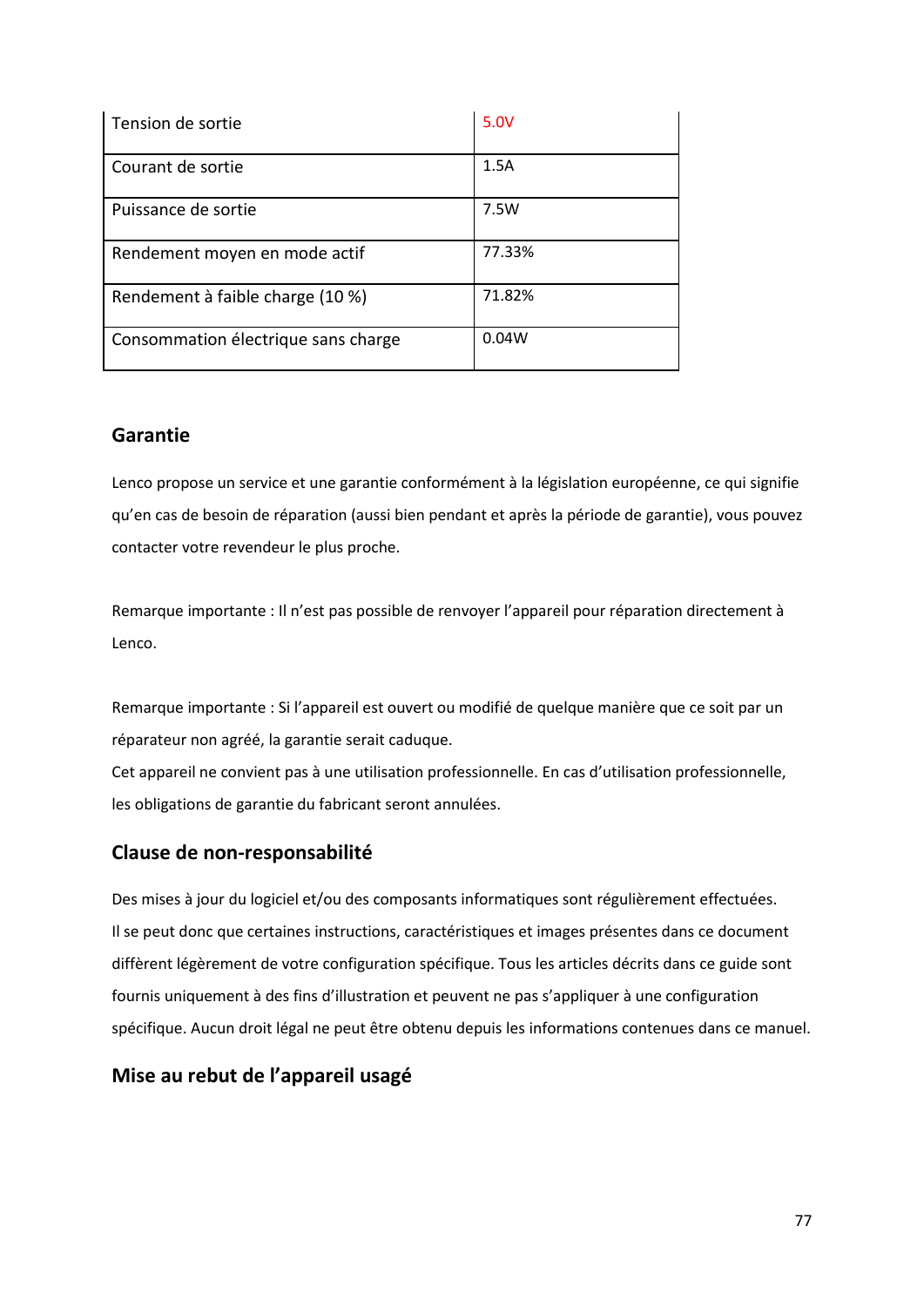| Tension de sortie                   | 5.0V   |
|-------------------------------------|--------|
| Courant de sortie                   | 1.5A   |
| Puissance de sortie                 | 7.5W   |
| Rendement moyen en mode actif       | 77.33% |
| Rendement à faible charge (10 %)    | 71.82% |
| Consommation électrique sans charge | 0.04W  |

# **Garantie**

Lenco propose un service et une garantie conformément à la législation européenne, ce qui signifie qu'en cas de besoin de réparation (aussi bien pendant et après la période de garantie), vous pouvez contacter votre revendeur le plus proche.

Remarque importante : Il n'est pas possible de renvoyer l'appareil pour réparation directement à Lenco.

Remarque importante : Si l'appareil est ouvert ou modifié de quelque manière que ce soit par un réparateur non agréé, la garantie serait caduque.

Cet appareil ne convient pas à une utilisation professionnelle. En cas d'utilisation professionnelle, les obligations de garantie du fabricant seront annulées.

## **Clause de non-responsabilité**

Des mises à jour du logiciel et/ou des composants informatiques sont régulièrement effectuées. Il se peut donc que certaines instructions, caractéristiques et images présentes dans ce document diffèrent légèrement de votre configuration spécifique. Tous les articles décrits dans ce guide sont fournis uniquement à des fins d'illustration et peuvent ne pas s'appliquer à une configuration spécifique. Aucun droit légal ne peut être obtenu depuis les informations contenues dans ce manuel.

## **Mise au rebut de l'appareil usagé**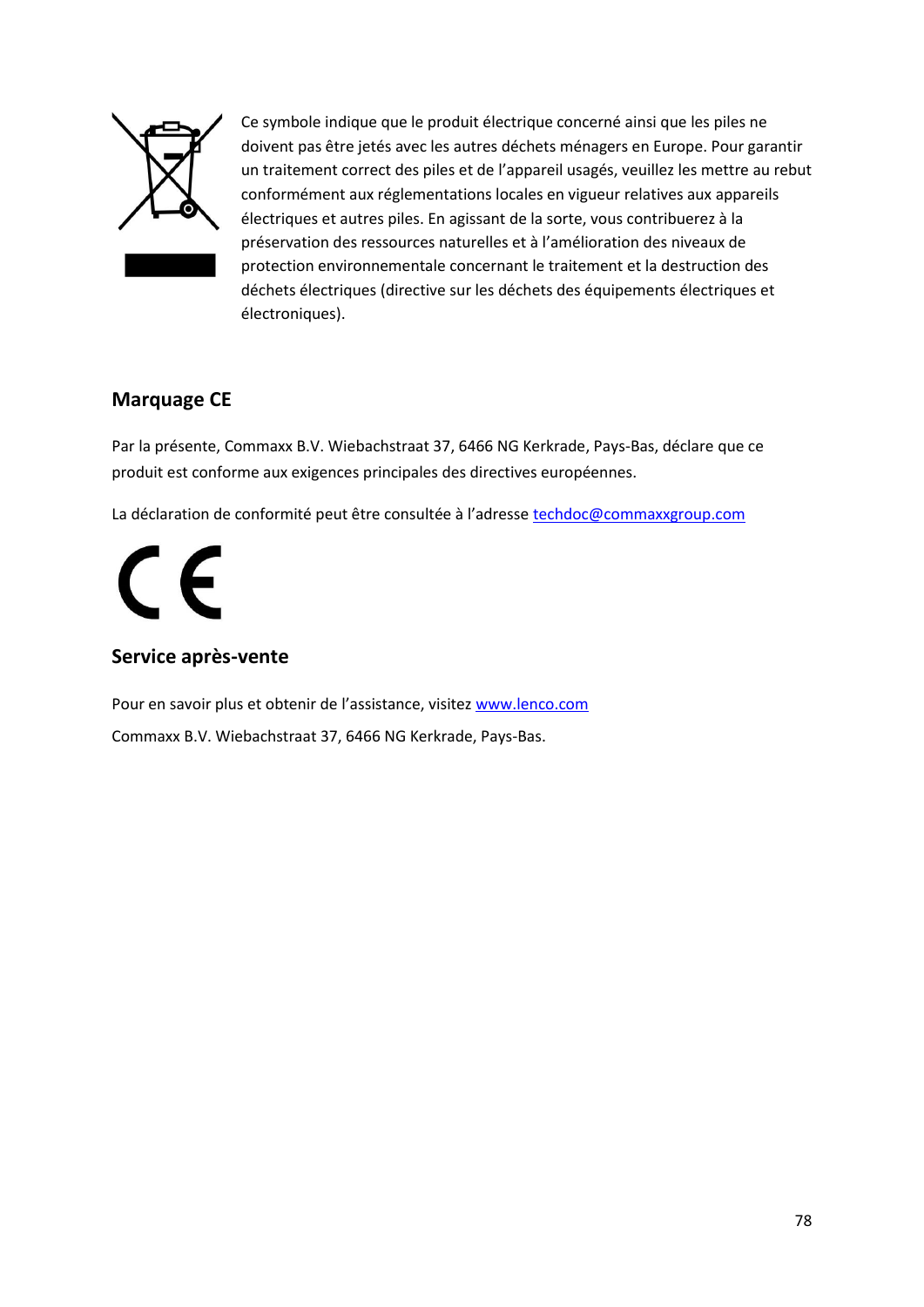

Ce symbole indique que le produit électrique concerné ainsi que les piles ne doivent pas être jetés avec les autres déchets ménagers en Europe. Pour garantir un traitement correct des piles et de l'appareil usagés, veuillez les mettre au rebut conformément aux réglementations locales en vigueur relatives aux appareils électriques et autres piles. En agissant de la sorte, vous contribuerez à la préservation des ressources naturelles et à l'amélioration des niveaux de protection environnementale concernant le traitement et la destruction des déchets électriques (directive sur les déchets des équipements électriques et électroniques).

# **Marquage CE**

Par la présente, Commaxx B.V. Wiebachstraat 37, 6466 NG Kerkrade, Pays-Bas, déclare que ce produit est conforme aux exigences principales des directives européennes.

La déclaration de conformité peut être consultée à l'adresse [techdoc@commaxxgroup.com](mailto:techdoc@commaxxgroup.com)

# $\epsilon$

# **Service après-vente**

Pour en savoir plus et obtenir de l'assistance, visitez [www.lenco.com](http://www.lenco.com/) Commaxx B.V. Wiebachstraat 37, 6466 NG Kerkrade, Pays-Bas.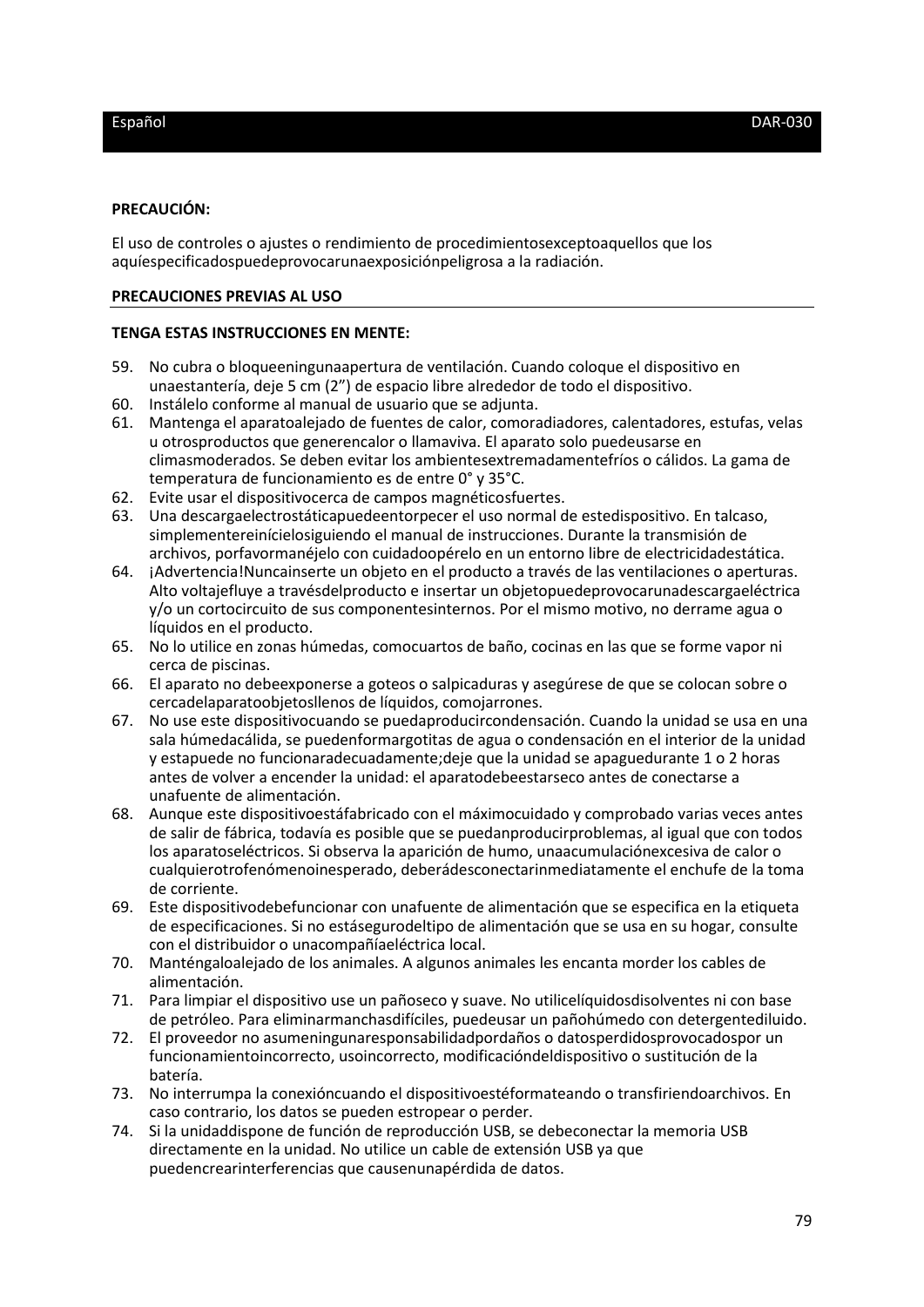#### **PRECAUCIÓN:**

El uso de controles o ajustes o rendimiento de procedimientosexceptoaquellos que los aquíespecificadospuedeprovocarunaexposiciónpeligrosa a la radiación.

#### **PRECAUCIONES PREVIAS AL USO**

#### **TENGA ESTAS INSTRUCCIONES EN MENTE:**

- 59. No cubra o bloqueeningunaapertura de ventilación. Cuando coloque el dispositivo en unaestantería, deje 5 cm (2") de espacio libre alrededor de todo el dispositivo.
- 60. Instálelo conforme al manual de usuario que se adjunta.
- 61. Mantenga el aparatoalejado de fuentes de calor, comoradiadores, calentadores, estufas, velas u otrosproductos que generencalor o llamaviva. El aparato solo puedeusarse en climasmoderados. Se deben evitar los ambientesextremadamentefríos o cálidos. La gama de temperatura de funcionamiento es de entre 0° y 35°C.
- 62. Evite usar el dispositivocerca de campos magnéticosfuertes.
- 63. Una descargaelectrostáticapuedeentorpecer el uso normal de estedispositivo. En talcaso, simplementereinícielosiguiendo el manual de instrucciones. Durante la transmisión de archivos, porfavormanéjelo con cuidadoopérelo en un entorno libre de electricidadestática.
- 64. ¡Advertencia!Nuncainserte un objeto en el producto a través de las ventilaciones o aperturas. Alto voltajefluye a travésdelproducto e insertar un objetopuedeprovocarunadescargaeléctrica y/o un cortocircuito de sus componentesinternos. Por el mismo motivo, no derrame agua o líquidos en el producto.
- 65. No lo utilice en zonas húmedas, comocuartos de baño, cocinas en las que se forme vapor ni cerca de piscinas.
- 66. El aparato no debeexponerse a goteos o salpicaduras y asegúrese de que se colocan sobre o cercadelaparatoobjetosllenos de líquidos, comojarrones.
- 67. No use este dispositivocuando se puedaproducircondensación. Cuando la unidad se usa en una sala húmedacálida, se puedenformargotitas de agua o condensación en el interior de la unidad y estapuede no funcionaradecuadamente;deje que la unidad se apaguedurante 1 o 2 horas antes de volver a encender la unidad: el aparatodebeestarseco antes de conectarse a unafuente de alimentación.
- 68. Aunque este dispositivoestáfabricado con el máximocuidado y comprobado varias veces antes de salir de fábrica, todavía es posible que se puedanproducirproblemas, al igual que con todos los aparatoseléctricos. Si observa la aparición de humo, unaacumulaciónexcesiva de calor o cualquierotrofenómenoinesperado, deberádesconectarinmediatamente el enchufe de la toma de corriente.
- 69. Este dispositivodebefuncionar con unafuente de alimentación que se especifica en la etiqueta de especificaciones. Si no estásegurodeltipo de alimentación que se usa en su hogar, consulte con el distribuidor o unacompañíaeléctrica local.
- 70. Manténgaloalejado de los animales. A algunos animales les encanta morder los cables de alimentación.
- 71. Para limpiar el dispositivo use un pañoseco y suave. No utilicelíquidosdisolventes ni con base de petróleo. Para eliminarmanchasdifíciles, puedeusar un pañohúmedo con detergentediluido.
- 72. El proveedor no asumeningunaresponsabilidadpordaños o datosperdidosprovocadospor un funcionamientoincorrecto, usoincorrecto, modificacióndeldispositivo o sustitución de la batería.
- 73. No interrumpa la conexióncuando el dispositivoestéformateando o transfiriendoarchivos. En caso contrario, los datos se pueden estropear o perder.
- 74. Si la unidaddispone de función de reproducción USB, se debeconectar la memoria USB directamente en la unidad. No utilice un cable de extensión USB ya que puedencrearinterferencias que causenunapérdida de datos.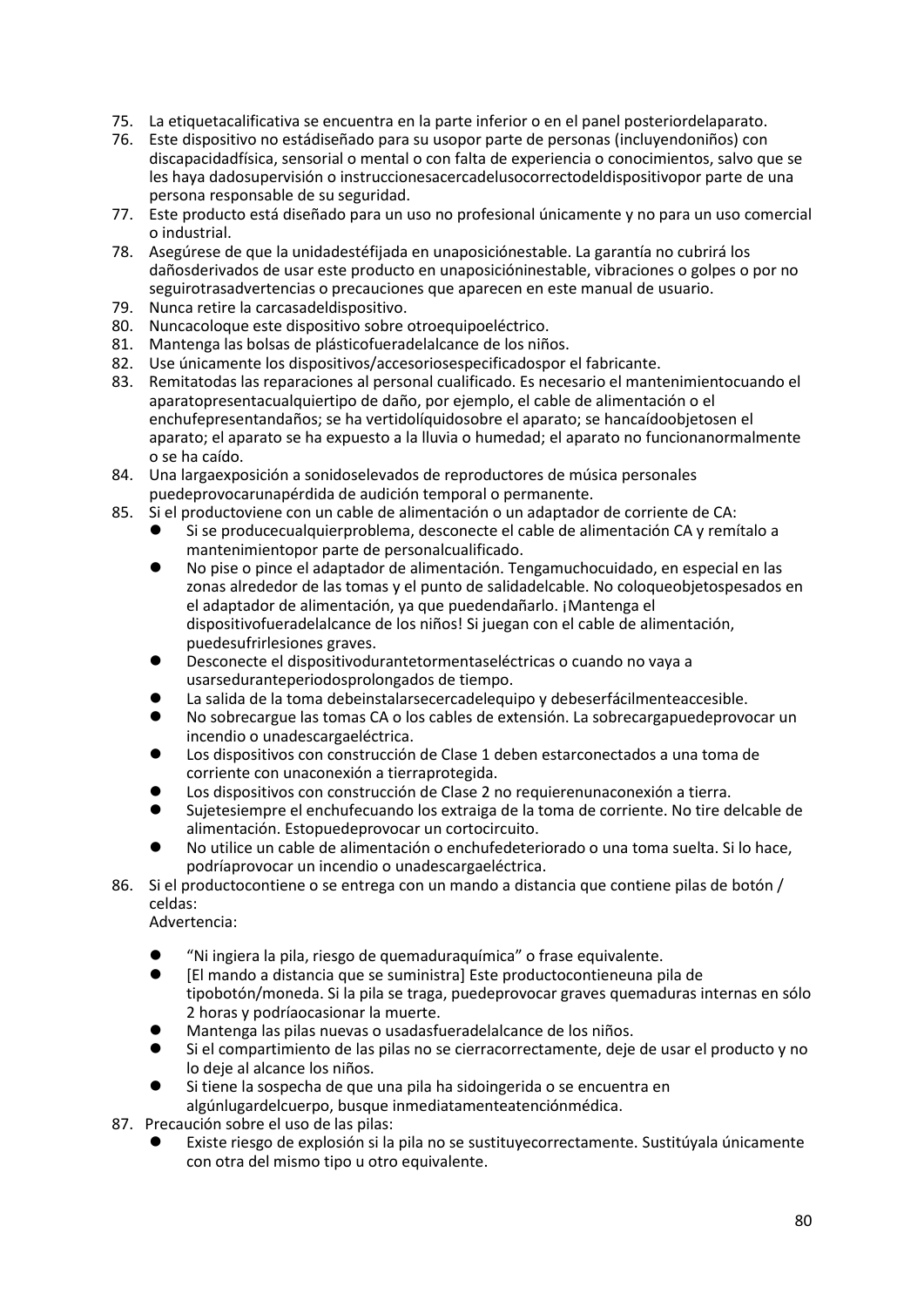- 75. La etiquetacalificativa se encuentra en la parte inferior o en el panel posteriordelaparato.
- 76. Este dispositivo no estádiseñado para su usopor parte de personas (incluyendoniños) con discapacidadfísica, sensorial o mental o con falta de experiencia o conocimientos, salvo que se les haya dadosupervisión o instruccionesacercadelusocorrectodeldispositivopor parte de una persona responsable de su seguridad.
- 77. Este producto está diseñado para un uso no profesional únicamente y no para un uso comercial o industrial.
- 78. Asegúrese de que la unidadestéfijada en unaposiciónestable. La garantía no cubrirá los dañosderivados de usar este producto en unaposicióninestable, vibraciones o golpes o por no seguirotrasadvertencias o precauciones que aparecen en este manual de usuario.
- 79. Nunca retire la carcasadeldispositivo.
- 80. Nuncacoloque este dispositivo sobre otroequipoeléctrico.
- 81. Mantenga las bolsas de plásticofueradelalcance de los niños.
- 82. Use únicamente los dispositivos/accesoriosespecificadospor el fabricante.
- 83. Remitatodas las reparaciones al personal cualificado. Es necesario el mantenimientocuando el aparatopresentacualquiertipo de daño, por ejemplo, el cable de alimentación o el enchufepresentandaños; se ha vertidolíquidosobre el aparato; se hancaídoobjetosen el aparato; el aparato se ha expuesto a la lluvia o humedad; el aparato no funcionanormalmente o se ha caído.
- 84. Una largaexposición a sonidoselevados de reproductores de música personales puedeprovocarunapérdida de audición temporal o permanente.
- 85. Si el productoviene con un cable de alimentación o un adaptador de corriente de CA:
	- ⚫ Si se producecualquierproblema, desconecte el cable de alimentación CA y remítalo a mantenimientopor parte de personalcualificado.
	- ⚫ No pise o pince el adaptador de alimentación. Tengamuchocuidado, en especial en las zonas alrededor de las tomas y el punto de salidadelcable. No coloqueobjetospesados en el adaptador de alimentación, ya que puedendañarlo. ¡Mantenga el dispositivofueradelalcance de los niños! Si juegan con el cable de alimentación, puedesufrirlesiones graves.
	- ⚫ Desconecte el dispositivodurantetormentaseléctricas o cuando no vaya a usarseduranteperiodosprolongados de tiempo.
	- La salida de la toma debeinstalarsecercadelequipo y debeserfácilmenteaccesible.
	- ⚫ No sobrecargue las tomas CA o los cables de extensión. La sobrecargapuedeprovocar un incendio o unadescargaeléctrica.
	- ⚫ Los dispositivos con construcción de Clase 1 deben estarconectados a una toma de corriente con unaconexión a tierraprotegida.
	- ⚫ Los dispositivos con construcción de Clase 2 no requierenunaconexión a tierra.
	- ⚫ Sujetesiempre el enchufecuando los extraiga de la toma de corriente. No tire delcable de alimentación. Estopuedeprovocar un cortocircuito.
	- ⚫ No utilice un cable de alimentación o enchufedeteriorado o una toma suelta. Si lo hace, podríaprovocar un incendio o unadescargaeléctrica.
- 86. Si el productocontiene o se entrega con un mando a distancia que contiene pilas de botón / celdas:

Advertencia:

- ⚫ "Ni ingiera la pila, riesgo de quemaduraquímica" o frase equivalente.
- ⚫ [El mando a distancia que se suministra] Este productocontieneuna pila de tipobotón/moneda. Si la pila se traga, puedeprovocar graves quemaduras internas en sólo 2 horas y podríaocasionar la muerte.
- ⚫ Mantenga las pilas nuevas o usadasfueradelalcance de los niños.
- ⚫ Si el compartimiento de las pilas no se cierracorrectamente, deje de usar el producto y no lo deje al alcance los niños.
- ⚫ Si tiene la sospecha de que una pila ha sidoingerida o se encuentra en algúnlugardelcuerpo, busque inmediatamenteatenciónmédica.
- 87. Precaución sobre el uso de las pilas:
	- ⚫ Existe riesgo de explosión si la pila no se sustituyecorrectamente. Sustitúyala únicamente con otra del mismo tipo u otro equivalente.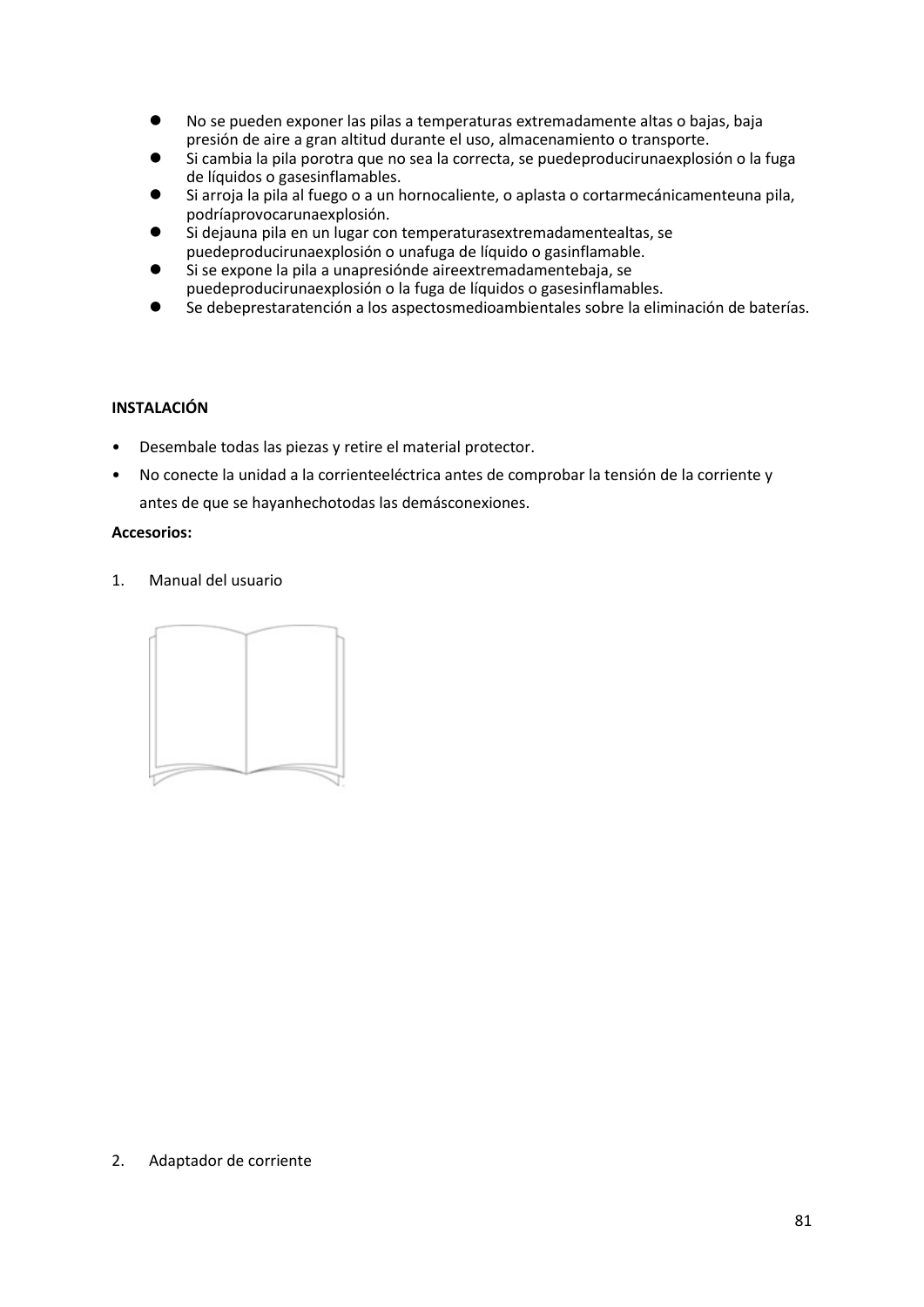- ⚫ No se pueden exponer las pilas a temperaturas extremadamente altas o bajas, baja presión de aire a gran altitud durante el uso, almacenamiento o transporte.
- Si cambia la pila porotra que no sea la correcta, se puedeproducirunaexplosión o la fuga de líquidos o gasesinflamables.
- Si arroja la pila al fuego o a un hornocaliente, o aplasta o cortarmecánicamenteuna pila, podríaprovocarunaexplosión.
- Si dejauna pila en un lugar con temperaturasextremadamentealtas, se puedeproducirunaexplosión o unafuga de líquido o gasinflamable.
- ⚫ Si se expone la pila a unapresiónde aireextremadamentebaja, se puedeproducirunaexplosión o la fuga de líquidos o gasesinflamables.
- Se debeprestaratención a los aspectosmedioambientales sobre la eliminación de baterías.

## **INSTALACIÓN**

- Desembale todas las piezas y retire el material protector.
- No conecte la unidad a la corrienteeléctrica antes de comprobar la tensión de la corriente y antes de que se hayanhechotodas las demásconexiones.

## **Accesorios:**

1. Manual del usuario



## 2. Adaptador de corriente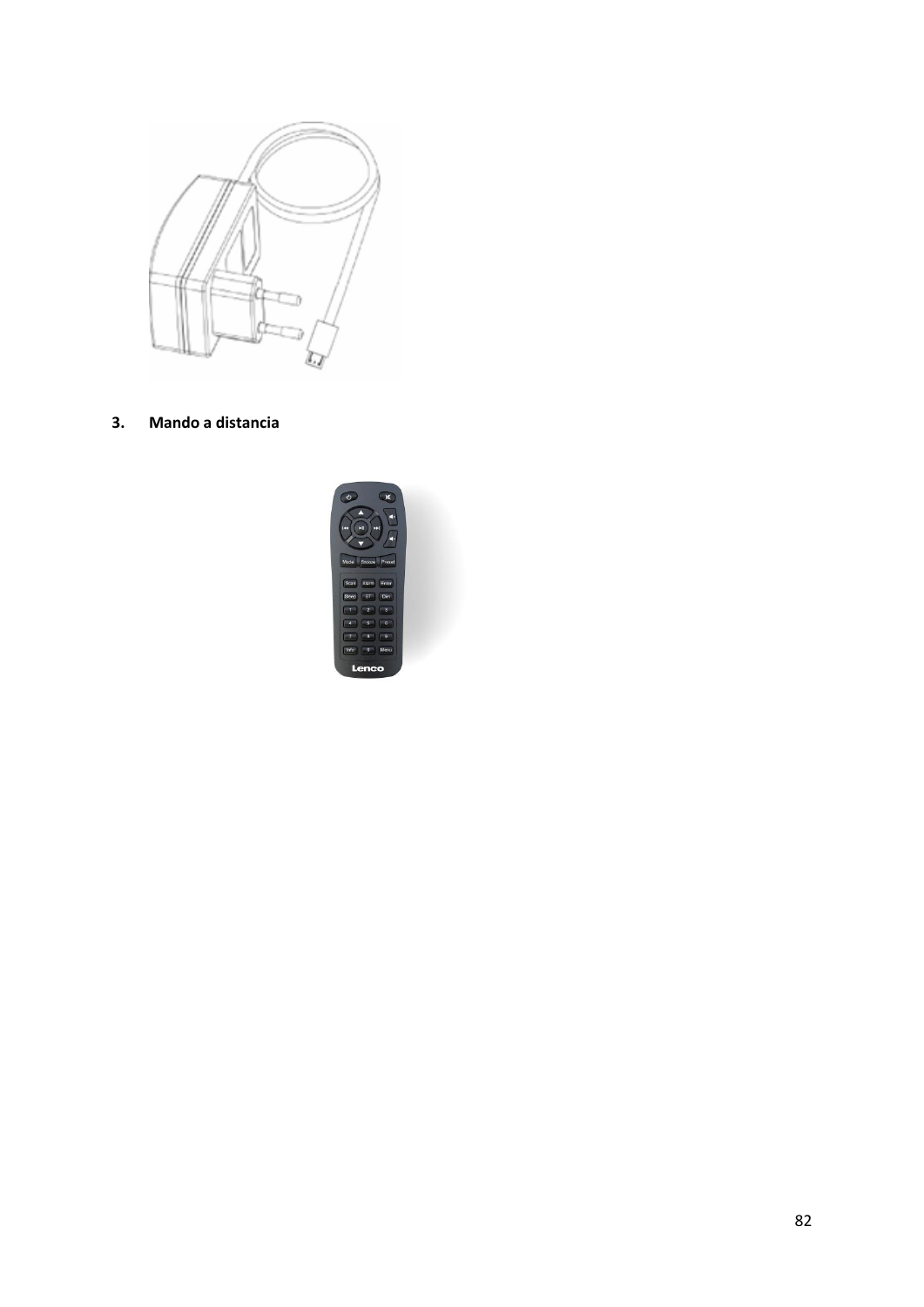

**3. Mando a distancia**

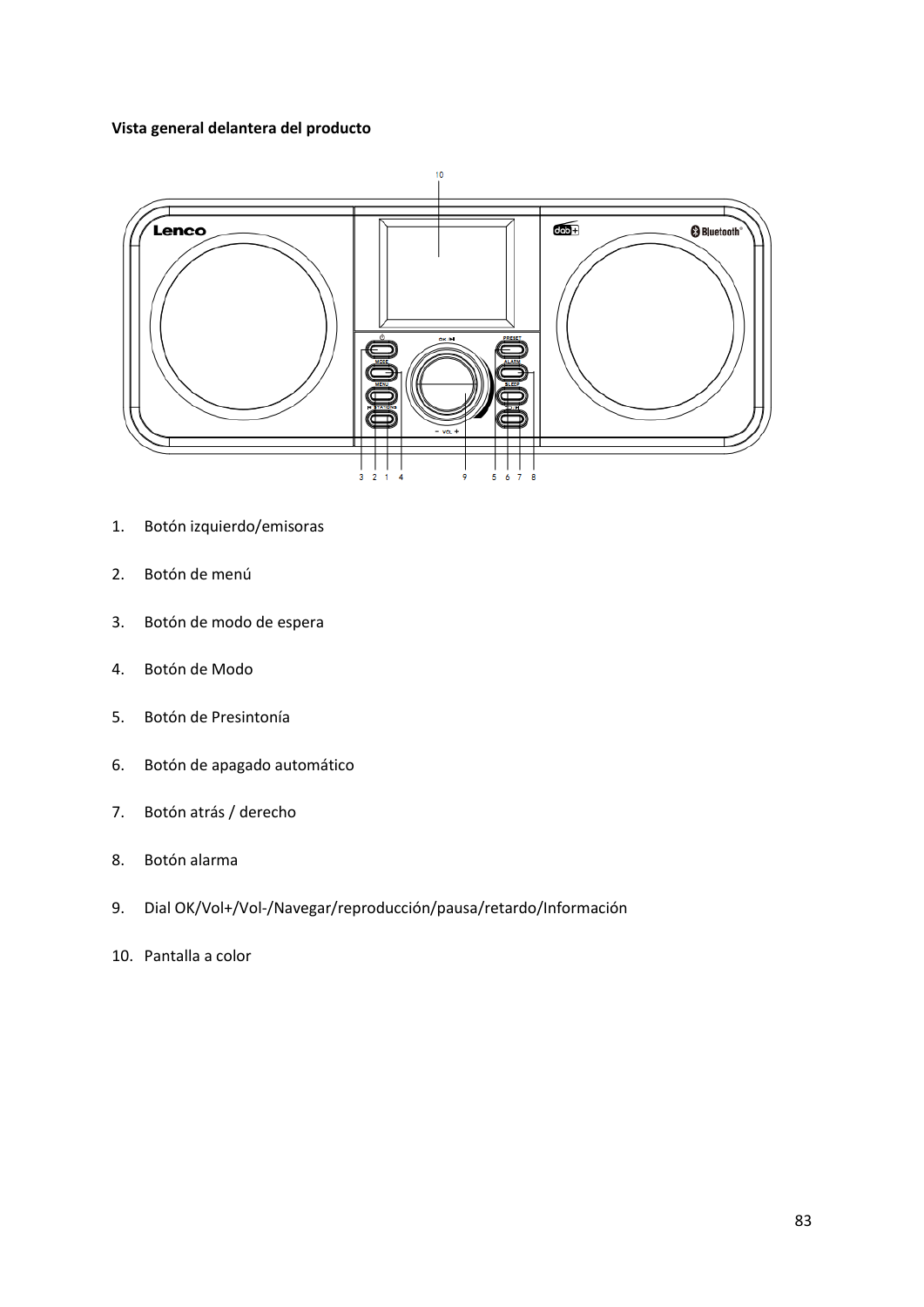## **Vista general delantera del producto**



- 1. Botón izquierdo/emisoras
- 2. Botón de menú
- 3. Botón de modo de espera
- 4. Botón de Modo
- 5. Botón de Presintonía
- 6. Botón de apagado automático
- 7. Botón atrás / derecho
- 8. Botón alarma
- 9. Dial OK/Vol+/Vol-/Navegar/reproducción/pausa/retardo/Información
- 10. Pantalla a color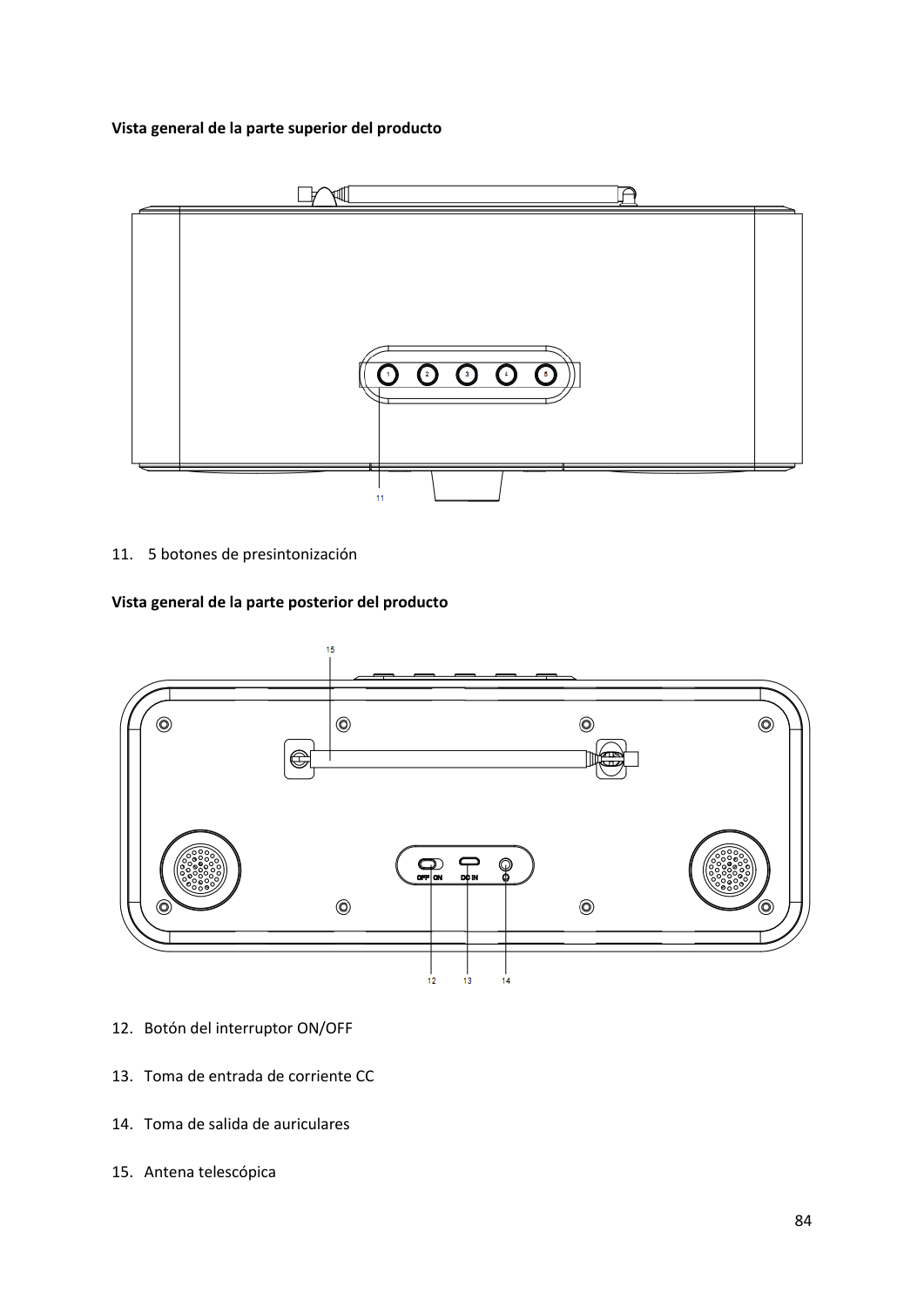## **Vista general de la parte superior del producto**



11. 5 botones de presintonización

#### **Vista general de la parte posterior del producto**



- 12. Botón del interruptor ON/OFF
- 13. Toma de entrada de corriente CC
- 14. Toma de salida de auriculares
- 15. Antena telescópica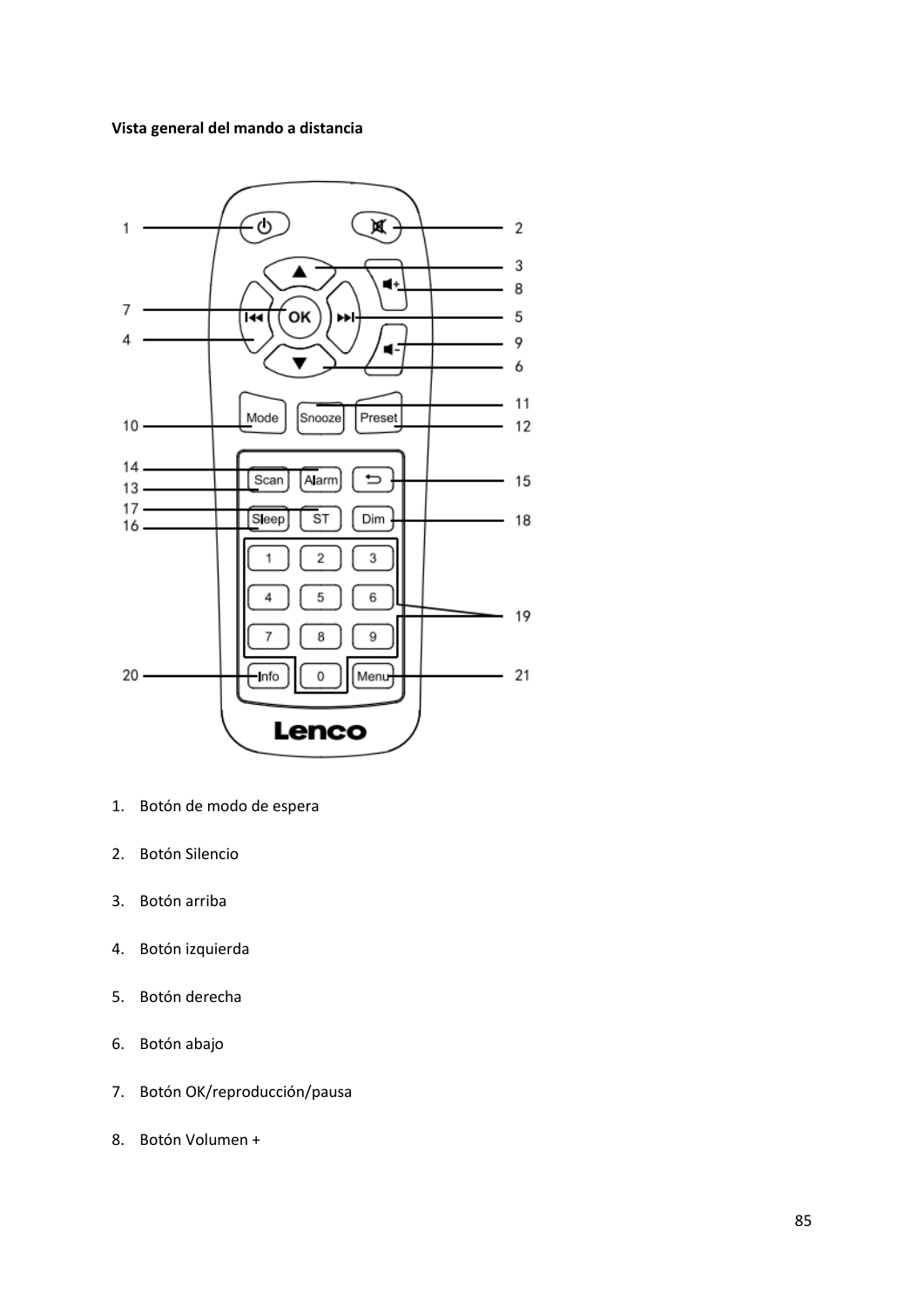## **Vista general del mando a distancia**



- 1. Botón de modo de espera
- 2. Botón Silencio
- 3. Botón arriba
- 4. Botón izquierda
- 5. Botón derecha
- 6. Botón abajo
- 7. Botón OK/reproducción/pausa
- 8. Botón Volumen +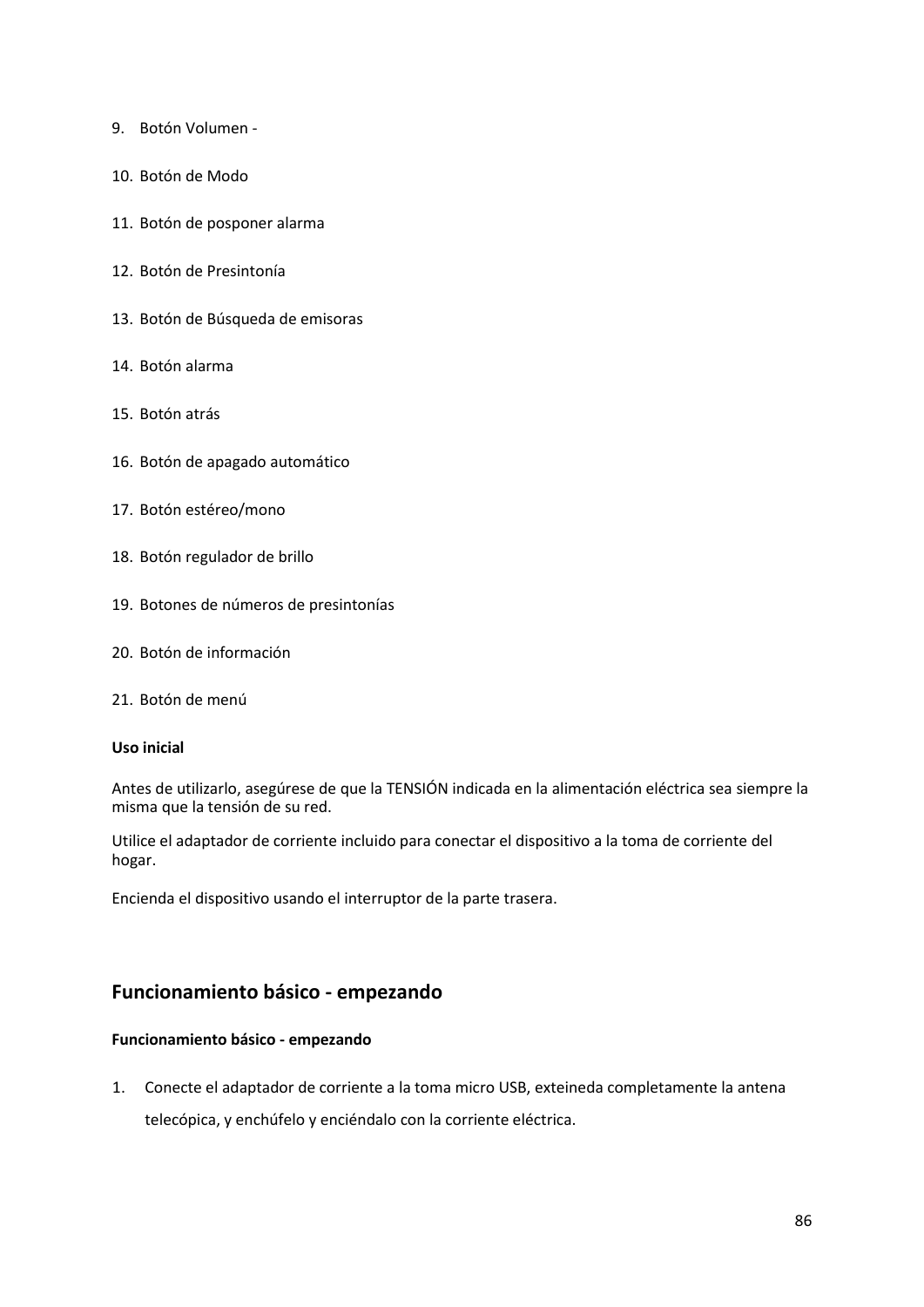- 9. Botón Volumen -
- 10. Botón de Modo
- 11. Botón de posponer alarma
- 12. Botón de Presintonía
- 13. Botón de Búsqueda de emisoras
- 14. Botón alarma
- 15. Botón atrás
- 16. Botón de apagado automático
- 17. Botón estéreo/mono
- 18. Botón regulador de brillo
- 19. Botones de números de presintonías
- 20. Botón de información
- 21. Botón de menú

## **Uso inicial**

Antes de utilizarlo, asegúrese de que la TENSIÓN indicada en la alimentación eléctrica sea siempre la misma que la tensión de su red.

Utilice el adaptador de corriente incluido para conectar el dispositivo a la toma de corriente del hogar.

Encienda el dispositivo usando el interruptor de la parte trasera.

## **Funcionamiento básico - empezando**

## **Funcionamiento básico - empezando**

1. Conecte el adaptador de corriente a la toma micro USB, exteineda completamente la antena telecópica, y enchúfelo y enciéndalo con la corriente eléctrica.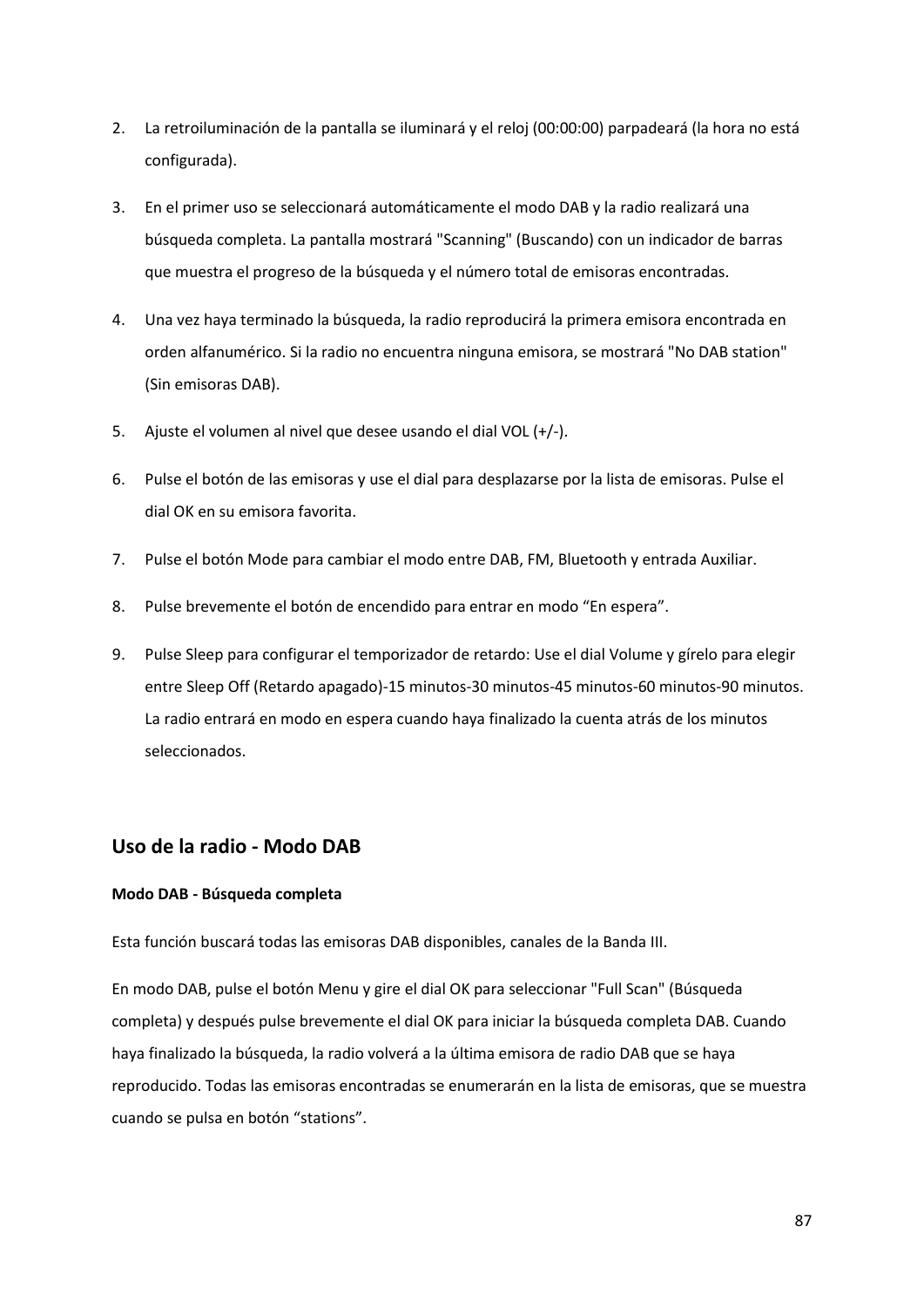- 2. La retroiluminación de la pantalla se iluminará y el reloj (00:00:00) parpadeará (la hora no está configurada).
- 3. En el primer uso se seleccionará automáticamente el modo DAB y la radio realizará una búsqueda completa. La pantalla mostrará "Scanning" (Buscando) con un indicador de barras que muestra el progreso de la búsqueda y el número total de emisoras encontradas.
- 4. Una vez haya terminado la búsqueda, la radio reproducirá la primera emisora encontrada en orden alfanumérico. Si la radio no encuentra ninguna emisora, se mostrará "No DAB station" (Sin emisoras DAB).
- 5. Ajuste el volumen al nivel que desee usando el dial VOL (+/-).
- 6. Pulse el botón de las emisoras y use el dial para desplazarse por la lista de emisoras. Pulse el dial OK en su emisora favorita.
- 7. Pulse el botón Mode para cambiar el modo entre DAB, FM, Bluetooth y entrada Auxiliar.
- 8. Pulse brevemente el botón de encendido para entrar en modo "En espera".
- 9. Pulse Sleep para configurar el temporizador de retardo: Use el dial Volume y gírelo para elegir entre Sleep Off (Retardo apagado)-15 minutos-30 minutos-45 minutos-60 minutos-90 minutos. La radio entrará en modo en espera cuando haya finalizado la cuenta atrás de los minutos seleccionados.

# **Uso de la radio - Modo DAB**

## **Modo DAB - Búsqueda completa**

Esta función buscará todas las emisoras DAB disponibles, canales de la Banda III.

En modo DAB, pulse el botón Menu y gire el dial OK para seleccionar "Full Scan" (Búsqueda completa) y después pulse brevemente el dial OK para iniciar la búsqueda completa DAB. Cuando haya finalizado la búsqueda, la radio volverá a la última emisora de radio DAB que se haya reproducido. Todas las emisoras encontradas se enumerarán en la lista de emisoras, que se muestra cuando se pulsa en botón "stations".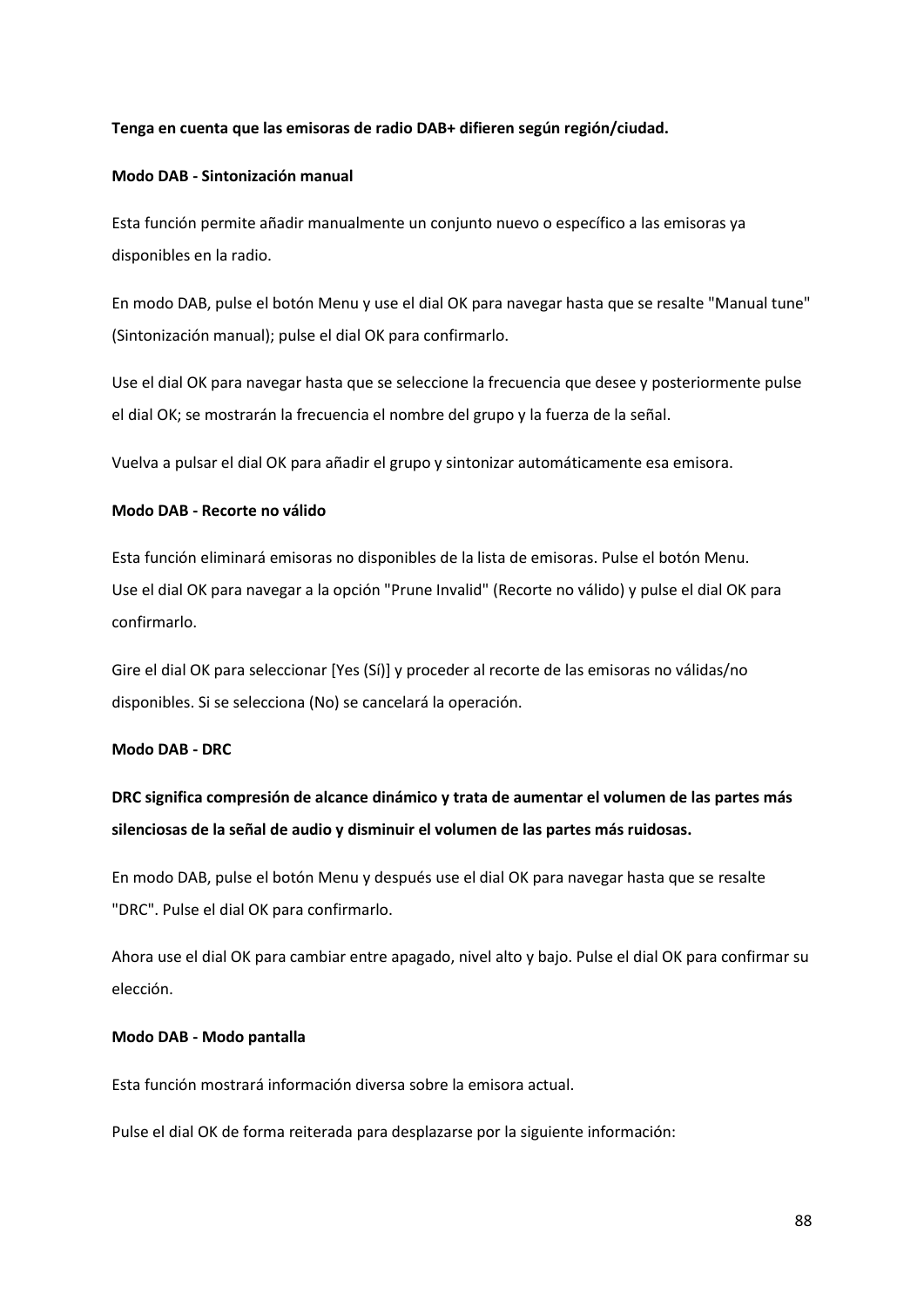## **Tenga en cuenta que las emisoras de radio DAB+ difieren según región/ciudad.**

## **Modo DAB - Sintonización manual**

Esta función permite añadir manualmente un conjunto nuevo o específico a las emisoras ya disponibles en la radio.

En modo DAB, pulse el botón Menu y use el dial OK para navegar hasta que se resalte "Manual tune" (Sintonización manual); pulse el dial OK para confirmarlo.

Use el dial OK para navegar hasta que se seleccione la frecuencia que desee y posteriormente pulse el dial OK; se mostrarán la frecuencia el nombre del grupo y la fuerza de la señal.

Vuelva a pulsar el dial OK para añadir el grupo y sintonizar automáticamente esa emisora.

#### **Modo DAB - Recorte no válido**

Esta función eliminará emisoras no disponibles de la lista de emisoras. Pulse el botón Menu. Use el dial OK para navegar a la opción "Prune Invalid" (Recorte no válido) y pulse el dial OK para confirmarlo.

Gire el dial OK para seleccionar [Yes (Sí)] y proceder al recorte de las emisoras no válidas/no disponibles. Si se selecciona (No) se cancelará la operación.

## **Modo DAB - DRC**

**DRC significa compresión de alcance dinámico y trata de aumentar el volumen de las partes más silenciosas de la señal de audio y disminuir el volumen de las partes más ruidosas.**

En modo DAB, pulse el botón Menu y después use el dial OK para navegar hasta que se resalte "DRC". Pulse el dial OK para confirmarlo.

Ahora use el dial OK para cambiar entre apagado, nivel alto y bajo. Pulse el dial OK para confirmar su elección.

## **Modo DAB - Modo pantalla**

Esta función mostrará información diversa sobre la emisora actual.

Pulse el dial OK de forma reiterada para desplazarse por la siguiente información: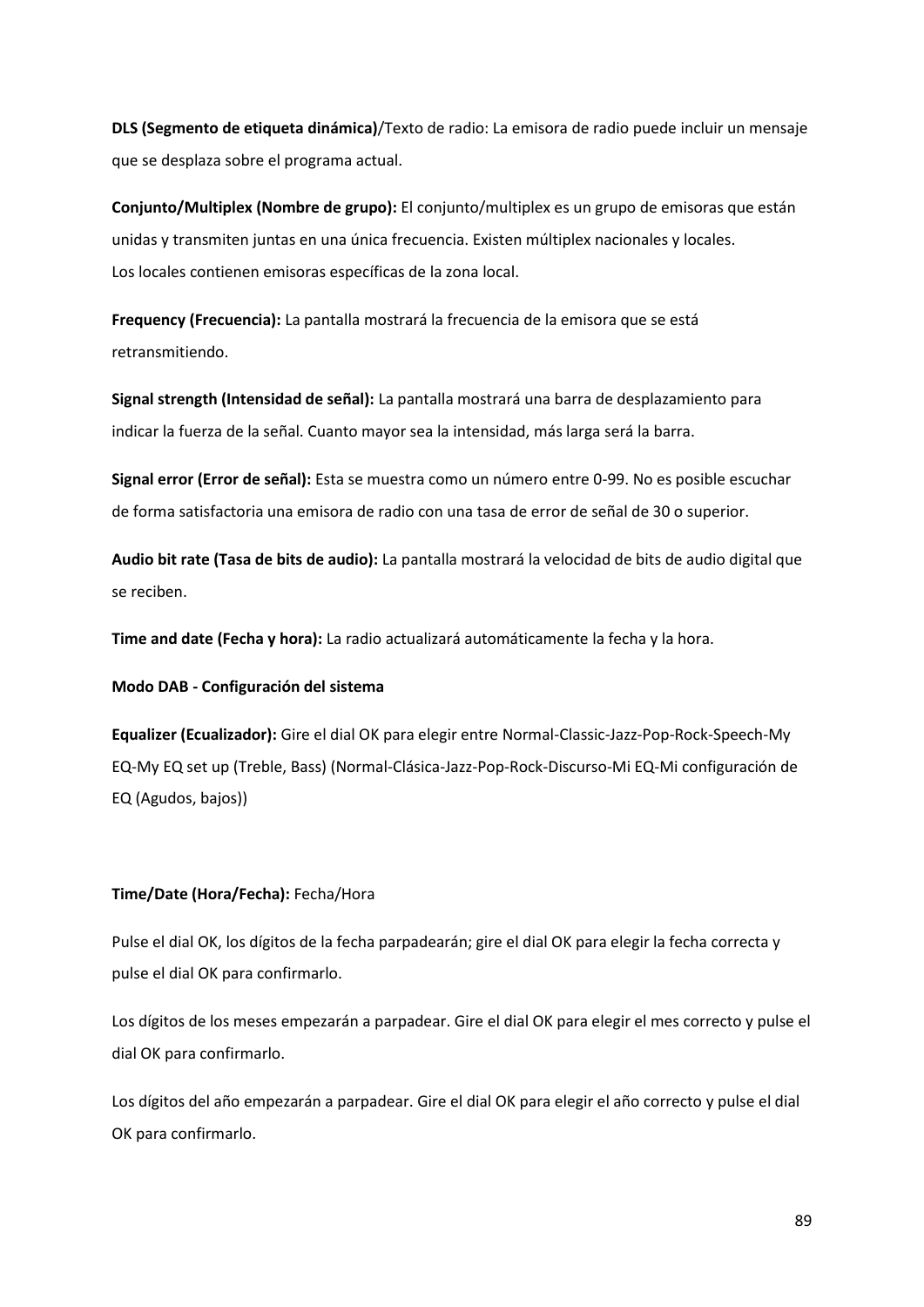**DLS (Segmento de etiqueta dinámica)**/Texto de radio: La emisora de radio puede incluir un mensaje que se desplaza sobre el programa actual.

**Conjunto/Multiplex (Nombre de grupo):** El conjunto/multiplex es un grupo de emisoras que están unidas y transmiten juntas en una única frecuencia. Existen múltiplex nacionales y locales. Los locales contienen emisoras específicas de la zona local.

**Frequency (Frecuencia):** La pantalla mostrará la frecuencia de la emisora que se está retransmitiendo.

**Signal strength (Intensidad de señal):** La pantalla mostrará una barra de desplazamiento para indicar la fuerza de la señal. Cuanto mayor sea la intensidad, más larga será la barra.

**Signal error (Error de señal):** Esta se muestra como un número entre 0-99. No es posible escuchar de forma satisfactoria una emisora de radio con una tasa de error de señal de 30 o superior.

**Audio bit rate (Tasa de bits de audio):** La pantalla mostrará la velocidad de bits de audio digital que se reciben.

**Time and date (Fecha y hora):** La radio actualizará automáticamente la fecha y la hora.

**Modo DAB - Configuración del sistema**

**Equalizer (Ecualizador):** Gire el dial OK para elegir entre Normal-Classic-Jazz-Pop-Rock-Speech-My EQ-My EQ set up (Treble, Bass) (Normal-Clásica-Jazz-Pop-Rock-Discurso-Mi EQ-Mi configuración de EQ (Agudos, bajos))

## **Time/Date (Hora/Fecha):** Fecha/Hora

Pulse el dial OK, los dígitos de la fecha parpadearán; gire el dial OK para elegir la fecha correcta y pulse el dial OK para confirmarlo.

Los dígitos de los meses empezarán a parpadear. Gire el dial OK para elegir el mes correcto y pulse el dial OK para confirmarlo.

Los dígitos del año empezarán a parpadear. Gire el dial OK para elegir el año correcto y pulse el dial OK para confirmarlo.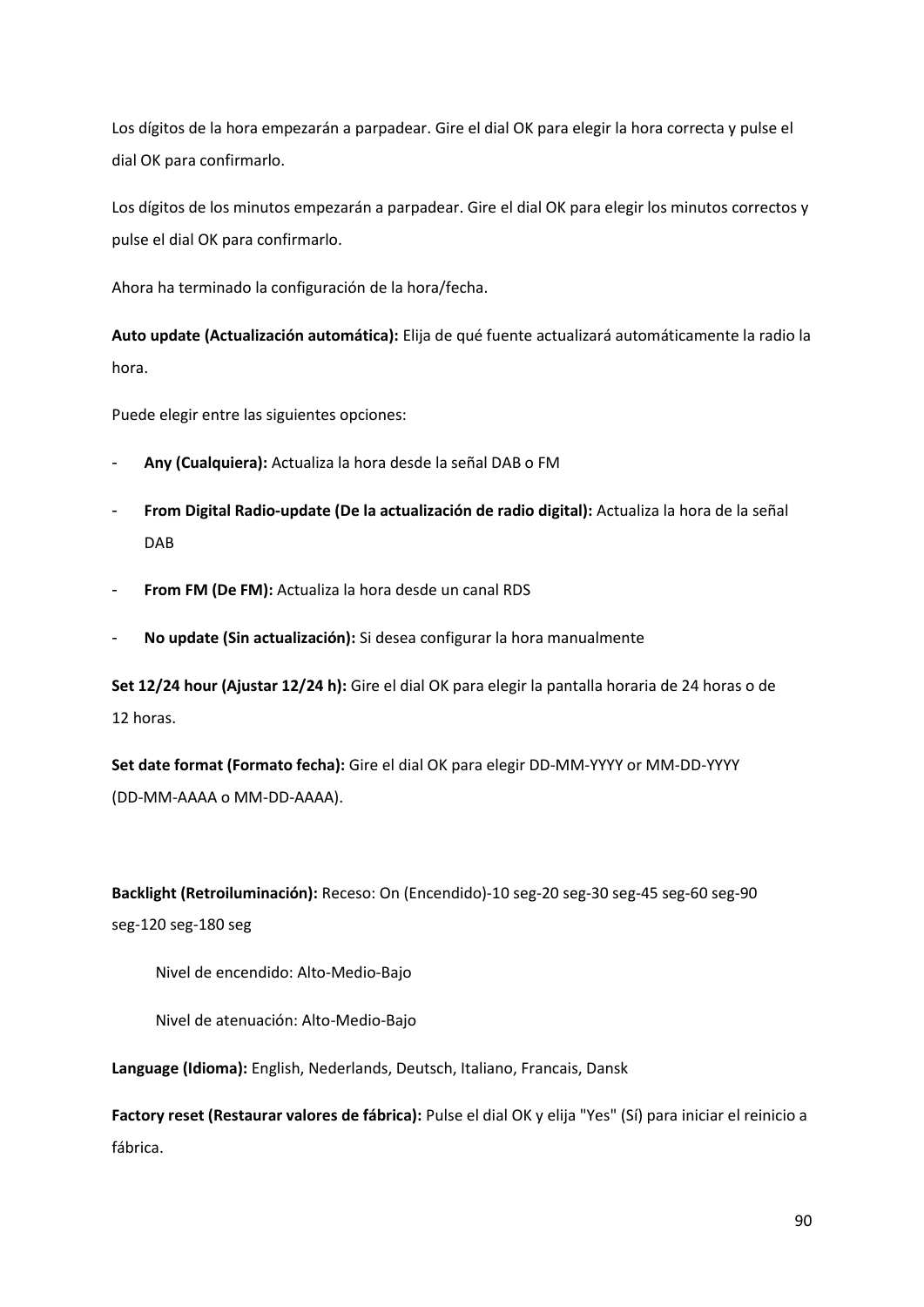Los dígitos de la hora empezarán a parpadear. Gire el dial OK para elegir la hora correcta y pulse el dial OK para confirmarlo.

Los dígitos de los minutos empezarán a parpadear. Gire el dial OK para elegir los minutos correctos y pulse el dial OK para confirmarlo.

Ahora ha terminado la configuración de la hora/fecha.

**Auto update (Actualización automática):** Elija de qué fuente actualizará automáticamente la radio la hora.

Puede elegir entre las siguientes opciones:

- **Any (Cualquiera):** Actualiza la hora desde la señal DAB o FM
- **From Digital Radio-update (De la actualización de radio digital):** Actualiza la hora de la señal DAB
- **From FM (De FM):** Actualiza la hora desde un canal RDS
- **No update (Sin actualización):** Si desea configurar la hora manualmente

**Set 12/24 hour (Ajustar 12/24 h):** Gire el dial OK para elegir la pantalla horaria de 24 horas o de 12 horas.

**Set date format (Formato fecha):** Gire el dial OK para elegir DD-MM-YYYY or MM-DD-YYYY (DD-MM-AAAA o MM-DD-AAAA).

**Backlight (Retroiluminación):** Receso: On (Encendido)-10 seg-20 seg-30 seg-45 seg-60 seg-90 seg-120 seg-180 seg

Nivel de encendido: Alto-Medio-Bajo

Nivel de atenuación: Alto-Medio-Bajo

**Language (Idioma):** English, Nederlands, Deutsch, Italiano, Francais, Dansk

**Factory reset (Restaurar valores de fábrica):** Pulse el dial OK y elija "Yes" (Sí) para iniciar el reinicio a fábrica.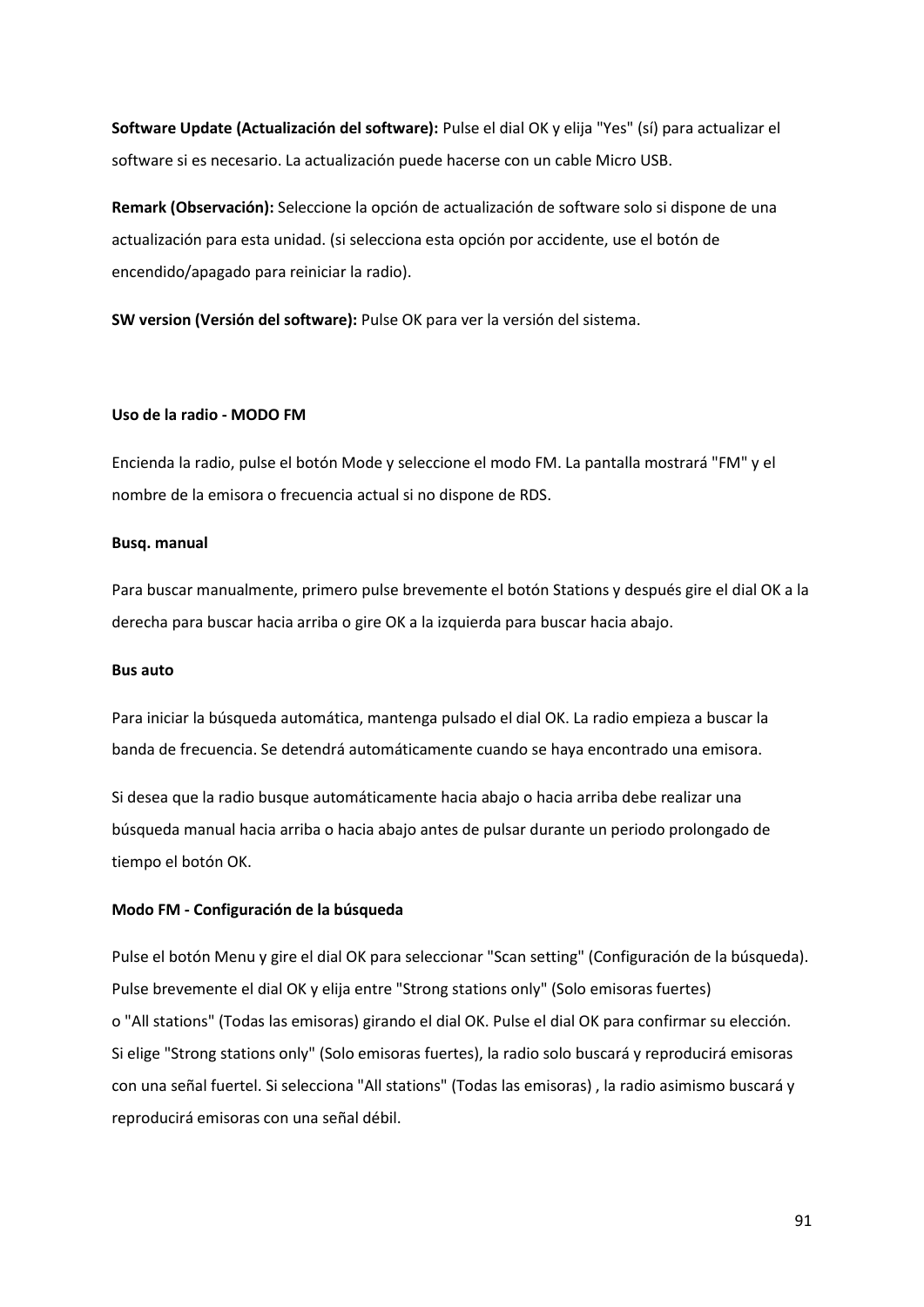**Software Update (Actualización del software):** Pulse el dial OK y elija "Yes" (sí) para actualizar el software si es necesario. La actualización puede hacerse con un cable Micro USB.

**Remark (Observación):** Seleccione la opción de actualización de software solo si dispone de una actualización para esta unidad. (si selecciona esta opción por accidente, use el botón de encendido/apagado para reiniciar la radio).

**SW version (Versión del software):** Pulse OK para ver la versión del sistema.

#### **Uso de la radio - MODO FM**

Encienda la radio, pulse el botón Mode y seleccione el modo FM. La pantalla mostrará "FM" y el nombre de la emisora o frecuencia actual si no dispone de RDS.

#### **Busq. manual**

Para buscar manualmente, primero pulse brevemente el botón Stations y después gire el dial OK a la derecha para buscar hacia arriba o gire OK a la izquierda para buscar hacia abajo.

#### **Bus auto**

Para iniciar la búsqueda automática, mantenga pulsado el dial OK. La radio empieza a buscar la banda de frecuencia. Se detendrá automáticamente cuando se haya encontrado una emisora.

Si desea que la radio busque automáticamente hacia abajo o hacia arriba debe realizar una búsqueda manual hacia arriba o hacia abajo antes de pulsar durante un periodo prolongado de tiempo el botón OK.

## **Modo FM - Configuración de la búsqueda**

Pulse el botón Menu y gire el dial OK para seleccionar "Scan setting" (Configuración de la búsqueda). Pulse brevemente el dial OK y elija entre "Strong stations only" (Solo emisoras fuertes) o "All stations" (Todas las emisoras) girando el dial OK. Pulse el dial OK para confirmar su elección. Si elige "Strong stations only" (Solo emisoras fuertes), la radio solo buscará y reproducirá emisoras con una señal fuertel. Si selecciona "All stations" (Todas las emisoras) , la radio asimismo buscará y reproducirá emisoras con una señal débil.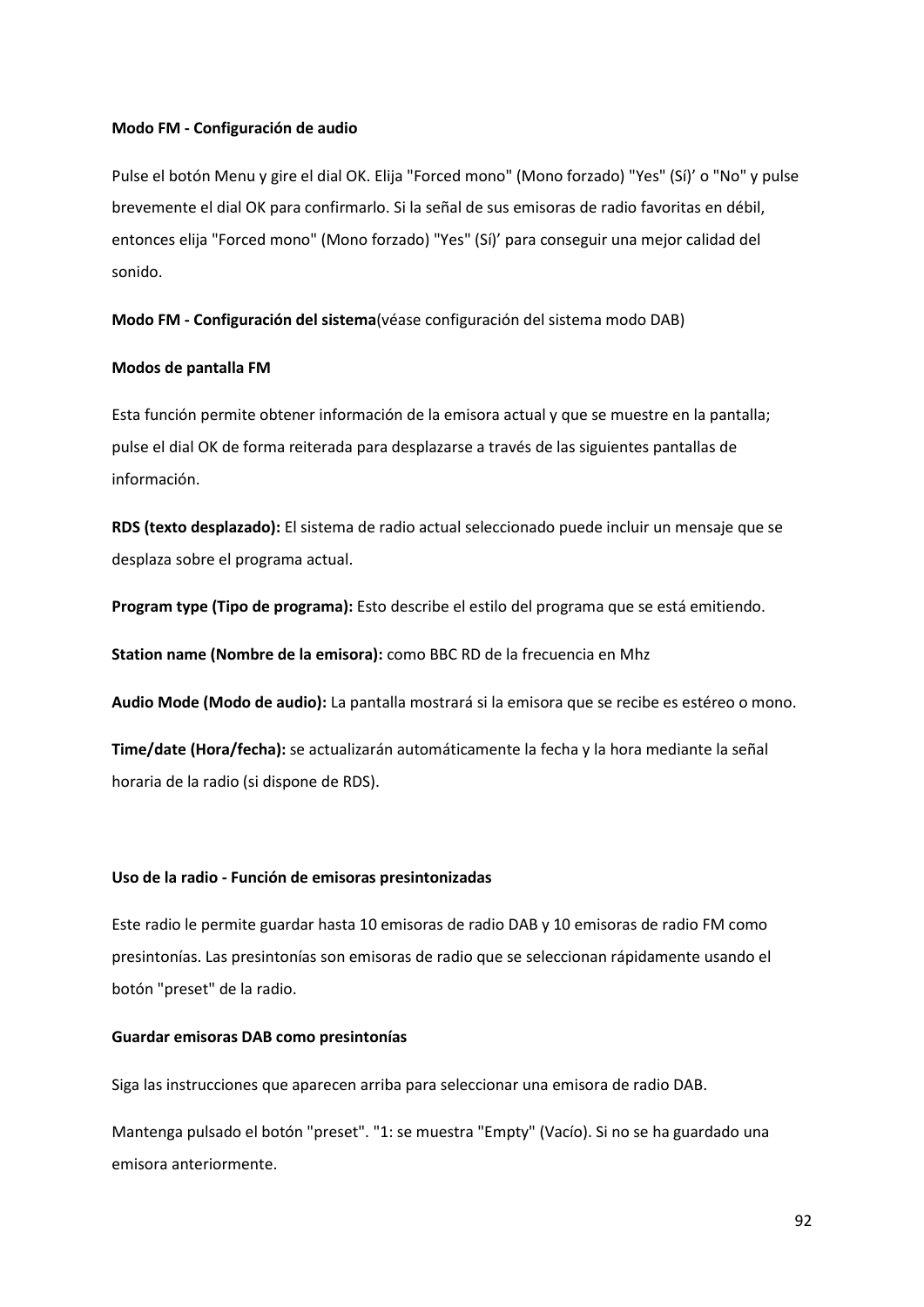#### **Modo FM - Configuración de audio**

Pulse el botón Menu y gire el dial OK. Elija "Forced mono" (Mono forzado) "Yes" (Sí)' o "No" y pulse brevemente el dial OK para confirmarlo. Si la señal de sus emisoras de radio favoritas en débil, entonces elija "Forced mono" (Mono forzado) "Yes" (Sí)' para conseguir una mejor calidad del sonido.

**Modo FM - Configuración del sistema**(véase configuración del sistema modo DAB)

#### **Modos de pantalla FM**

Esta función permite obtener información de la emisora actual y que se muestre en la pantalla; pulse el dial OK de forma reiterada para desplazarse a través de las siguientes pantallas de información.

**RDS (texto desplazado):** El sistema de radio actual seleccionado puede incluir un mensaje que se desplaza sobre el programa actual.

**Program type (Tipo de programa):** Esto describe el estilo del programa que se está emitiendo.

**Station name (Nombre de la emisora):** como BBC RD de la frecuencia en Mhz

**Audio Mode (Modo de audio):** La pantalla mostrará si la emisora que se recibe es estéreo o mono.

**Time/date (Hora/fecha):** se actualizarán automáticamente la fecha y la hora mediante la señal horaria de la radio (si dispone de RDS).

## **Uso de la radio - Función de emisoras presintonizadas**

Este radio le permite guardar hasta 10 emisoras de radio DAB y 10 emisoras de radio FM como presintonías. Las presintonías son emisoras de radio que se seleccionan rápidamente usando el botón "preset" de la radio.

#### **Guardar emisoras DAB como presintonías**

Siga las instrucciones que aparecen arriba para seleccionar una emisora de radio DAB.

Mantenga pulsado el botón "preset". "1: se muestra "Empty" (Vacío). Si no se ha guardado una emisora anteriormente.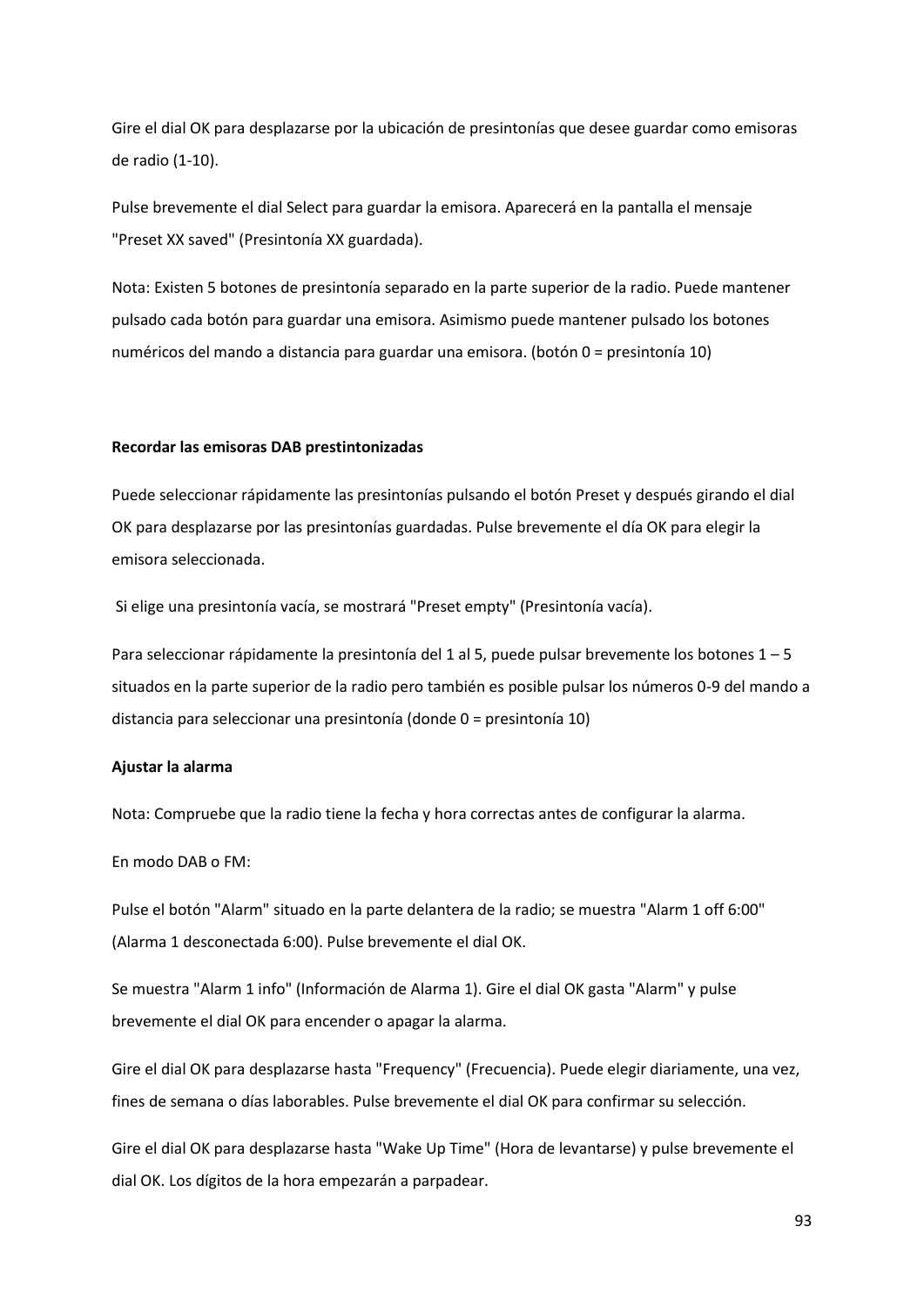Gire el dial OK para desplazarse por la ubicación de presintonías que desee guardar como emisoras de radio (1-10).

Pulse brevemente el dial Select para guardar la emisora. Aparecerá en la pantalla el mensaje "Preset XX saved" (Presintonía XX guardada).

Nota: Existen 5 botones de presintonía separado en la parte superior de la radio. Puede mantener pulsado cada botón para guardar una emisora. Asimismo puede mantener pulsado los botones numéricos del mando a distancia para guardar una emisora. (botón 0 = presintonía 10)

#### **Recordar las emisoras DAB prestintonizadas**

Puede seleccionar rápidamente las presintonías pulsando el botón Preset y después girando el dial OK para desplazarse por las presintonías guardadas. Pulse brevemente el día OK para elegir la emisora seleccionada.

Si elige una presintonía vacía, se mostrará "Preset empty" (Presintonía vacía).

Para seleccionar rápidamente la presintonía del 1 al 5, puede pulsar brevemente los botones 1 – 5 situados en la parte superior de la radio pero también es posible pulsar los números 0-9 del mando a distancia para seleccionar una presintonía (donde 0 = presintonía 10)

#### **Ajustar la alarma**

Nota: Compruebe que la radio tiene la fecha y hora correctas antes de configurar la alarma.

En modo DAB o FM:

Pulse el botón "Alarm" situado en la parte delantera de la radio; se muestra "Alarm 1 off 6:00" (Alarma 1 desconectada 6:00). Pulse brevemente el dial OK.

Se muestra "Alarm 1 info" (Información de Alarma 1). Gire el dial OK gasta "Alarm" y pulse brevemente el dial OK para encender o apagar la alarma.

Gire el dial OK para desplazarse hasta "Frequency" (Frecuencia). Puede elegir diariamente, una vez, fines de semana o días laborables. Pulse brevemente el dial OK para confirmar su selección.

Gire el dial OK para desplazarse hasta "Wake Up Time" (Hora de levantarse) y pulse brevemente el dial OK. Los dígitos de la hora empezarán a parpadear.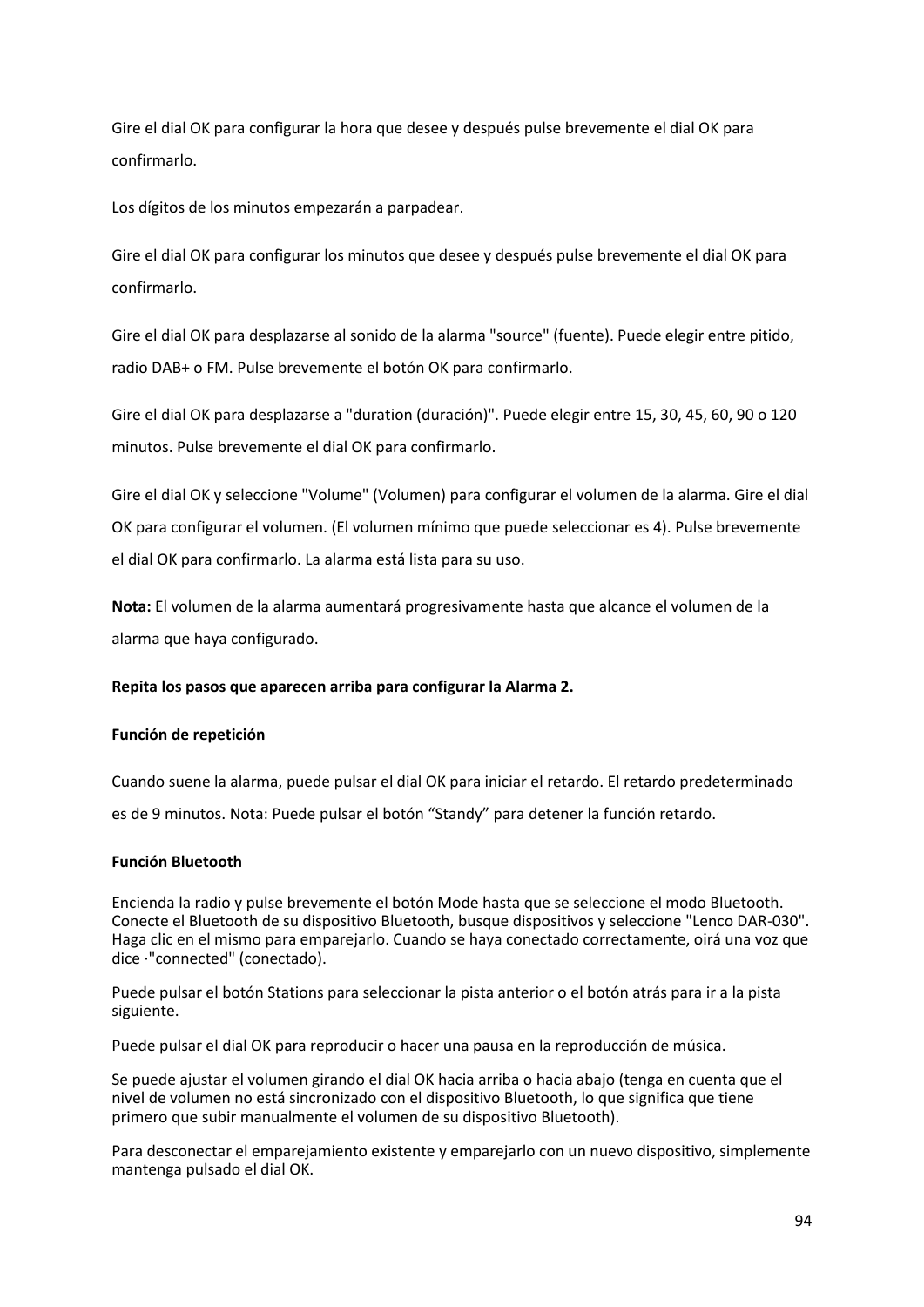Gire el dial OK para configurar la hora que desee y después pulse brevemente el dial OK para confirmarlo.

Los dígitos de los minutos empezarán a parpadear.

Gire el dial OK para configurar los minutos que desee y después pulse brevemente el dial OK para confirmarlo.

Gire el dial OK para desplazarse al sonido de la alarma "source" (fuente). Puede elegir entre pitido, radio DAB+ o FM. Pulse brevemente el botón OK para confirmarlo.

Gire el dial OK para desplazarse a "duration (duración)". Puede elegir entre 15, 30, 45, 60, 90 o 120 minutos. Pulse brevemente el dial OK para confirmarlo.

Gire el dial OK y seleccione "Volume" (Volumen) para configurar el volumen de la alarma. Gire el dial OK para configurar el volumen. (El volumen mínimo que puede seleccionar es 4). Pulse brevemente el dial OK para confirmarlo. La alarma está lista para su uso.

**Nota:** El volumen de la alarma aumentará progresivamente hasta que alcance el volumen de la alarma que haya configurado.

## **Repita los pasos que aparecen arriba para configurar la Alarma 2.**

## **Función de repetición**

Cuando suene la alarma, puede pulsar el dial OK para iniciar el retardo. El retardo predeterminado es de 9 minutos. Nota: Puede pulsar el botón "Standy" para detener la función retardo.

## **Función Bluetooth**

Encienda la radio y pulse brevemente el botón Mode hasta que se seleccione el modo Bluetooth. Conecte el Bluetooth de su dispositivo Bluetooth, busque dispositivos y seleccione "Lenco DAR-030". Haga clic en el mismo para emparejarlo. Cuando se haya conectado correctamente, oirá una voz que dice ·"connected" (conectado).

Puede pulsar el botón Stations para seleccionar la pista anterior o el botón atrás para ir a la pista siguiente.

Puede pulsar el dial OK para reproducir o hacer una pausa en la reproducción de música.

Se puede ajustar el volumen girando el dial OK hacia arriba o hacia abajo (tenga en cuenta que el nivel de volumen no está sincronizado con el dispositivo Bluetooth, lo que significa que tiene primero que subir manualmente el volumen de su dispositivo Bluetooth).

Para desconectar el emparejamiento existente y emparejarlo con un nuevo dispositivo, simplemente mantenga pulsado el dial OK.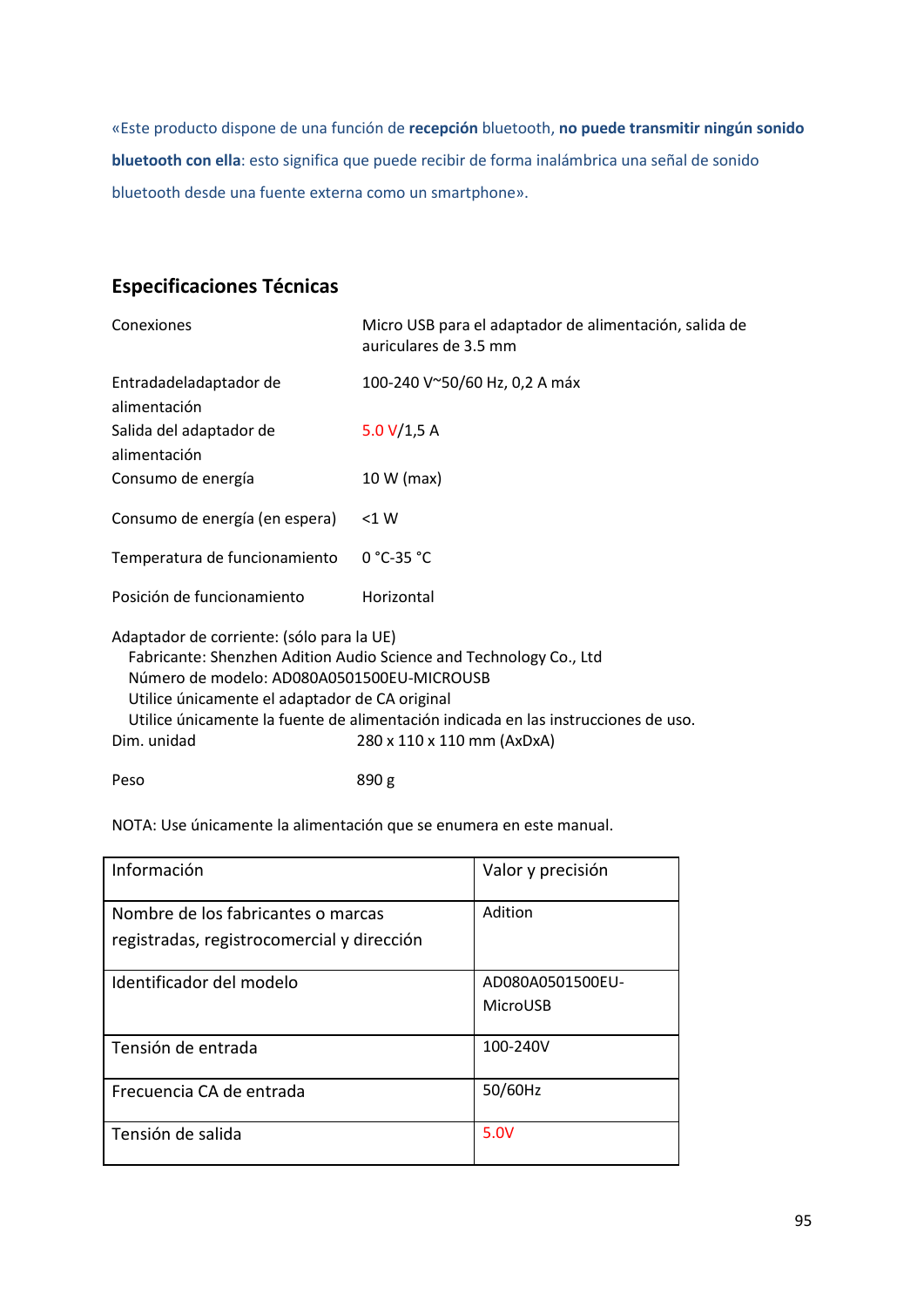«Este producto dispone de una función de **recepción** bluetooth, **no puede transmitir ningún sonido bluetooth con ella**: esto significa que puede recibir de forma inalámbrica una señal de sonido bluetooth desde una fuente externa como un smartphone».

# **Especificaciones Técnicas**

| Conexiones                                                                                                                                                                                                                                                                                                                                         | Micro USB para el adaptador de alimentación, salida de<br>auriculares de 3.5 mm |  |
|----------------------------------------------------------------------------------------------------------------------------------------------------------------------------------------------------------------------------------------------------------------------------------------------------------------------------------------------------|---------------------------------------------------------------------------------|--|
| Entradadeladaptador de<br>alimentación                                                                                                                                                                                                                                                                                                             | 100-240 V~50/60 Hz, 0,2 A máx                                                   |  |
| Salida del adaptador de<br>alimentación                                                                                                                                                                                                                                                                                                            | 5.0 $V/1,5 A$                                                                   |  |
| Consumo de energía                                                                                                                                                                                                                                                                                                                                 | 10 W (max)                                                                      |  |
| Consumo de energía (en espera)                                                                                                                                                                                                                                                                                                                     | $<$ 1 W                                                                         |  |
| Temperatura de funcionamiento                                                                                                                                                                                                                                                                                                                      | $0 °C-35 °C$                                                                    |  |
| Posición de funcionamiento                                                                                                                                                                                                                                                                                                                         | Horizontal                                                                      |  |
| Adaptador de corriente: (sólo para la UE)<br>Fabricante: Shenzhen Adition Audio Science and Technology Co., Ltd<br>Número de modelo: AD080A0501500EU-MICROUSB<br>Utilice únicamente el adaptador de CA original<br>Utilice únicamente la fuente de alimentación indicada en las instrucciones de uso.<br>Dim. unidad<br>280 x 110 x 110 mm (AxDxA) |                                                                                 |  |
| Peso                                                                                                                                                                                                                                                                                                                                               | 890 g                                                                           |  |

NOTA: Use únicamente la alimentación que se enumera en este manual.

| Información                                                                      | Valor y precisión            |
|----------------------------------------------------------------------------------|------------------------------|
| Nombre de los fabricantes o marcas<br>registradas, registrocomercial y dirección | Adition                      |
| Identificador del modelo                                                         | AD080A0501500EU-<br>MicroUSB |
| Tensión de entrada                                                               | 100-240V                     |
| Frecuencia CA de entrada                                                         | 50/60Hz                      |
| Tensión de salida                                                                | 5.0V                         |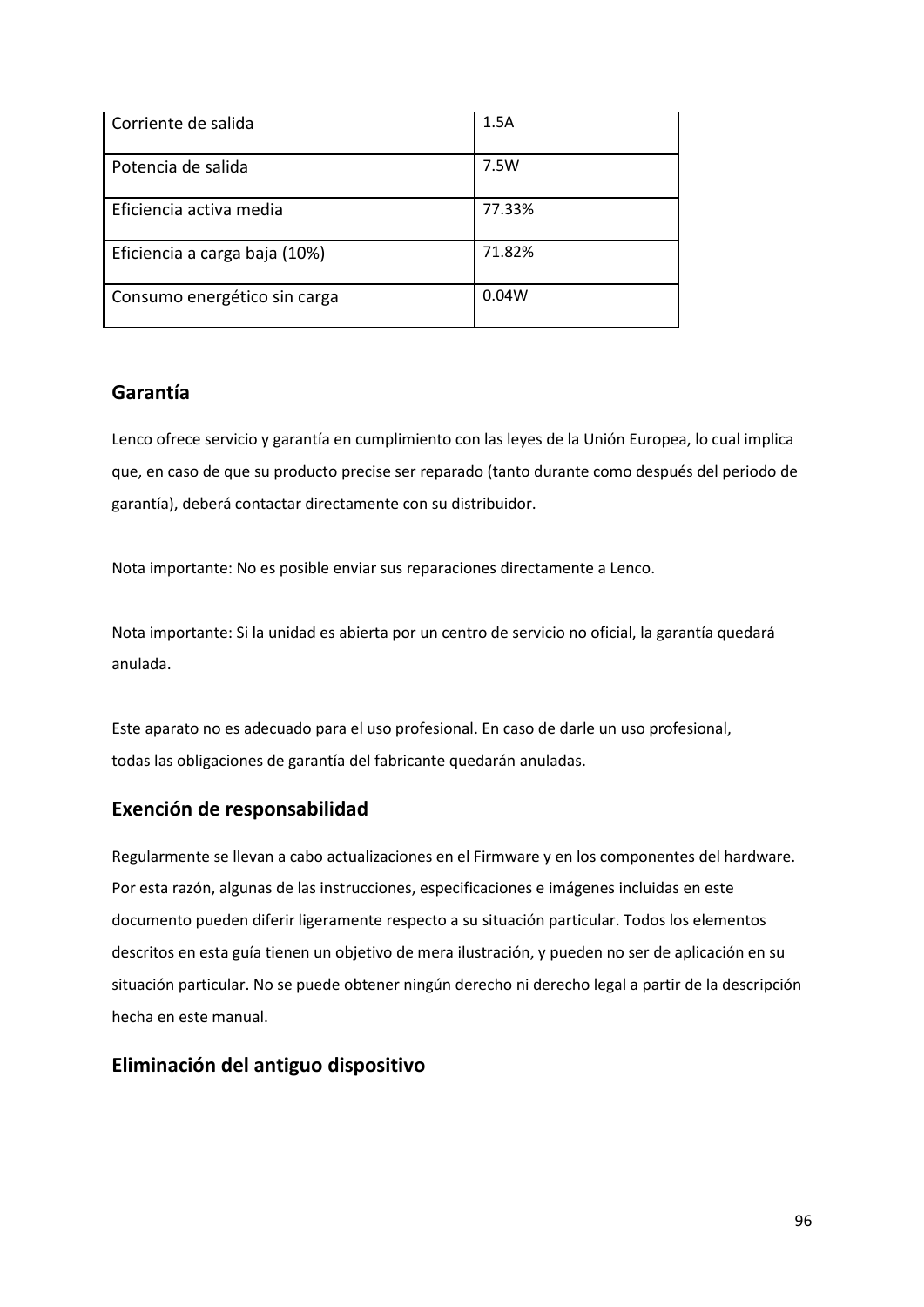| Corriente de salida           | 1.5A   |
|-------------------------------|--------|
| Potencia de salida            | 7.5W   |
| Eficiencia activa media       | 77.33% |
| Eficiencia a carga baja (10%) | 71.82% |
| Consumo energético sin carga  | 0.04W  |

# **Garantía**

Lenco ofrece servicio y garantía en cumplimiento con las leyes de la Unión Europea, lo cual implica que, en caso de que su producto precise ser reparado (tanto durante como después del periodo de garantía), deberá contactar directamente con su distribuidor.

Nota importante: No es posible enviar sus reparaciones directamente a Lenco.

Nota importante: Si la unidad es abierta por un centro de servicio no oficial, la garantía quedará anulada.

Este aparato no es adecuado para el uso profesional. En caso de darle un uso profesional, todas las obligaciones de garantía del fabricante quedarán anuladas.

# **Exención de responsabilidad**

Regularmente se llevan a cabo actualizaciones en el Firmware y en los componentes del hardware. Por esta razón, algunas de las instrucciones, especificaciones e imágenes incluidas en este documento pueden diferir ligeramente respecto a su situación particular. Todos los elementos descritos en esta guía tienen un objetivo de mera ilustración, y pueden no ser de aplicación en su situación particular. No se puede obtener ningún derecho ni derecho legal a partir de la descripción hecha en este manual.

# **Eliminación del antiguo dispositivo**